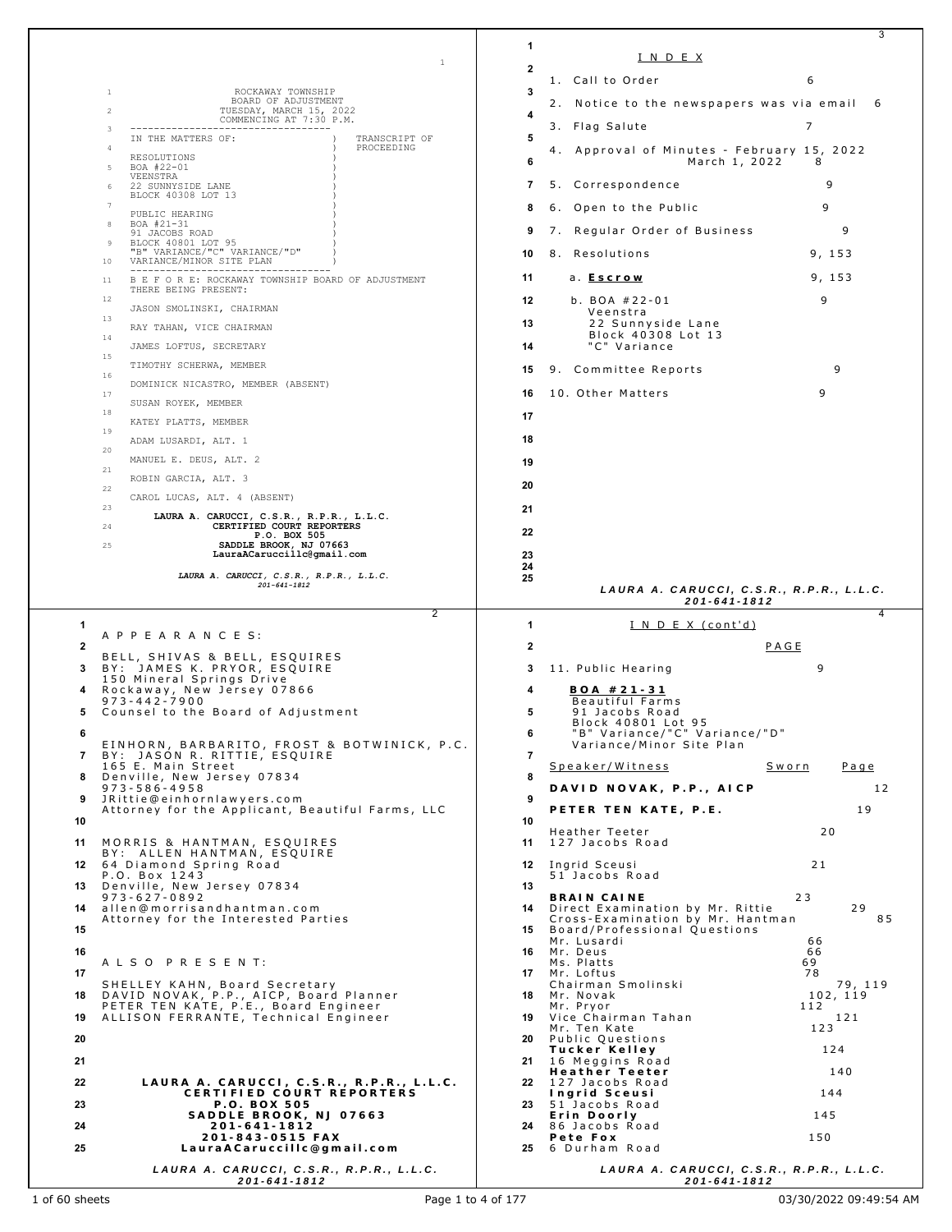|              |                                                                                                                        |                |                                                                     | 3               |
|--------------|------------------------------------------------------------------------------------------------------------------------|----------------|---------------------------------------------------------------------|-----------------|
|              | 1                                                                                                                      | 1              | <u>INDEX</u>                                                        |                 |
|              |                                                                                                                        | 2              | 1. Call to Order                                                    | 6               |
|              | ROCKAWAY TOWNSHIP<br>1                                                                                                 | 3              |                                                                     |                 |
|              | BOARD OF ADJUSTMENT<br>$\overline{2}$<br>TUESDAY, MARCH 15, 2022                                                       | 4              | 2. Notice to the newspapers was via email 6                         |                 |
|              | COMMENCING AT 7:30 P.M.<br>3<br>-----------------------------------                                                    |                | 3. Flag Salute                                                      | 7               |
|              | IN THE MATTERS OF:<br>TRANSCRIPT OF<br>PROCEEDING<br>$\overline{4}$                                                    | 5              | 4. Approval of Minutes - February 15, 2022                          |                 |
|              | RESOLUTIONS<br>BOA #22-01<br>5                                                                                         | 6              | March 1, 2022                                                       | 8               |
|              | VEENSTRA<br>22 SUNNYSIDE LANE                                                                                          | 7              | 5. Correspondence                                                   | 9               |
|              | BLOCK 40308 LOT 13<br>$\overline{7}$                                                                                   | 8              | 6. Open to the Public                                               | 9               |
|              | PUBLIC HEARING<br>BOA #21-31<br>8                                                                                      | 9              | 7. Regular Order of Business                                        | 9               |
|              | 91 JACOBS ROAD<br>BLOCK 40801 LOT 95<br>9                                                                              |                |                                                                     |                 |
|              | "B" VARIANCE/"C" VARIANCE/"D"<br>VARIANCE/MINOR SITE PLAN<br>10                                                        | 10             | 8. Resolutions                                                      | 9, 153          |
|              | ---------------------------------<br>B E F O R E: ROCKAWAY TOWNSHIP BOARD OF ADJUSTMENT<br>-11                         | 11             | a. <u>Escrow</u>                                                    | 9, 153          |
|              | THERE BEING PRESENT:<br>12                                                                                             | 12             | b. BOA $#22-01$                                                     | 9               |
|              | JASON SMOLINSKI, CHAIRMAN<br>13                                                                                        | 13             | Veenstra<br>22 Sunnyside Lane                                       |                 |
|              | RAY TAHAN, VICE CHAIRMAN<br>14                                                                                         |                | Block 40308 Lot 13                                                  |                 |
|              | JAMES LOFTUS, SECRETARY<br>15                                                                                          | 14             | "C" Variance                                                        |                 |
|              | TIMOTHY SCHERWA, MEMBER<br>16                                                                                          | 15             | 9. Committee Reports                                                | 9               |
|              | DOMINICK NICASTRO, MEMBER (ABSENT)<br>17                                                                               | 16             | 10. Other Matters                                                   | 9               |
|              | SUSAN ROYEK, MEMBER<br>18                                                                                              | 17             |                                                                     |                 |
|              | KATEY PLATTS, MEMBER<br>19                                                                                             |                |                                                                     |                 |
|              | ADAM LUSARDI, ALT. 1<br>20                                                                                             | 18             |                                                                     |                 |
|              | MANUEL E. DEUS, ALT. 2<br>21                                                                                           | 19             |                                                                     |                 |
|              | ROBIN GARCIA, ALT. 3<br>22                                                                                             | 20             |                                                                     |                 |
|              | CAROL LUCAS, ALT. 4 (ABSENT)<br>23                                                                                     | 21             |                                                                     |                 |
|              | LAURA A. CARUCCI, C.S.R., R.P.R., L.L.C.<br>CERTIFIED COURT REPORTERS<br>24                                            | 22             |                                                                     |                 |
|              | P.O. BOX 505<br>SADDLE BROOK, NJ 07663<br>25                                                                           |                |                                                                     |                 |
|              | LauraACaruccillc@gmail.com                                                                                             | 23<br>24       |                                                                     |                 |
|              | LAURA A. CARUCCI, C.S.R., R.P.R., L.L.C.<br>$201 - 641 - 1812$                                                         | 25             |                                                                     |                 |
|              |                                                                                                                        |                | LAURA A. CARUCCI, C.S.R., R.P.R., L.L.C.<br>201-641-1812            |                 |
|              |                                                                                                                        |                |                                                                     |                 |
| 1            | 2                                                                                                                      |                |                                                                     | 4               |
|              | A P P E A R A N C E S:                                                                                                 | 1              | <u>INDEX (cont'd)</u>                                               |                 |
| $\mathbf{2}$ | BELL, SHIVAS & BELL, ESQUIRES                                                                                          | 2              |                                                                     | PAGE            |
| 3            | BY: JAMES K. PRYOR, ESQUIRE<br>150 Mineral Springs Drive                                                               | 3              | 11. Public Hearing                                                  | 9               |
|              | Rockaway, New Jersey 07866                                                                                             | 4              | $BOA # 21 - 31$                                                     |                 |
| 5.           | $973 - 442 - 7900$<br>Counsel to the Board of Adjustment                                                               | 5              | Beautiful Farms<br>91 Jacobs Road                                   |                 |
| 6            |                                                                                                                        | 6              | Block 40801 Lot 95<br>"B" Variance/"C" Variance/"D"                 |                 |
|              | EINHORN, BARBARITO, FROST & BOTWINICK, P.C.<br>7 BY: JASON R. RITTIE, ESQUIRE                                          | $\overline{7}$ | Variance/Minor Site Plan                                            |                 |
| 8            | 165 E. Main Street                                                                                                     | 8              | Speaker/Witness                                                     | Sworn<br>Page   |
|              | Denville, New Jersey 07834<br>$973 - 586 - 4958$                                                                       |                | DAVID NOVAK, P.P., AICP                                             | 12              |
| 9            | JRittie@einhornlawyers.com<br>Attorney for the Applicant, Beautiful Farms, LLC                                         | 9              | PETER TEN KATE, P.E.                                                | 19              |
| 10           |                                                                                                                        | 10             | Heather Teeter                                                      | 20              |
| 11           | MORRIS & HANTMAN, ESQUIRES                                                                                             | 11             | 127 Jacobs Road                                                     |                 |
|              | BY: ALLEN HANTMAN, ESQUIRE<br>12 64 Diamond Spring Road                                                                | 12             | Ingrid Sceusi                                                       | 21              |
|              | P.O. Box 1243<br>13 Denville, New Jersey 07834                                                                         | 13             | 51 Jacobs Road                                                      |                 |
|              | $973 - 627 - 0892$<br>14 allen@morrisandhantman.com                                                                    |                | <b>BRAIN CAINE</b><br>14 Direct Examination by Mr. Rittie           | 23<br>29        |
| 15           | Attorney for the Interested Parties                                                                                    |                | Cross-Examination by Mr. Hantman<br>15 Board/Professional Questions | 85              |
|              |                                                                                                                        |                | Mr. Lusardi                                                         | 66              |
| 16           | ALSO PRESENT:                                                                                                          |                | 16 Mr. Deus<br>Ms. Platts                                           | 66<br>69        |
| 17           | SHELLEY KAHN, Board Secretary                                                                                          |                | 17 Mr. Loftus<br>Chairman Smolinski                                 | 78<br>79, 119   |
| 18           |                                                                                                                        |                | 18 Mr. Novak<br>Mr. Pryor                                           | 102, 119<br>112 |
| 19           | DAVID NOVAK, P.P., AICP, Board Planner<br>PETER TEN KATE, P.E., Board Engineer<br>ALLISON FERRANTE, Technical Engineer |                | 19 Vice Chairman Tahan<br>Mr. Ten Kate                              | 121<br>123      |
| 20           |                                                                                                                        | 20             | Public Questions                                                    |                 |
| 21           |                                                                                                                        |                | Tucker Kelley<br>21 16 Meggins Road                                 | 124             |
| 22           | LAURA A. CARUCCI, C.S.R., R.P.R., L.L.C.                                                                               |                | Heather Teeter<br>22 127 Jacobs Road                                | 140             |
|              | CERTIFIED COURT REPORTERS                                                                                              |                | Ingrid Sceusi                                                       | 144             |
| 23           | P.O. BOX 505<br>SADDLE BROOK, NJ 07663                                                                                 | 23             | 51 Jacobs Road<br>Erin Doorly                                       | 145             |
| 24           | 201-641-1812<br>201-843-0515 FAX                                                                                       | 24             | 86 Jacobs Road<br>Pete Fox                                          | 150             |
| 25           | LauraACaruccillc@gmail.com<br>LAURA A. CARUCCI, C.S.R., R.P.R., L.L.C.                                                 |                | 25 6 Durham Road<br>LAURA A. CARUCCI, C.S.R., R.P.R., L.L.C.        |                 |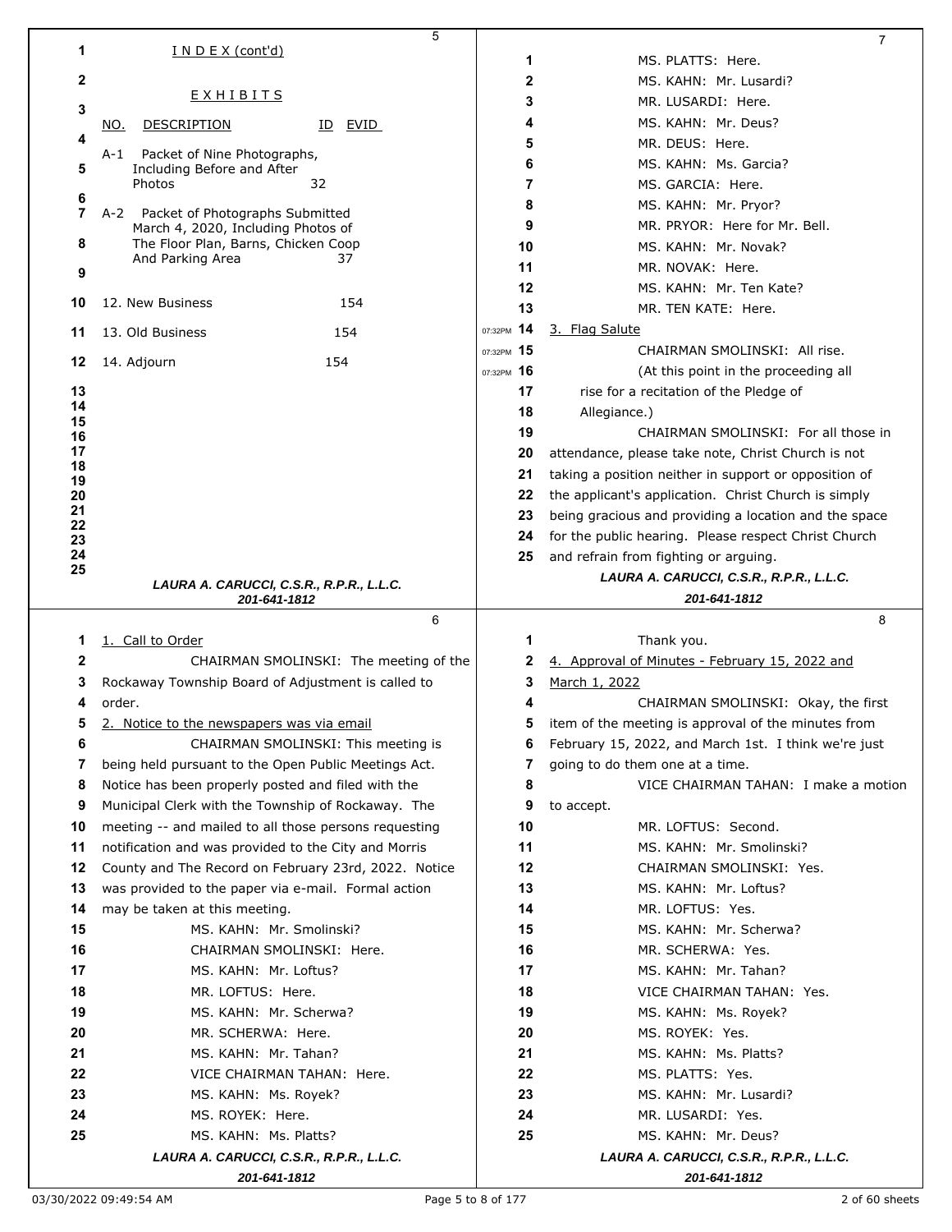|                | 5                                                             |            | 7                                                        |
|----------------|---------------------------------------------------------------|------------|----------------------------------------------------------|
| 1              | I N D E X (cont'd)                                            | 1          | MS. PLATTS: Here.                                        |
| 2              |                                                               | 2          | MS. KAHN: Mr. Lusardi?                                   |
|                | <b>EXHIBITS</b>                                               | 3          | MR. LUSARDI: Here.                                       |
| 3              |                                                               | 4          | MS. KAHN: Mr. Deus?                                      |
| 4              | <b>DESCRIPTION</b><br>ID EVID<br>NO.                          |            |                                                          |
|                | Packet of Nine Photographs,<br>A-1                            | 5          | MR. DEUS: Here.                                          |
| 5              | Including Before and After                                    | 6          | MS. KAHN: Ms. Garcia?                                    |
| 6              | 32<br>Photos                                                  | 7          | MS. GARCIA: Here.                                        |
| $\overline{7}$ | A-2 Packet of Photographs Submitted                           | 8          | MS. KAHN: Mr. Pryor?                                     |
|                | March 4, 2020, Including Photos of                            | 9          | MR. PRYOR: Here for Mr. Bell.                            |
| 8              | The Floor Plan, Barns, Chicken Coop<br>And Parking Area<br>37 | 10         | MS. KAHN: Mr. Novak?                                     |
| 9              |                                                               | 11         | MR. NOVAK: Here.                                         |
|                |                                                               | 12         | MS. KAHN: Mr. Ten Kate?                                  |
| 10             | 12. New Business<br>154                                       | 13         | MR. TEN KATE: Here.                                      |
| 11             | 13. Old Business<br>154                                       | 07:32PM 14 | 3. Flag Salute                                           |
|                |                                                               | 07:32PM 15 | CHAIRMAN SMOLINSKI: All rise.                            |
| 12             | 154<br>14. Adjourn                                            | 07:32PM 16 | (At this point in the proceeding all                     |
| 13             |                                                               | 17         | rise for a recitation of the Pledge of                   |
| 14<br>15       |                                                               | 18         | Allegiance.)                                             |
| 16             |                                                               | 19         | CHAIRMAN SMOLINSKI: For all those in                     |
| 17             |                                                               | 20         | attendance, please take note, Christ Church is not       |
| 18<br>19       |                                                               | 21         | taking a position neither in support or opposition of    |
| 20             |                                                               | 22         | the applicant's application. Christ Church is simply     |
| 21             |                                                               | 23         | being gracious and providing a location and the space    |
| 22<br>23       |                                                               | 24         | for the public hearing. Please respect Christ Church     |
| 24             |                                                               | 25         | and refrain from fighting or arguing.                    |
| 25             |                                                               |            | LAURA A. CARUCCI, C.S.R., R.P.R., L.L.C.                 |
|                | LAURA A. CARUCCI, C.S.R., R.P.R., L.L.C.<br>201-641-1812      |            | 201-641-1812                                             |
|                |                                                               |            |                                                          |
|                | 6                                                             |            | 8                                                        |
| 1              | 1. Call to Order                                              | 1          | Thank you.                                               |
| $\mathbf{2}$   | CHAIRMAN SMOLINSKI: The meeting of the                        | 2          |                                                          |
| 3              |                                                               | 3          | 4. Approval of Minutes - February 15, 2022 and           |
| 4              | Rockaway Township Board of Adjustment is called to<br>order.  | 4          | March 1, 2022                                            |
|                |                                                               | 5          | CHAIRMAN SMOLINSKI: Okay, the first                      |
|                | 2. Notice to the newspapers was via email                     |            | item of the meeting is approval of the minutes from      |
| 6              | CHAIRMAN SMOLINSKI: This meeting is                           | 6          | February 15, 2022, and March 1st. I think we're just     |
| 7              | being held pursuant to the Open Public Meetings Act.          | 7          | going to do them one at a time.                          |
| 8              | Notice has been properly posted and filed with the            | 8          | VICE CHAIRMAN TAHAN: I make a motion                     |
| 9              | Municipal Clerk with the Township of Rockaway. The            | 9          | to accept.                                               |
| 10             | meeting -- and mailed to all those persons requesting         | 10         | MR. LOFTUS: Second.                                      |
| 11             | notification and was provided to the City and Morris          | 11         | MS. KAHN: Mr. Smolinski?                                 |
| 12             | County and The Record on February 23rd, 2022. Notice          | 12         | CHAIRMAN SMOLINSKI: Yes.                                 |
| 13             | was provided to the paper via e-mail. Formal action           | 13         | MS. KAHN: Mr. Loftus?                                    |
| 14             | may be taken at this meeting.                                 | 14         | MR. LOFTUS: Yes.                                         |
| 15             | MS. KAHN: Mr. Smolinski?                                      | 15         | MS. KAHN: Mr. Scherwa?                                   |
| 16             | CHAIRMAN SMOLINSKI: Here.                                     | 16         | MR. SCHERWA: Yes.                                        |
| 17             | MS. KAHN: Mr. Loftus?                                         | 17         | MS. KAHN: Mr. Tahan?                                     |
| 18             | MR. LOFTUS: Here.                                             | 18         | VICE CHAIRMAN TAHAN: Yes.                                |
| 19             | MS. KAHN: Mr. Scherwa?                                        | 19         | MS. KAHN: Ms. Royek?                                     |
| 20             | MR. SCHERWA: Here.                                            | 20         | MS. ROYEK: Yes.                                          |
| 21             | MS. KAHN: Mr. Tahan?                                          | 21         | MS. KAHN: Ms. Platts?                                    |
| 22             | VICE CHAIRMAN TAHAN: Here.                                    | 22         | MS. PLATTS: Yes.                                         |
| 23             | MS. KAHN: Ms. Royek?                                          | 23         | MS. KAHN: Mr. Lusardi?                                   |
| 24             | MS. ROYEK: Here.                                              | 24         | MR. LUSARDI: Yes.                                        |
| 25             | MS. KAHN: Ms. Platts?                                         | 25         | MS. KAHN: Mr. Deus?                                      |
|                | LAURA A. CARUCCI, C.S.R., R.P.R., L.L.C.<br>201-641-1812      |            | LAURA A. CARUCCI, C.S.R., R.P.R., L.L.C.<br>201-641-1812 |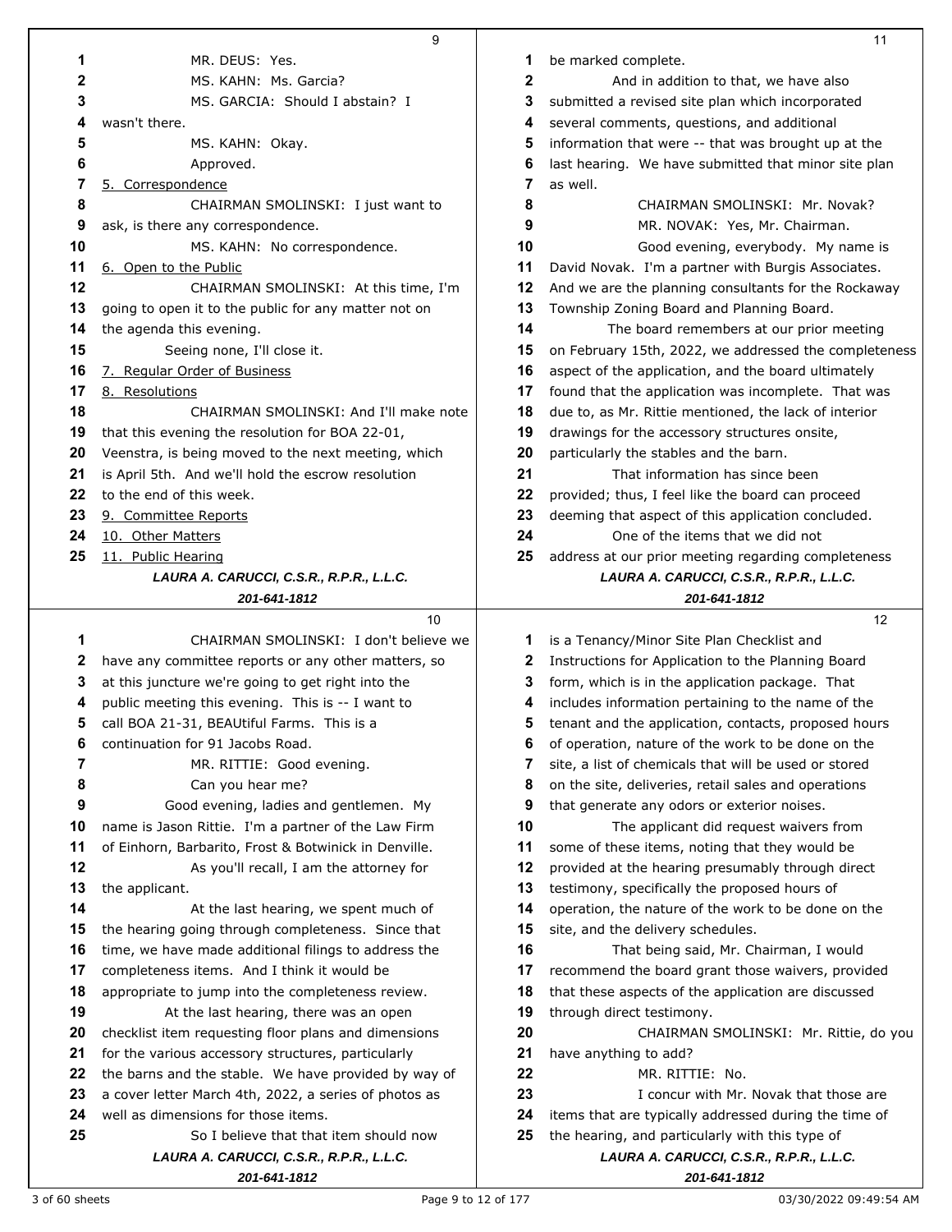|          | 9                                                                                                          |          | 11                                                                                          |
|----------|------------------------------------------------------------------------------------------------------------|----------|---------------------------------------------------------------------------------------------|
| 1        | MR. DEUS: Yes.                                                                                             | 1        | be marked complete.                                                                         |
| 2        | MS. KAHN: Ms. Garcia?                                                                                      | 2        | And in addition to that, we have also                                                       |
| 3        | MS. GARCIA: Should I abstain? I                                                                            | 3        | submitted a revised site plan which incorporated                                            |
| 4        | wasn't there.                                                                                              | 4        | several comments, questions, and additional                                                 |
| 5        | MS. KAHN: Okay.                                                                                            | 5        | information that were -- that was brought up at the                                         |
| 6        | Approved.                                                                                                  | 6        | last hearing. We have submitted that minor site plan                                        |
| 7        | 5. Correspondence                                                                                          | 7        | as well.                                                                                    |
| 8        | CHAIRMAN SMOLINSKI: I just want to                                                                         | 8        | CHAIRMAN SMOLINSKI: Mr. Novak?                                                              |
| 9        | ask, is there any correspondence.                                                                          | 9        | MR. NOVAK: Yes, Mr. Chairman.                                                               |
| 10       | MS. KAHN: No correspondence.                                                                               | 10       | Good evening, everybody. My name is                                                         |
| 11       | 6. Open to the Public                                                                                      | 11       | David Novak. I'm a partner with Burgis Associates.                                          |
| 12       | CHAIRMAN SMOLINSKI: At this time, I'm                                                                      | 12       | And we are the planning consultants for the Rockaway                                        |
| 13       | going to open it to the public for any matter not on                                                       | 13       | Township Zoning Board and Planning Board.                                                   |
| 14       | the agenda this evening.                                                                                   | 14       | The board remembers at our prior meeting                                                    |
| 15       | Seeing none, I'll close it.                                                                                | 15       | on February 15th, 2022, we addressed the completeness                                       |
| 16       | 7. Regular Order of Business                                                                               | 16       | aspect of the application, and the board ultimately                                         |
| 17       | 8. Resolutions                                                                                             | 17       | found that the application was incomplete. That was                                         |
| 18       | CHAIRMAN SMOLINSKI: And I'll make note                                                                     | 18       | due to, as Mr. Rittie mentioned, the lack of interior                                       |
| 19       | that this evening the resolution for BOA 22-01,                                                            | 19       | drawings for the accessory structures onsite,                                               |
| 20       | Veenstra, is being moved to the next meeting, which                                                        | 20       | particularly the stables and the barn.                                                      |
| 21       | is April 5th. And we'll hold the escrow resolution                                                         | 21       | That information has since been                                                             |
| 22       | to the end of this week.                                                                                   | 22       | provided; thus, I feel like the board can proceed                                           |
| 23       | 9. Committee Reports                                                                                       | 23       | deeming that aspect of this application concluded.                                          |
| 24       | 10. Other Matters                                                                                          | 24       | One of the items that we did not                                                            |
| 25       | 11. Public Hearing                                                                                         | 25       | address at our prior meeting regarding completeness                                         |
|          | LAURA A. CARUCCI, C.S.R., R.P.R., L.L.C.                                                                   |          | LAURA A. CARUCCI, C.S.R., R.P.R., L.L.C.                                                    |
|          | 201-641-1812                                                                                               |          | 201-641-1812                                                                                |
|          | 10                                                                                                         |          | 12                                                                                          |
| 1        | CHAIRMAN SMOLINSKI: I don't believe we                                                                     | 1        | is a Tenancy/Minor Site Plan Checklist and                                                  |
| 2        | have any committee reports or any other matters, so                                                        | 2        | Instructions for Application to the Planning Board                                          |
| 3        | at this juncture we're going to get right into the                                                         | 3        | form, which is in the application package. That                                             |
| 4        | public meeting this evening. This is -- I want to                                                          | 4        | includes information pertaining to the name of the                                          |
| 5        | call BOA 21-31, BEAUtiful Farms. This is a                                                                 | 5        | tenant and the application, contacts, proposed hours                                        |
| 6        | continuation for 91 Jacobs Road.                                                                           | 6        | of operation, nature of the work to be done on the                                          |
| 7        | MR. RITTIE: Good evening.                                                                                  | 7        | site, a list of chemicals that will be used or stored                                       |
| 8        | Can you hear me?                                                                                           | 8        | on the site, deliveries, retail sales and operations                                        |
| 9        | Good evening, ladies and gentlemen. My                                                                     | 9        | that generate any odors or exterior noises.                                                 |
| 10       | name is Jason Rittie. I'm a partner of the Law Firm                                                        | 10       | The applicant did request waivers from                                                      |
| 11       | of Einhorn, Barbarito, Frost & Botwinick in Denville.                                                      | 11       | some of these items, noting that they would be                                              |
| 12       | As you'll recall, I am the attorney for                                                                    | 12       | provided at the hearing presumably through direct                                           |
| 13       | the applicant.                                                                                             | 13<br>14 | testimony, specifically the proposed hours of                                               |
| 14       | At the last hearing, we spent much of                                                                      | 15       | operation, the nature of the work to be done on the<br>site, and the delivery schedules.    |
| 15<br>16 | the hearing going through completeness. Since that<br>time, we have made additional filings to address the | 16       |                                                                                             |
| 17       |                                                                                                            | 17       | That being said, Mr. Chairman, I would<br>recommend the board grant those waivers, provided |
|          |                                                                                                            |          |                                                                                             |
|          | completeness items. And I think it would be                                                                |          |                                                                                             |
| 18       | appropriate to jump into the completeness review.                                                          | 18       | that these aspects of the application are discussed                                         |
| 19       | At the last hearing, there was an open                                                                     | 19       | through direct testimony.                                                                   |
| 20       | checklist item requesting floor plans and dimensions                                                       | 20       | CHAIRMAN SMOLINSKI: Mr. Rittie, do you                                                      |
| 21       | for the various accessory structures, particularly                                                         | 21       | have anything to add?                                                                       |
| 22       | the barns and the stable. We have provided by way of                                                       | 22       | MR. RITTIE: No.                                                                             |
| 23       | a cover letter March 4th, 2022, a series of photos as                                                      | 23       | I concur with Mr. Novak that those are                                                      |
| 24       | well as dimensions for those items.                                                                        | 24       | items that are typically addressed during the time of                                       |
| 25       | So I believe that that item should now                                                                     | 25       | the hearing, and particularly with this type of                                             |
|          | LAURA A. CARUCCI, C.S.R., R.P.R., L.L.C.<br>201-641-1812                                                   |          | LAURA A. CARUCCI, C.S.R., R.P.R., L.L.C.<br>201-641-1812                                    |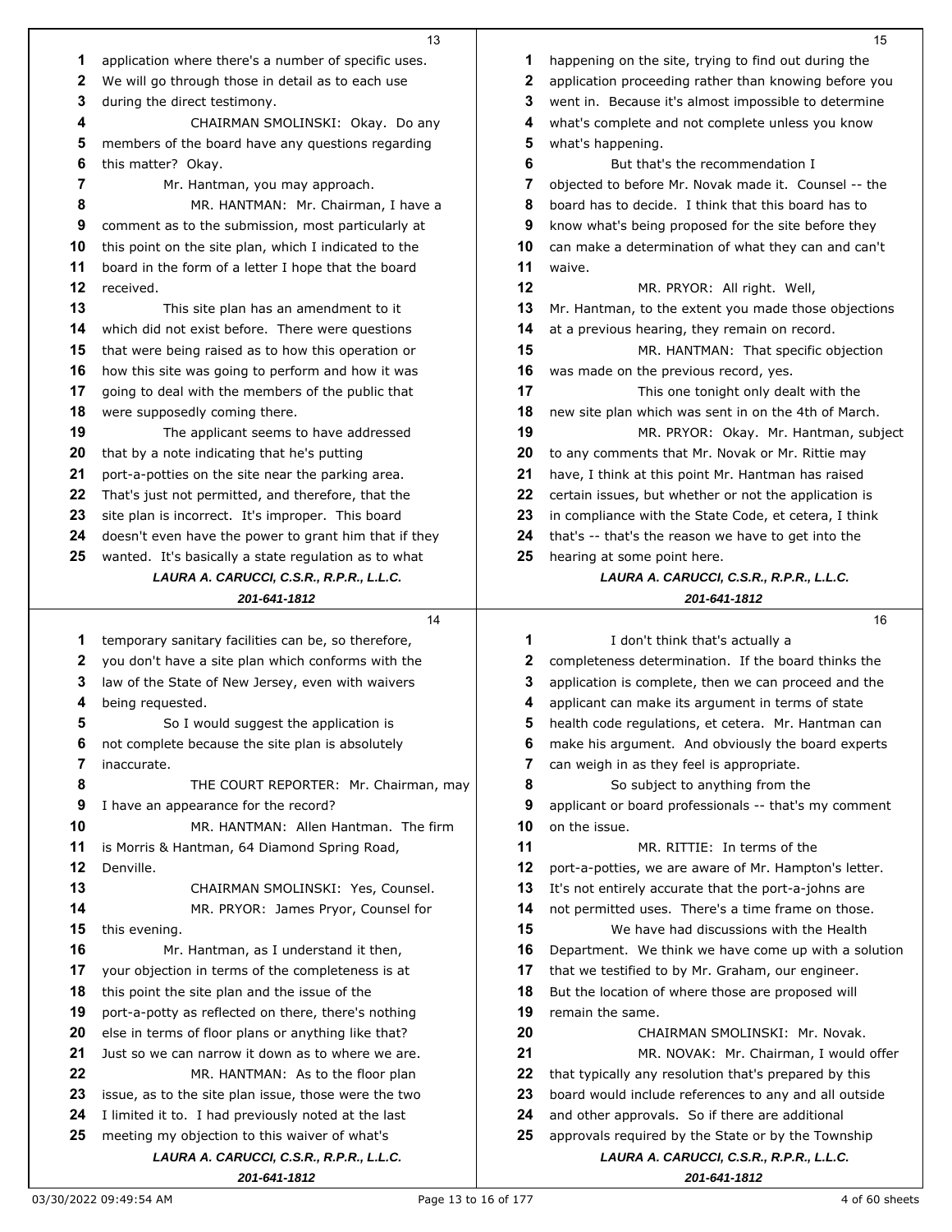|    | 13                                                       |          | 15                                                       |
|----|----------------------------------------------------------|----------|----------------------------------------------------------|
| 1  | application where there's a number of specific uses.     | 1        | happening on the site, trying to find out during the     |
| 2  | We will go through those in detail as to each use        | 2        | application proceeding rather than knowing before you    |
| 3  | during the direct testimony.                             | 3        | went in. Because it's almost impossible to determine     |
| 4  | CHAIRMAN SMOLINSKI: Okay. Do any                         | 4        | what's complete and not complete unless you know         |
| 5  | members of the board have any questions regarding        | 5        | what's happening.                                        |
| 6  | this matter? Okay.                                       | 6        | But that's the recommendation I                          |
| 7  | Mr. Hantman, you may approach.                           | 7        | objected to before Mr. Novak made it. Counsel -- the     |
| 8  | MR. HANTMAN: Mr. Chairman, I have a                      | 8        | board has to decide. I think that this board has to      |
| 9  | comment as to the submission, most particularly at       | 9        | know what's being proposed for the site before they      |
| 10 | this point on the site plan, which I indicated to the    | 10       | can make a determination of what they can and can't      |
| 11 | board in the form of a letter I hope that the board      | 11       | waive.                                                   |
| 12 | received.                                                | 12       |                                                          |
| 13 |                                                          | 13       | MR. PRYOR: All right. Well,                              |
| 14 | This site plan has an amendment to it                    | 14       | Mr. Hantman, to the extent you made those objections     |
| 15 | which did not exist before. There were questions         | 15       | at a previous hearing, they remain on record.            |
|    | that were being raised as to how this operation or       |          | MR. HANTMAN: That specific objection                     |
| 16 | how this site was going to perform and how it was        | 16<br>17 | was made on the previous record, yes.                    |
| 17 | going to deal with the members of the public that        |          | This one tonight only dealt with the                     |
| 18 | were supposedly coming there.                            | 18       | new site plan which was sent in on the 4th of March.     |
| 19 | The applicant seems to have addressed                    | 19       | MR. PRYOR: Okay. Mr. Hantman, subject                    |
| 20 | that by a note indicating that he's putting              | 20       | to any comments that Mr. Novak or Mr. Rittie may         |
| 21 | port-a-potties on the site near the parking area.        | 21       | have, I think at this point Mr. Hantman has raised       |
| 22 | That's just not permitted, and therefore, that the       | 22       | certain issues, but whether or not the application is    |
| 23 | site plan is incorrect. It's improper. This board        | 23       | in compliance with the State Code, et cetera, I think    |
| 24 | doesn't even have the power to grant him that if they    | 24       | that's -- that's the reason we have to get into the      |
| 25 | wanted. It's basically a state regulation as to what     | 25       | hearing at some point here.                              |
|    | LAURA A. CARUCCI, C.S.R., R.P.R., L.L.C.                 |          | LAURA A. CARUCCI, C.S.R., R.P.R., L.L.C.                 |
|    | 201-641-1812                                             |          | 201-641-1812                                             |
|    |                                                          |          |                                                          |
|    | 14                                                       |          | 16                                                       |
| 1  | temporary sanitary facilities can be, so therefore,      | 1        | I don't think that's actually a                          |
| 2  | you don't have a site plan which conforms with the       | 2        | completeness determination. If the board thinks the      |
| 3  | law of the State of New Jersey, even with waivers        | 3        | application is complete, then we can proceed and the     |
| 4  | being requested.                                         | 4        | applicant can make its argument in terms of state        |
| 5  | So I would suggest the application is                    | 5        | health code regulations, et cetera. Mr. Hantman can      |
| 6  | not complete because the site plan is absolutely         | 6        | make his argument. And obviously the board experts       |
| 7  | inaccurate.                                              | 7        | can weigh in as they feel is appropriate.                |
| 8  | THE COURT REPORTER: Mr. Chairman, may                    | 8        | So subject to anything from the                          |
| 9  | I have an appearance for the record?                     | 9        | applicant or board professionals -- that's my comment    |
| 10 | MR. HANTMAN: Allen Hantman. The firm                     | 10       | on the issue.                                            |
| 11 | is Morris & Hantman, 64 Diamond Spring Road,             | 11       | MR. RITTIE: In terms of the                              |
| 12 | Denville.                                                | 12       | port-a-potties, we are aware of Mr. Hampton's letter.    |
| 13 | CHAIRMAN SMOLINSKI: Yes, Counsel.                        | 13       | It's not entirely accurate that the port-a-johns are     |
| 14 | MR. PRYOR: James Pryor, Counsel for                      | 14       | not permitted uses. There's a time frame on those.       |
| 15 | this evening.                                            | 15       | We have had discussions with the Health                  |
| 16 | Mr. Hantman, as I understand it then,                    | 16       | Department. We think we have come up with a solution     |
| 17 | your objection in terms of the completeness is at        | 17       | that we testified to by Mr. Graham, our engineer.        |
| 18 | this point the site plan and the issue of the            | 18       | But the location of where those are proposed will        |
| 19 | port-a-potty as reflected on there, there's nothing      | 19       | remain the same.                                         |
| 20 | else in terms of floor plans or anything like that?      | 20       | CHAIRMAN SMOLINSKI: Mr. Novak.                           |
| 21 | Just so we can narrow it down as to where we are.        | 21       | MR. NOVAK: Mr. Chairman, I would offer                   |
| 22 | MR. HANTMAN: As to the floor plan                        | 22       | that typically any resolution that's prepared by this    |
| 23 | issue, as to the site plan issue, those were the two     | 23       | board would include references to any and all outside    |
| 24 | I limited it to. I had previously noted at the last      | 24       | and other approvals. So if there are additional          |
| 25 | meeting my objection to this waiver of what's            | 25       | approvals required by the State or by the Township       |
|    | LAURA A. CARUCCI, C.S.R., R.P.R., L.L.C.<br>201-641-1812 |          | LAURA A. CARUCCI, C.S.R., R.P.R., L.L.C.<br>201-641-1812 |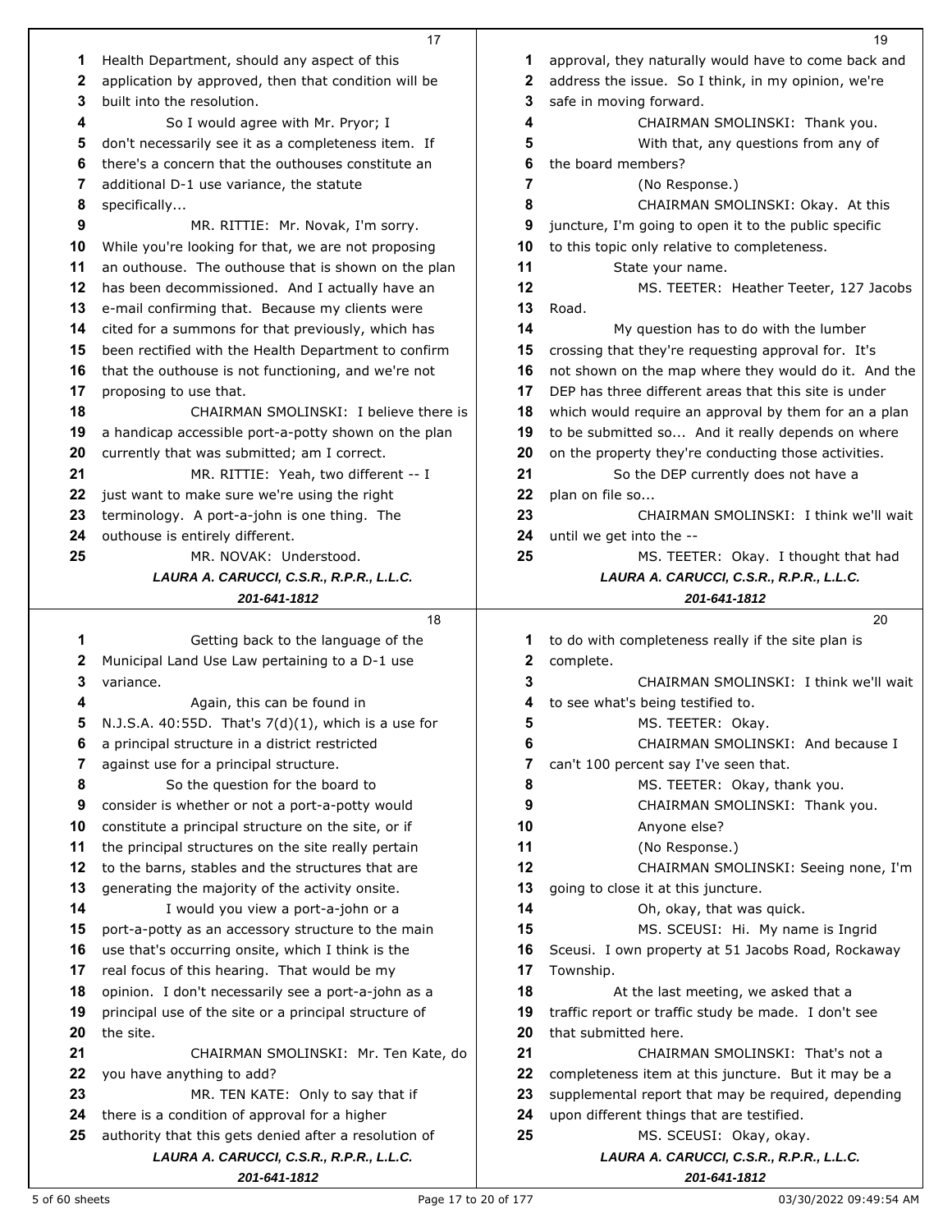|          | 17                                                                                                |          | 19                                                                  |
|----------|---------------------------------------------------------------------------------------------------|----------|---------------------------------------------------------------------|
| 1        | Health Department, should any aspect of this                                                      | 1        | approval, they naturally would have to come back and                |
| 2        | application by approved, then that condition will be                                              | 2        | address the issue. So I think, in my opinion, we're                 |
| 3        | built into the resolution.                                                                        | 3        | safe in moving forward.                                             |
| 4        | So I would agree with Mr. Pryor; I                                                                | 4        | CHAIRMAN SMOLINSKI: Thank you.                                      |
| 5        | don't necessarily see it as a completeness item. If                                               | 5        | With that, any questions from any of                                |
| 6        | there's a concern that the outhouses constitute an                                                | 6        | the board members?                                                  |
| 7        | additional D-1 use variance, the statute                                                          | 7        | (No Response.)                                                      |
| 8        | specifically                                                                                      | 8        | CHAIRMAN SMOLINSKI: Okay. At this                                   |
| 9        |                                                                                                   | 9        | juncture, I'm going to open it to the public specific               |
| 10       | MR. RITTIE: Mr. Novak, I'm sorry.<br>While you're looking for that, we are not proposing          | 10       | to this topic only relative to completeness.                        |
|          |                                                                                                   | 11       |                                                                     |
| 11       | an outhouse. The outhouse that is shown on the plan                                               |          | State your name.                                                    |
| 12       | has been decommissioned. And I actually have an                                                   | 12       | MS. TEETER: Heather Teeter, 127 Jacobs                              |
| 13       | e-mail confirming that. Because my clients were                                                   | 13       | Road.                                                               |
| 14       | cited for a summons for that previously, which has                                                | 14       | My question has to do with the lumber                               |
| 15       | been rectified with the Health Department to confirm                                              | 15       | crossing that they're requesting approval for. It's                 |
| 16       | that the outhouse is not functioning, and we're not                                               | 16       | not shown on the map where they would do it. And the                |
| 17       | proposing to use that.                                                                            | 17       | DEP has three different areas that this site is under               |
| 18       | CHAIRMAN SMOLINSKI: I believe there is                                                            | 18       | which would require an approval by them for an a plan               |
| 19       | a handicap accessible port-a-potty shown on the plan                                              | 19       | to be submitted so And it really depends on where                   |
| 20       | currently that was submitted; am I correct.                                                       | 20       | on the property they're conducting those activities.                |
| 21       | MR. RITTIE: Yeah, two different -- I                                                              | 21       | So the DEP currently does not have a                                |
| 22       | just want to make sure we're using the right                                                      | 22       | plan on file so                                                     |
| 23       | terminology. A port-a-john is one thing. The                                                      | 23       | CHAIRMAN SMOLINSKI: I think we'll wait                              |
| 24       | outhouse is entirely different.                                                                   | 24       | until we get into the --                                            |
| 25       | MR. NOVAK: Understood.                                                                            | 25       | MS. TEETER: Okay. I thought that had                                |
|          | LAURA A. CARUCCI, C.S.R., R.P.R., L.L.C.                                                          |          | LAURA A. CARUCCI, C.S.R., R.P.R., L.L.C.                            |
|          | 201-641-1812                                                                                      |          | 201-641-1812                                                        |
|          |                                                                                                   |          |                                                                     |
|          | 18                                                                                                |          | 20                                                                  |
| 1        | Getting back to the language of the                                                               | 1        | to do with completeness really if the site plan is                  |
| 2        | Municipal Land Use Law pertaining to a D-1 use                                                    | 2        | complete.                                                           |
| 3        | variance.                                                                                         | 3        | CHAIRMAN SMOLINSKI: I think we'll wait                              |
| 4        | Again, this can be found in                                                                       | 4        | to see what's being testified to.                                   |
| 5        | N.J.S.A. 40:55D. That's $7(d)(1)$ , which is a use for                                            | 5        | MS. TEETER: Okay.                                                   |
| 6        | a principal structure in a district restricted                                                    | 6        | CHAIRMAN SMOLINSKI: And because I                                   |
| 7        | against use for a principal structure.                                                            | 7        | can't 100 percent say I've seen that.                               |
| 8        | So the question for the board to                                                                  | 8        | MS. TEETER: Okay, thank you.                                        |
| 9        | consider is whether or not a port-a-potty would                                                   | 9        | CHAIRMAN SMOLINSKI: Thank you.                                      |
| 10       | constitute a principal structure on the site, or if                                               | 10       | Anyone else?                                                        |
| 11       | the principal structures on the site really pertain                                               | 11       | (No Response.)                                                      |
| 12       | to the barns, stables and the structures that are                                                 | 12       | CHAIRMAN SMOLINSKI: Seeing none, I'm                                |
| 13       | generating the majority of the activity onsite.                                                   | 13       | going to close it at this juncture.                                 |
| 14       | I would you view a port-a-john or a                                                               | 14       | Oh, okay, that was quick.                                           |
| 15       | port-a-potty as an accessory structure to the main                                                | 15       | MS. SCEUSI: Hi. My name is Ingrid                                   |
| 16       | use that's occurring onsite, which I think is the                                                 | 16       | Sceusi. I own property at 51 Jacobs Road, Rockaway                  |
| 17       | real focus of this hearing. That would be my                                                      | 17       | Township.                                                           |
| 18       | opinion. I don't necessarily see a port-a-john as a                                               | 18       | At the last meeting, we asked that a                                |
| 19       | principal use of the site or a principal structure of                                             | 19       | traffic report or traffic study be made. I don't see                |
| 20       | the site.                                                                                         | 20       | that submitted here.                                                |
| 21       | CHAIRMAN SMOLINSKI: Mr. Ten Kate, do                                                              | 21       | CHAIRMAN SMOLINSKI: That's not a                                    |
| 22       | you have anything to add?                                                                         | 22       | completeness item at this juncture. But it may be a                 |
|          |                                                                                                   | 23       |                                                                     |
| 23<br>24 | MR. TEN KATE: Only to say that if                                                                 |          | supplemental report that may be required, depending                 |
| 25       | there is a condition of approval for a higher                                                     | 24<br>25 | upon different things that are testified.                           |
|          | authority that this gets denied after a resolution of<br>LAURA A. CARUCCI, C.S.R., R.P.R., L.L.C. |          | MS. SCEUSI: Okay, okay.<br>LAURA A. CARUCCI, C.S.R., R.P.R., L.L.C. |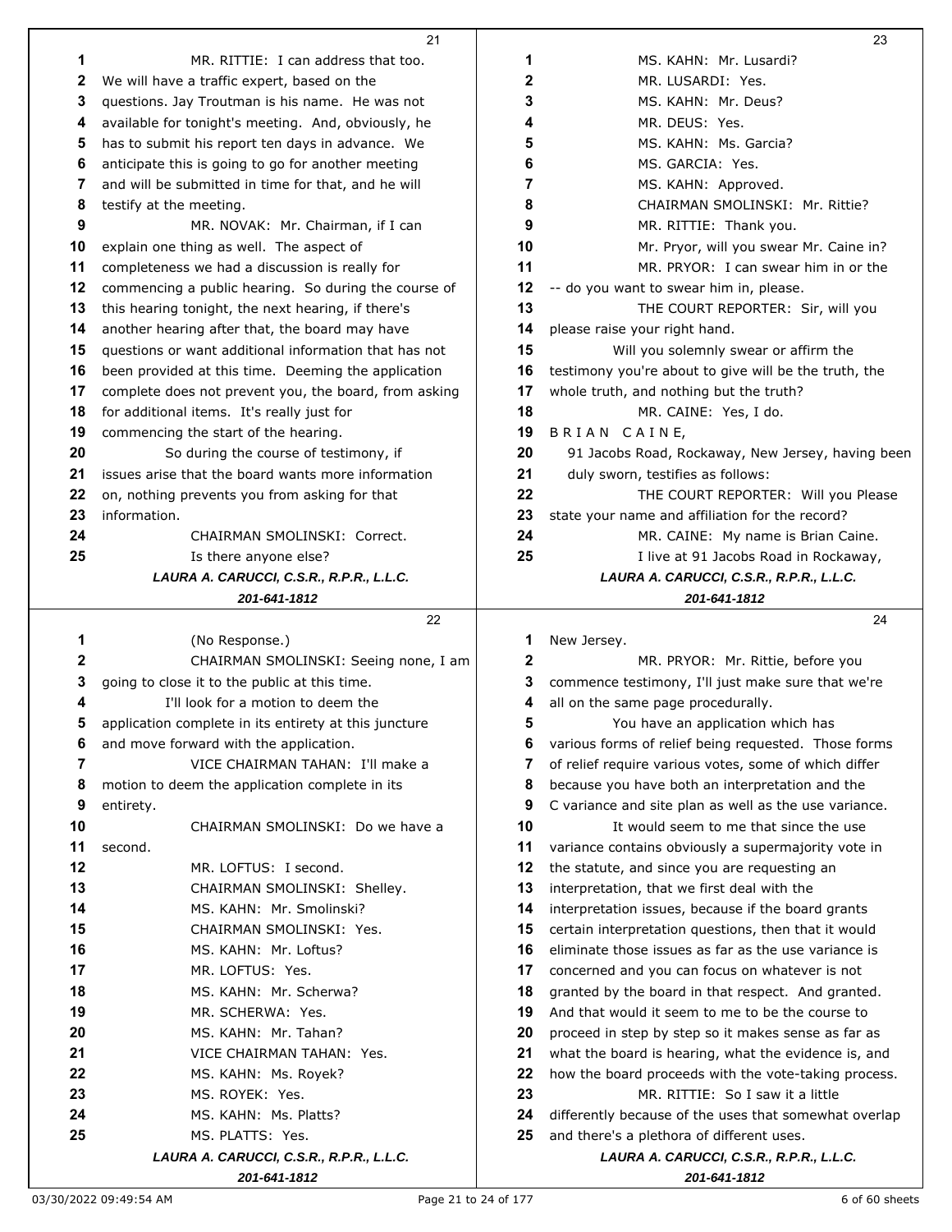|         | 21                                                      |    | 23                                                                                                          |
|---------|---------------------------------------------------------|----|-------------------------------------------------------------------------------------------------------------|
| 1       | MR. RITTIE: I can address that too.                     | 1  | MS. KAHN: Mr. Lusardi?                                                                                      |
| 2       | We will have a traffic expert, based on the             | 2  | MR. LUSARDI: Yes.                                                                                           |
| 3       | questions. Jay Troutman is his name. He was not         | 3  | MS. KAHN: Mr. Deus?                                                                                         |
| 4       | available for tonight's meeting. And, obviously, he     | 4  | MR. DEUS: Yes.                                                                                              |
| 5       | has to submit his report ten days in advance. We        | 5  | MS. KAHN: Ms. Garcia?                                                                                       |
| 6       | anticipate this is going to go for another meeting      | 6  | MS. GARCIA: Yes.                                                                                            |
| 7       | and will be submitted in time for that, and he will     | 7  | MS. KAHN: Approved.                                                                                         |
| 8       | testify at the meeting.                                 | 8  | CHAIRMAN SMOLINSKI: Mr. Rittie?                                                                             |
| 9       | MR. NOVAK: Mr. Chairman, if I can                       | 9  | MR. RITTIE: Thank you.                                                                                      |
| 10      | explain one thing as well. The aspect of                | 10 | Mr. Pryor, will you swear Mr. Caine in?                                                                     |
| 11      | completeness we had a discussion is really for          | 11 | MR. PRYOR: I can swear him in or the                                                                        |
| 12      | commencing a public hearing. So during the course of    | 12 | -- do you want to swear him in, please.                                                                     |
| 13      | this hearing tonight, the next hearing, if there's      | 13 | THE COURT REPORTER: Sir, will you                                                                           |
| 14      | another hearing after that, the board may have          | 14 | please raise your right hand.                                                                               |
| 15      | questions or want additional information that has not   | 15 | Will you solemnly swear or affirm the                                                                       |
| 16      | been provided at this time. Deeming the application     | 16 | testimony you're about to give will be the truth, the                                                       |
| 17      | complete does not prevent you, the board, from asking   | 17 | whole truth, and nothing but the truth?                                                                     |
| 18      | for additional items. It's really just for              | 18 | MR. CAINE: Yes, I do.                                                                                       |
| 19      | commencing the start of the hearing.                    | 19 | BRIAN CAINE,                                                                                                |
| 20      | So during the course of testimony, if                   | 20 | 91 Jacobs Road, Rockaway, New Jersey, having been                                                           |
| 21      | issues arise that the board wants more information      | 21 | duly sworn, testifies as follows:                                                                           |
| 22      | on, nothing prevents you from asking for that           | 22 | THE COURT REPORTER: Will you Please                                                                         |
| 23      | information.                                            | 23 | state your name and affiliation for the record?                                                             |
| 24      | CHAIRMAN SMOLINSKI: Correct.                            | 24 | MR. CAINE: My name is Brian Caine.                                                                          |
| 25      | Is there anyone else?                                   | 25 | I live at 91 Jacobs Road in Rockaway,                                                                       |
|         | LAURA A. CARUCCI, C.S.R., R.P.R., L.L.C.                |    | LAURA A. CARUCCI, C.S.R., R.P.R., L.L.C.                                                                    |
|         | 201-641-1812                                            |    | 201-641-1812                                                                                                |
|         |                                                         |    |                                                                                                             |
|         | 22                                                      |    | 24                                                                                                          |
| 1       |                                                         | 1  |                                                                                                             |
| 2       | (No Response.)<br>CHAIRMAN SMOLINSKI: Seeing none, I am | 2  | New Jersey.<br>MR. PRYOR: Mr. Rittie, before you                                                            |
| 3       | going to close it to the public at this time.           | 3  | commence testimony, I'll just make sure that we're                                                          |
| 4       | I'll look for a motion to deem the                      | 4  | all on the same page procedurally.                                                                          |
| 5       | application complete in its entirety at this juncture   | 5  | You have an application which has                                                                           |
| 6       | and move forward with the application.                  | 6  | various forms of relief being requested. Those forms                                                        |
| 7       | VICE CHAIRMAN TAHAN: I'll make a                        | 7  | of relief require various votes, some of which differ                                                       |
| 8       | motion to deem the application complete in its          | 8  | because you have both an interpretation and the                                                             |
|         |                                                         | 9  | C variance and site plan as well as the use variance.                                                       |
| 9<br>10 | entirety.<br>CHAIRMAN SMOLINSKI: Do we have a           | 10 | It would seem to me that since the use                                                                      |
| 11      | second.                                                 | 11 | variance contains obviously a supermajority vote in                                                         |
| 12      | MR. LOFTUS: I second.                                   | 12 | the statute, and since you are requesting an                                                                |
| 13      | CHAIRMAN SMOLINSKI: Shelley.                            | 13 | interpretation, that we first deal with the                                                                 |
| 14      | MS. KAHN: Mr. Smolinski?                                | 14 | interpretation issues, because if the board grants                                                          |
| 15      | CHAIRMAN SMOLINSKI: Yes.                                | 15 | certain interpretation questions, then that it would                                                        |
| 16      | MS. KAHN: Mr. Loftus?                                   | 16 | eliminate those issues as far as the use variance is                                                        |
| 17      | MR. LOFTUS: Yes.                                        | 17 | concerned and you can focus on whatever is not                                                              |
| 18      | MS. KAHN: Mr. Scherwa?                                  | 18 |                                                                                                             |
| 19      | MR. SCHERWA: Yes.                                       | 19 | granted by the board in that respect. And granted.<br>And that would it seem to me to be the course to      |
| 20      | MS. KAHN: Mr. Tahan?                                    | 20 |                                                                                                             |
| 21      | VICE CHAIRMAN TAHAN: Yes.                               | 21 | proceed in step by step so it makes sense as far as<br>what the board is hearing, what the evidence is, and |
| 22      | MS. KAHN: Ms. Royek?                                    | 22 | how the board proceeds with the vote-taking process.                                                        |
| 23      | MS. ROYEK: Yes.                                         | 23 | MR. RITTIE: So I saw it a little                                                                            |
| 24      | MS. KAHN: Ms. Platts?                                   | 24 | differently because of the uses that somewhat overlap                                                       |
| 25      | MS. PLATTS: Yes.                                        | 25 | and there's a plethora of different uses.                                                                   |

*201-641-1812*

*201-641-1812*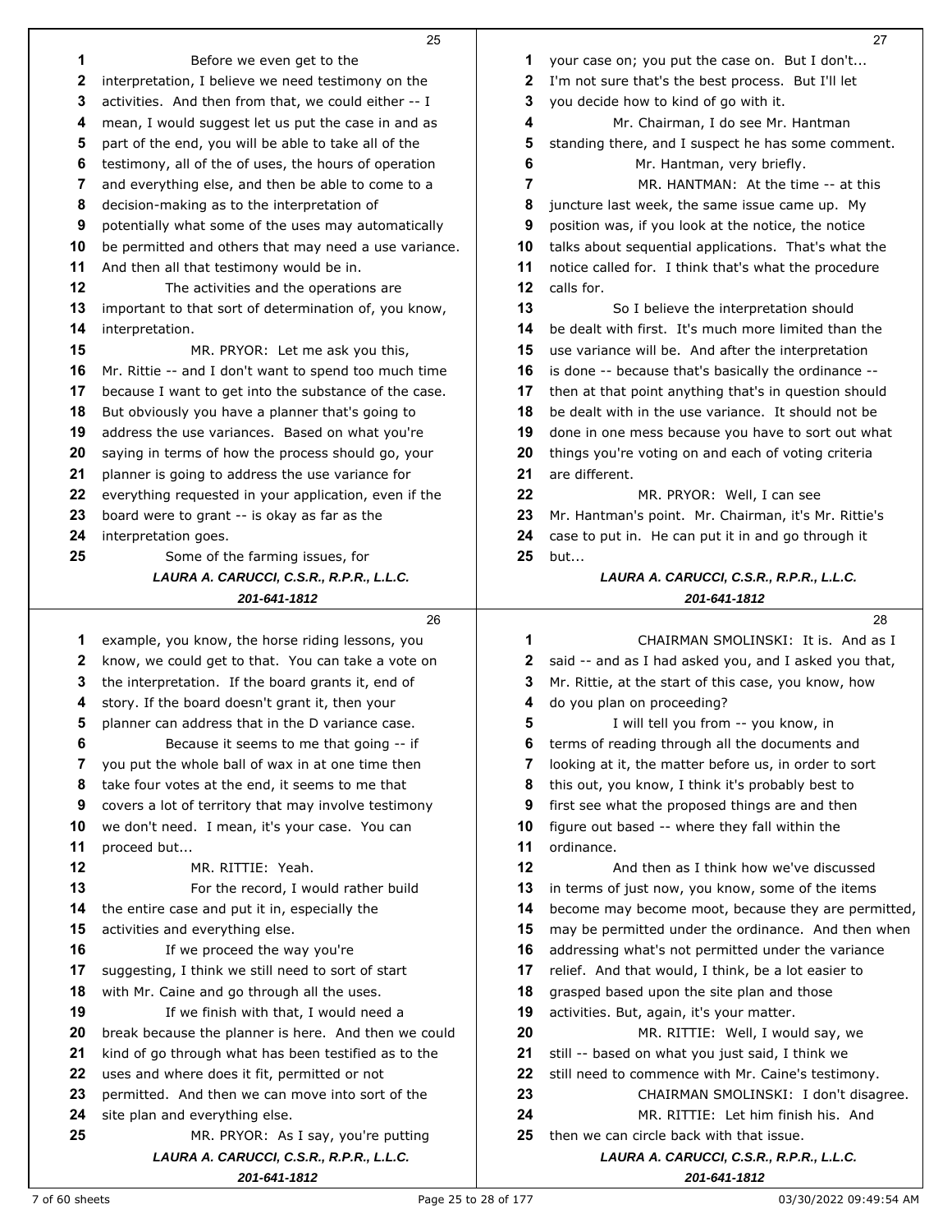|    | 25                                                       |              | 27                                                       |
|----|----------------------------------------------------------|--------------|----------------------------------------------------------|
| 1  | Before we even get to the                                | 1            | your case on; you put the case on. But I don't           |
| 2  | interpretation, I believe we need testimony on the       | 2            | I'm not sure that's the best process. But I'll let       |
| 3  | activities. And then from that, we could either -- I     | 3            | you decide how to kind of go with it.                    |
| 4  | mean, I would suggest let us put the case in and as      | 4            | Mr. Chairman, I do see Mr. Hantman                       |
| 5  | part of the end, you will be able to take all of the     | 5            | standing there, and I suspect he has some comment.       |
| 6  | testimony, all of the of uses, the hours of operation    | 6            | Mr. Hantman, very briefly.                               |
| 7  | and everything else, and then be able to come to a       | 7            | MR. HANTMAN: At the time -- at this                      |
| 8  | decision-making as to the interpretation of              | 8            | juncture last week, the same issue came up. My           |
| 9  | potentially what some of the uses may automatically      | 9            | position was, if you look at the notice, the notice      |
| 10 | be permitted and others that may need a use variance.    | 10           | talks about sequential applications. That's what the     |
| 11 | And then all that testimony would be in.                 | 11           | notice called for. I think that's what the procedure     |
| 12 | The activities and the operations are                    | $12 \,$      | calls for.                                               |
| 13 | important to that sort of determination of, you know,    | 13           | So I believe the interpretation should                   |
| 14 | interpretation.                                          | 14           | be dealt with first. It's much more limited than the     |
| 15 | MR. PRYOR: Let me ask you this,                          | 15           | use variance will be. And after the interpretation       |
| 16 | Mr. Rittie -- and I don't want to spend too much time    | 16           | is done -- because that's basically the ordinance --     |
| 17 | because I want to get into the substance of the case.    | 17           | then at that point anything that's in question should    |
| 18 | But obviously you have a planner that's going to         | 18           | be dealt with in the use variance. It should not be      |
| 19 | address the use variances. Based on what you're          | 19           | done in one mess because you have to sort out what       |
| 20 | saying in terms of how the process should go, your       | 20           | things you're voting on and each of voting criteria      |
| 21 | planner is going to address the use variance for         | 21           | are different.                                           |
| 22 | everything requested in your application, even if the    | 22           | MR. PRYOR: Well, I can see                               |
| 23 | board were to grant -- is okay as far as the             | 23           | Mr. Hantman's point. Mr. Chairman, it's Mr. Rittie's     |
| 24 | interpretation goes.                                     | 24           | case to put in. He can put it in and go through it       |
| 25 | Some of the farming issues, for                          | 25           | but                                                      |
|    | LAURA A. CARUCCI, C.S.R., R.P.R., L.L.C.                 |              | LAURA A. CARUCCI, C.S.R., R.P.R., L.L.C.                 |
|    | 201-641-1812                                             |              | 201-641-1812                                             |
|    | 26                                                       |              | 28                                                       |
| 1  | example, you know, the horse riding lessons, you         | 1            | CHAIRMAN SMOLINSKI: It is. And as I                      |
| 2  | know, we could get to that. You can take a vote on       | $\mathbf{2}$ | said -- and as I had asked you, and I asked you that,    |
| 3  | the interpretation. If the board grants it, end of       | 3            | Mr. Rittie, at the start of this case, you know, how     |
| 4  | story. If the board doesn't grant it, then your          | 4            | do you plan on proceeding?                               |
| 5  | planner can address that in the D variance case.         | 5            | I will tell you from -- you know, in                     |
| 6  | Because it seems to me that going -- if                  | 6            | terms of reading through all the documents and           |
| 7  | you put the whole ball of wax in at one time then        | 7            | looking at it, the matter before us, in order to sort    |
| 8  | take four votes at the end, it seems to me that          | 8            | this out, you know, I think it's probably best to        |
| 9  | covers a lot of territory that may involve testimony     | 9            | first see what the proposed things are and then          |
| 10 | we don't need. I mean, it's your case. You can           | 10           | figure out based -- where they fall within the           |
| 11 | proceed but                                              | 11           | ordinance.                                               |
| 12 | MR. RITTIE: Yeah.                                        | 12           | And then as I think how we've discussed                  |
| 13 | For the record, I would rather build                     | 13           | in terms of just now, you know, some of the items        |
| 14 | the entire case and put it in, especially the            | 14           | become may become moot, because they are permitted,      |
| 15 | activities and everything else.                          | 15           | may be permitted under the ordinance. And then when      |
| 16 | If we proceed the way you're                             | 16           | addressing what's not permitted under the variance       |
| 17 | suggesting, I think we still need to sort of start       | 17           | relief. And that would, I think, be a lot easier to      |
| 18 | with Mr. Caine and go through all the uses.              | 18           | grasped based upon the site plan and those               |
| 19 | If we finish with that, I would need a                   | 19           | activities. But, again, it's your matter.                |
| 20 | break because the planner is here. And then we could     | 20           | MR. RITTIE: Well, I would say, we                        |
|    |                                                          |              |                                                          |
| 21 | kind of go through what has been testified as to the     | 21           | still -- based on what you just said, I think we         |
| 22 | uses and where does it fit, permitted or not             | 22           | still need to commence with Mr. Caine's testimony.       |
| 23 | permitted. And then we can move into sort of the         | 23           | CHAIRMAN SMOLINSKI: I don't disagree.                    |
| 24 | site plan and everything else.                           | 24           | MR. RITTIE: Let him finish his. And                      |
| 25 | MR. PRYOR: As I say, you're putting                      | 25           | then we can circle back with that issue.                 |
|    | LAURA A. CARUCCI, C.S.R., R.P.R., L.L.C.<br>201-641-1812 |              | LAURA A. CARUCCI, C.S.R., R.P.R., L.L.C.<br>201-641-1812 |

7 of 60 sheets 25 to 28 of 177 compared 25 to 28 of 177 compared 25 to 28 of 177 compared 25 to 28 of 177 compared 25 to 28 of 177 compared 25 to 28 of 177 compared 25 to 28 of 177 compared 25 to 28 of 177 compared 20 of 1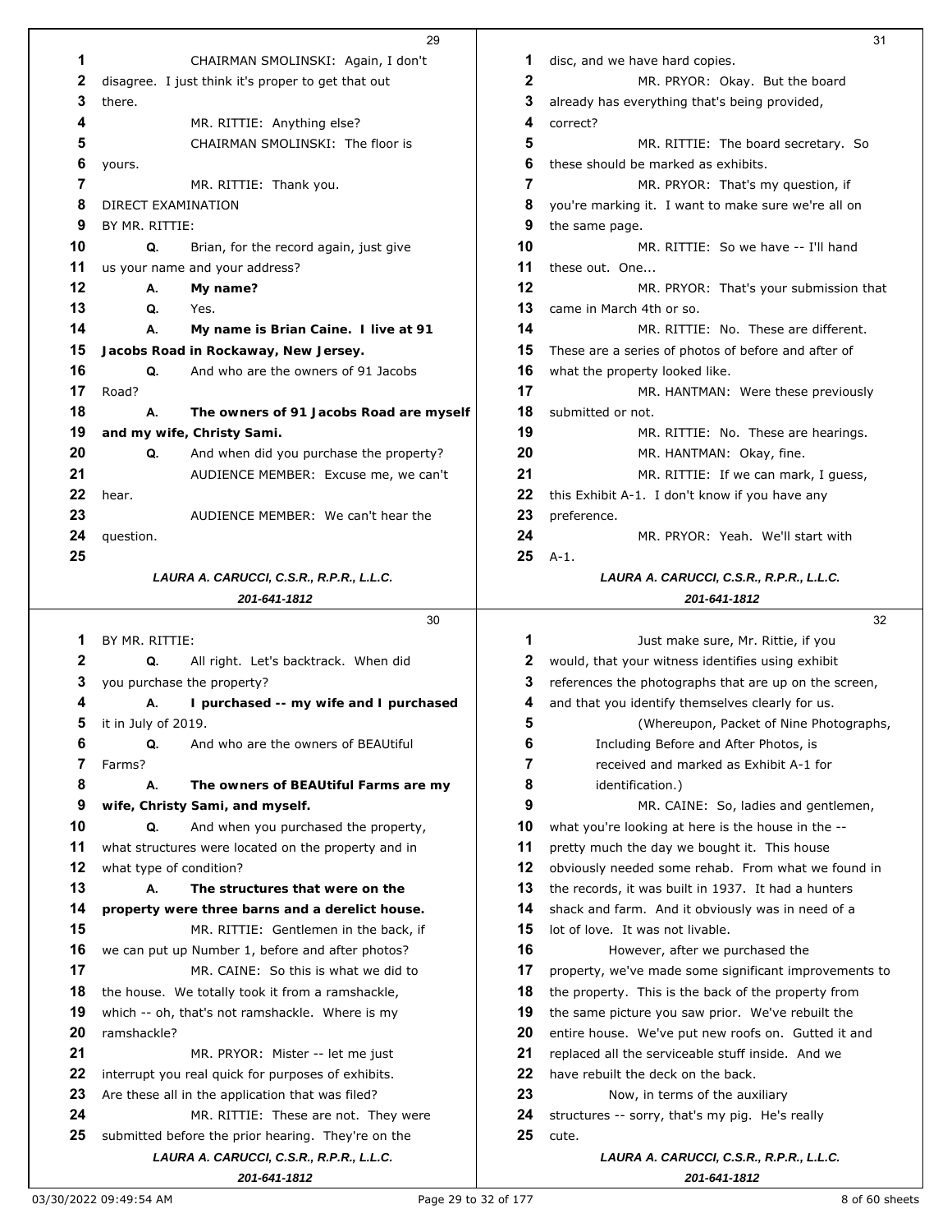|    | 29                                                  |    | 31                                                    |
|----|-----------------------------------------------------|----|-------------------------------------------------------|
| 1  | CHAIRMAN SMOLINSKI: Again, I don't                  | 1  | disc, and we have hard copies.                        |
| 2  | disagree. I just think it's proper to get that out  | 2  | MR. PRYOR: Okay. But the board                        |
| 3  | there.                                              | 3  | already has everything that's being provided,         |
| 4  | MR. RITTIE: Anything else?                          | 4  | correct?                                              |
| 5  | CHAIRMAN SMOLINSKI: The floor is                    | 5  | MR. RITTIE: The board secretary. So                   |
| 6  | yours.                                              | 6  | these should be marked as exhibits.                   |
| 7  | MR. RITTIE: Thank you.                              | 7  | MR. PRYOR: That's my question, if                     |
| 8  | DIRECT EXAMINATION                                  | 8  | you're marking it. I want to make sure we're all on   |
| 9  | BY MR. RITTIE:                                      | 9  | the same page.                                        |
| 10 | Q.<br>Brian, for the record again, just give        | 10 | MR. RITTIE: So we have -- I'll hand                   |
| 11 | us your name and your address?                      | 11 | these out. One                                        |
| 12 | My name?<br>А.                                      | 12 | MR. PRYOR: That's your submission that                |
| 13 | Q.<br>Yes.                                          | 13 | came in March 4th or so.                              |
| 14 | А.<br>My name is Brian Caine. I live at 91          | 14 | MR. RITTIE: No. These are different.                  |
| 15 | Jacobs Road in Rockaway, New Jersey.                | 15 | These are a series of photos of before and after of   |
| 16 | Q.<br>And who are the owners of 91 Jacobs           | 16 | what the property looked like.                        |
| 17 | Road?                                               | 17 | MR. HANTMAN: Were these previously                    |
| 18 | А.<br>The owners of 91 Jacobs Road are myself       | 18 | submitted or not.                                     |
| 19 | and my wife, Christy Sami.                          | 19 | MR. RITTIE: No. These are hearings.                   |
| 20 | And when did you purchase the property?<br>Q.       | 20 | MR. HANTMAN: Okay, fine.                              |
| 21 | AUDIENCE MEMBER: Excuse me, we can't                | 21 | MR. RITTIE: If we can mark, I guess,                  |
| 22 | hear.                                               | 22 | this Exhibit A-1. I don't know if you have any        |
| 23 | AUDIENCE MEMBER: We can't hear the                  | 23 | preference.                                           |
| 24 | question.                                           | 24 | MR. PRYOR: Yeah. We'll start with                     |
| 25 |                                                     | 25 | $A-1.$                                                |
|    | LAURA A. CARUCCI, C.S.R., R.P.R., L.L.C.            |    | LAURA A. CARUCCI, C.S.R., R.P.R., L.L.C.              |
|    | 201-641-1812                                        |    | 201-641-1812                                          |
|    | 30                                                  |    | 32                                                    |
| 1  | BY MR. RITTIE:                                      | 1  | Just make sure, Mr. Rittie, if you                    |
|    |                                                     |    |                                                       |
| 2  | Q.<br>All right. Let's backtrack. When did          | 2  | would, that your witness identifies using exhibit     |
| 3  | you purchase the property?                          | 3  | references the photographs that are up on the screen, |
| 4  | А.<br>I purchased -- my wife and I purchased        | 4  | and that you identify themselves clearly for us.      |
| 5  | it in July of 2019.                                 | 5  | (Whereupon, Packet of Nine Photographs,               |
| 6  | Q.<br>And who are the owners of BEAUtiful           | 6  | Including Before and After Photos, is                 |
| 7  | Farms?                                              | 7  | received and marked as Exhibit A-1 for                |
| 8  | А.<br>The owners of BEAUtiful Farms are my          | 8  | identification.)                                      |
| 9  | wife, Christy Sami, and myself.                     | 9  | MR. CAINE: So, ladies and gentlemen,                  |
| 10 | And when you purchased the property,<br>Q.          | 10 | what you're looking at here is the house in the --    |
| 11 | what structures were located on the property and in | 11 | pretty much the day we bought it. This house          |
| 12 | what type of condition?                             | 12 | obviously needed some rehab. From what we found in    |
| 13 | The structures that were on the<br>А.               | 13 | the records, it was built in 1937. It had a hunters   |
| 14 | property were three barns and a derelict house.     | 14 | shack and farm. And it obviously was in need of a     |
| 15 | MR. RITTIE: Gentlemen in the back, if               | 15 | lot of love. It was not livable.                      |
| 16 | we can put up Number 1, before and after photos?    | 16 | However, after we purchased the                       |
| 17 | MR. CAINE: So this is what we did to                | 17 | property, we've made some significant improvements to |
| 18 | the house. We totally took it from a ramshackle,    | 18 | the property. This is the back of the property from   |
| 19 | which -- oh, that's not ramshackle. Where is my     | 19 | the same picture you saw prior. We've rebuilt the     |
| 20 | ramshackle?                                         | 20 | entire house. We've put new roofs on. Gutted it and   |
| 21 | MR. PRYOR: Mister -- let me just                    | 21 | replaced all the serviceable stuff inside. And we     |
| 22 | interrupt you real quick for purposes of exhibits.  | 22 | have rebuilt the deck on the back.                    |
| 23 | Are these all in the application that was filed?    | 23 | Now, in terms of the auxiliary                        |
| 24 | MR. RITTIE: These are not. They were                | 24 | structures -- sorry, that's my pig. He's really       |
| 25 | submitted before the prior hearing. They're on the  | 25 | cute.                                                 |
|    | LAURA A. CARUCCI, C.S.R., R.P.R., L.L.C.            |    | LAURA A. CARUCCI, C.S.R., R.P.R., L.L.C.              |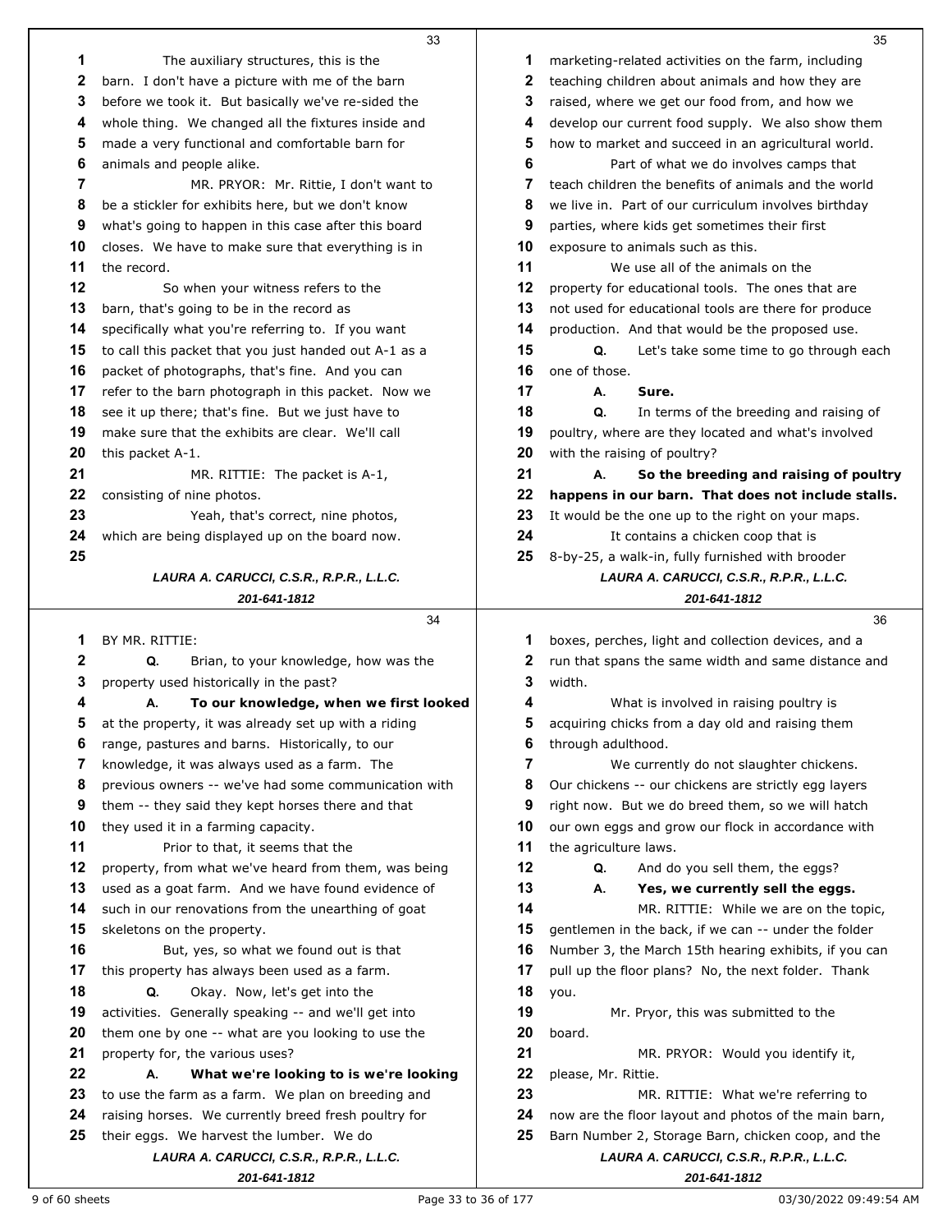|    | 33                                                       |    | 35                                                       |
|----|----------------------------------------------------------|----|----------------------------------------------------------|
| 1  | The auxiliary structures, this is the                    | 1  | marketing-related activities on the farm, including      |
| 2  | barn. I don't have a picture with me of the barn         | 2  | teaching children about animals and how they are         |
| 3  | before we took it. But basically we've re-sided the      | 3  | raised, where we get our food from, and how we           |
| 4  | whole thing. We changed all the fixtures inside and      | 4  | develop our current food supply. We also show them       |
| 5  | made a very functional and comfortable barn for          | 5  | how to market and succeed in an agricultural world.      |
| 6  | animals and people alike.                                | 6  | Part of what we do involves camps that                   |
| 7  | MR. PRYOR: Mr. Rittie, I don't want to                   | 7  | teach children the benefits of animals and the world     |
| 8  | be a stickler for exhibits here, but we don't know       | 8  | we live in. Part of our curriculum involves birthday     |
| 9  | what's going to happen in this case after this board     | 9  | parties, where kids get sometimes their first            |
| 10 | closes. We have to make sure that everything is in       | 10 | exposure to animals such as this.                        |
| 11 | the record.                                              | 11 | We use all of the animals on the                         |
| 12 | So when your witness refers to the                       | 12 | property for educational tools. The ones that are        |
| 13 | barn, that's going to be in the record as                | 13 | not used for educational tools are there for produce     |
| 14 | specifically what you're referring to. If you want       | 14 | production. And that would be the proposed use.          |
| 15 | to call this packet that you just handed out A-1 as a    | 15 | Q.<br>Let's take some time to go through each            |
| 16 | packet of photographs, that's fine. And you can          | 16 | one of those.                                            |
| 17 | refer to the barn photograph in this packet. Now we      | 17 | А.<br>Sure.                                              |
| 18 | see it up there; that's fine. But we just have to        | 18 | Q.<br>In terms of the breeding and raising of            |
| 19 | make sure that the exhibits are clear. We'll call        | 19 | poultry, where are they located and what's involved      |
| 20 | this packet A-1.                                         | 20 | with the raising of poultry?                             |
| 21 | MR. RITTIE: The packet is A-1,                           | 21 | А.<br>So the breeding and raising of poultry             |
| 22 | consisting of nine photos.                               | 22 | happens in our barn. That does not include stalls.       |
| 23 | Yeah, that's correct, nine photos,                       | 23 | It would be the one up to the right on your maps.        |
| 24 | which are being displayed up on the board now.           | 24 | It contains a chicken coop that is                       |
| 25 |                                                          | 25 | 8-by-25, a walk-in, fully furnished with brooder         |
|    | LAURA A. CARUCCI, C.S.R., R.P.R., L.L.C.                 |    | LAURA A. CARUCCI, C.S.R., R.P.R., L.L.C.                 |
|    | 201-641-1812                                             |    | 201-641-1812                                             |
|    | 34                                                       |    | 36                                                       |
| 1  | BY MR. RITTIE:                                           | 1  | boxes, perches, light and collection devices, and a      |
| 2  | Q.<br>Brian, to your knowledge, how was the              | 2  | run that spans the same width and same distance and      |
| 3  | property used historically in the past?                  | 3  | width.                                                   |
| 4  | To our knowledge, when we first looked<br>А.             | 4  | What is involved in raising poultry is                   |
|    | at the property, it was already set up with a riding     | 5  | acquiring chicks from a day old and raising them         |
| 6  | range, pastures and barns. Historically, to our          | 6  | through adulthood.                                       |
| 7  | knowledge, it was always used as a farm. The             | 7  | We currently do not slaughter chickens.                  |
| 8  | previous owners -- we've had some communication with     | 8  | Our chickens -- our chickens are strictly egg layers     |
| 9  | them -- they said they kept horses there and that        | 9  | right now. But we do breed them, so we will hatch        |
| 10 |                                                          |    |                                                          |
|    | they used it in a farming capacity.                      | 10 | our own eggs and grow our flock in accordance with       |
| 11 | Prior to that, it seems that the                         | 11 | the agriculture laws.                                    |
| 12 | property, from what we've heard from them, was being     | 12 | And do you sell them, the eggs?<br>Q.                    |
| 13 | used as a goat farm. And we have found evidence of       | 13 | А.<br>Yes, we currently sell the eggs.                   |
| 14 | such in our renovations from the unearthing of goat      | 14 | MR. RITTIE: While we are on the topic,                   |
| 15 | skeletons on the property.                               | 15 | gentlemen in the back, if we can -- under the folder     |
| 16 | But, yes, so what we found out is that                   | 16 | Number 3, the March 15th hearing exhibits, if you can    |
| 17 | this property has always been used as a farm.            | 17 | pull up the floor plans? No, the next folder. Thank      |
| 18 | Okay. Now, let's get into the<br>Q.                      | 18 | you.                                                     |
| 19 | activities. Generally speaking -- and we'll get into     | 19 | Mr. Pryor, this was submitted to the                     |
| 20 | them one by one -- what are you looking to use the       | 20 | board.                                                   |
| 21 | property for, the various uses?                          | 21 | MR. PRYOR: Would you identify it,                        |
| 22 | What we're looking to is we're looking<br>А.             | 22 | please, Mr. Rittie.                                      |
| 23 | to use the farm as a farm. We plan on breeding and       | 23 | MR. RITTIE: What we're referring to                      |
| 24 | raising horses. We currently breed fresh poultry for     | 24 | now are the floor layout and photos of the main barn,    |
| 25 | their eggs. We harvest the lumber. We do                 | 25 | Barn Number 2, Storage Barn, chicken coop, and the       |
|    | LAURA A. CARUCCI, C.S.R., R.P.R., L.L.C.<br>201-641-1812 |    | LAURA A. CARUCCI, C.S.R., R.P.R., L.L.C.<br>201-641-1812 |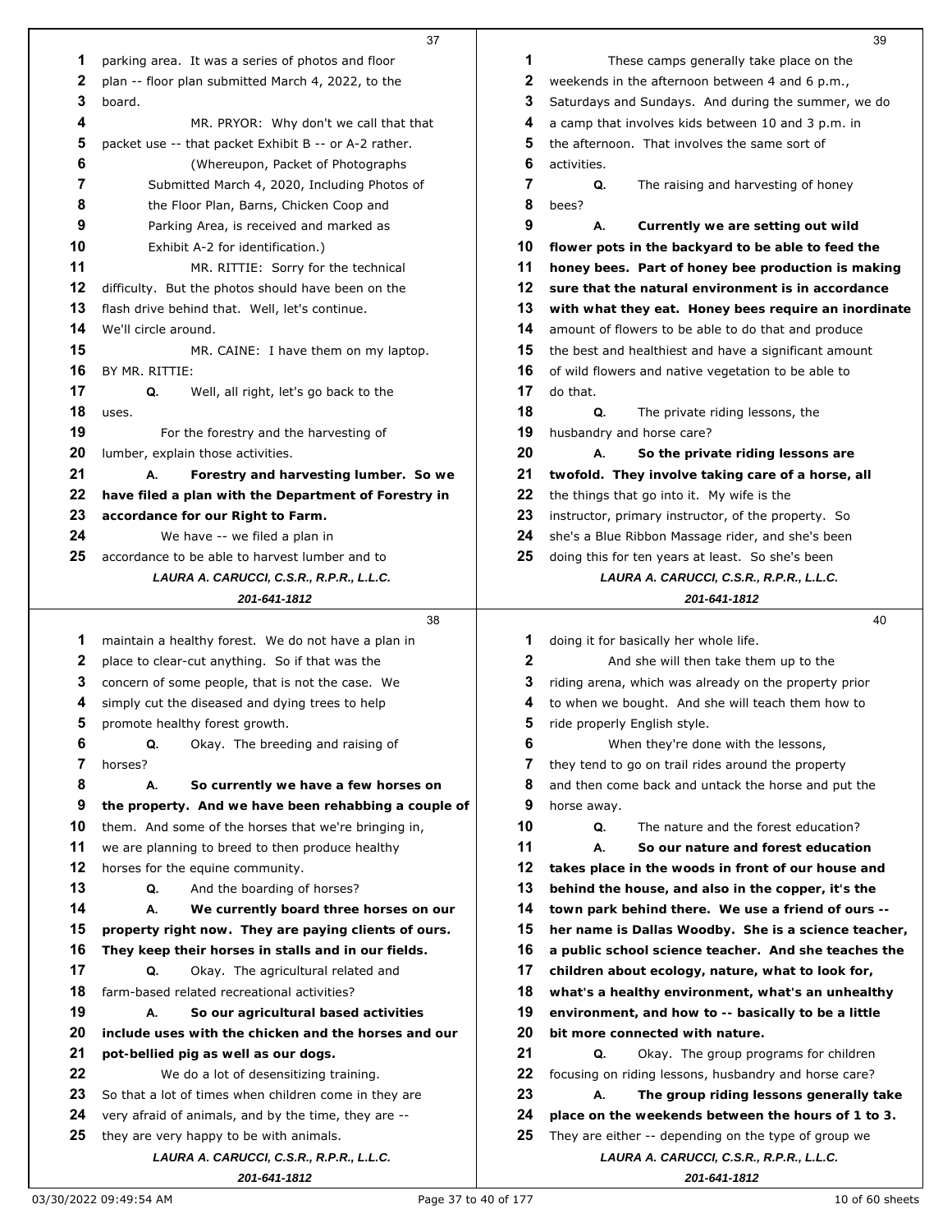|    | 37                                                                                  |    | 39                                                                                               |
|----|-------------------------------------------------------------------------------------|----|--------------------------------------------------------------------------------------------------|
| 1  | parking area. It was a series of photos and floor                                   | 1  | These camps generally take place on the                                                          |
| 2  | plan -- floor plan submitted March 4, 2022, to the                                  | 2  | weekends in the afternoon between 4 and 6 p.m.,                                                  |
| 3  | board.                                                                              | 3  | Saturdays and Sundays. And during the summer, we do                                              |
| 4  | MR. PRYOR: Why don't we call that that                                              | 4  | a camp that involves kids between 10 and 3 p.m. in                                               |
| 5  | packet use -- that packet Exhibit B -- or A-2 rather.                               | 5  | the afternoon. That involves the same sort of                                                    |
| 6  | (Whereupon, Packet of Photographs                                                   | 6  | activities.                                                                                      |
| 7  | Submitted March 4, 2020, Including Photos of                                        | 7  | Q.<br>The raising and harvesting of honey                                                        |
| 8  | the Floor Plan, Barns, Chicken Coop and                                             | 8  | bees?                                                                                            |
| 9  | Parking Area, is received and marked as                                             | 9  | А.<br>Currently we are setting out wild                                                          |
| 10 | Exhibit A-2 for identification.)                                                    | 10 | flower pots in the backyard to be able to feed the                                               |
| 11 | MR. RITTIE: Sorry for the technical                                                 | 11 | honey bees. Part of honey bee production is making                                               |
| 12 | difficulty. But the photos should have been on the                                  | 12 | sure that the natural environment is in accordance                                               |
| 13 | flash drive behind that. Well, let's continue.                                      | 13 | with what they eat. Honey bees require an inordinate                                             |
| 14 | We'll circle around.                                                                | 14 | amount of flowers to be able to do that and produce                                              |
| 15 | MR. CAINE: I have them on my laptop.                                                | 15 | the best and healthiest and have a significant amount                                            |
| 16 | BY MR. RITTIE:                                                                      | 16 | of wild flowers and native vegetation to be able to                                              |
| 17 | Q.<br>Well, all right, let's go back to the                                         | 17 | do that.                                                                                         |
| 18 | uses.                                                                               | 18 | Q.<br>The private riding lessons, the                                                            |
| 19 | For the forestry and the harvesting of                                              | 19 | husbandry and horse care?                                                                        |
| 20 | lumber, explain those activities.                                                   | 20 | А.<br>So the private riding lessons are                                                          |
| 21 | А.<br>Forestry and harvesting lumber. So we                                         | 21 | twofold. They involve taking care of a horse, all                                                |
| 22 | have filed a plan with the Department of Forestry in                                | 22 | the things that go into it. My wife is the                                                       |
| 23 | accordance for our Right to Farm.                                                   | 23 | instructor, primary instructor, of the property. So                                              |
| 24 | We have -- we filed a plan in                                                       | 24 | she's a Blue Ribbon Massage rider, and she's been                                                |
| 25 | accordance to be able to harvest lumber and to                                      | 25 | doing this for ten years at least. So she's been                                                 |
|    | LAURA A. CARUCCI, C.S.R., R.P.R., L.L.C.                                            |    | LAURA A. CARUCCI, C.S.R., R.P.R., L.L.C.                                                         |
|    | 201-641-1812                                                                        |    | 201-641-1812                                                                                     |
|    |                                                                                     |    |                                                                                                  |
|    |                                                                                     |    |                                                                                                  |
|    | 38                                                                                  |    | 40                                                                                               |
| 1  | maintain a healthy forest. We do not have a plan in                                 | 1  | doing it for basically her whole life.                                                           |
| 2  | place to clear-cut anything. So if that was the                                     | 2  | And she will then take them up to the                                                            |
| 3  | concern of some people, that is not the case. We                                    | 3  | riding arena, which was already on the property prior                                            |
| 4  | simply cut the diseased and dying trees to help                                     | 4  | to when we bought. And she will teach them how to                                                |
| 5  | promote healthy forest growth.                                                      | 5  | ride properly English style.                                                                     |
| 6  | Q.<br>Okay. The breeding and raising of                                             | 6  | When they're done with the lessons,                                                              |
| 7  | horses?                                                                             | 7  | they tend to go on trail rides around the property                                               |
| 8  | А.<br>So currently we have a few horses on                                          | 8  | and then come back and untack the horse and put the                                              |
| 9  | the property. And we have been rehabbing a couple of                                | 9  | horse away.                                                                                      |
| 10 | them. And some of the horses that we're bringing in,                                | 10 | The nature and the forest education?<br>Q.                                                       |
| 11 | we are planning to breed to then produce healthy                                    | 11 | А.<br>So our nature and forest education                                                         |
| 12 | horses for the equine community.                                                    | 12 | takes place in the woods in front of our house and                                               |
| 13 | Q.<br>And the boarding of horses?                                                   | 13 | behind the house, and also in the copper, it's the                                               |
| 14 | We currently board three horses on our<br>А.                                        | 14 | town park behind there. We use a friend of ours --                                               |
| 15 | property right now. They are paying clients of ours.                                | 15 | her name is Dallas Woodby. She is a science teacher,                                             |
| 16 | They keep their horses in stalls and in our fields.                                 | 16 | a public school science teacher. And she teaches the                                             |
| 17 | Q.<br>Okay. The agricultural related and                                            | 17 | children about ecology, nature, what to look for,                                                |
| 18 | farm-based related recreational activities?                                         | 18 | what's a healthy environment, what's an unhealthy                                                |
| 19 | А.<br>So our agricultural based activities                                          | 19 | environment, and how to -- basically to be a little                                              |
| 20 | include uses with the chicken and the horses and our                                | 20 | bit more connected with nature.                                                                  |
| 21 | pot-bellied pig as well as our dogs.                                                | 21 | Q.<br>Okay. The group programs for children                                                      |
| 22 | We do a lot of desensitizing training.                                              | 22 | focusing on riding lessons, husbandry and horse care?                                            |
| 23 | So that a lot of times when children come in they are                               | 23 | The group riding lessons generally take<br>А.                                                    |
| 24 | very afraid of animals, and by the time, they are --                                | 24 | place on the weekends between the hours of 1 to 3.                                               |
| 25 | they are very happy to be with animals.<br>LAURA A. CARUCCI, C.S.R., R.P.R., L.L.C. | 25 | They are either -- depending on the type of group we<br>LAURA A. CARUCCI, C.S.R., R.P.R., L.L.C. |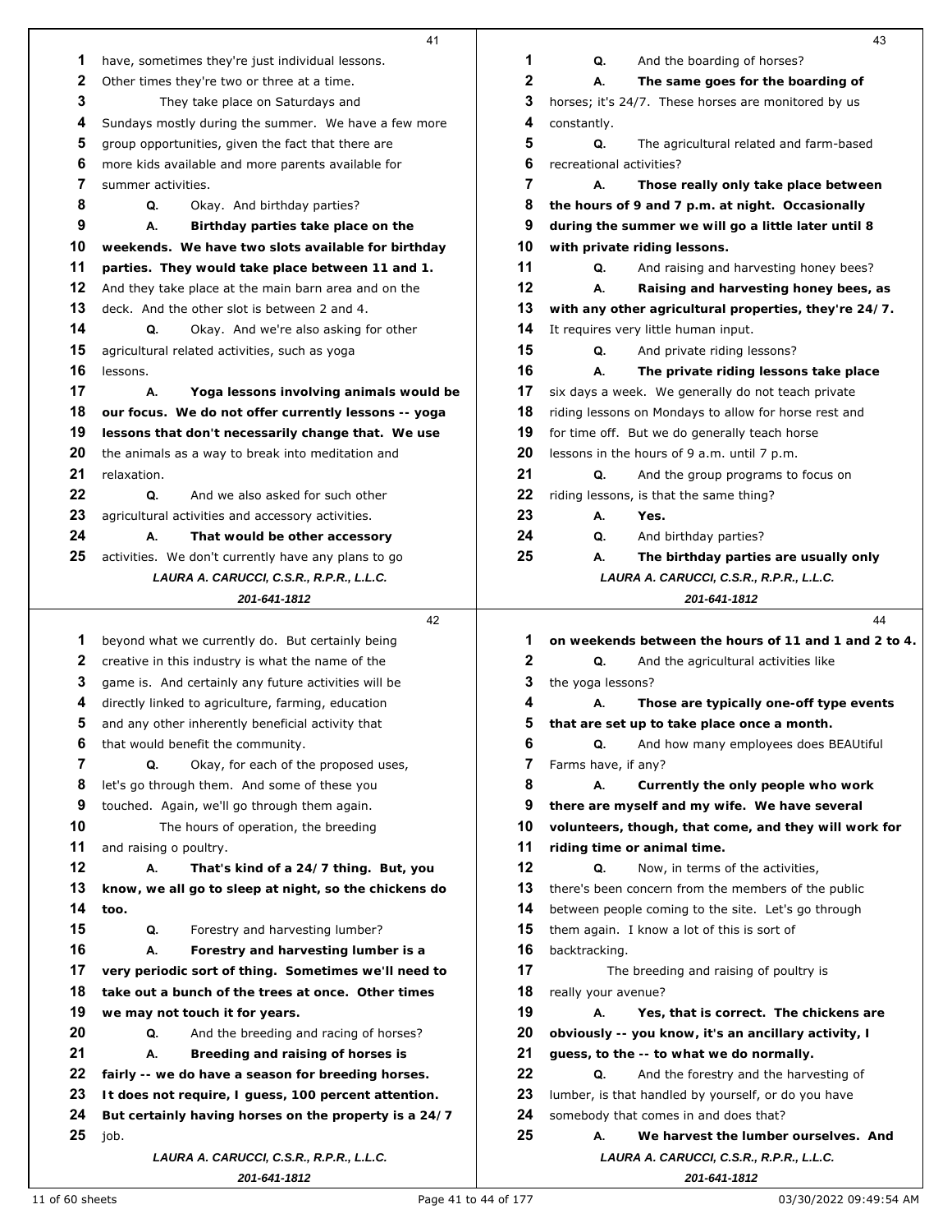|    | 41                                                       |              | 43                                                       |  |
|----|----------------------------------------------------------|--------------|----------------------------------------------------------|--|
| 1  | have, sometimes they're just individual lessons.         | 1            | Q.<br>And the boarding of horses?                        |  |
| 2  | Other times they're two or three at a time.              | $\mathbf{2}$ | А.<br>The same goes for the boarding of                  |  |
| 3  | They take place on Saturdays and                         | 3            | horses; it's 24/7. These horses are monitored by us      |  |
| 4  | Sundays mostly during the summer. We have a few more     | 4            | constantly.                                              |  |
| 5  | group opportunities, given the fact that there are       | 5            | Q.<br>The agricultural related and farm-based            |  |
| 6  | more kids available and more parents available for       | 6            | recreational activities?                                 |  |
| 7  | summer activities.                                       | 7            | А.<br>Those really only take place between               |  |
| 8  | Q.<br>Okay. And birthday parties?                        | 8            | the hours of 9 and 7 p.m. at night. Occasionally         |  |
| 9  | А.<br>Birthday parties take place on the                 | 9            | during the summer we will go a little later until 8      |  |
| 10 | weekends. We have two slots available for birthday       | 10           | with private riding lessons.                             |  |
| 11 | parties. They would take place between 11 and 1.         | 11           | Q.<br>And raising and harvesting honey bees?             |  |
| 12 | And they take place at the main barn area and on the     | 12           | А.<br>Raising and harvesting honey bees, as              |  |
| 13 | deck. And the other slot is between 2 and 4.             | 13           | with any other agricultural properties, they're 24/7.    |  |
| 14 | Q.<br>Okay. And we're also asking for other              | 14           | It requires very little human input.                     |  |
| 15 | agricultural related activities, such as yoga            | 15           | Q.<br>And private riding lessons?                        |  |
| 16 | lessons.                                                 | 16           | А.<br>The private riding lessons take place              |  |
| 17 | А.<br>Yoga lessons involving animals would be            | 17           | six days a week. We generally do not teach private       |  |
| 18 | our focus. We do not offer currently lessons -- yoga     | 18           | riding lessons on Mondays to allow for horse rest and    |  |
| 19 | lessons that don't necessarily change that. We use       | 19           | for time off. But we do generally teach horse            |  |
| 20 | the animals as a way to break into meditation and        | 20           | lessons in the hours of 9 a.m. until 7 p.m.              |  |
| 21 | relaxation.                                              | 21           | Q.<br>And the group programs to focus on                 |  |
| 22 | Q.<br>And we also asked for such other                   | 22           | riding lessons, is that the same thing?                  |  |
| 23 | agricultural activities and accessory activities.        | 23           | А.<br>Yes.                                               |  |
| 24 | А.<br>That would be other accessory                      | 24           | Q.<br>And birthday parties?                              |  |
| 25 | activities. We don't currently have any plans to go      | 25           | А.<br>The birthday parties are usually only              |  |
|    | LAURA A. CARUCCI, C.S.R., R.P.R., L.L.C.                 |              | LAURA A. CARUCCI, C.S.R., R.P.R., L.L.C.                 |  |
|    | 201-641-1812                                             |              | 201-641-1812                                             |  |
|    |                                                          |              |                                                          |  |
|    | 42                                                       |              | 44                                                       |  |
| 1  | beyond what we currently do. But certainly being         | 1            | on weekends between the hours of 11 and 1 and 2 to 4.    |  |
| 2  | creative in this industry is what the name of the        | 2            | Q.<br>And the agricultural activities like               |  |
| 3  | game is. And certainly any future activities will be     | 3            | the yoga lessons?                                        |  |
| 4  | directly linked to agriculture, farming, education       | 4            | А.<br>Those are typically one-off type events            |  |
| 5  | and any other inherently beneficial activity that        | 5            | that are set up to take place once a month.              |  |
| 6  | that would benefit the community.                        | 6            | Q.<br>And how many employees does BEAUtiful              |  |
| 7  | Q.<br>Okay, for each of the proposed uses,               | 7            | Farms have, if any?                                      |  |
| 8  | let's go through them. And some of these you             | 8            | А.<br>Currently the only people who work                 |  |
| 9  | touched. Again, we'll go through them again.             | 9            | there are myself and my wife. We have several            |  |
| 10 | The hours of operation, the breeding                     | 10           | volunteers, though, that come, and they will work for    |  |
| 11 | and raising o poultry.                                   | 11           | riding time or animal time.                              |  |
| 12 | А.<br>That's kind of a 24/7 thing. But, you              | 12           | Q.<br>Now, in terms of the activities,                   |  |
| 13 | know, we all go to sleep at night, so the chickens do    | 13           | there's been concern from the members of the public      |  |
| 14 | too.                                                     | 14           | between people coming to the site. Let's go through      |  |
| 15 | Q.<br>Forestry and harvesting lumber?                    | 15           | them again. I know a lot of this is sort of              |  |
| 16 | Forestry and harvesting lumber is a<br>А.                | 16           | backtracking.                                            |  |
| 17 | very periodic sort of thing. Sometimes we'll need to     | 17           | The breeding and raising of poultry is                   |  |
| 18 | take out a bunch of the trees at once. Other times       | 18           | really your avenue?                                      |  |
| 19 | we may not touch it for years.                           | 19           | А.<br>Yes, that is correct. The chickens are             |  |
| 20 | Q.<br>And the breeding and racing of horses?             | 20           | obviously -- you know, it's an ancillary activity, I     |  |
| 21 | А.<br>Breeding and raising of horses is                  | 21           | guess, to the -- to what we do normally.                 |  |
| 22 | fairly -- we do have a season for breeding horses.       | 22           | And the forestry and the harvesting of<br>Q.             |  |
| 23 | It does not require, I guess, 100 percent attention.     | 23           | lumber, is that handled by yourself, or do you have      |  |
| 24 | But certainly having horses on the property is a 24/7    | 24           | somebody that comes in and does that?                    |  |
| 25 | job.                                                     | 25           | We harvest the lumber ourselves. And<br>А.               |  |
|    | LAURA A. CARUCCI, C.S.R., R.P.R., L.L.C.<br>201-641-1812 |              | LAURA A. CARUCCI, C.S.R., R.P.R., L.L.C.<br>201-641-1812 |  |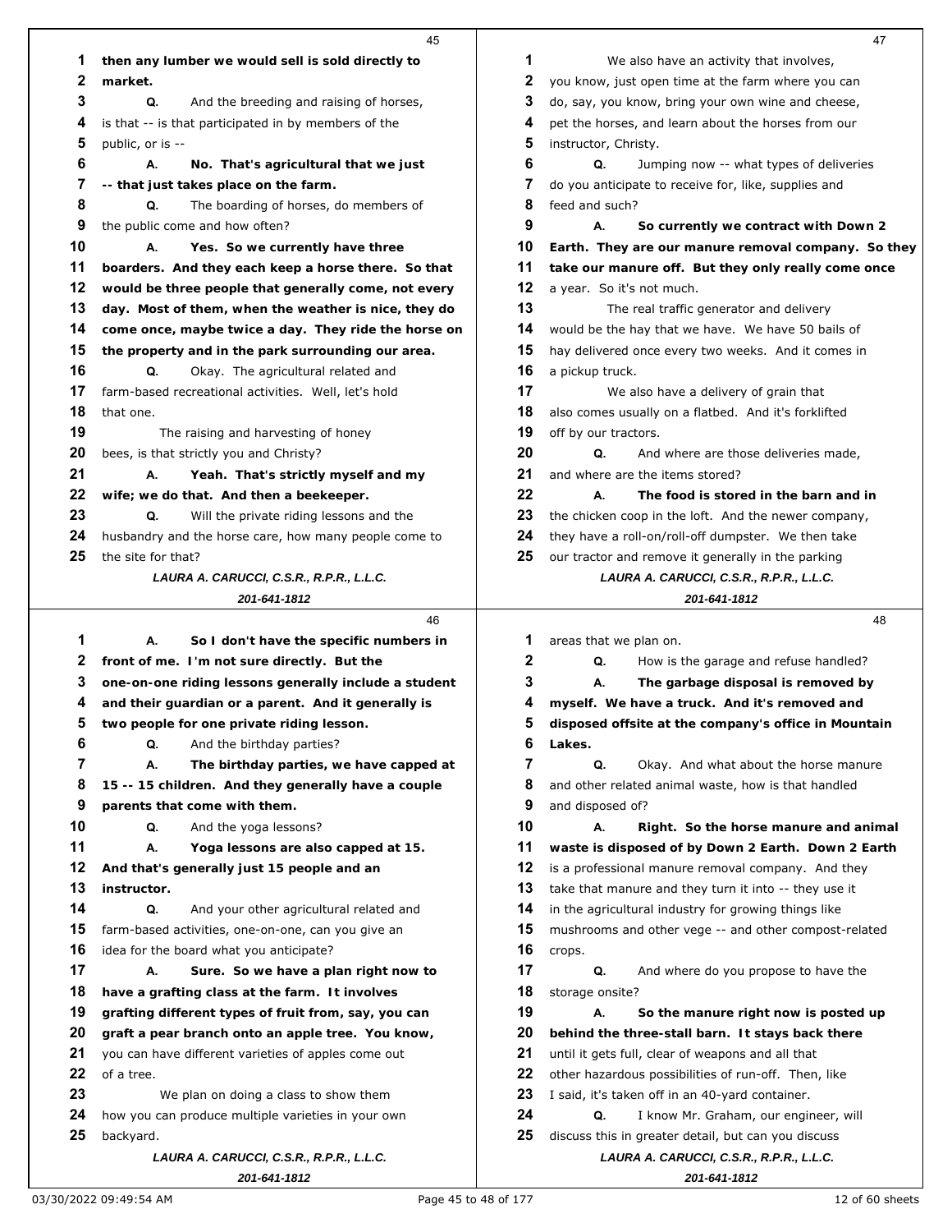|    | 45                                                                                                        |          | 47                                                            |
|----|-----------------------------------------------------------------------------------------------------------|----------|---------------------------------------------------------------|
| 1  | then any lumber we would sell is sold directly to                                                         | 1        | We also have an activity that involves,                       |
| 2  | market.                                                                                                   | 2        | you know, just open time at the farm where you can            |
| 3  | Q.<br>And the breeding and raising of horses,                                                             | 3        | do, say, you know, bring your own wine and cheese,            |
| 4  | is that -- is that participated in by members of the                                                      | 4        | pet the horses, and learn about the horses from our           |
| 5  | public, or is --                                                                                          | 5        | instructor, Christy.                                          |
| 6  | А.<br>No. That's agricultural that we just                                                                | 6        | Q.<br>Jumping now -- what types of deliveries                 |
| 7  | -- that just takes place on the farm.                                                                     | 7        | do you anticipate to receive for, like, supplies and          |
| 8  | The boarding of horses, do members of<br>Q.                                                               | 8        | feed and such?                                                |
| 9  | the public come and how often?                                                                            | 9        | А.<br>So currently we contract with Down 2                    |
| 10 | Yes. So we currently have three<br>А.                                                                     | 10       | Earth. They are our manure removal company. So they           |
| 11 | boarders. And they each keep a horse there. So that                                                       | 11       | take our manure off. But they only really come once           |
| 12 |                                                                                                           | 12       | a year. So it's not much.                                     |
| 13 | would be three people that generally come, not every                                                      | 13       |                                                               |
|    | day. Most of them, when the weather is nice, they do                                                      |          | The real traffic generator and delivery                       |
| 14 | come once, maybe twice a day. They ride the horse on                                                      | 14       | would be the hay that we have. We have 50 bails of            |
| 15 | the property and in the park surrounding our area.                                                        | 15       | hay delivered once every two weeks. And it comes in           |
| 16 | Q.<br>Okay. The agricultural related and                                                                  | 16       | a pickup truck.                                               |
| 17 | farm-based recreational activities. Well, let's hold                                                      | 17       | We also have a delivery of grain that                         |
| 18 | that one.                                                                                                 | 18       | also comes usually on a flatbed. And it's forklifted          |
| 19 | The raising and harvesting of honey                                                                       | 19       | off by our tractors.                                          |
| 20 | bees, is that strictly you and Christy?                                                                   | 20       | Q.<br>And where are those deliveries made,                    |
| 21 | А.<br>Yeah. That's strictly myself and my                                                                 | 21       | and where are the items stored?                               |
| 22 | wife; we do that. And then a beekeeper.                                                                   | 22       | А.<br>The food is stored in the barn and in                   |
| 23 | Q.<br>Will the private riding lessons and the                                                             | 23       | the chicken coop in the loft. And the newer company,          |
| 24 | husbandry and the horse care, how many people come to                                                     | 24       | they have a roll-on/roll-off dumpster. We then take           |
| 25 | the site for that?                                                                                        | 25       | our tractor and remove it generally in the parking            |
|    | LAURA A. CARUCCI, C.S.R., R.P.R., L.L.C.                                                                  |          | LAURA A. CARUCCI, C.S.R., R.P.R., L.L.C.                      |
|    | 201-641-1812                                                                                              |          | 201-641-1812                                                  |
|    | 46                                                                                                        |          | 48                                                            |
|    |                                                                                                           |          |                                                               |
| 1  | So I don't have the specific numbers in<br>А.                                                             | 1        | areas that we plan on.                                        |
| 2  | front of me. I'm not sure directly. But the                                                               | 2        | Q.<br>How is the garage and refuse handled?                   |
| 3  | one-on-one riding lessons generally include a student                                                     | 3        | The garbage disposal is removed by<br>А.                      |
| 4  | and their guardian or a parent. And it generally is                                                       | 4        | myself. We have a truck. And it's removed and                 |
| 5  | two people for one private riding lesson.                                                                 | 5        | disposed offsite at the company's office in Mountain          |
| 6  | Q.<br>And the birthday parties?                                                                           | 6        | Lakes.                                                        |
| 7  | The birthday parties, we have capped at<br>А.                                                             | 7        | Q.<br>Okay. And what about the horse manure                   |
| 8  | 15 -- 15 children. And they generally have a couple                                                       | 8        | and other related animal waste, how is that handled           |
| 9  | parents that come with them.                                                                              | 9        | and disposed of?                                              |
| 10 | Q.<br>And the yoga lessons?                                                                               | 10       | А.<br>Right. So the horse manure and animal                   |
| 11 | А.<br>Yoga lessons are also capped at 15.                                                                 | 11       | waste is disposed of by Down 2 Earth. Down 2 Earth            |
| 12 | And that's generally just 15 people and an                                                                | 12       | is a professional manure removal company. And they            |
| 13 | instructor.                                                                                               | 13       | take that manure and they turn it into -- they use it         |
| 14 | Q.<br>And your other agricultural related and                                                             | 14       | in the agricultural industry for growing things like          |
| 15 | farm-based activities, one-on-one, can you give an                                                        | 15       | mushrooms and other vege -- and other compost-related         |
| 16 | idea for the board what you anticipate?                                                                   | 16       | crops.                                                        |
| 17 | А.                                                                                                        |          |                                                               |
| 18 | Sure. So we have a plan right now to<br>have a grafting class at the farm. It involves                    | 17<br>18 | Q.<br>And where do you propose to have the<br>storage onsite? |
| 19 |                                                                                                           | 19       | So the manure right now is posted up<br>А.                    |
| 20 | grafting different types of fruit from, say, you can<br>graft a pear branch onto an apple tree. You know, | 20       | behind the three-stall barn. It stays back there              |
| 21 |                                                                                                           |          |                                                               |
|    | you can have different varieties of apples come out                                                       | 21<br>22 | until it gets full, clear of weapons and all that             |
| 22 | of a tree.                                                                                                |          | other hazardous possibilities of run-off. Then, like          |
| 23 | We plan on doing a class to show them                                                                     | 23       | I said, it's taken off in an 40-yard container.               |
| 24 | how you can produce multiple varieties in your own                                                        | 24       | Q.<br>I know Mr. Graham, our engineer, will                   |
| 25 | backyard.                                                                                                 | 25       | discuss this in greater detail, but can you discuss           |
|    | LAURA A. CARUCCI, C.S.R., R.P.R., L.L.C.<br>201-641-1812                                                  |          | LAURA A. CARUCCI, C.S.R., R.P.R., L.L.C.<br>201-641-1812      |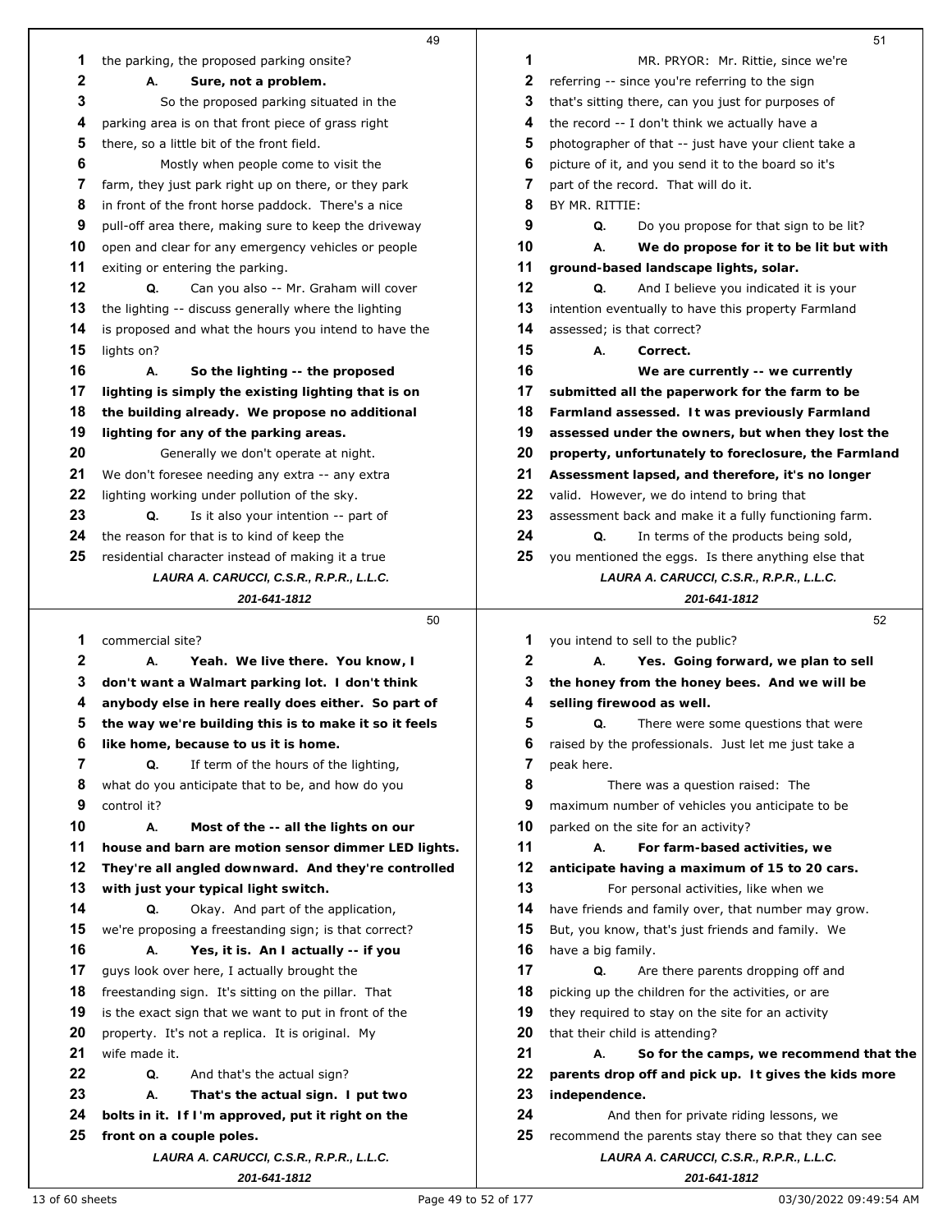|    | 49                                                                   |    | 51                                                                                                |
|----|----------------------------------------------------------------------|----|---------------------------------------------------------------------------------------------------|
| 1  | the parking, the proposed parking onsite?                            | 1  | MR. PRYOR: Mr. Rittie, since we're                                                                |
| 2  | А.<br>Sure, not a problem.                                           | 2  | referring -- since you're referring to the sign                                                   |
| 3  | So the proposed parking situated in the                              | 3  | that's sitting there, can you just for purposes of                                                |
| 4  | parking area is on that front piece of grass right                   | 4  | the record -- I don't think we actually have a                                                    |
| 5  | there, so a little bit of the front field.                           | 5  | photographer of that -- just have your client take a                                              |
| 6  | Mostly when people come to visit the                                 | 6  | picture of it, and you send it to the board so it's                                               |
| 7  | farm, they just park right up on there, or they park                 | 7  | part of the record. That will do it.                                                              |
| 8  | in front of the front horse paddock. There's a nice                  | 8  | BY MR. RITTIE:                                                                                    |
| 9  | pull-off area there, making sure to keep the driveway                | 9  | Q.<br>Do you propose for that sign to be lit?                                                     |
| 10 | open and clear for any emergency vehicles or people                  | 10 | We do propose for it to be lit but with<br>А.                                                     |
| 11 | exiting or entering the parking.                                     | 11 | ground-based landscape lights, solar.                                                             |
| 12 | Q.<br>Can you also -- Mr. Graham will cover                          | 12 | Q.<br>And I believe you indicated it is your                                                      |
| 13 | the lighting -- discuss generally where the lighting                 | 13 | intention eventually to have this property Farmland                                               |
| 14 | is proposed and what the hours you intend to have the                | 14 | assessed; is that correct?                                                                        |
| 15 | lights on?                                                           | 15 | А.<br>Correct.                                                                                    |
| 16 | А.<br>So the lighting -- the proposed                                | 16 | We are currently -- we currently                                                                  |
| 17 | lighting is simply the existing lighting that is on                  | 17 | submitted all the paperwork for the farm to be                                                    |
| 18 | the building already. We propose no additional                       | 18 | Farmland assessed. It was previously Farmland                                                     |
| 19 | lighting for any of the parking areas.                               | 19 | assessed under the owners, but when they lost the                                                 |
| 20 | Generally we don't operate at night.                                 | 20 | property, unfortunately to foreclosure, the Farmland                                              |
| 21 | We don't foresee needing any extra -- any extra                      | 21 | Assessment lapsed, and therefore, it's no longer                                                  |
| 22 | lighting working under pollution of the sky.                         | 22 | valid. However, we do intend to bring that                                                        |
| 23 | Q.<br>Is it also your intention -- part of                           | 23 | assessment back and make it a fully functioning farm.                                             |
| 24 | the reason for that is to kind of keep the                           | 24 | In terms of the products being sold,<br>Q.                                                        |
| 25 | residential character instead of making it a true                    | 25 | you mentioned the eggs. Is there anything else that                                               |
|    | LAURA A. CARUCCI, C.S.R., R.P.R., L.L.C.                             |    | LAURA A. CARUCCI, C.S.R., R.P.R., L.L.C.                                                          |
|    | 201-641-1812                                                         |    | 201-641-1812                                                                                      |
|    | 50                                                                   |    | 52                                                                                                |
| 1  | commercial site?                                                     | 1  | you intend to sell to the public?                                                                 |
| 2  | А.<br>Yeah. We live there. You know, I                               | 2  | Yes. Going forward, we plan to sell<br>А.                                                         |
| 3  | don't want a Walmart parking lot. I don't think                      | 3  | the honey from the honey bees. And we will be                                                     |
| 4  | anybody else in here really does either. So part of                  | 4  | selling firewood as well.                                                                         |
| 5  | the way we're building this is to make it so it feels                | 5  | Q.<br>There were some questions that were                                                         |
| 6  | like home, because to us it is home.                                 | 6  | raised by the professionals. Just let me just take a                                              |
| 7  | If term of the hours of the lighting,<br>Q.                          | 7  | peak here.                                                                                        |
| 8  | what do you anticipate that to be, and how do you                    | 8  | There was a question raised: The                                                                  |
| 9  | control it?                                                          | 9  | maximum number of vehicles you anticipate to be                                                   |
| 10 | А.<br>Most of the -- all the lights on our                           | 10 | parked on the site for an activity?                                                               |
| 11 | house and barn are motion sensor dimmer LED lights.                  | 11 | А.<br>For farm-based activities, we                                                               |
| 12 | They're all angled downward. And they're controlled                  | 12 | anticipate having a maximum of 15 to 20 cars.                                                     |
| 13 | with just your typical light switch.                                 | 13 | For personal activities, like when we                                                             |
| 14 | Okay. And part of the application,<br>Q.                             | 14 | have friends and family over, that number may grow.                                               |
| 15 | we're proposing a freestanding sign; is that correct?                | 15 | But, you know, that's just friends and family. We                                                 |
| 16 | Yes, it is. An I actually -- if you<br>А.                            | 16 | have a big family.                                                                                |
| 17 | guys look over here, I actually brought the                          | 17 | Q.<br>Are there parents dropping off and                                                          |
| 18 | freestanding sign. It's sitting on the pillar. That                  | 18 | picking up the children for the activities, or are                                                |
| 19 | is the exact sign that we want to put in front of the                | 19 | they required to stay on the site for an activity                                                 |
| 20 | property. It's not a replica. It is original. My                     | 20 | that their child is attending?                                                                    |
| 21 | wife made it.                                                        | 21 | А.<br>So for the camps, we recommend that the                                                     |
| 22 | Q.<br>And that's the actual sign?                                    | 22 | parents drop off and pick up. It gives the kids more                                              |
| 23 |                                                                      | 23 | independence.                                                                                     |
|    |                                                                      |    |                                                                                                   |
|    | А.<br>That's the actual sign. I put two                              |    |                                                                                                   |
| 24 | bolts in it. If I'm approved, put it right on the                    | 24 | And then for private riding lessons, we                                                           |
| 25 | front on a couple poles.<br>LAURA A. CARUCCI, C.S.R., R.P.R., L.L.C. | 25 | recommend the parents stay there so that they can see<br>LAURA A. CARUCCI, C.S.R., R.P.R., L.L.C. |

*201-641-1812*

13 of 60 sheets example 12 of 177 Page 49 to 52 of 177 2003/30/2022 09:49:54 AM

*201-641-1812*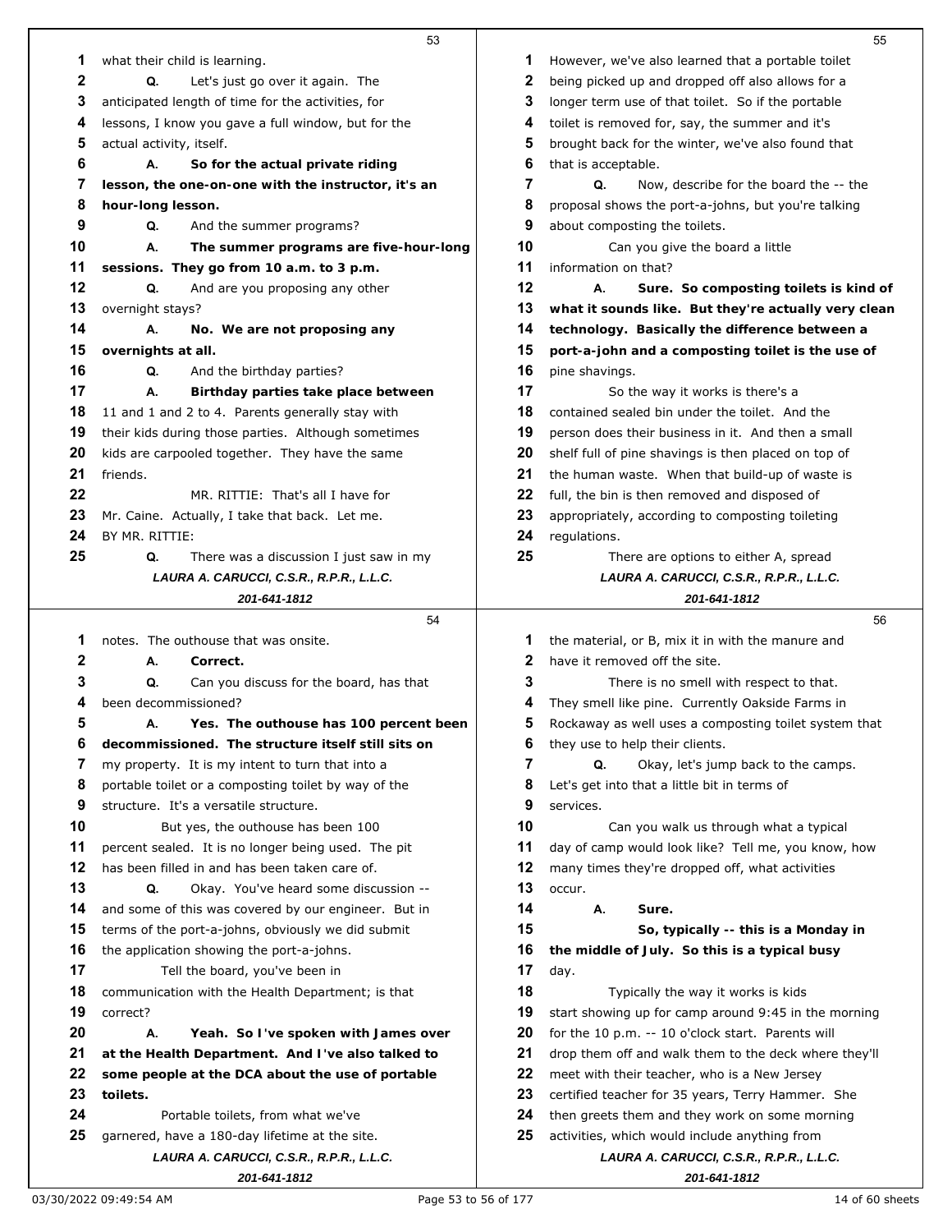|    | 53                                                       |    | 55                                                       |
|----|----------------------------------------------------------|----|----------------------------------------------------------|
| 1  | what their child is learning.                            | 1  | However, we've also learned that a portable toilet       |
| 2  | Q.<br>Let's just go over it again. The                   | 2  | being picked up and dropped off also allows for a        |
| 3  | anticipated length of time for the activities, for       | 3  | longer term use of that toilet. So if the portable       |
| 4  | lessons, I know you gave a full window, but for the      | 4  | toilet is removed for, say, the summer and it's          |
| 5  | actual activity, itself.                                 | 5  | brought back for the winter, we've also found that       |
| 6  | А.<br>So for the actual private riding                   | 6  | that is acceptable.                                      |
| 7  | lesson, the one-on-one with the instructor, it's an      | 7  | Q.<br>Now, describe for the board the -- the             |
| 8  | hour-long lesson.                                        | 8  | proposal shows the port-a-johns, but you're talking      |
| 9  | Q.<br>And the summer programs?                           | 9  | about composting the toilets.                            |
| 10 | А.<br>The summer programs are five-hour-long             | 10 | Can you give the board a little                          |
| 11 | sessions. They go from 10 a.m. to 3 p.m.                 | 11 | information on that?                                     |
| 12 | Q.<br>And are you proposing any other                    | 12 | А.<br>Sure. So composting toilets is kind of             |
| 13 | overnight stays?                                         | 13 | what it sounds like. But they're actually very clean     |
| 14 | А.<br>No. We are not proposing any                       | 14 | technology. Basically the difference between a           |
| 15 | overnights at all.                                       | 15 | port-a-john and a composting toilet is the use of        |
| 16 | Q.<br>And the birthday parties?                          | 16 | pine shavings.                                           |
| 17 | А.<br>Birthday parties take place between                | 17 | So the way it works is there's a                         |
| 18 | 11 and 1 and 2 to 4. Parents generally stay with         | 18 | contained sealed bin under the toilet. And the           |
| 19 | their kids during those parties. Although sometimes      | 19 | person does their business in it. And then a small       |
| 20 | kids are carpooled together. They have the same          | 20 | shelf full of pine shavings is then placed on top of     |
| 21 | friends.                                                 | 21 | the human waste. When that build-up of waste is          |
| 22 | MR. RITTIE: That's all I have for                        | 22 | full, the bin is then removed and disposed of            |
| 23 | Mr. Caine. Actually, I take that back. Let me.           | 23 | appropriately, according to composting toileting         |
| 24 | BY MR. RITTIE:                                           | 24 | regulations.                                             |
| 25 | Q.<br>There was a discussion I just saw in my            | 25 | There are options to either A, spread                    |
|    | LAURA A. CARUCCI, C.S.R., R.P.R., L.L.C.                 |    | LAURA A. CARUCCI, C.S.R., R.P.R., L.L.C.                 |
|    | 201-641-1812                                             |    | 201-641-1812                                             |
|    | 54                                                       |    | 56                                                       |
| 1  | notes. The outhouse that was onsite.                     |    |                                                          |
|    |                                                          | 1  | the material, or B, mix it in with the manure and        |
| 2  | А.<br>Correct.                                           | 2  | have it removed off the site.                            |
| 3  | Q.<br>Can you discuss for the board, has that            | 3  | There is no smell with respect to that.                  |
| 4  | been decommissioned?                                     | 4  | They smell like pine. Currently Oakside Farms in         |
| 5  | Yes. The outhouse has 100 percent been<br>Α.             | 5  | Rockaway as well uses a composting toilet system that    |
| 6  | decommissioned. The structure itself still sits on       | 6  | they use to help their clients.                          |
| 7  | my property. It is my intent to turn that into a         | 7  | Q.<br>Okay, let's jump back to the camps.                |
| 8  | portable toilet or a composting toilet by way of the     | 8  | Let's get into that a little bit in terms of             |
| 9  | structure. It's a versatile structure.                   | 9  | services.                                                |
| 10 | But yes, the outhouse has been 100                       | 10 | Can you walk us through what a typical                   |
| 11 | percent sealed. It is no longer being used. The pit      | 11 | day of camp would look like? Tell me, you know, how      |
| 12 | has been filled in and has been taken care of.           | 12 | many times they're dropped off, what activities          |
| 13 | Q.<br>Okay. You've heard some discussion --              | 13 | occur.                                                   |
| 14 | and some of this was covered by our engineer. But in     | 14 | А.<br>Sure.                                              |
| 15 | terms of the port-a-johns, obviously we did submit       | 15 | So, typically -- this is a Monday in                     |
| 16 | the application showing the port-a-johns.                | 16 | the middle of July. So this is a typical busy            |
| 17 | Tell the board, you've been in                           | 17 | day.                                                     |
| 18 | communication with the Health Department; is that        | 18 | Typically the way it works is kids                       |
| 19 | correct?                                                 | 19 | start showing up for camp around 9:45 in the morning     |
| 20 | А.<br>Yeah. So I've spoken with James over               | 20 | for the 10 p.m. -- 10 o'clock start. Parents will        |
| 21 | at the Health Department. And I've also talked to        | 21 | drop them off and walk them to the deck where they'll    |
| 22 | some people at the DCA about the use of portable         | 22 | meet with their teacher, who is a New Jersey             |
| 23 | toilets.                                                 | 23 | certified teacher for 35 years, Terry Hammer. She        |
| 24 | Portable toilets, from what we've                        | 24 | then greets them and they work on some morning           |
| 25 | garnered, have a 180-day lifetime at the site.           | 25 | activities, which would include anything from            |
|    | LAURA A. CARUCCI, C.S.R., R.P.R., L.L.C.<br>201-641-1812 |    | LAURA A. CARUCCI, C.S.R., R.P.R., L.L.C.<br>201-641-1812 |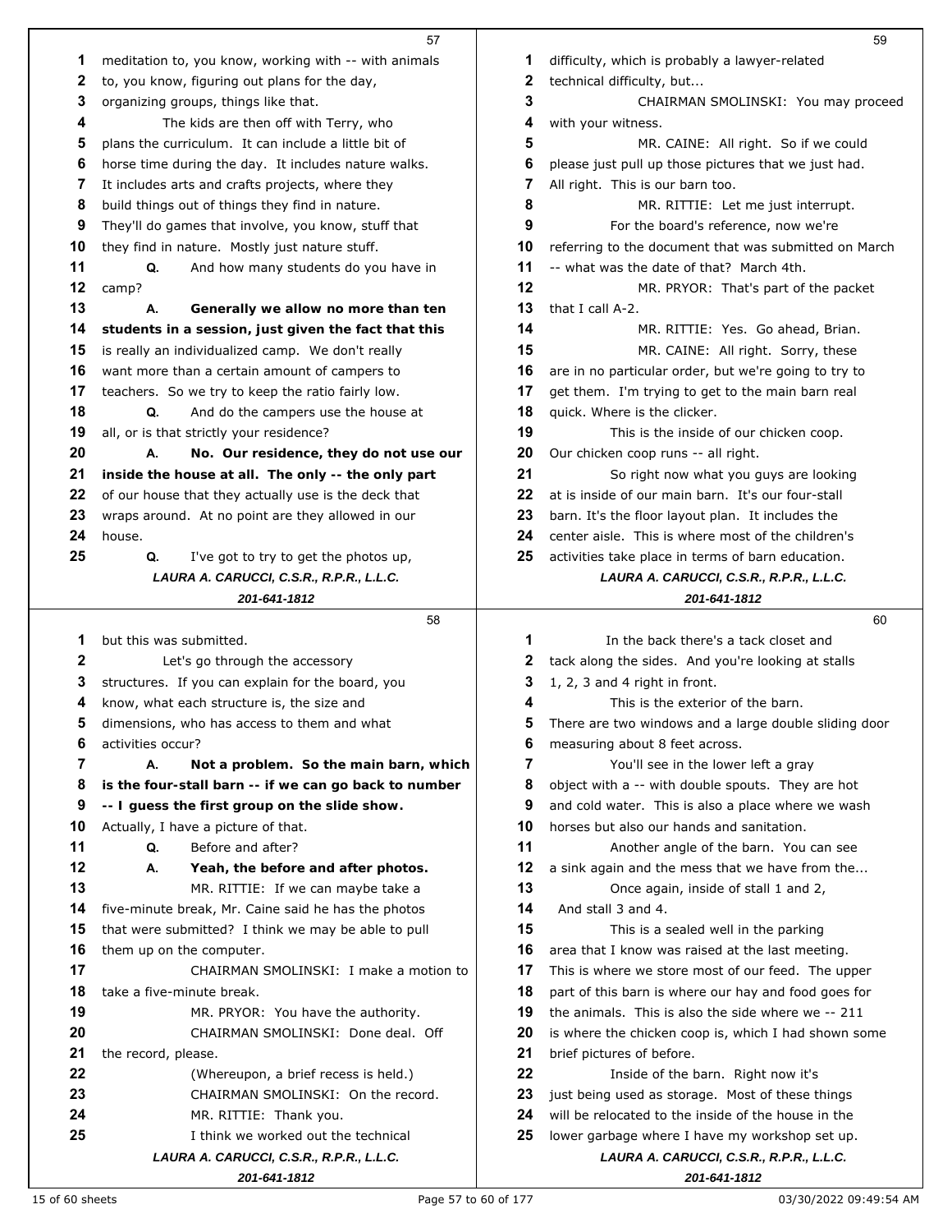|    | 57                                                       |    | 59                                                       |
|----|----------------------------------------------------------|----|----------------------------------------------------------|
| 1  | meditation to, you know, working with -- with animals    | 1  | difficulty, which is probably a lawyer-related           |
| 2  | to, you know, figuring out plans for the day,            | 2  | technical difficulty, but                                |
| 3  | organizing groups, things like that.                     | 3  | CHAIRMAN SMOLINSKI: You may proceed                      |
| 4  | The kids are then off with Terry, who                    | 4  | with your witness.                                       |
| 5  | plans the curriculum. It can include a little bit of     | 5  | MR. CAINE: All right. So if we could                     |
| 6  | horse time during the day. It includes nature walks.     | 6  | please just pull up those pictures that we just had.     |
| 7  | It includes arts and crafts projects, where they         | 7  | All right. This is our barn too.                         |
| 8  | build things out of things they find in nature.          | 8  | MR. RITTIE: Let me just interrupt.                       |
| 9  | They'll do games that involve, you know, stuff that      | 9  | For the board's reference, now we're                     |
| 10 | they find in nature. Mostly just nature stuff.           | 10 | referring to the document that was submitted on March    |
| 11 | Q.<br>And how many students do you have in               | 11 | -- what was the date of that? March 4th.                 |
| 12 | camp?                                                    | 12 | MR. PRYOR: That's part of the packet                     |
| 13 | Generally we allow no more than ten<br>А.                | 13 | that I call A-2.                                         |
| 14 | students in a session, just given the fact that this     | 14 | MR. RITTIE: Yes. Go ahead, Brian.                        |
| 15 | is really an individualized camp. We don't really        | 15 | MR. CAINE: All right. Sorry, these                       |
| 16 | want more than a certain amount of campers to            | 16 | are in no particular order, but we're going to try to    |
| 17 | teachers. So we try to keep the ratio fairly low.        | 17 | get them. I'm trying to get to the main barn real        |
| 18 | Q.<br>And do the campers use the house at                | 18 | quick. Where is the clicker.                             |
| 19 | all, or is that strictly your residence?                 | 19 | This is the inside of our chicken coop.                  |
| 20 | А.<br>No. Our residence, they do not use our             | 20 | Our chicken coop runs -- all right.                      |
| 21 | inside the house at all. The only -- the only part       | 21 | So right now what you guys are looking                   |
| 22 | of our house that they actually use is the deck that     | 22 | at is inside of our main barn. It's our four-stall       |
| 23 | wraps around. At no point are they allowed in our        | 23 | barn. It's the floor layout plan. It includes the        |
| 24 | house.                                                   | 24 | center aisle. This is where most of the children's       |
| 25 | Q.<br>I've got to try to get the photos up,              | 25 | activities take place in terms of barn education.        |
|    | LAURA A. CARUCCI, C.S.R., R.P.R., L.L.C.                 |    | LAURA A. CARUCCI, C.S.R., R.P.R., L.L.C.                 |
|    | 201-641-1812                                             |    | 201-641-1812                                             |
|    |                                                          |    |                                                          |
|    | 58                                                       |    | 60                                                       |
| 1  | but this was submitted.                                  | 1  | In the back there's a tack closet and                    |
| 2  | Let's go through the accessory                           | 2  | tack along the sides. And you're looking at stalls       |
| 3  | structures. If you can explain for the board, you        | 3  | 1, 2, 3 and 4 right in front.                            |
| 4  | know, what each structure is, the size and               | 4  | This is the exterior of the barn.                        |
| 5  | dimensions, who has access to them and what              | 5  | There are two windows and a large double sliding door    |
| 6  | activities occur?                                        | 6  | measuring about 8 feet across.                           |
| 7  | А.<br>Not a problem. So the main barn, which             | 7  | You'll see in the lower left a gray                      |
| 8  | is the four-stall barn -- if we can go back to number    | 8  | object with a -- with double spouts. They are hot        |
| 9  | -- I guess the first group on the slide show.            | 9  | and cold water. This is also a place where we wash       |
| 10 | Actually, I have a picture of that.                      | 10 | horses but also our hands and sanitation.                |
| 11 | Q.<br>Before and after?                                  | 11 | Another angle of the barn. You can see                   |
| 12 | А.<br>Yeah, the before and after photos.                 | 12 | a sink again and the mess that we have from the          |
| 13 | MR. RITTIE: If we can maybe take a                       | 13 | Once again, inside of stall 1 and 2,                     |
| 14 | five-minute break, Mr. Caine said he has the photos      | 14 | And stall 3 and 4.                                       |
| 15 | that were submitted? I think we may be able to pull      | 15 | This is a sealed well in the parking                     |
| 16 | them up on the computer.                                 | 16 | area that I know was raised at the last meeting.         |
| 17 | CHAIRMAN SMOLINSKI: I make a motion to                   | 17 | This is where we store most of our feed. The upper       |
| 18 | take a five-minute break.                                | 18 | part of this barn is where our hay and food goes for     |
| 19 | MR. PRYOR: You have the authority.                       | 19 | the animals. This is also the side where we -- 211       |
| 20 | CHAIRMAN SMOLINSKI: Done deal. Off                       | 20 | is where the chicken coop is, which I had shown some     |
| 21 | the record, please.                                      | 21 | brief pictures of before.                                |
| 22 | (Whereupon, a brief recess is held.)                     | 22 | Inside of the barn. Right now it's                       |
| 23 | CHAIRMAN SMOLINSKI: On the record.                       | 23 | just being used as storage. Most of these things         |
| 24 | MR. RITTIE: Thank you.                                   | 24 | will be relocated to the inside of the house in the      |
| 25 | I think we worked out the technical                      | 25 | lower garbage where I have my workshop set up.           |
|    | LAURA A. CARUCCI, C.S.R., R.P.R., L.L.C.<br>201-641-1812 |    | LAURA A. CARUCCI, C.S.R., R.P.R., L.L.C.<br>201-641-1812 |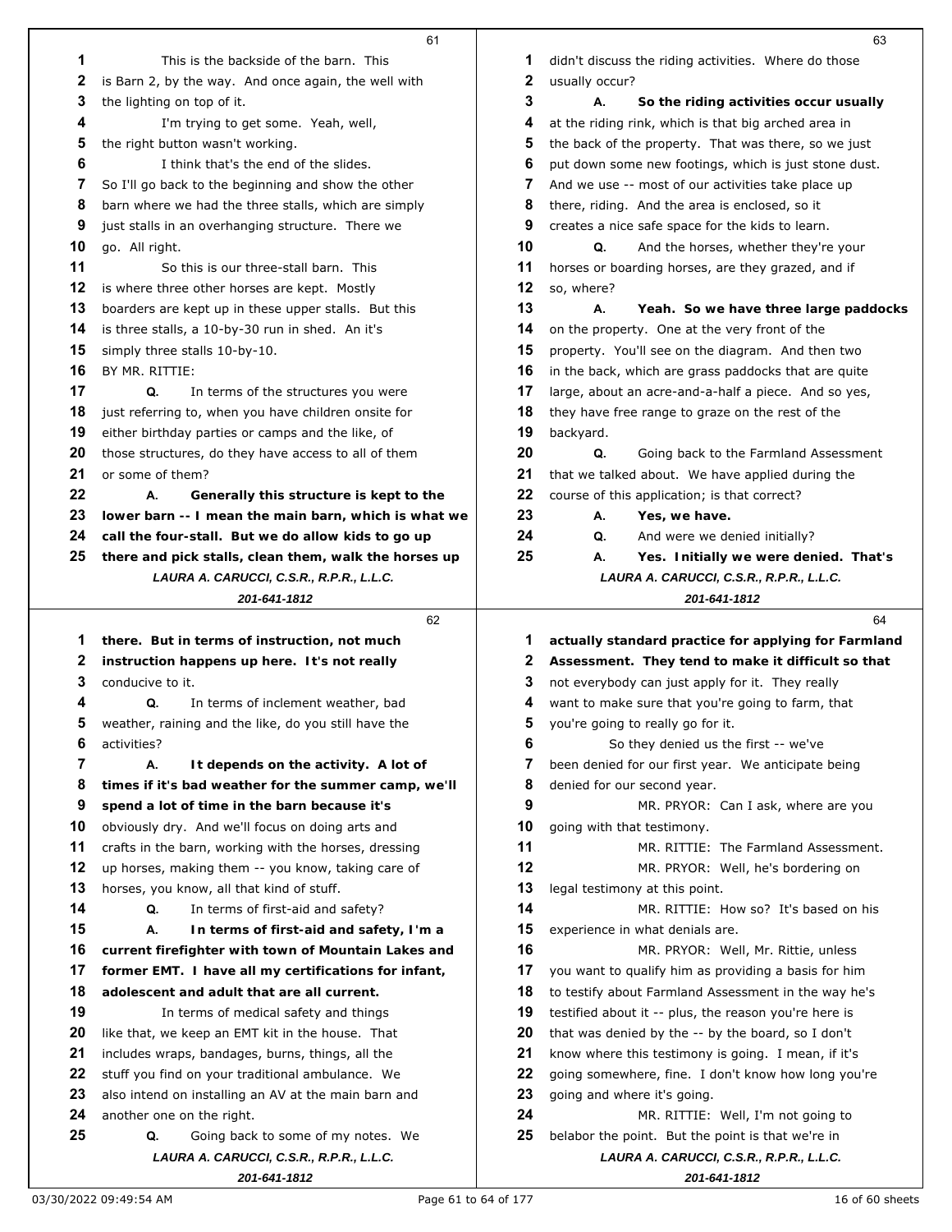|    | 61                                                                                   |    | 63                                                                                            |
|----|--------------------------------------------------------------------------------------|----|-----------------------------------------------------------------------------------------------|
| 1  | This is the backside of the barn. This                                               | 1  | didn't discuss the riding activities. Where do those                                          |
| 2  | is Barn 2, by the way. And once again, the well with                                 | 2  | usually occur?                                                                                |
| 3  | the lighting on top of it.                                                           | 3  | А.<br>So the riding activities occur usually                                                  |
| 4  | I'm trying to get some. Yeah, well,                                                  | 4  | at the riding rink, which is that big arched area in                                          |
| 5  | the right button wasn't working.                                                     | 5  | the back of the property. That was there, so we just                                          |
| 6  | I think that's the end of the slides.                                                | 6  | put down some new footings, which is just stone dust.                                         |
| 7  | So I'll go back to the beginning and show the other                                  | 7  | And we use -- most of our activities take place up                                            |
| 8  | barn where we had the three stalls, which are simply                                 | 8  | there, riding. And the area is enclosed, so it                                                |
| 9  | just stalls in an overhanging structure. There we                                    | 9  | creates a nice safe space for the kids to learn.                                              |
| 10 | go. All right.                                                                       | 10 | Q.<br>And the horses, whether they're your                                                    |
| 11 | So this is our three-stall barn. This                                                | 11 | horses or boarding horses, are they grazed, and if                                            |
| 12 | is where three other horses are kept. Mostly                                         | 12 | so, where?                                                                                    |
| 13 | boarders are kept up in these upper stalls. But this                                 | 13 | А.<br>Yeah. So we have three large paddocks                                                   |
| 14 | is three stalls, a 10-by-30 run in shed. An it's                                     | 14 | on the property. One at the very front of the                                                 |
| 15 | simply three stalls 10-by-10.                                                        | 15 | property. You'll see on the diagram. And then two                                             |
| 16 | BY MR. RITTIE:                                                                       | 16 | in the back, which are grass paddocks that are quite                                          |
| 17 | Q.<br>In terms of the structures you were                                            | 17 | large, about an acre-and-a-half a piece. And so yes,                                          |
| 18 | just referring to, when you have children onsite for                                 | 18 | they have free range to graze on the rest of the                                              |
| 19 | either birthday parties or camps and the like, of                                    | 19 | backyard.                                                                                     |
| 20 | those structures, do they have access to all of them                                 | 20 | Q.<br>Going back to the Farmland Assessment                                                   |
| 21 | or some of them?                                                                     | 21 | that we talked about. We have applied during the                                              |
| 22 | А.<br>Generally this structure is kept to the                                        | 22 | course of this application; is that correct?                                                  |
| 23 | lower barn -- I mean the main barn, which is what we                                 | 23 | А.<br>Yes, we have.                                                                           |
| 24 | call the four-stall. But we do allow kids to go up                                   | 24 | Q.<br>And were we denied initially?                                                           |
| 25 | there and pick stalls, clean them, walk the horses up                                | 25 | А.<br>Yes. Initially we were denied. That's                                                   |
|    | LAURA A. CARUCCI, C.S.R., R.P.R., L.L.C.                                             |    | LAURA A. CARUCCI, C.S.R., R.P.R., L.L.C.                                                      |
|    | 201-641-1812                                                                         |    | 201-641-1812                                                                                  |
|    |                                                                                      |    |                                                                                               |
|    | 62                                                                                   |    | 64                                                                                            |
| 1  | there. But in terms of instruction, not much                                         | 1  | actually standard practice for applying for Farmland                                          |
| 2  | instruction happens up here. It's not really                                         | 2  | Assessment. They tend to make it difficult so that                                            |
| 3  | conducive to it.                                                                     | 3  | not everybody can just apply for it. They really                                              |
| 4  | Q.<br>In terms of inclement weather, bad                                             | 4  | want to make sure that you're going to farm, that                                             |
| 5  | weather, raining and the like, do you still have the                                 | 5  | you're going to really go for it.                                                             |
| 6  | activities?                                                                          | 6  | So they denied us the first -- we've                                                          |
| 7  | А.<br>It depends on the activity. A lot of                                           | 7  | been denied for our first year. We anticipate being                                           |
| 8  | times if it's bad weather for the summer camp, we'll                                 | 8  | denied for our second year.                                                                   |
| 9  | spend a lot of time in the barn because it's                                         | 9  | MR. PRYOR: Can I ask, where are you                                                           |
| 10 | obviously dry. And we'll focus on doing arts and                                     | 10 | going with that testimony.                                                                    |
| 11 | crafts in the barn, working with the horses, dressing                                | 11 | MR. RITTIE: The Farmland Assessment.                                                          |
| 12 | up horses, making them -- you know, taking care of                                   | 12 | MR. PRYOR: Well, he's bordering on                                                            |
| 13 | horses, you know, all that kind of stuff.                                            | 13 | legal testimony at this point.                                                                |
| 14 | In terms of first-aid and safety?<br>Q.                                              | 14 | MR. RITTIE: How so? It's based on his                                                         |
| 15 | А.<br>In terms of first-aid and safety, I'm a                                        | 15 | experience in what denials are.                                                               |
| 16 | current firefighter with town of Mountain Lakes and                                  | 16 | MR. PRYOR: Well, Mr. Rittie, unless                                                           |
| 17 | former EMT. I have all my certifications for infant,                                 | 17 | you want to qualify him as providing a basis for him                                          |
| 18 | adolescent and adult that are all current.                                           | 18 | to testify about Farmland Assessment in the way he's                                          |
| 19 | In terms of medical safety and things                                                | 19 | testified about it -- plus, the reason you're here is                                         |
| 20 | like that, we keep an EMT kit in the house. That                                     | 20 | that was denied by the -- by the board, so I don't                                            |
| 21 | includes wraps, bandages, burns, things, all the                                     | 21 | know where this testimony is going. I mean, if it's                                           |
| 22 | stuff you find on your traditional ambulance. We                                     | 22 | going somewhere, fine. I don't know how long you're                                           |
| 23 | also intend on installing an AV at the main barn and                                 | 23 | going and where it's going.                                                                   |
| 24 | another one on the right.                                                            | 24 | MR. RITTIE: Well, I'm not going to                                                            |
| 25 | Going back to some of my notes. We<br>Q.<br>LAURA A. CARUCCI, C.S.R., R.P.R., L.L.C. | 25 | belabor the point. But the point is that we're in<br>LAURA A. CARUCCI, C.S.R., R.P.R., L.L.C. |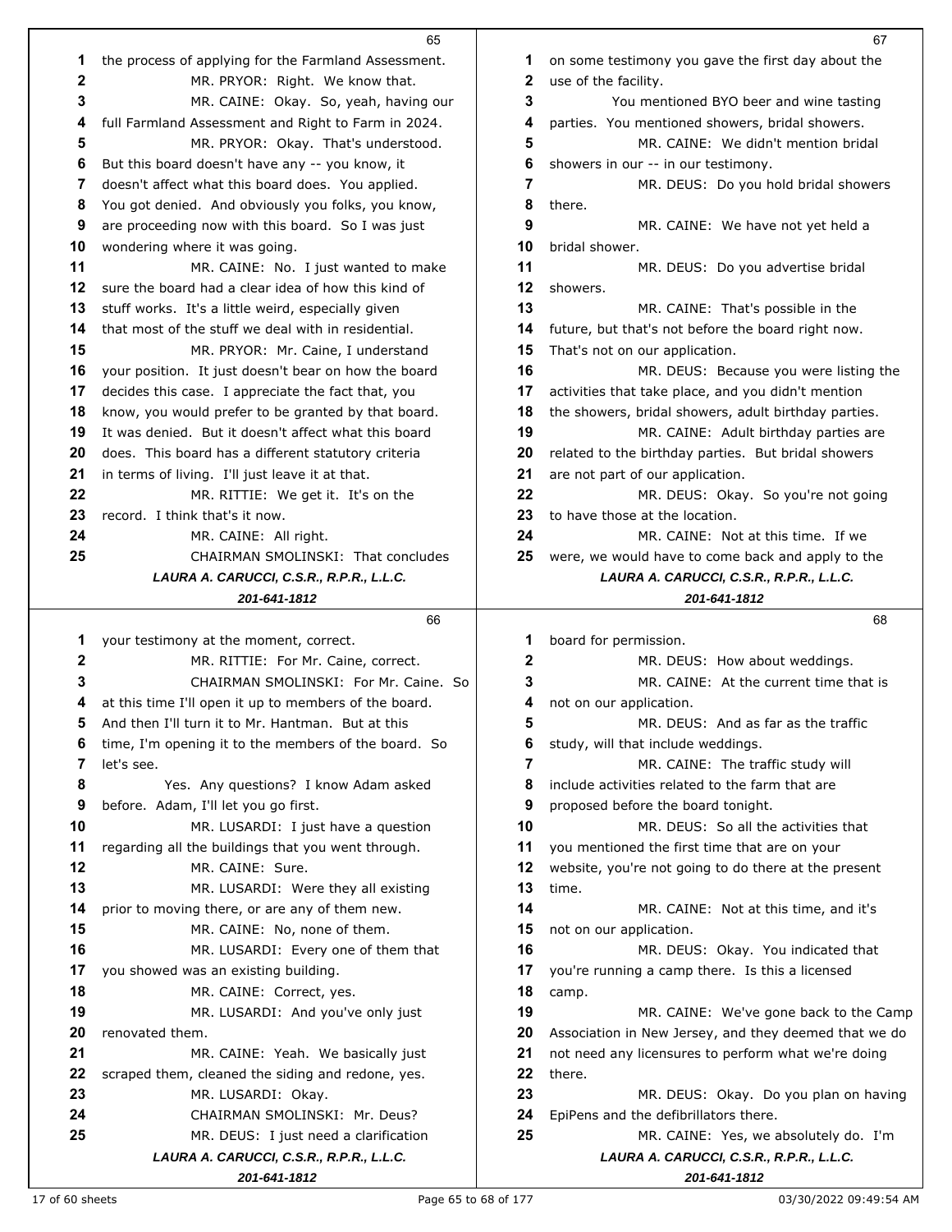|    | 65                                                    |    | 67                                                    |
|----|-------------------------------------------------------|----|-------------------------------------------------------|
| 1  | the process of applying for the Farmland Assessment.  | 1  | on some testimony you gave the first day about the    |
| 2  | MR. PRYOR: Right. We know that.                       | 2  | use of the facility.                                  |
| 3  | MR. CAINE: Okay. So, yeah, having our                 | 3  | You mentioned BYO beer and wine tasting               |
| 4  | full Farmland Assessment and Right to Farm in 2024.   | 4  | parties. You mentioned showers, bridal showers.       |
| 5  | MR. PRYOR: Okay. That's understood.                   | 5  | MR. CAINE: We didn't mention bridal                   |
| 6  | But this board doesn't have any -- you know, it       | 6  | showers in our -- in our testimony.                   |
| 7  | doesn't affect what this board does. You applied.     | 7  | MR. DEUS: Do you hold bridal showers                  |
| 8  | You got denied. And obviously you folks, you know,    | 8  | there.                                                |
| 9  | are proceeding now with this board. So I was just     | 9  | MR. CAINE: We have not yet held a                     |
| 10 | wondering where it was going.                         | 10 | bridal shower.                                        |
| 11 | MR. CAINE: No. I just wanted to make                  | 11 | MR. DEUS: Do you advertise bridal                     |
| 12 | sure the board had a clear idea of how this kind of   | 12 | showers.                                              |
| 13 | stuff works. It's a little weird, especially given    | 13 | MR. CAINE: That's possible in the                     |
| 14 | that most of the stuff we deal with in residential.   | 14 | future, but that's not before the board right now.    |
| 15 | MR. PRYOR: Mr. Caine, I understand                    | 15 | That's not on our application.                        |
| 16 | your position. It just doesn't bear on how the board  | 16 | MR. DEUS: Because you were listing the                |
| 17 | decides this case. I appreciate the fact that, you    | 17 | activities that take place, and you didn't mention    |
| 18 | know, you would prefer to be granted by that board.   | 18 | the showers, bridal showers, adult birthday parties.  |
| 19 | It was denied. But it doesn't affect what this board  | 19 | MR. CAINE: Adult birthday parties are                 |
| 20 | does. This board has a different statutory criteria   | 20 | related to the birthday parties. But bridal showers   |
| 21 | in terms of living. I'll just leave it at that.       | 21 | are not part of our application.                      |
| 22 | MR. RITTIE: We get it. It's on the                    | 22 | MR. DEUS: Okay. So you're not going                   |
| 23 | record. I think that's it now.                        | 23 | to have those at the location.                        |
| 24 | MR. CAINE: All right.                                 | 24 | MR. CAINE: Not at this time. If we                    |
| 25 | CHAIRMAN SMOLINSKI: That concludes                    | 25 | were, we would have to come back and apply to the     |
|    | LAURA A. CARUCCI, C.S.R., R.P.R., L.L.C.              |    | LAURA A. CARUCCI, C.S.R., R.P.R., L.L.C.              |
|    | 201-641-1812                                          |    | 201-641-1812                                          |
|    |                                                       |    |                                                       |
|    | 66                                                    |    | 68                                                    |
| 1  | your testimony at the moment, correct.                | 1  | board for permission.                                 |
| 2  | MR. RITTIE: For Mr. Caine, correct.                   | 2  | MR. DEUS: How about weddings.                         |
| 3  | CHAIRMAN SMOLINSKI: For Mr. Caine, So                 | 3  | MR. CAINE: At the current time that is                |
| 4  | at this time I'll open it up to members of the board. | 4  | not on our application.                               |
| 5  | And then I'll turn it to Mr. Hantman. But at this     | 5  | MR. DEUS: And as far as the traffic                   |
| 6  | time, I'm opening it to the members of the board. So  | 6  | study, will that include weddings.                    |
| 7  | let's see.                                            | 7  | MR. CAINE: The traffic study will                     |
| 8  | Yes. Any questions? I know Adam asked                 | 8  | include activities related to the farm that are       |
| 9  | before. Adam, I'll let you go first.                  | 9  | proposed before the board tonight.                    |
| 10 | MR. LUSARDI: I just have a question                   | 10 | MR. DEUS: So all the activities that                  |
| 11 | regarding all the buildings that you went through.    | 11 | you mentioned the first time that are on your         |
| 12 | MR. CAINE: Sure.                                      | 12 | website, you're not going to do there at the present  |
| 13 | MR. LUSARDI: Were they all existing                   | 13 | time.                                                 |
| 14 | prior to moving there, or are any of them new.        | 14 | MR. CAINE: Not at this time, and it's                 |
| 15 | MR. CAINE: No, none of them.                          | 15 | not on our application.                               |
| 16 | MR. LUSARDI: Every one of them that                   | 16 | MR. DEUS: Okay. You indicated that                    |
| 17 | you showed was an existing building.                  | 17 | you're running a camp there. Is this a licensed       |
| 18 | MR. CAINE: Correct, yes.                              | 18 | camp.                                                 |
| 19 | MR. LUSARDI: And you've only just                     | 19 | MR. CAINE: We've gone back to the Camp                |
| 20 | renovated them.                                       | 20 | Association in New Jersey, and they deemed that we do |
| 21 | MR. CAINE: Yeah. We basically just                    | 21 | not need any licensures to perform what we're doing   |
| 22 | scraped them, cleaned the siding and redone, yes.     | 22 | there.                                                |
| 23 | MR. LUSARDI: Okay.                                    | 23 | MR. DEUS: Okay. Do you plan on having                 |
| 24 | CHAIRMAN SMOLINSKI: Mr. Deus?                         | 24 | EpiPens and the defibrillators there.                 |
| 25 | MR. DEUS: I just need a clarification                 | 25 | MR. CAINE: Yes, we absolutely do. I'm                 |
|    | LAURA A. CARUCCI, C.S.R., R.P.R., L.L.C.              |    | LAURA A. CARUCCI, C.S.R., R.P.R., L.L.C.              |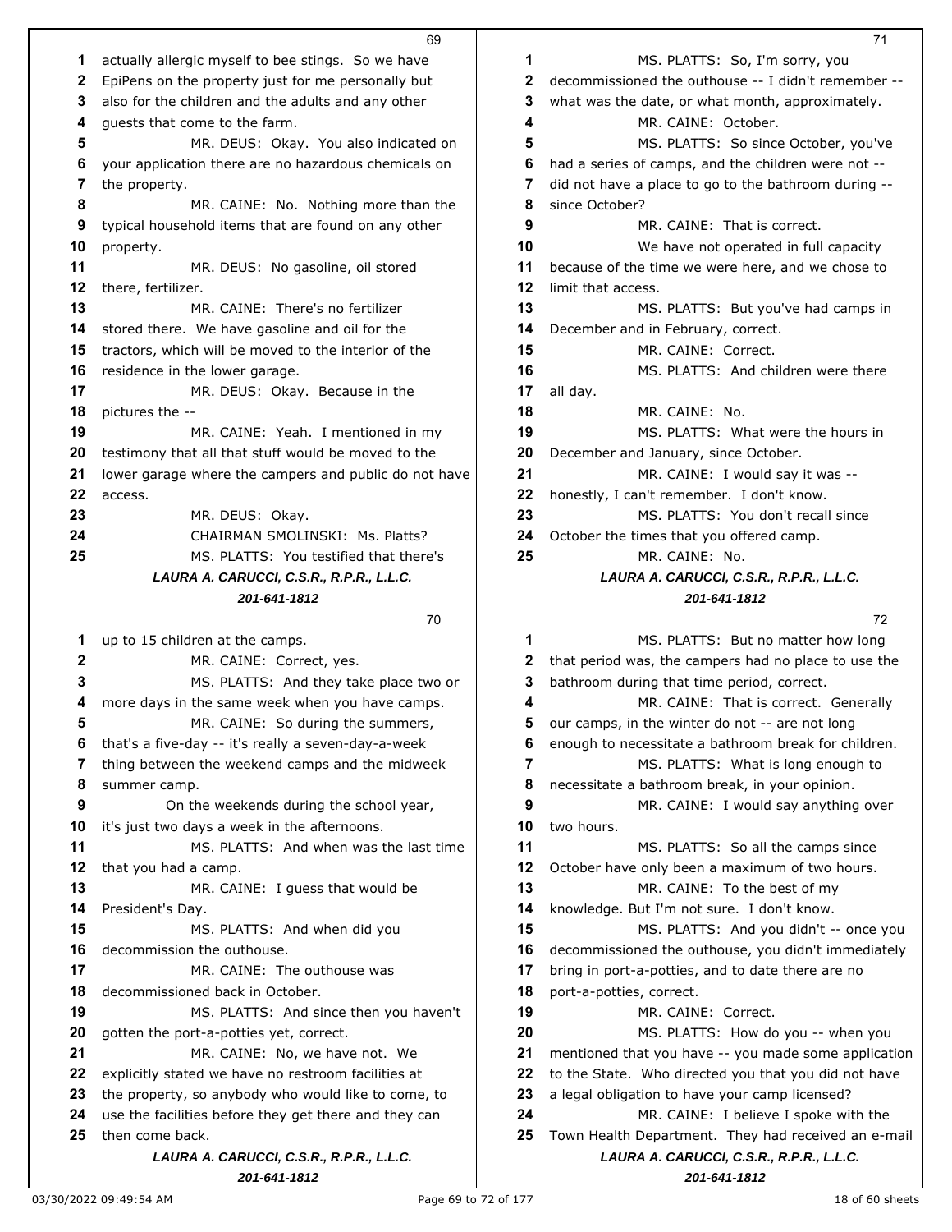|    | 69                                                       |    | 71                                                        |
|----|----------------------------------------------------------|----|-----------------------------------------------------------|
| 1  | actually allergic myself to bee stings. So we have       | 1  | MS. PLATTS: So, I'm sorry, you                            |
| 2  | EpiPens on the property just for me personally but       | 2  | decommissioned the outhouse -- I didn't remember --       |
| 3  | also for the children and the adults and any other       | 3  | what was the date, or what month, approximately.          |
| 4  | guests that come to the farm.                            | 4  | MR. CAINE: October.                                       |
| 5  | MR. DEUS: Okay. You also indicated on                    | 5  | MS. PLATTS: So since October, you've                      |
| 6  | your application there are no hazardous chemicals on     | 6  | had a series of camps, and the children were not --       |
| 7  | the property.                                            | 7  | did not have a place to go to the bathroom during --      |
| 8  | MR. CAINE: No. Nothing more than the                     | 8  | since October?                                            |
| 9  | typical household items that are found on any other      | 9  | MR. CAINE: That is correct.                               |
| 10 | property.                                                | 10 | We have not operated in full capacity                     |
| 11 | MR. DEUS: No gasoline, oil stored                        | 11 | because of the time we were here, and we chose to         |
| 12 | there, fertilizer.                                       | 12 | limit that access.                                        |
| 13 | MR. CAINE: There's no fertilizer                         | 13 | MS. PLATTS: But you've had camps in                       |
| 14 |                                                          | 14 |                                                           |
| 15 | stored there. We have gasoline and oil for the           | 15 | December and in February, correct.<br>MR. CAINE: Correct. |
|    | tractors, which will be moved to the interior of the     | 16 | MS. PLATTS: And children were there                       |
| 16 | residence in the lower garage.                           |    |                                                           |
| 17 | MR. DEUS: Okay. Because in the                           | 17 | all day.                                                  |
| 18 | pictures the --                                          | 18 | MR. CAINE: No.                                            |
| 19 | MR. CAINE: Yeah. I mentioned in my                       | 19 | MS. PLATTS: What were the hours in                        |
| 20 | testimony that all that stuff would be moved to the      | 20 | December and January, since October.                      |
| 21 | lower garage where the campers and public do not have    | 21 | MR. CAINE: I would say it was --                          |
| 22 | access.                                                  | 22 | honestly, I can't remember. I don't know.                 |
| 23 | MR. DEUS: Okay.                                          | 23 | MS. PLATTS: You don't recall since                        |
| 24 | CHAIRMAN SMOLINSKI: Ms. Platts?                          | 24 | October the times that you offered camp.                  |
| 25 | MS. PLATTS: You testified that there's                   | 25 | MR. CAINE: No.                                            |
|    | LAURA A. CARUCCI, C.S.R., R.P.R., L.L.C.                 |    | LAURA A. CARUCCI, C.S.R., R.P.R., L.L.C.                  |
|    | 201-641-1812                                             |    | 201-641-1812                                              |
|    |                                                          |    |                                                           |
|    | 70                                                       |    | 72                                                        |
| 1  | up to 15 children at the camps.                          | 1  | MS. PLATTS: But no matter how long                        |
| 2  | MR. CAINE: Correct, yes.                                 | 2  | that period was, the campers had no place to use the      |
| 3  | MS. PLATTS: And they take place two or                   | 3  | bathroom during that time period, correct.                |
| 4  | more days in the same week when you have camps.          | 4  | MR. CAINE: That is correct. Generally                     |
| 5  | MR. CAINE: So during the summers,                        | 5  | our camps, in the winter do not -- are not long           |
| 6  | that's a five-day -- it's really a seven-day-a-week      | 6  | enough to necessitate a bathroom break for children.      |
| 7  | thing between the weekend camps and the midweek          | 7  | MS. PLATTS: What is long enough to                        |
| 8  | summer camp.                                             | 8  | necessitate a bathroom break, in your opinion.            |
| 9  | On the weekends during the school year,                  | 9  | MR. CAINE: I would say anything over                      |
| 10 | it's just two days a week in the afternoons.             | 10 | two hours.                                                |
| 11 | MS. PLATTS: And when was the last time                   | 11 | MS. PLATTS: So all the camps since                        |
| 12 | that you had a camp.                                     | 12 | October have only been a maximum of two hours.            |
| 13 | MR. CAINE: I guess that would be                         | 13 | MR. CAINE: To the best of my                              |
| 14 | President's Day.                                         | 14 | knowledge. But I'm not sure. I don't know.                |
| 15 | MS. PLATTS: And when did you                             | 15 | MS. PLATTS: And you didn't -- once you                    |
| 16 | decommission the outhouse.                               | 16 | decommissioned the outhouse, you didn't immediately       |
| 17 | MR. CAINE: The outhouse was                              | 17 | bring in port-a-potties, and to date there are no         |
| 18 | decommissioned back in October.                          | 18 | port-a-potties, correct.                                  |
| 19 | MS. PLATTS: And since then you haven't                   | 19 | MR. CAINE: Correct.                                       |
| 20 | gotten the port-a-potties yet, correct.                  | 20 | MS. PLATTS: How do you -- when you                        |
| 21 | MR. CAINE: No, we have not. We                           | 21 | mentioned that you have -- you made some application      |
| 22 | explicitly stated we have no restroom facilities at      | 22 | to the State. Who directed you that you did not have      |
| 23 | the property, so anybody who would like to come, to      | 23 | a legal obligation to have your camp licensed?            |
| 24 | use the facilities before they get there and they can    | 24 | MR. CAINE: I believe I spoke with the                     |
| 25 | then come back.                                          | 25 | Town Health Department. They had received an e-mail       |
|    | LAURA A. CARUCCI, C.S.R., R.P.R., L.L.C.<br>201-641-1812 |    | LAURA A. CARUCCI, C.S.R., R.P.R., L.L.C.<br>201-641-1812  |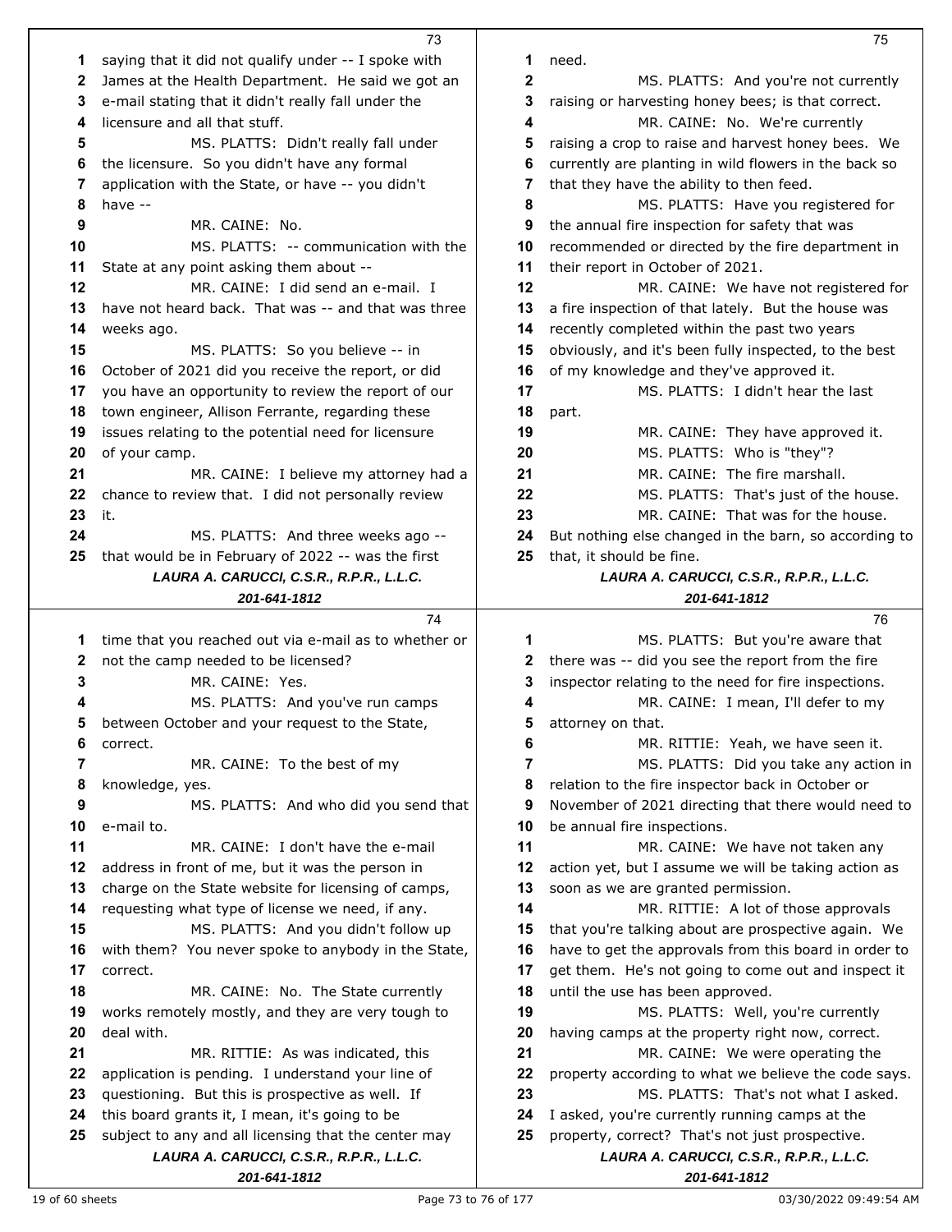|    | 73                                                    |    | 75                                                    |
|----|-------------------------------------------------------|----|-------------------------------------------------------|
| 1  | saying that it did not qualify under -- I spoke with  | 1  | need.                                                 |
| 2  | James at the Health Department. He said we got an     | 2  | MS. PLATTS: And you're not currently                  |
| 3  | e-mail stating that it didn't really fall under the   | 3  | raising or harvesting honey bees; is that correct.    |
| 4  | licensure and all that stuff.                         | 4  | MR. CAINE: No. We're currently                        |
| 5  | MS. PLATTS: Didn't really fall under                  | 5  | raising a crop to raise and harvest honey bees. We    |
| 6  | the licensure. So you didn't have any formal          | 6  | currently are planting in wild flowers in the back so |
| 7  | application with the State, or have -- you didn't     | 7  | that they have the ability to then feed.              |
| 8  | have --                                               | 8  | MS. PLATTS: Have you registered for                   |
| 9  | MR. CAINE: No.                                        | 9  | the annual fire inspection for safety that was        |
| 10 | MS. PLATTS: -- communication with the                 | 10 | recommended or directed by the fire department in     |
| 11 | State at any point asking them about --               | 11 | their report in October of 2021.                      |
| 12 | MR. CAINE: I did send an e-mail. I                    | 12 | MR. CAINE: We have not registered for                 |
| 13 | have not heard back. That was -- and that was three   | 13 | a fire inspection of that lately. But the house was   |
| 14 | weeks ago.                                            | 14 | recently completed within the past two years          |
| 15 |                                                       | 15 |                                                       |
|    | MS. PLATTS: So you believe -- in                      |    | obviously, and it's been fully inspected, to the best |
| 16 | October of 2021 did you receive the report, or did    | 16 | of my knowledge and they've approved it.              |
| 17 | you have an opportunity to review the report of our   | 17 | MS. PLATTS: I didn't hear the last                    |
| 18 | town engineer, Allison Ferrante, regarding these      | 18 | part.                                                 |
| 19 | issues relating to the potential need for licensure   | 19 | MR. CAINE: They have approved it.                     |
| 20 | of your camp.                                         | 20 | MS. PLATTS: Who is "they"?                            |
| 21 | MR. CAINE: I believe my attorney had a                | 21 | MR. CAINE: The fire marshall.                         |
| 22 | chance to review that. I did not personally review    | 22 | MS. PLATTS: That's just of the house.                 |
| 23 | it.                                                   | 23 | MR. CAINE: That was for the house.                    |
| 24 | MS. PLATTS: And three weeks ago --                    | 24 | But nothing else changed in the barn, so according to |
| 25 | that would be in February of 2022 -- was the first    | 25 | that, it should be fine.                              |
|    | LAURA A. CARUCCI, C.S.R., R.P.R., L.L.C.              |    | LAURA A. CARUCCI, C.S.R., R.P.R., L.L.C.              |
|    | 201-641-1812                                          |    | 201-641-1812                                          |
|    |                                                       |    |                                                       |
|    | 74                                                    |    | 76                                                    |
| 1  | time that you reached out via e-mail as to whether or | 1  | MS. PLATTS: But you're aware that                     |
| 2  | not the camp needed to be licensed?                   | 2  | there was -- did you see the report from the fire     |
| 3  | MR. CAINE: Yes.                                       | 3  | inspector relating to the need for fire inspections.  |
| 4  | MS. PLATTS: And you've run camps                      | 4  | MR. CAINE: I mean, I'll defer to my                   |
| 5  | between October and your request to the State,        | 5  | attorney on that.                                     |
| 6  | correct.                                              | 6  | MR. RITTIE: Yeah, we have seen it.                    |
| 7  | MR. CAINE: To the best of my                          | 7  | MS. PLATTS: Did you take any action in                |
| 8  | knowledge, yes.                                       | 8  | relation to the fire inspector back in October or     |
| 9  | MS. PLATTS: And who did you send that                 | 9  | November of 2021 directing that there would need to   |
| 10 | e-mail to.                                            | 10 | be annual fire inspections.                           |
| 11 | MR. CAINE: I don't have the e-mail                    | 11 | MR. CAINE: We have not taken any                      |
| 12 | address in front of me, but it was the person in      | 12 | action yet, but I assume we will be taking action as  |
| 13 | charge on the State website for licensing of camps,   | 13 | soon as we are granted permission.                    |
| 14 | requesting what type of license we need, if any.      | 14 | MR. RITTIE: A lot of those approvals                  |
| 15 | MS. PLATTS: And you didn't follow up                  | 15 | that you're talking about are prospective again. We   |
| 16 | with them? You never spoke to anybody in the State,   | 16 | have to get the approvals from this board in order to |
| 17 | correct.                                              | 17 | get them. He's not going to come out and inspect it   |
| 18 | MR. CAINE: No. The State currently                    | 18 | until the use has been approved.                      |
| 19 | works remotely mostly, and they are very tough to     | 19 | MS. PLATTS: Well, you're currently                    |
| 20 | deal with.                                            | 20 | having camps at the property right now, correct.      |
| 21 | MR. RITTIE: As was indicated, this                    | 21 | MR. CAINE: We were operating the                      |
| 22 | application is pending. I understand your line of     | 22 | property according to what we believe the code says.  |
| 23 | questioning. But this is prospective as well. If      | 23 | MS. PLATTS: That's not what I asked.                  |
| 24 | this board grants it, I mean, it's going to be        | 24 | I asked, you're currently running camps at the        |
| 25 | subject to any and all licensing that the center may  | 25 | property, correct? That's not just prospective.       |
|    | LAURA A. CARUCCI, C.S.R., R.P.R., L.L.C.              |    | LAURA A. CARUCCI, C.S.R., R.P.R., L.L.C.              |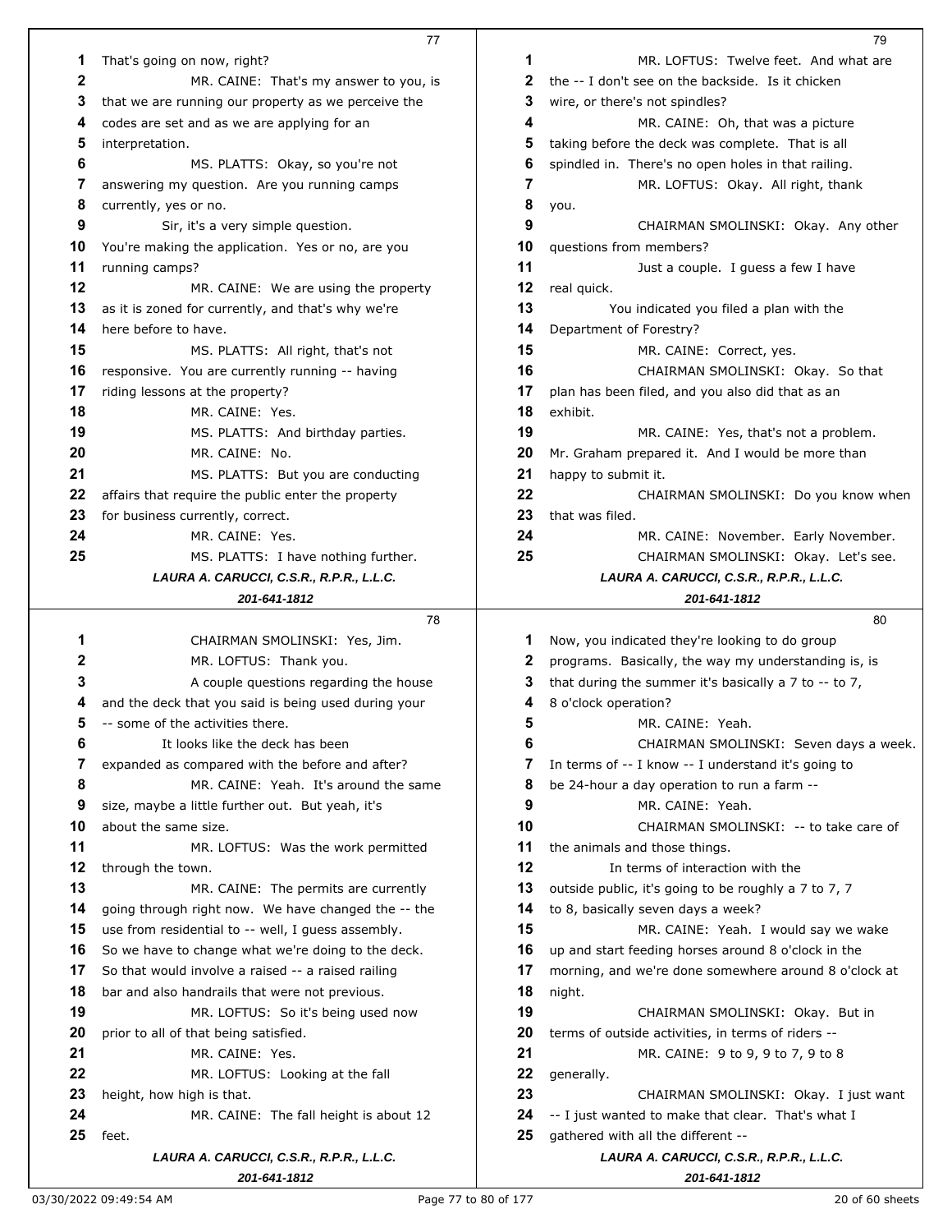|             | 77                                                   |    | 79                                                          |
|-------------|------------------------------------------------------|----|-------------------------------------------------------------|
| 1           | That's going on now, right?                          | 1  | MR. LOFTUS: Twelve feet. And what are                       |
| $\mathbf 2$ | MR. CAINE: That's my answer to you, is               | 2  | the -- I don't see on the backside. Is it chicken           |
| 3           | that we are running our property as we perceive the  | 3  | wire, or there's not spindles?                              |
| 4           | codes are set and as we are applying for an          | 4  | MR. CAINE: Oh, that was a picture                           |
| 5           | interpretation.                                      | 5  | taking before the deck was complete. That is all            |
| 6           | MS. PLATTS: Okay, so you're not                      | 6  | spindled in. There's no open holes in that railing.         |
| 7           | answering my question. Are you running camps         | 7  | MR. LOFTUS: Okay. All right, thank                          |
| 8           | currently, yes or no.                                | 8  | you.                                                        |
| 9           | Sir, it's a very simple question.                    | 9  | CHAIRMAN SMOLINSKI: Okay. Any other                         |
| 10          | You're making the application. Yes or no, are you    | 10 | questions from members?                                     |
| 11          | running camps?                                       | 11 | Just a couple. I guess a few I have                         |
| 12          | MR. CAINE: We are using the property                 | 12 | real quick.                                                 |
| 13          | as it is zoned for currently, and that's why we're   | 13 | You indicated you filed a plan with the                     |
| 14          | here before to have.                                 | 14 | Department of Forestry?                                     |
| 15          | MS. PLATTS: All right, that's not                    | 15 | MR. CAINE: Correct, yes.                                    |
| 16          | responsive. You are currently running -- having      | 16 | CHAIRMAN SMOLINSKI: Okay. So that                           |
| 17          | riding lessons at the property?                      | 17 | plan has been filed, and you also did that as an            |
| 18          | MR. CAINE: Yes.                                      | 18 | exhibit.                                                    |
| 19          | MS. PLATTS: And birthday parties.                    | 19 | MR. CAINE: Yes, that's not a problem.                       |
| 20          | MR. CAINE: No.                                       | 20 | Mr. Graham prepared it. And I would be more than            |
| 21          | MS. PLATTS: But you are conducting                   | 21 | happy to submit it.                                         |
| 22          | affairs that require the public enter the property   | 22 | CHAIRMAN SMOLINSKI: Do you know when                        |
| 23          | for business currently, correct.                     | 23 | that was filed.                                             |
| 24          | MR. CAINE: Yes.                                      | 24 | MR. CAINE: November. Early November.                        |
| 25          | MS. PLATTS: I have nothing further.                  | 25 | CHAIRMAN SMOLINSKI: Okay. Let's see.                        |
|             | LAURA A. CARUCCI, C.S.R., R.P.R., L.L.C.             |    | LAURA A. CARUCCI, C.S.R., R.P.R., L.L.C.                    |
|             | 201-641-1812                                         |    | 201-641-1812                                                |
|             | 78                                                   |    | 80                                                          |
| 1           | CHAIRMAN SMOLINSKI: Yes, Jim.                        | 1  | Now, you indicated they're looking to do group              |
| 2           | MR. LOFTUS: Thank you.                               | 2  | programs. Basically, the way my understanding is, is        |
| 3           | A couple questions regarding the house               | 3  | that during the summer it's basically a $7$ to $-$ to $7$ , |
| 4           | and the deck that you said is being used during your | 4  | 8 o'clock operation?                                        |
| 5           | -- some of the activities there.                     | 5  | MR. CAINE: Yeah.                                            |
| 6           | It looks like the deck has been                      | 6  | CHAIRMAN SMOLINSKI: Seven days a week.                      |
| 7           | expanded as compared with the before and after?      | 7  | In terms of -- I know -- I understand it's going to         |
| 8           | MR. CAINE: Yeah. It's around the same                | 8  | be 24-hour a day operation to run a farm --                 |
| 9           | size, maybe a little further out. But yeah, it's     | 9  | MR. CAINE: Yeah.                                            |
| 10          | about the same size.                                 | 10 | CHAIRMAN SMOLINSKI: -- to take care of                      |
| 11          | MR. LOFTUS: Was the work permitted                   | 11 | the animals and those things.                               |
| 12          | through the town.                                    | 12 | In terms of interaction with the                            |
| 13          | MR. CAINE: The permits are currently                 | 13 | outside public, it's going to be roughly a 7 to 7, 7        |
| 14          | going through right now. We have changed the -- the  | 14 | to 8, basically seven days a week?                          |
| 15          | use from residential to -- well, I guess assembly.   | 15 | MR. CAINE: Yeah. I would say we wake                        |
| 16          | So we have to change what we're doing to the deck.   | 16 | up and start feeding horses around 8 o'clock in the         |
| 17          | So that would involve a raised -- a raised railing   | 17 | morning, and we're done somewhere around 8 o'clock at       |
| 18          | bar and also handrails that were not previous.       | 18 | night.                                                      |
| 19          | MR. LOFTUS: So it's being used now                   | 19 | CHAIRMAN SMOLINSKI: Okay. But in                            |
| 20          | prior to all of that being satisfied.                | 20 | terms of outside activities, in terms of riders --          |
| 21          | MR. CAINE: Yes.                                      | 21 | MR. CAINE: 9 to 9, 9 to 7, 9 to 8                           |
| 22          | MR. LOFTUS: Looking at the fall                      | 22 | generally.                                                  |
| 23          | height, how high is that.                            | 23 | CHAIRMAN SMOLINSKI: Okay. I just want                       |
| 24          | MR. CAINE: The fall height is about 12               | 24 | -- I just wanted to make that clear. That's what I          |
| 25          | feet.                                                | 25 | gathered with all the different --                          |
|             | LAURA A. CARUCCI, C.S.R., R.P.R., L.L.C.             |    | LAURA A. CARUCCI, C.S.R., R.P.R., L.L.C.                    |
|             | 201-641-1812                                         |    | 201-641-1812                                                |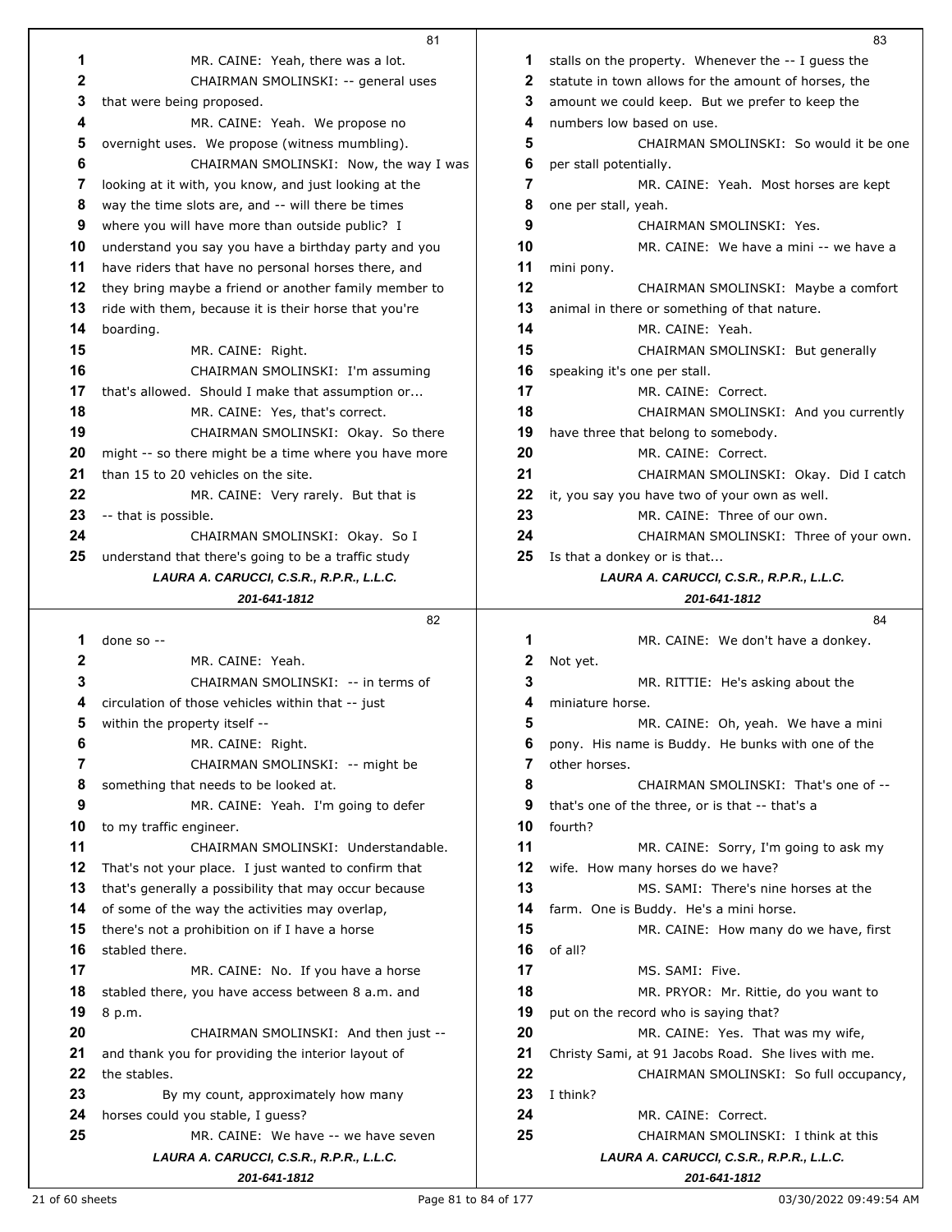|                 | 81                                                       |   |
|-----------------|----------------------------------------------------------|---|
| 1               | MR. CAINE: Yeah, there was a lot.                        |   |
| 2               | CHAIRMAN SMOLINSKI: -- general uses                      |   |
| 3               | that were being proposed.                                |   |
| 4               | MR. CAINE: Yeah. We propose no                           |   |
| 5               | overnight uses. We propose (witness mumbling).           |   |
| 6               | CHAIRMAN SMOLINSKI: Now, the way I was                   |   |
| 7               | looking at it with, you know, and just looking at the    |   |
| 8               | way the time slots are, and -- will there be times       |   |
| 9               | where you will have more than outside public? I          |   |
| 10              | understand you say you have a birthday party and you     |   |
| 11              | have riders that have no personal horses there, and      |   |
| 12 <sup>2</sup> | they bring maybe a friend or another family member to    |   |
| 13              | ride with them, because it is their horse that you're    |   |
| 14              |                                                          |   |
| 15              | boarding.<br>MR. CAINE: Right.                           |   |
| 16              | CHAIRMAN SMOLINSKI: I'm assuming                         |   |
| 17              | that's allowed. Should I make that assumption or         |   |
| 18              | MR. CAINE: Yes, that's correct.                          |   |
| 19              |                                                          |   |
| 20              | CHAIRMAN SMOLINSKI: Okay. So there                       |   |
| 21              | might -- so there might be a time where you have more    |   |
| 22              | than 15 to 20 vehicles on the site.                      |   |
| 23              | MR. CAINE: Very rarely. But that is                      | 2 |
| 24              | -- that is possible.<br>CHAIRMAN SMOLINSKI: Okay. So I   |   |
| 25              | understand that there's going to be a traffic study      |   |
|                 | LAURA A. CARUCCI, C.S.R., R.P.R., L.L.C.                 |   |
|                 | 201-641-1812                                             |   |
|                 |                                                          |   |
|                 |                                                          |   |
|                 | 82                                                       |   |
| 1               | done so --                                               |   |
| 2               | MR. CAINE: Yeah.                                         |   |
| 3               | CHAIRMAN SMOLINSKI: -- in terms of                       |   |
| 4               | circulation of those vehicles within that -- just        |   |
| 5               | within the property itself --                            |   |
| 6               | MR. CAINE: Right.                                        |   |
| 7               | CHAIRMAN SMOLINSKI: -- might be                          |   |
| 8               | something that needs to be looked at.                    |   |
| 9               | MR. CAINE: Yeah. I'm going to defer                      |   |
| 10              | to my traffic engineer.                                  |   |
| 11              | CHAIRMAN SMOLINSKI: Understandable.                      |   |
| 12 <sup>2</sup> | That's not your place. I just wanted to confirm that     |   |
| 13              | that's generally a possibility that may occur because    |   |
| 14              | of some of the way the activities may overlap,           |   |
| 15              | there's not a prohibition on if I have a horse           |   |
| 16              | stabled there.                                           |   |
| 17              | MR. CAINE: No. If you have a horse                       |   |
| 18              | stabled there, you have access between 8 a.m. and        |   |
| 19              | 8 p.m.                                                   |   |
| 20              | CHAIRMAN SMOLINSKI: And then just --                     | ż |
| 21              | and thank you for providing the interior layout of       | 2 |
| 22              | the stables.                                             |   |
| 23              | By my count, approximately how many                      | 2 |
| 24              | horses could you stable, I guess?                        |   |
| 25              | MR. CAINE: We have -- we have seven                      | 2 |
|                 | LAURA A. CARUCCI, C.S.R., R.P.R., L.L.C.<br>201-641-1812 |   |

| 1                                                        | stalls on the property. Whenever the -- I guess the      |
|----------------------------------------------------------|----------------------------------------------------------|
| 2                                                        | statute in town allows for the amount of horses, the     |
| 3                                                        | amount we could keep. But we prefer to keep the          |
| 4                                                        | numbers low based on use.                                |
| 5                                                        | CHAIRMAN SMOLINSKI: So would it be one                   |
| 6                                                        | per stall potentially.                                   |
| 7                                                        | MR. CAINE: Yeah. Most horses are kept                    |
| 8                                                        | one per stall, yeah.                                     |
| 9                                                        | CHAIRMAN SMOLINSKI: Yes.                                 |
| 10                                                       | MR. CAINE: We have a mini -- we have a                   |
| 11                                                       | mini pony.                                               |
| 12                                                       | CHAIRMAN SMOLINSKI: Maybe a comfort                      |
| 13                                                       | animal in there or something of that nature.             |
| 14                                                       | MR. CAINE: Yeah.                                         |
| 15                                                       | CHAIRMAN SMOLINSKI: But generally                        |
| 16                                                       | speaking it's one per stall.                             |
| 17                                                       | MR. CAINE: Correct.                                      |
| 18                                                       | CHAIRMAN SMOLINSKI: And you currently                    |
| 19                                                       | have three that belong to somebody.                      |
| 20                                                       | MR. CAINE: Correct.                                      |
| 21                                                       | CHAIRMAN SMOLINSKI: Okay. Did I catch                    |
| 22                                                       | it, you say you have two of your own as well.            |
| 23                                                       | MR. CAINE: Three of our own.                             |
| 24                                                       | CHAIRMAN SMOLINSKI: Three of your own.                   |
| 25                                                       | Is that a donkey or is that                              |
|                                                          | LAURA A. CARUCCI, C.S.R., R.P.R., L.L.C.                 |
|                                                          | 201-641-1812                                             |
|                                                          | 84                                                       |
|                                                          |                                                          |
| 1                                                        | MR. CAINE: We don't have a donkey.                       |
| 2                                                        | Not yet.                                                 |
| 3                                                        | MR. RITTIE: He's asking about the                        |
| 4                                                        | miniature horse.                                         |
| 5                                                        | MR. CAINE: Oh, yeah. We have a mini                      |
| 6                                                        | pony. His name is Buddy. He bunks with one of the        |
| 7                                                        | other horses.                                            |
| 8                                                        | CHAIRMAN SMOLINSKI: That's one of --                     |
| 9                                                        | that's one of the three, or is that -- that's a          |
|                                                          | fourth?                                                  |
|                                                          | MR. CAINE: Sorry, I'm going to ask my                    |
|                                                          | wife. How many horses do we have?                        |
|                                                          | MS. SAMI: There's nine horses at the                     |
|                                                          | farm. One is Buddy. He's a mini horse.                   |
|                                                          | MR. CAINE: How many do we have, first                    |
|                                                          | of all?                                                  |
|                                                          | MS. SAMI: Five.                                          |
|                                                          | MR. PRYOR: Mr. Rittie, do you want to                    |
| 10<br>11<br>12<br>13<br>14<br>15<br>16<br>17<br>18<br>19 | put on the record who is saying that?                    |
| 20                                                       | MR. CAINE: Yes. That was my wife,                        |
|                                                          | Christy Sami, at 91 Jacobs Road. She lives with me.      |
|                                                          | CHAIRMAN SMOLINSKI: So full occupancy,                   |
| 21<br>22<br>23                                           | I think?                                                 |
| 24                                                       | MR. CAINE: Correct.                                      |
| 25                                                       | CHAIRMAN SMOLINSKI: I think at this                      |
|                                                          | LAURA A. CARUCCI, C.S.R., R.P.R., L.L.C.<br>201-641-1812 |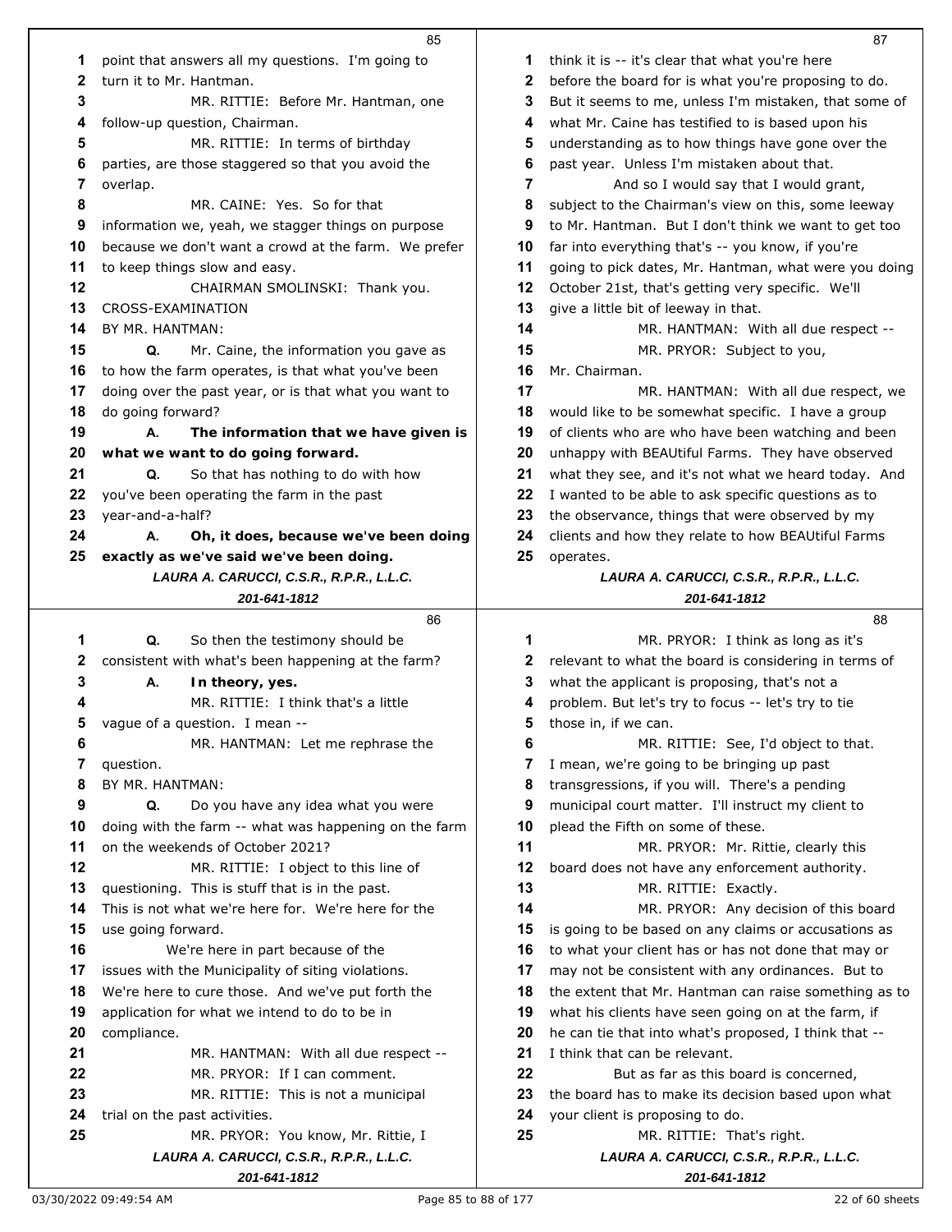|    | 85                                                       |    | 87                                                       |
|----|----------------------------------------------------------|----|----------------------------------------------------------|
| 1  | point that answers all my questions. I'm going to        | 1  | think it is -- it's clear that what you're here          |
| 2  | turn it to Mr. Hantman.                                  | 2  | before the board for is what you're proposing to do.     |
| 3  | MR. RITTIE: Before Mr. Hantman, one                      | 3  | But it seems to me, unless I'm mistaken, that some of    |
| 4  | follow-up question, Chairman.                            | 4  | what Mr. Caine has testified to is based upon his        |
| 5  | MR. RITTIE: In terms of birthday                         | 5  | understanding as to how things have gone over the        |
| 6  | parties, are those staggered so that you avoid the       | 6  | past year. Unless I'm mistaken about that.               |
| 7  | overlap.                                                 | 7  | And so I would say that I would grant,                   |
| 8  | MR. CAINE: Yes. So for that                              | 8  | subject to the Chairman's view on this, some leeway      |
| 9  | information we, yeah, we stagger things on purpose       | 9  | to Mr. Hantman. But I don't think we want to get too     |
| 10 | because we don't want a crowd at the farm. We prefer     | 10 | far into everything that's -- you know, if you're        |
| 11 | to keep things slow and easy.                            | 11 | going to pick dates, Mr. Hantman, what were you doing    |
| 12 | CHAIRMAN SMOLINSKI: Thank you.                           | 12 | October 21st, that's getting very specific. We'll        |
| 13 | CROSS-EXAMINATION                                        | 13 | give a little bit of leeway in that.                     |
| 14 | BY MR. HANTMAN:                                          | 14 | MR. HANTMAN: With all due respect --                     |
| 15 | Q.<br>Mr. Caine, the information you gave as             | 15 | MR. PRYOR: Subject to you,                               |
| 16 | to how the farm operates, is that what you've been       | 16 | Mr. Chairman.                                            |
| 17 | doing over the past year, or is that what you want to    | 17 | MR. HANTMAN: With all due respect, we                    |
| 18 | do going forward?                                        | 18 |                                                          |
| 19 |                                                          | 19 | would like to be somewhat specific. I have a group       |
|    | А.<br>The information that we have given is              |    | of clients who are who have been watching and been       |
| 20 | what we want to do going forward.                        | 20 | unhappy with BEAUtiful Farms. They have observed         |
| 21 | Q.<br>So that has nothing to do with how                 | 21 | what they see, and it's not what we heard today. And     |
| 22 | you've been operating the farm in the past               | 22 | I wanted to be able to ask specific questions as to      |
| 23 | year-and-a-half?                                         | 23 | the observance, things that were observed by my          |
| 24 | А.<br>Oh, it does, because we've been doing              | 24 | clients and how they relate to how BEAUtiful Farms       |
| 25 | exactly as we've said we've been doing.                  | 25 | operates.                                                |
|    | LAURA A. CARUCCI, C.S.R., R.P.R., L.L.C.<br>201-641-1812 |    | LAURA A. CARUCCI, C.S.R., R.P.R., L.L.C.<br>201-641-1812 |
|    |                                                          |    |                                                          |
|    |                                                          |    |                                                          |
|    | 86                                                       |    | 88                                                       |
| 1  | Q.<br>So then the testimony should be                    | 1  | MR. PRYOR: I think as long as it's                       |
| 2  | consistent with what's been happening at the farm?       | 2  | relevant to what the board is considering in terms of    |
| 3  | А.<br>In theory, yes.                                    | 3  | what the applicant is proposing, that's not a            |
| 4  | MR. RITTIE: I think that's a little                      | 4  | problem. But let's try to focus -- let's try to tie      |
| 5  | vague of a question. I mean --                           | 5  | those in, if we can.                                     |
| 6  | MR. HANTMAN: Let me rephrase the                         | 6  | MR. RITTIE: See, I'd object to that.                     |
| 7  | question.                                                | 7  | I mean, we're going to be bringing up past               |
| 8  | BY MR. HANTMAN:                                          | 8  | transgressions, if you will. There's a pending           |
| 9  | Q.<br>Do you have any idea what you were                 | 9  | municipal court matter. I'll instruct my client to       |
| 10 | doing with the farm -- what was happening on the farm    | 10 | plead the Fifth on some of these.                        |
| 11 | on the weekends of October 2021?                         | 11 | MR. PRYOR: Mr. Rittie, clearly this                      |
| 12 | MR. RITTIE: I object to this line of                     | 12 | board does not have any enforcement authority.           |
| 13 | questioning. This is stuff that is in the past.          | 13 | MR. RITTIE: Exactly.                                     |
| 14 | This is not what we're here for. We're here for the      | 14 | MR. PRYOR: Any decision of this board                    |
| 15 | use going forward.                                       | 15 | is going to be based on any claims or accusations as     |
| 16 | We're here in part because of the                        | 16 | to what your client has or has not done that may or      |
| 17 | issues with the Municipality of siting violations.       | 17 | may not be consistent with any ordinances. But to        |
| 18 | We're here to cure those. And we've put forth the        | 18 | the extent that Mr. Hantman can raise something as to    |
| 19 | application for what we intend to do to be in            | 19 | what his clients have seen going on at the farm, if      |
| 20 | compliance.                                              | 20 | he can tie that into what's proposed, I think that --    |
| 21 | MR. HANTMAN: With all due respect --                     | 21 | I think that can be relevant.                            |
| 22 | MR. PRYOR: If I can comment.                             | 22 | But as far as this board is concerned,                   |
| 23 | MR. RITTIE: This is not a municipal                      | 23 | the board has to make its decision based upon what       |
| 24 | trial on the past activities.                            | 24 | your client is proposing to do.                          |
| 25 | MR. PRYOR: You know, Mr. Rittie, I                       | 25 | MR. RITTIE: That's right.                                |
|    | LAURA A. CARUCCI, C.S.R., R.P.R., L.L.C.<br>201-641-1812 |    | LAURA A. CARUCCI, C.S.R., R.P.R., L.L.C.<br>201-641-1812 |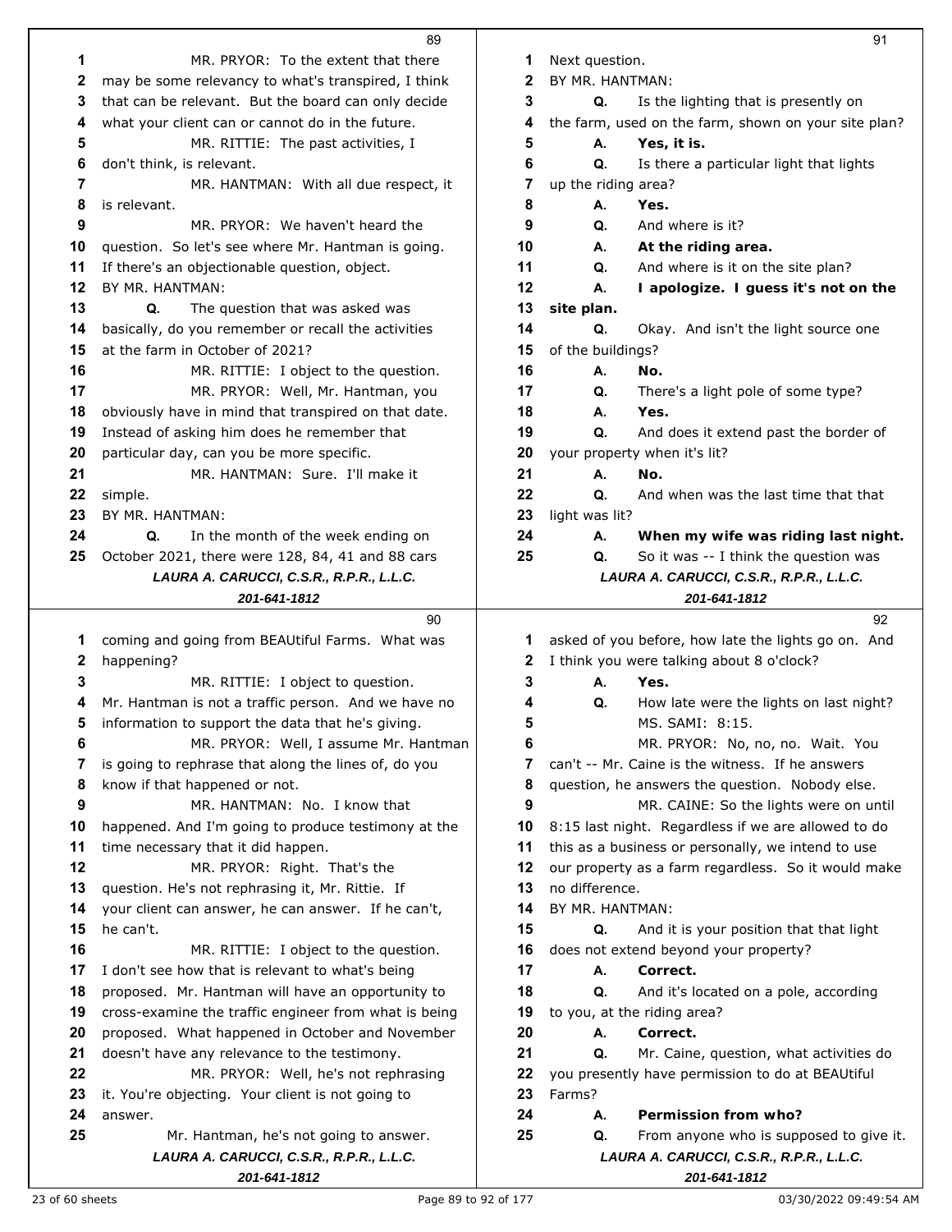|          | 89                                                                           |          |         |
|----------|------------------------------------------------------------------------------|----------|---------|
| 1        | MR. PRYOR: To the extent that there                                          | 1        | Next o  |
| 2        | may be some relevancy to what's transpired, I think                          | 2        | BY MF   |
| 3        | that can be relevant. But the board can only decide                          | 3        |         |
| 4        | what your client can or cannot do in the future.                             | 4        | the fa  |
| 5        | MR. RITTIE: The past activities, I                                           | 5        |         |
| 6        | don't think, is relevant.                                                    | 6        |         |
| 7        | MR. HANTMAN: With all due respect, it                                        | 7        | up the  |
| 8        | is relevant.                                                                 | 8        |         |
| 9        | MR. PRYOR: We haven't heard the                                              | 9        |         |
| 10       | question. So let's see where Mr. Hantman is going.                           | 10       |         |
| 11       | If there's an objectionable question, object.                                | 11       |         |
| 12       | BY MR. HANTMAN:                                                              | 12       |         |
| 13       | The question that was asked was<br>Q.                                        | 13       | site p  |
| 14       | basically, do you remember or recall the activities                          | 14       |         |
| 15       | at the farm in October of 2021?                                              | 15       | of the  |
| 16       | MR. RITTIE: I object to the question.                                        | 16       |         |
| 17       | MR. PRYOR: Well, Mr. Hantman, you                                            | 17       |         |
| 18<br>19 | obviously have in mind that transpired on that date.                         | 18<br>19 |         |
| 20       | Instead of asking him does he remember that                                  | 20       |         |
| 21       | particular day, can you be more specific.<br>MR. HANTMAN: Sure. I'll make it | 21       | your p  |
| 22       | simple.                                                                      | 22       |         |
| 23       | BY MR. HANTMAN:                                                              | 23       | light v |
| 24       | In the month of the week ending on<br>Q.                                     | 24       |         |
| 25       | October 2021, there were 128, 84, 41 and 88 cars                             | 25       |         |
|          | LAURA A. CARUCCI, C.S.R., R.P.R., L.L.C.                                     |          |         |
|          | 201-641-1812                                                                 |          |         |
|          |                                                                              |          |         |
|          | 90                                                                           |          |         |
| 1        | coming and going from BEAUtiful Farms. What was                              | 1        | asked   |
| 2        | happening?                                                                   | 2        | I thinl |
| 3        | MR. RITTIE: I object to question.                                            | 3        |         |
| 4        | Mr. Hantman is not a traffic person. And we have no                          | 4        |         |
| 5        | information to support the data that he's giving.                            | 5        |         |
| 6        | MR. PRYOR: Well, I assume Mr. Hantman                                        | 6        |         |
| 7        | is going to rephrase that along the lines of, do you                         | 7        | can't · |
| 8        | know if that happened or not.                                                | 8        | questi  |
| 9        | MR. HANTMAN: No. I know that                                                 | 9        |         |
| 10       | happened. And I'm going to produce testimony at the                          | 10       | 8:15    |
| 11       | time necessary that it did happen.                                           | 11       | this as |
| 12       | MR. PRYOR: Right. That's the                                                 | 12       | our pr  |
| 13       | question. He's not rephrasing it, Mr. Rittie. If                             | 13       | no dif  |
| 14       | your client can answer, he can answer. If he can't,                          | 14       | BY MF   |
| 15       | he can't.                                                                    | 15       |         |
| 16       | MR. RITTIE: I object to the question.                                        | 16       | does i  |
| 17       | I don't see how that is relevant to what's being                             | 17       |         |
| 18       | proposed. Mr. Hantman will have an opportunity to                            | 18       |         |
| 19       | cross-examine the traffic engineer from what is being                        | 19       | to you  |
| 20       | proposed. What happened in October and November                              | 20       |         |
| 21       | doesn't have any relevance to the testimony.                                 | 21       |         |
| 22       | MR. PRYOR: Well, he's not rephrasing                                         | 22       | you p   |
| 23       | it. You're objecting. Your client is not going to<br>answer.                 | 23<br>24 | Farms   |
| 24<br>25 | Mr. Hantman, he's not going to answer.                                       | 25       |         |
|          | LAURA A. CARUCCI, C.S.R., R.P.R., L.L.C.                                     |          |         |

| 1              | Next question.      |                                                                 |
|----------------|---------------------|-----------------------------------------------------------------|
| 2              | BY MR. HANTMAN:     |                                                                 |
| 3              | Q.                  | Is the lighting that is presently on                            |
| 4              |                     | the farm, used on the farm, shown on your site plan?            |
| 5              | А.                  | Yes, it is.                                                     |
| 6              | Q.                  | Is there a particular light that lights                         |
| 7              | up the riding area? |                                                                 |
| 8              | А.                  | Yes.                                                            |
| 9              | Q.                  | And where is it?                                                |
| 10             | А.                  | At the riding area.                                             |
| 11             | Q.                  | And where is it on the site plan?                               |
| 12             | А.                  | I apologize. I guess it's not on the                            |
| 13             | site plan.          |                                                                 |
| 14             | Q.                  |                                                                 |
| 15             |                     | Okay. And isn't the light source one                            |
|                | of the buildings?   |                                                                 |
| 16             | А.                  | No.                                                             |
| 17             | Q.                  | There's a light pole of some type?                              |
| 18             | А.                  | Yes.                                                            |
| 19             | Q.                  | And does it extend past the border of                           |
| 20             |                     | your property when it's lit?                                    |
| 21             | А.                  | No.                                                             |
| 22             | Q.                  | And when was the last time that that                            |
| 23             | light was lit?      |                                                                 |
| 24             | А.                  | When my wife was riding last night.                             |
| 25             | Q.                  | So it was -- I think the question was                           |
|                |                     | LAURA A. CARUCCI, C.S.R., R.P.R., L.L.C.                        |
|                |                     | 201-641-1812                                                    |
|                |                     |                                                                 |
|                |                     | 92                                                              |
| 1              |                     | asked of you before, how late the lights go on. And             |
| $\mathbf 2$    |                     | I think you were talking about 8 o'clock?                       |
| 3              | А.                  | Yes.                                                            |
| 4              | Q.                  | How late were the lights on last night?                         |
| 5              |                     | MS. SAMI: 8:15.                                                 |
| 6              |                     |                                                                 |
| 7              |                     | MR. PRYOR: No, no, no. Wait. You                                |
|                |                     | can't -- Mr. Caine is the witness. If he answers                |
| 8              |                     | question, he answers the question. Nobody else.                 |
| 9              |                     | MR. CAINE: So the lights were on until                          |
| 10             |                     | 8:15 last night. Regardless if we are allowed to do             |
| 11             |                     | this as a business or personally, we intend to use              |
| 12             |                     | our property as a farm regardless. So it would make             |
| 13             | no difference.      |                                                                 |
| 14             | BY MR. HANTMAN:     |                                                                 |
| 15             | Q.                  | And it is your position that that light                         |
| 16             |                     | does not extend beyond your property?                           |
| 17             | А.                  | Correct.                                                        |
| 18             | Q.                  | And it's located on a pole, according                           |
| 19             |                     | to you, at the riding area?                                     |
| 20             | А.                  | Correct.                                                        |
| 21             | Q.                  | Mr. Caine, question, what activities do                         |
| 22             |                     | you presently have permission to do at BEAUtiful                |
|                | Farms?              |                                                                 |
| 23<br>24<br>25 | А.<br>Q.            | Permission from who?<br>From anyone who is supposed to give it. |

*LAURA A. CARUCCI, C.S.R., R.P.R., L.L.C. 201-641-1812*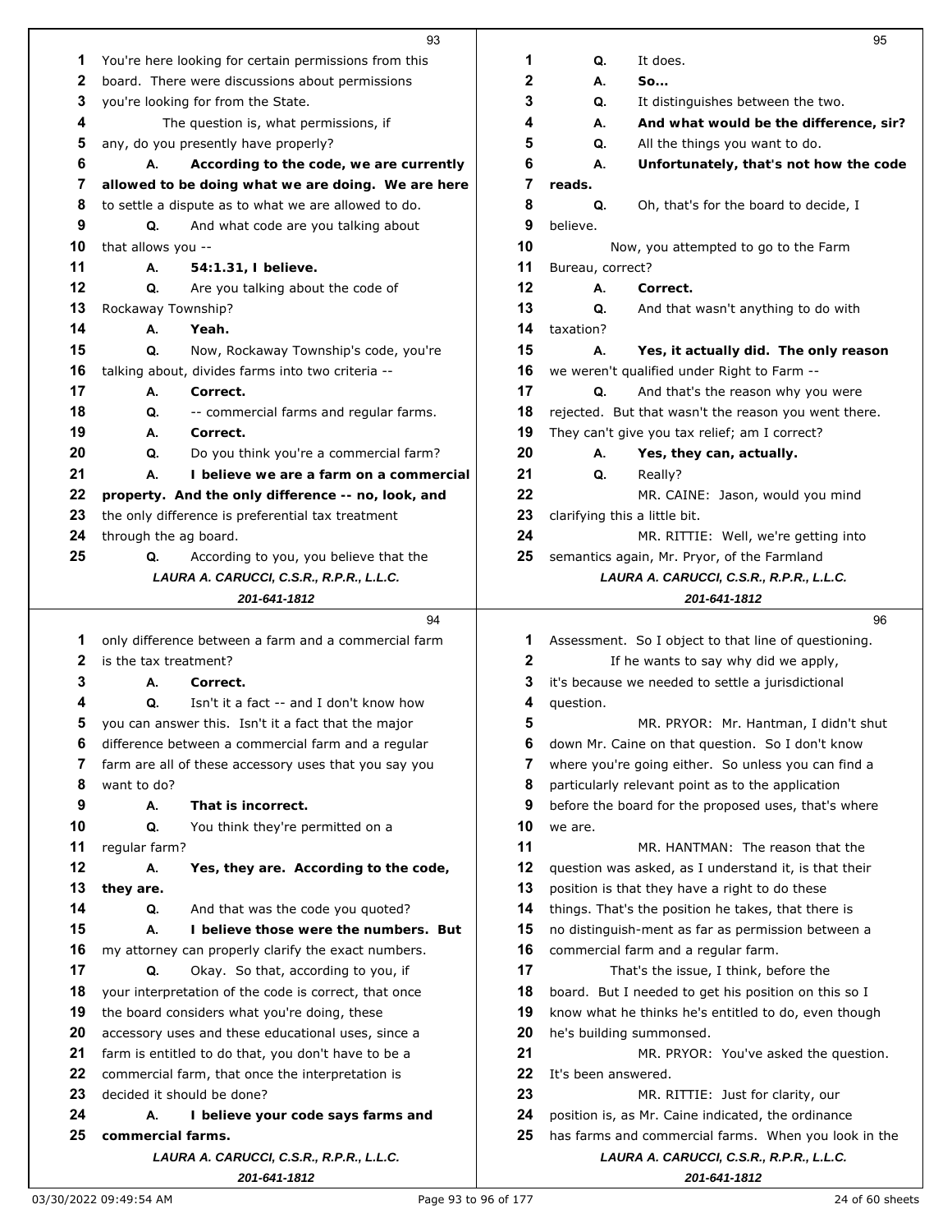|    | 93                                                    |    | 95                                                    |
|----|-------------------------------------------------------|----|-------------------------------------------------------|
| 1  | You're here looking for certain permissions from this | 1  | Q.<br>It does.                                        |
| 2  | board. There were discussions about permissions       | 2  | So<br>А.                                              |
| 3  | you're looking for from the State.                    | 3  | Q.<br>It distinguishes between the two.               |
| 4  | The question is, what permissions, if                 | 4  | А.<br>And what would be the difference, sir?          |
| 5  | any, do you presently have properly?                  | 5  | Q.<br>All the things you want to do.                  |
| 6  | А.<br>According to the code, we are currently         | 6  | Unfortunately, that's not how the code<br>А.          |
| 7  | allowed to be doing what we are doing. We are here    | 7  | reads.                                                |
| 8  | to settle a dispute as to what we are allowed to do.  | 8  | Q.<br>Oh, that's for the board to decide, I           |
| 9  | Q.<br>And what code are you talking about             | 9  | believe.                                              |
| 10 | that allows you --                                    | 10 | Now, you attempted to go to the Farm                  |
| 11 | А.<br>54:1.31, I believe.                             | 11 | Bureau, correct?                                      |
| 12 | Q.<br>Are you talking about the code of               | 12 | А.<br>Correct.                                        |
| 13 | Rockaway Township?                                    | 13 | Q.<br>And that wasn't anything to do with             |
| 14 | А.<br>Yeah.                                           | 14 | taxation?                                             |
| 15 | Q.<br>Now, Rockaway Township's code, you're           | 15 | А.<br>Yes, it actually did. The only reason           |
| 16 | talking about, divides farms into two criteria --     | 16 | we weren't qualified under Right to Farm --           |
| 17 | Correct.<br>А.                                        | 17 | Q.<br>And that's the reason why you were              |
| 18 | Q.<br>-- commercial farms and regular farms.          | 18 | rejected. But that wasn't the reason you went there.  |
| 19 | А.<br>Correct.                                        | 19 | They can't give you tax relief; am I correct?         |
| 20 | Do you think you're a commercial farm?<br>Q.          | 20 | Yes, they can, actually.<br>А.                        |
| 21 | А.<br>I believe we are a farm on a commercial         | 21 | Q.<br>Really?                                         |
| 22 | property. And the only difference -- no, look, and    | 22 | MR. CAINE: Jason, would you mind                      |
| 23 | the only difference is preferential tax treatment     | 23 | clarifying this a little bit.                         |
| 24 | through the ag board.                                 | 24 | MR. RITTIE: Well, we're getting into                  |
| 25 | Q.<br>According to you, you believe that the          | 25 | semantics again, Mr. Pryor, of the Farmland           |
|    | LAURA A. CARUCCI, C.S.R., R.P.R., L.L.C.              |    | LAURA A. CARUCCI, C.S.R., R.P.R., L.L.C.              |
|    | 201-641-1812                                          |    | 201-641-1812                                          |
|    | 94                                                    |    | 96                                                    |
|    |                                                       |    |                                                       |
| 1  | only difference between a farm and a commercial farm  | 1  | Assessment. So I object to that line of questioning.  |
| 2  | is the tax treatment?                                 | 2  | If he wants to say why did we apply,                  |
| 3  | А.<br>Correct.                                        | 3  | it's because we needed to settle a jurisdictional     |
| 4  | Isn't it a fact -- and I don't know how<br>Q.         | 4  | question.                                             |
| 5  | you can answer this. Isn't it a fact that the major   | 5  | MR. PRYOR: Mr. Hantman, I didn't shut                 |
| 6  | difference between a commercial farm and a regular    | 6  | down Mr. Caine on that question. So I don't know      |
| 7  | farm are all of these accessory uses that you say you | 7  | where you're going either. So unless you can find a   |
| 8  | want to do?                                           | 8  | particularly relevant point as to the application     |
| 9  | А.<br>That is incorrect.                              | 9  | before the board for the proposed uses, that's where  |
| 10 | Q.<br>You think they're permitted on a                | 10 | we are.                                               |
| 11 | regular farm?                                         | 11 | MR. HANTMAN: The reason that the                      |
| 12 | А.<br>Yes, they are. According to the code,           | 12 | question was asked, as I understand it, is that their |
| 13 | they are.                                             | 13 | position is that they have a right to do these        |
| 14 | Q.<br>And that was the code you quoted?               | 14 | things. That's the position he takes, that there is   |
| 15 | I believe those were the numbers. But<br>А.           | 15 | no distinguish-ment as far as permission between a    |
| 16 | my attorney can properly clarify the exact numbers.   | 16 | commercial farm and a regular farm.                   |
| 17 | Q.<br>Okay. So that, according to you, if             | 17 | That's the issue, I think, before the                 |
| 18 | your interpretation of the code is correct, that once | 18 | board. But I needed to get his position on this so I  |
| 19 | the board considers what you're doing, these          | 19 | know what he thinks he's entitled to do, even though  |
| 20 | accessory uses and these educational uses, since a    | 20 | he's building summonsed.                              |
| 21 | farm is entitled to do that, you don't have to be a   | 21 | MR. PRYOR: You've asked the question.                 |
| 22 | commercial farm, that once the interpretation is      | 22 | It's been answered.                                   |
| 23 | decided it should be done?                            | 23 | MR. RITTIE: Just for clarity, our                     |
| 24 | I believe your code says farms and<br>А.              | 24 | position is, as Mr. Caine indicated, the ordinance    |
| 25 | commercial farms.                                     | 25 | has farms and commercial farms. When you look in the  |
|    | LAURA A. CARUCCI, C.S.R., R.P.R., L.L.C.              |    | LAURA A. CARUCCI, C.S.R., R.P.R., L.L.C.              |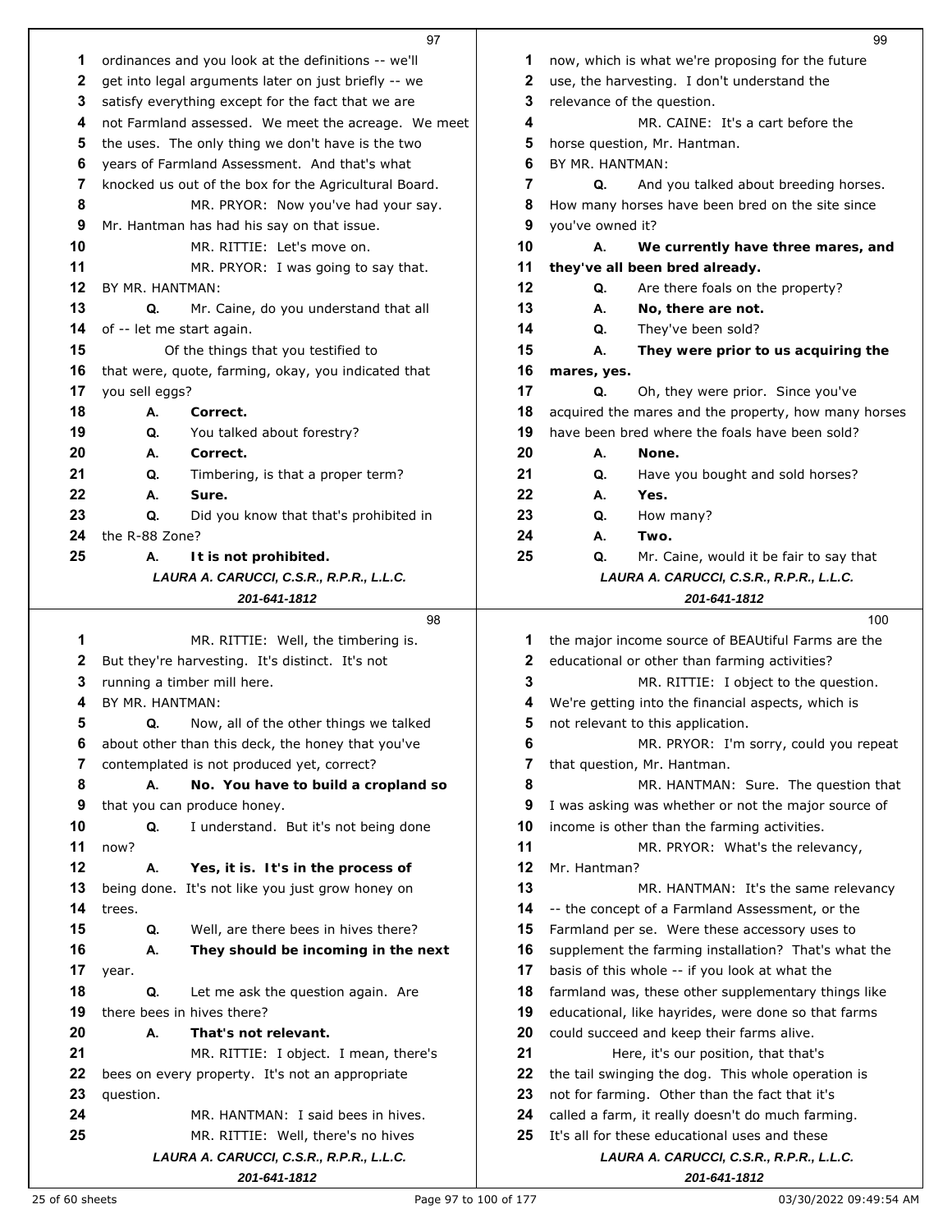|    |                           | 97                                                                             |          |                  | 99                                                                                                 |
|----|---------------------------|--------------------------------------------------------------------------------|----------|------------------|----------------------------------------------------------------------------------------------------|
| 1  |                           | ordinances and you look at the definitions -- we'll                            | 1        |                  | now, which is what we're proposing for the future                                                  |
| 2  |                           | get into legal arguments later on just briefly -- we                           | 2        |                  | use, the harvesting. I don't understand the                                                        |
| 3  |                           | satisfy everything except for the fact that we are                             | 3        |                  | relevance of the question.                                                                         |
| 4  |                           | not Farmland assessed. We meet the acreage. We meet                            | 4        |                  | MR. CAINE: It's a cart before the                                                                  |
| 5  |                           | the uses. The only thing we don't have is the two                              | 5        |                  | horse question, Mr. Hantman.                                                                       |
| 6  |                           | years of Farmland Assessment. And that's what                                  | 6        | BY MR. HANTMAN:  |                                                                                                    |
| 7  |                           | knocked us out of the box for the Agricultural Board.                          | 7        | Q.               | And you talked about breeding horses.                                                              |
| 8  |                           | MR. PRYOR: Now you've had your say.                                            | 8        |                  | How many horses have been bred on the site since                                                   |
| 9  |                           | Mr. Hantman has had his say on that issue.                                     | 9        | you've owned it? |                                                                                                    |
| 10 |                           | MR. RITTIE: Let's move on.                                                     | 10       | А.               | We currently have three mares, and                                                                 |
| 11 |                           | MR. PRYOR: I was going to say that.                                            | 11       |                  | they've all been bred already.                                                                     |
| 12 | BY MR. HANTMAN:           |                                                                                | 12       | Q.               | Are there foals on the property?                                                                   |
| 13 | Q.                        | Mr. Caine, do you understand that all                                          | 13       | А.               | No, there are not.                                                                                 |
| 14 | of -- let me start again. |                                                                                | 14       | Q.               | They've been sold?                                                                                 |
| 15 |                           | Of the things that you testified to                                            | 15       | А.               | They were prior to us acquiring the                                                                |
| 16 |                           | that were, quote, farming, okay, you indicated that                            | 16       | mares, yes.      |                                                                                                    |
| 17 | you sell eggs?            |                                                                                | 17       | Q.               | Oh, they were prior. Since you've                                                                  |
| 18 | А.                        | Correct.                                                                       | 18       |                  | acquired the mares and the property, how many horses                                               |
| 19 | Q.                        | You talked about forestry?                                                     | 19       |                  | have been bred where the foals have been sold?                                                     |
| 20 | А.                        | Correct.                                                                       | 20       | А.               | None.                                                                                              |
| 21 | Q.                        | Timbering, is that a proper term?                                              | 21       | Q.               | Have you bought and sold horses?                                                                   |
| 22 | А.                        | Sure.                                                                          | 22       | А.               | Yes.                                                                                               |
| 23 | Q.                        | Did you know that that's prohibited in                                         | 23       | Q.               | How many?                                                                                          |
| 24 | the R-88 Zone?            |                                                                                | 24       | А.               | Two.                                                                                               |
| 25 | А.                        | It is not prohibited.                                                          | 25       | Q.               | Mr. Caine, would it be fair to say that                                                            |
|    |                           | LAURA A. CARUCCI, C.S.R., R.P.R., L.L.C.                                       |          |                  | LAURA A. CARUCCI, C.S.R., R.P.R., L.L.C.                                                           |
|    |                           | 201-641-1812                                                                   |          |                  | 201-641-1812                                                                                       |
|    |                           |                                                                                |          |                  |                                                                                                    |
|    |                           | 98                                                                             |          |                  | 100                                                                                                |
| 1  |                           | MR. RITTIE: Well, the timbering is.                                            | 1        |                  | the major income source of BEAUtiful Farms are the                                                 |
| 2  |                           | But they're harvesting. It's distinct. It's not                                | 2        |                  | educational or other than farming activities?                                                      |
| 3  |                           | running a timber mill here.                                                    | 3        |                  | MR. RITTIE: I object to the question.                                                              |
| 4  | BY MR. HANTMAN:           |                                                                                | 4        |                  | We're getting into the financial aspects, which is                                                 |
| 5  | Q.                        | Now, all of the other things we talked                                         | 5        |                  | not relevant to this application.                                                                  |
| 6  |                           | about other than this deck, the honey that you've                              | 6        |                  | MR. PRYOR: I'm sorry, could you repeat                                                             |
| 7  |                           | contemplated is not produced yet, correct?                                     | 7        |                  | that question, Mr. Hantman.                                                                        |
| 8  | А.                        | No. You have to build a cropland so                                            | 8        |                  | MR. HANTMAN: Sure. The question that                                                               |
| 9  |                           | that you can produce honey.                                                    | 9        |                  | I was asking was whether or not the major source of                                                |
| 10 | Q.                        | I understand. But it's not being done                                          | 10       |                  | income is other than the farming activities.                                                       |
| 11 | now?                      |                                                                                | 11       |                  | MR. PRYOR: What's the relevancy,                                                                   |
| 12 | А.                        | Yes, it is. It's in the process of                                             | 12       | Mr. Hantman?     |                                                                                                    |
| 13 |                           | being done. It's not like you just grow honey on                               | 13       |                  | MR. HANTMAN: It's the same relevancy                                                               |
| 14 | trees.                    |                                                                                | 14       |                  | -- the concept of a Farmland Assessment, or the                                                    |
| 15 | Q.                        | Well, are there bees in hives there?                                           | 15       |                  | Farmland per se. Were these accessory uses to                                                      |
| 16 | А.                        | They should be incoming in the next                                            | 16       |                  | supplement the farming installation? That's what the                                               |
| 17 | year.                     |                                                                                | 17       |                  | basis of this whole -- if you look at what the                                                     |
| 18 | Q.                        | Let me ask the question again. Are                                             | 18       |                  | farmland was, these other supplementary things like                                                |
| 19 |                           | there bees in hives there?                                                     | 19       |                  | educational, like hayrides, were done so that farms                                                |
| 20 | А.                        | That's not relevant.                                                           | 20<br>21 |                  | could succeed and keep their farms alive.                                                          |
| 21 |                           | MR. RITTIE: I object. I mean, there's                                          | 22       |                  | Here, it's our position, that that's                                                               |
| 22 |                           | bees on every property. It's not an appropriate                                | 23       |                  | the tail swinging the dog. This whole operation is                                                 |
| 23 | question.                 | MR. HANTMAN: I said bees in hives.                                             | 24       |                  | not for farming. Other than the fact that it's                                                     |
| 24 |                           |                                                                                | 25       |                  | called a farm, it really doesn't do much farming.<br>It's all for these educational uses and these |
| 25 |                           | MR. RITTIE: Well, there's no hives<br>LAURA A. CARUCCI, C.S.R., R.P.R., L.L.C. |          |                  | LAURA A. CARUCCI, C.S.R., R.P.R., L.L.C.                                                           |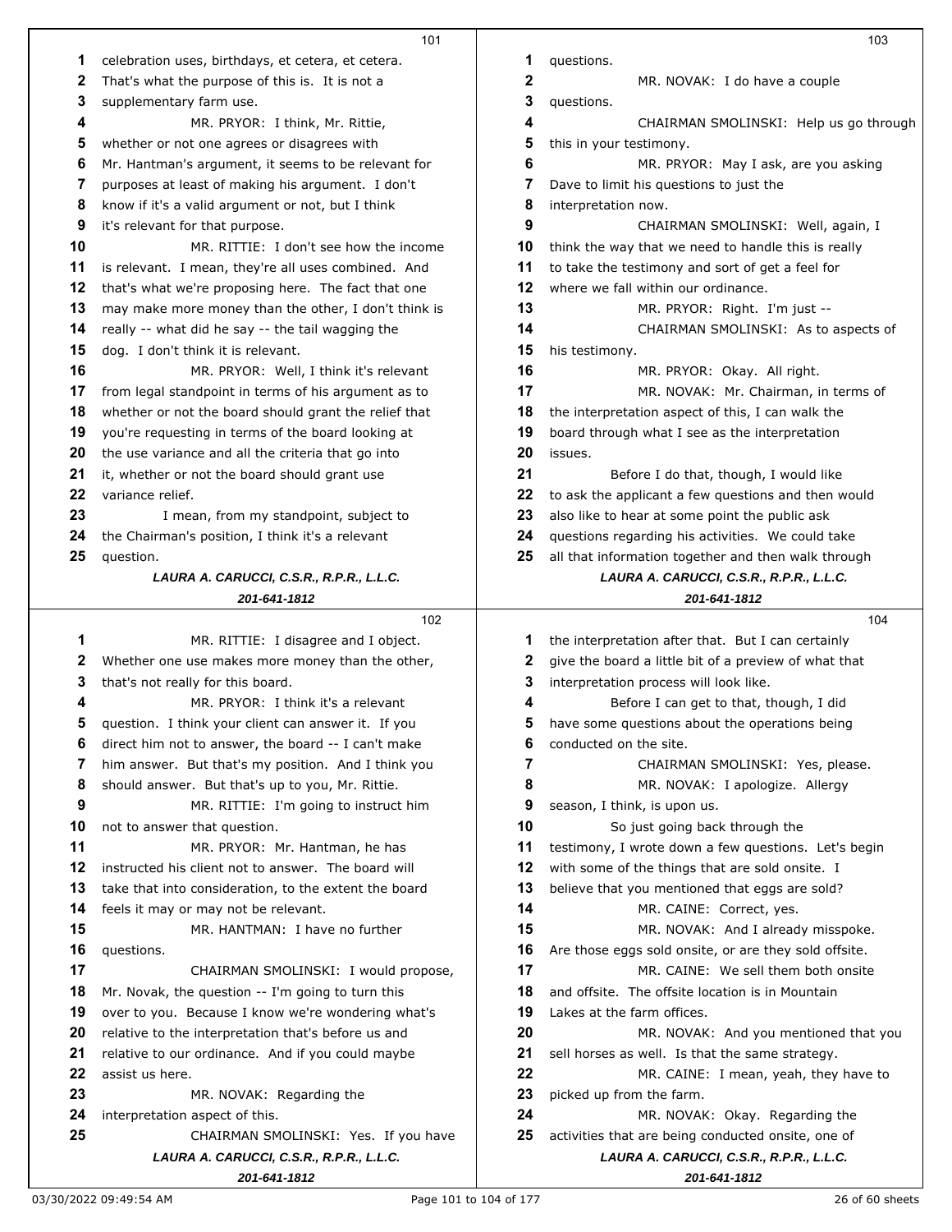|    | 101                                                                   |    | 103                                                   |
|----|-----------------------------------------------------------------------|----|-------------------------------------------------------|
| 1  | celebration uses, birthdays, et cetera, et cetera.                    | 1  | questions.                                            |
| 2  | That's what the purpose of this is. It is not a                       | 2  | MR. NOVAK: I do have a couple                         |
| 3  | supplementary farm use.                                               | 3  | questions.                                            |
| 4  | MR. PRYOR: I think, Mr. Rittie,                                       | 4  | CHAIRMAN SMOLINSKI: Help us go through                |
| 5  | whether or not one agrees or disagrees with                           | 5  | this in your testimony.                               |
| 6  |                                                                       | 6  |                                                       |
|    | Mr. Hantman's argument, it seems to be relevant for                   |    | MR. PRYOR: May I ask, are you asking                  |
| 7  | purposes at least of making his argument. I don't                     | 7  | Dave to limit his questions to just the               |
| 8  | know if it's a valid argument or not, but I think                     | 8  | interpretation now.                                   |
| 9  | it's relevant for that purpose.                                       | 9  | CHAIRMAN SMOLINSKI: Well, again, I                    |
| 10 | MR. RITTIE: I don't see how the income                                | 10 | think the way that we need to handle this is really   |
| 11 | is relevant. I mean, they're all uses combined. And                   | 11 | to take the testimony and sort of get a feel for      |
| 12 | that's what we're proposing here. The fact that one                   | 12 | where we fall within our ordinance.                   |
| 13 | may make more money than the other, I don't think is                  | 13 | MR. PRYOR: Right. I'm just --                         |
| 14 | really -- what did he say -- the tail wagging the                     | 14 | CHAIRMAN SMOLINSKI: As to aspects of                  |
| 15 | dog. I don't think it is relevant.                                    | 15 | his testimony.                                        |
| 16 | MR. PRYOR: Well, I think it's relevant                                | 16 | MR. PRYOR: Okay. All right.                           |
| 17 | from legal standpoint in terms of his argument as to                  | 17 | MR. NOVAK: Mr. Chairman, in terms of                  |
| 18 | whether or not the board should grant the relief that                 | 18 | the interpretation aspect of this, I can walk the     |
| 19 | you're requesting in terms of the board looking at                    | 19 | board through what I see as the interpretation        |
| 20 | the use variance and all the criteria that go into                    | 20 | issues.                                               |
| 21 | it, whether or not the board should grant use                         | 21 | Before I do that, though, I would like                |
| 22 | variance relief.                                                      | 22 | to ask the applicant a few questions and then would   |
|    |                                                                       |    |                                                       |
| 23 | I mean, from my standpoint, subject to                                | 23 | also like to hear at some point the public ask        |
| 24 | the Chairman's position, I think it's a relevant                      | 24 | questions regarding his activities. We could take     |
| 25 | question.                                                             | 25 | all that information together and then walk through   |
|    | LAURA A. CARUCCI, C.S.R., R.P.R., L.L.C.                              |    | LAURA A. CARUCCI, C.S.R., R.P.R., L.L.C.              |
|    | 201-641-1812                                                          |    | 201-641-1812                                          |
|    |                                                                       |    |                                                       |
|    | 102                                                                   |    | 104                                                   |
| 1  | MR. RITTIE: I disagree and I object.                                  | 1  | the interpretation after that. But I can certainly    |
| 2  | Whether one use makes more money than the other,                      | 2  | give the board a little bit of a preview of what that |
| 3  | that's not really for this board.                                     | 3  | interpretation process will look like.                |
| 4  | MR. PRYOR: I think it's a relevant                                    | 4  | Before I can get to that, though, I did               |
| 5  | question. I think your client can answer it. If you                   | 5  | have some questions about the operations being        |
| 6  | direct him not to answer, the board -- I can't make                   | 6  | conducted on the site.                                |
| 7  | him answer. But that's my position. And I think you                   | 7  | CHAIRMAN SMOLINSKI: Yes, please.                      |
| 8  | should answer. But that's up to you, Mr. Rittie.                      | 8  | MR. NOVAK: I apologize. Allergy                       |
| 9  |                                                                       | 9  |                                                       |
| 10 | MR. RITTIE: I'm going to instruct him<br>not to answer that question. | 10 | season, I think, is upon us.                          |
|    |                                                                       |    | So just going back through the                        |
| 11 | MR. PRYOR: Mr. Hantman, he has                                        | 11 | testimony, I wrote down a few questions. Let's begin  |
| 12 | instructed his client not to answer. The board will                   | 12 | with some of the things that are sold onsite. I       |
| 13 | take that into consideration, to the extent the board                 | 13 | believe that you mentioned that eggs are sold?        |
| 14 | feels it may or may not be relevant.                                  | 14 | MR. CAINE: Correct, yes.                              |
| 15 | MR. HANTMAN: I have no further                                        | 15 | MR. NOVAK: And I already misspoke.                    |
| 16 | questions.                                                            | 16 | Are those eggs sold onsite, or are they sold offsite. |
| 17 | CHAIRMAN SMOLINSKI: I would propose,                                  | 17 | MR. CAINE: We sell them both onsite                   |
| 18 | Mr. Novak, the question -- I'm going to turn this                     | 18 | and offsite. The offsite location is in Mountain      |
| 19 | over to you. Because I know we're wondering what's                    | 19 | Lakes at the farm offices.                            |
| 20 | relative to the interpretation that's before us and                   | 20 | MR. NOVAK: And you mentioned that you                 |
| 21 | relative to our ordinance. And if you could maybe                     | 21 | sell horses as well. Is that the same strategy.       |
| 22 | assist us here.                                                       | 22 | MR. CAINE: I mean, yeah, they have to                 |
| 23 | MR. NOVAK: Regarding the                                              | 23 | picked up from the farm.                              |
| 24 | interpretation aspect of this.                                        | 24 | MR. NOVAK: Okay. Regarding the                        |
| 25 | CHAIRMAN SMOLINSKI: Yes. If you have                                  | 25 | activities that are being conducted onsite, one of    |
|    | LAURA A. CARUCCI, C.S.R., R.P.R., L.L.C.                              |    | LAURA A. CARUCCI, C.S.R., R.P.R., L.L.C.              |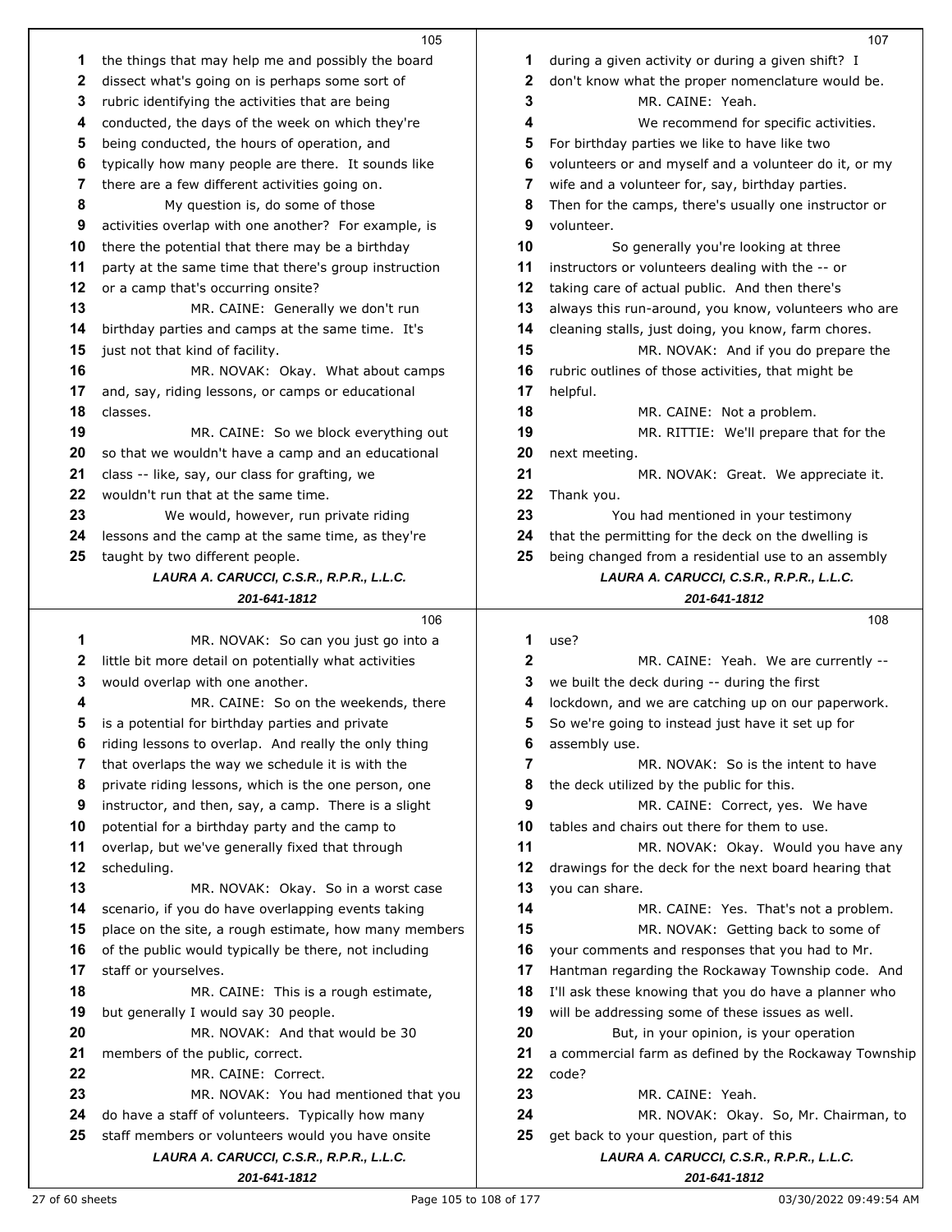|          | 105                                                                                    |          | 107                                                      |
|----------|----------------------------------------------------------------------------------------|----------|----------------------------------------------------------|
| 1        | the things that may help me and possibly the board                                     | 1        | during a given activity or during a given shift? I       |
| 2        | dissect what's going on is perhaps some sort of                                        | 2        | don't know what the proper nomenclature would be.        |
| 3        | rubric identifying the activities that are being                                       | 3        | MR. CAINE: Yeah.                                         |
| 4        | conducted, the days of the week on which they're                                       | 4        | We recommend for specific activities.                    |
| 5        | being conducted, the hours of operation, and                                           | 5        | For birthday parties we like to have like two            |
| 6        | typically how many people are there. It sounds like                                    | 6        | volunteers or and myself and a volunteer do it, or my    |
| 7        | there are a few different activities going on.                                         | 7        | wife and a volunteer for, say, birthday parties.         |
| 8        | My question is, do some of those                                                       | 8        | Then for the camps, there's usually one instructor or    |
| 9        | activities overlap with one another? For example, is                                   | 9        | volunteer.                                               |
| 10       | there the potential that there may be a birthday                                       | 10       | So generally you're looking at three                     |
| 11       | party at the same time that there's group instruction                                  | 11       | instructors or volunteers dealing with the -- or         |
| 12       | or a camp that's occurring onsite?                                                     | 12       | taking care of actual public. And then there's           |
| 13       | MR. CAINE: Generally we don't run                                                      | 13       | always this run-around, you know, volunteers who are     |
| 14       | birthday parties and camps at the same time. It's                                      | 14       |                                                          |
| 15       |                                                                                        | 15       | cleaning stalls, just doing, you know, farm chores.      |
|          | just not that kind of facility.                                                        |          | MR. NOVAK: And if you do prepare the                     |
| 16<br>17 | MR. NOVAK: Okay. What about camps<br>and, say, riding lessons, or camps or educational | 16<br>17 | rubric outlines of those activities, that might be       |
|          |                                                                                        |          | helpful.                                                 |
| 18       | classes.                                                                               | 18       | MR. CAINE: Not a problem.                                |
| 19       | MR. CAINE: So we block everything out                                                  | 19       | MR. RITTIE: We'll prepare that for the                   |
| 20       | so that we wouldn't have a camp and an educational                                     | 20       | next meeting.                                            |
| 21       | class -- like, say, our class for grafting, we                                         | 21       | MR. NOVAK: Great. We appreciate it.                      |
| 22       | wouldn't run that at the same time.                                                    | 22       | Thank you.                                               |
| 23       | We would, however, run private riding                                                  | 23       | You had mentioned in your testimony                      |
| 24       | lessons and the camp at the same time, as they're                                      | 24       | that the permitting for the deck on the dwelling is      |
| 25       | taught by two different people.                                                        | 25       | being changed from a residential use to an assembly      |
|          | LAURA A. CARUCCI, C.S.R., R.P.R., L.L.C.                                               |          | LAURA A. CARUCCI, C.S.R., R.P.R., L.L.C.                 |
|          | 201-641-1812                                                                           |          | 201-641-1812                                             |
|          |                                                                                        |          |                                                          |
|          | 106                                                                                    |          | 108                                                      |
| 1        | MR. NOVAK: So can you just go into a                                                   | 1        | use?                                                     |
| 2        | little bit more detail on potentially what activities                                  | 2        | MR. CAINE: Yeah. We are currently --                     |
| 3        | would overlap with one another.                                                        | 3        | we built the deck during -- during the first             |
| 4        | MR. CAINE: So on the weekends, there                                                   | 4        | lockdown, and we are catching up on our paperwork.       |
| 5        | is a potential for birthday parties and private                                        | 5        | So we're going to instead just have it set up for        |
| 6        | riding lessons to overlap. And really the only thing                                   | 6        | assembly use.                                            |
| 7        | that overlaps the way we schedule it is with the                                       | 7        | MR. NOVAK: So is the intent to have                      |
| 8        | private riding lessons, which is the one person, one                                   | 8        | the deck utilized by the public for this.                |
| 9        | instructor, and then, say, a camp. There is a slight                                   | 9        | MR. CAINE: Correct, yes. We have                         |
| 10       | potential for a birthday party and the camp to                                         | 10       | tables and chairs out there for them to use.             |
| 11       | overlap, but we've generally fixed that through                                        | 11       | MR. NOVAK: Okay. Would you have any                      |
| 12       | scheduling.                                                                            | 12       | drawings for the deck for the next board hearing that    |
| 13       | MR. NOVAK: Okay. So in a worst case                                                    | 13       | you can share.                                           |
| 14       | scenario, if you do have overlapping events taking                                     | 14       | MR. CAINE: Yes. That's not a problem.                    |
| 15       | place on the site, a rough estimate, how many members                                  | 15       | MR. NOVAK: Getting back to some of                       |
| 16       | of the public would typically be there, not including                                  | 16       | your comments and responses that you had to Mr.          |
| 17       | staff or yourselves.                                                                   | 17       | Hantman regarding the Rockaway Township code. And        |
| 18       | MR. CAINE: This is a rough estimate,                                                   | 18       | I'll ask these knowing that you do have a planner who    |
| 19       | but generally I would say 30 people.                                                   | 19       | will be addressing some of these issues as well.         |
| 20       | MR. NOVAK: And that would be 30                                                        | 20       | But, in your opinion, is your operation                  |
| 21       | members of the public, correct.                                                        | 21       | a commercial farm as defined by the Rockaway Township    |
| 22       | MR. CAINE: Correct.                                                                    | 22       | code?                                                    |
| 23       | MR. NOVAK: You had mentioned that you                                                  | 23       | MR. CAINE: Yeah.                                         |
| 24       | do have a staff of volunteers. Typically how many                                      | 24       | MR. NOVAK: Okay. So, Mr. Chairman, to                    |
| 25       | staff members or volunteers would you have onsite                                      | 25       | get back to your question, part of this                  |
|          | LAURA A. CARUCCI, C.S.R., R.P.R., L.L.C.<br>201-641-1812                               |          | LAURA A. CARUCCI, C.S.R., R.P.R., L.L.C.<br>201-641-1812 |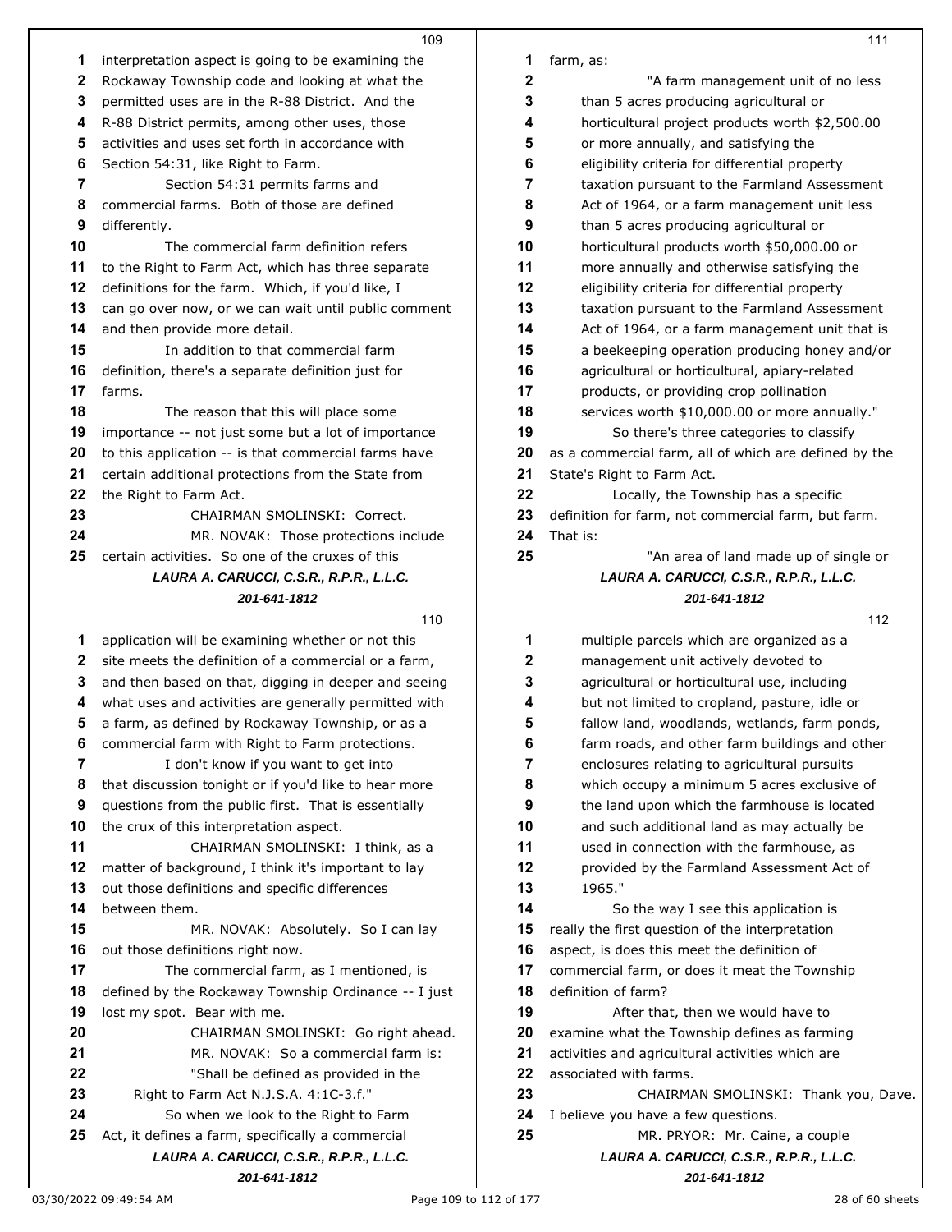| 1  |                                                                                               |    |                                                                            |
|----|-----------------------------------------------------------------------------------------------|----|----------------------------------------------------------------------------|
|    | interpretation aspect is going to be examining the                                            | 1  | farm, as:                                                                  |
| 2  | Rockaway Township code and looking at what the                                                | 2  | "A farm management unit of no less                                         |
| 3  | permitted uses are in the R-88 District. And the                                              | 3  | than 5 acres producing agricultural or                                     |
| 4  | R-88 District permits, among other uses, those                                                | 4  | horticultural project products worth \$2,500.00                            |
| 5  | activities and uses set forth in accordance with                                              | 5  | or more annually, and satisfying the                                       |
| 6  | Section 54:31, like Right to Farm.                                                            | 6  | eligibility criteria for differential property                             |
| 7  | Section 54:31 permits farms and                                                               | 7  | taxation pursuant to the Farmland Assessment                               |
| 8  | commercial farms. Both of those are defined                                                   | 8  | Act of 1964, or a farm management unit less                                |
| 9  | differently.                                                                                  | 9  | than 5 acres producing agricultural or                                     |
| 10 | The commercial farm definition refers                                                         | 10 | horticultural products worth \$50,000.00 or                                |
| 11 | to the Right to Farm Act, which has three separate                                            | 11 | more annually and otherwise satisfying the                                 |
| 12 | definitions for the farm. Which, if you'd like, I                                             | 12 | eligibility criteria for differential property                             |
| 13 | can go over now, or we can wait until public comment                                          | 13 | taxation pursuant to the Farmland Assessment                               |
| 14 | and then provide more detail.                                                                 | 14 | Act of 1964, or a farm management unit that is                             |
| 15 | In addition to that commercial farm                                                           | 15 | a beekeeping operation producing honey and/or                              |
| 16 | definition, there's a separate definition just for                                            | 16 | agricultural or horticultural, apiary-related                              |
| 17 | farms.                                                                                        | 17 | products, or providing crop pollination                                    |
| 18 | The reason that this will place some                                                          | 18 | services worth \$10,000.00 or more annually."                              |
| 19 | importance -- not just some but a lot of importance                                           | 19 | So there's three categories to classify                                    |
| 20 | to this application -- is that commercial farms have                                          | 20 | as a commercial farm, all of which are defined by the                      |
| 21 | certain additional protections from the State from                                            | 21 | State's Right to Farm Act.                                                 |
| 22 | the Right to Farm Act.                                                                        | 22 | Locally, the Township has a specific                                       |
| 23 | CHAIRMAN SMOLINSKI: Correct.                                                                  | 23 | definition for farm, not commercial farm, but farm.                        |
| 24 | MR. NOVAK: Those protections include                                                          | 24 | That is:                                                                   |
| 25 | certain activities. So one of the cruxes of this                                              | 25 | "An area of land made up of single or                                      |
|    | LAURA A. CARUCCI, C.S.R., R.P.R., L.L.C.                                                      |    | LAURA A. CARUCCI, C.S.R., R.P.R., L.L.C.                                   |
|    | 201-641-1812                                                                                  |    | 201-641-1812                                                               |
|    | 110                                                                                           |    | 112                                                                        |
| 1  | application will be examining whether or not this                                             | 1  | multiple parcels which are organized as a                                  |
| 2  | site meets the definition of a commercial or a farm,                                          | 2  | management unit actively devoted to                                        |
|    |                                                                                               | 3  | agricultural or horticultural use, including                               |
| 3  | and then based on that, digging in deeper and seeing                                          |    |                                                                            |
| 4  | what uses and activities are generally permitted with                                         | 4  | but not limited to cropland, pasture, idle or                              |
| 5  | a farm, as defined by Rockaway Township, or as a                                              | 5  | fallow land, woodlands, wetlands, farm ponds,                              |
|    | commercial farm with Right to Farm protections.                                               | 6  | farm roads, and other farm buildings and other                             |
| 7  | I don't know if you want to get into                                                          | 7  | enclosures relating to agricultural pursuits                               |
| 8  | that discussion tonight or if you'd like to hear more                                         | 8  | which occupy a minimum 5 acres exclusive of                                |
| 9  | questions from the public first. That is essentially                                          | 9  | the land upon which the farmhouse is located                               |
| 10 | the crux of this interpretation aspect.                                                       | 10 | and such additional land as may actually be                                |
| 11 | CHAIRMAN SMOLINSKI: I think, as a                                                             | 11 | used in connection with the farmhouse, as                                  |
| 12 | matter of background, I think it's important to lay                                           | 12 | provided by the Farmland Assessment Act of                                 |
| 13 | out those definitions and specific differences                                                | 13 | 1965."                                                                     |
| 14 | between them.                                                                                 | 14 | So the way I see this application is                                       |
| 15 | MR. NOVAK: Absolutely. So I can lay                                                           | 15 | really the first question of the interpretation                            |
| 16 | out those definitions right now.                                                              | 16 | aspect, is does this meet the definition of                                |
| 17 | The commercial farm, as I mentioned, is                                                       | 17 | commercial farm, or does it meat the Township                              |
| 18 | defined by the Rockaway Township Ordinance -- I just                                          | 18 | definition of farm?                                                        |
| 19 | lost my spot. Bear with me.                                                                   | 19 | After that, then we would have to                                          |
| 20 | CHAIRMAN SMOLINSKI: Go right ahead.                                                           | 20 | examine what the Township defines as farming                               |
| 21 | MR. NOVAK: So a commercial farm is:                                                           | 21 | activities and agricultural activities which are                           |
| 22 | "Shall be defined as provided in the                                                          | 22 | associated with farms.                                                     |
| 23 | Right to Farm Act N.J.S.A. 4:1C-3.f."                                                         | 23 | CHAIRMAN SMOLINSKI: Thank you, Dave.                                       |
| 24 | So when we look to the Right to Farm                                                          | 24 | I believe you have a few questions.                                        |
| 25 | Act, it defines a farm, specifically a commercial<br>LAURA A. CARUCCI, C.S.R., R.P.R., L.L.C. | 25 | MR. PRYOR: Mr. Caine, a couple<br>LAURA A. CARUCCI, C.S.R., R.P.R., L.L.C. |

## 03/30/2022 09:49:54 AM 28 of 60 sheets

*201-641-1812*

*201-641-1812*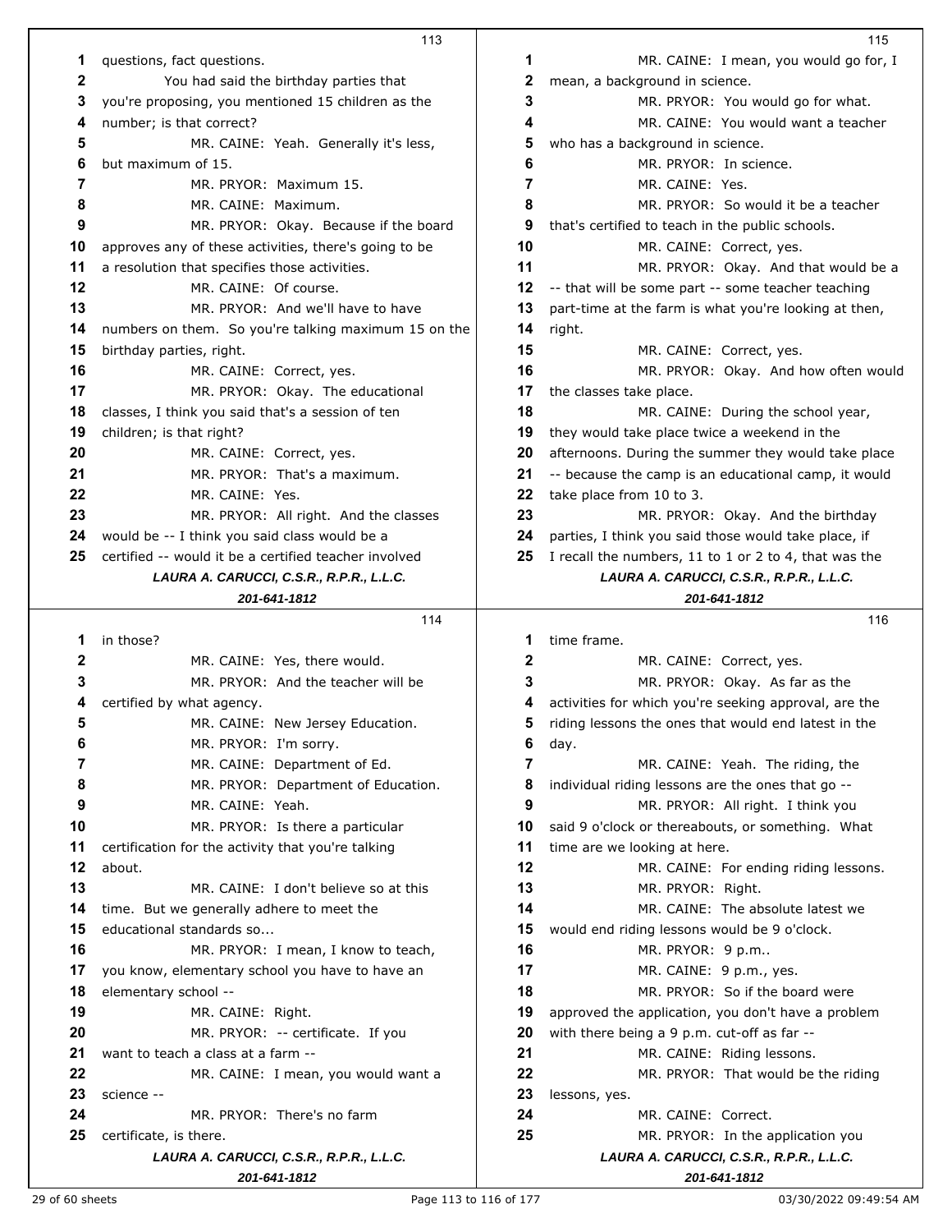|              | 113                                                      |    | 115                                                      |
|--------------|----------------------------------------------------------|----|----------------------------------------------------------|
| 1            | questions, fact questions.                               | 1  | MR. CAINE: I mean, you would go for, I                   |
| $\mathbf{2}$ | You had said the birthday parties that                   | 2  | mean, a background in science.                           |
| 3            | you're proposing, you mentioned 15 children as the       | 3  | MR. PRYOR: You would go for what.                        |
| 4            | number; is that correct?                                 | 4  | MR. CAINE: You would want a teacher                      |
| 5            | MR. CAINE: Yeah. Generally it's less,                    | 5  | who has a background in science.                         |
| 6            | but maximum of 15.                                       | 6  | MR. PRYOR: In science.                                   |
| 7            | MR. PRYOR: Maximum 15.                                   | 7  | MR. CAINE: Yes.                                          |
| 8            | MR. CAINE: Maximum.                                      | 8  | MR. PRYOR: So would it be a teacher                      |
| 9            | MR. PRYOR: Okay. Because if the board                    | 9  | that's certified to teach in the public schools.         |
| 10           | approves any of these activities, there's going to be    | 10 | MR. CAINE: Correct, yes.                                 |
| 11           | a resolution that specifies those activities.            | 11 | MR. PRYOR: Okay. And that would be a                     |
| 12           | MR. CAINE: Of course.                                    | 12 | -- that will be some part -- some teacher teaching       |
| 13           | MR. PRYOR: And we'll have to have                        | 13 | part-time at the farm is what you're looking at then,    |
| 14           | numbers on them. So you're talking maximum 15 on the     | 14 | right.                                                   |
| 15           | birthday parties, right.                                 | 15 | MR. CAINE: Correct, yes.                                 |
| 16           | MR. CAINE: Correct, yes.                                 | 16 | MR. PRYOR: Okay. And how often would                     |
| 17           | MR. PRYOR: Okay. The educational                         | 17 | the classes take place.                                  |
| 18           | classes, I think you said that's a session of ten        | 18 | MR. CAINE: During the school year,                       |
| 19           | children; is that right?                                 | 19 | they would take place twice a weekend in the             |
| 20           | MR. CAINE: Correct, yes.                                 | 20 | afternoons. During the summer they would take place      |
| 21           | MR. PRYOR: That's a maximum.                             | 21 | -- because the camp is an educational camp, it would     |
| 22           | MR. CAINE: Yes.                                          | 22 | take place from 10 to 3.                                 |
| 23           | MR. PRYOR: All right. And the classes                    | 23 | MR. PRYOR: Okay. And the birthday                        |
| 24           | would be -- I think you said class would be a            | 24 | parties, I think you said those would take place, if     |
| 25           | certified -- would it be a certified teacher involved    | 25 | I recall the numbers, 11 to 1 or 2 to 4, that was the    |
|              | LAURA A. CARUCCI, C.S.R., R.P.R., L.L.C.                 |    | LAURA A. CARUCCI, C.S.R., R.P.R., L.L.C.                 |
|              | 201-641-1812                                             |    | 201-641-1812                                             |
|              | 114                                                      |    | 116                                                      |
| 1            | in those?                                                | 1  | time frame.                                              |
| 2            | MR. CAINE: Yes, there would.                             | 2  | MR. CAINE: Correct, yes.                                 |
| 3            | MR. PRYOR: And the teacher will be                       | 3  | MR. PRYOR: Okay. As far as the                           |
| 4            | certified by what agency.                                | 4  | activities for which you're seeking approval, are the    |
| 5            | MR. CAINE: New Jersey Education.                         | 5  | riding lessons the ones that would end latest in the     |
| 6            | MR. PRYOR: I'm sorry.                                    | 6  | day.                                                     |
| 7            | MR. CAINE: Department of Ed.                             | 7  |                                                          |
| 8            |                                                          |    | MR. CAINE: Yeah. The riding, the                         |
|              | MR. PRYOR: Department of Education.                      | 8  | individual riding lessons are the ones that go --        |
| 9            | MR. CAINE: Yeah.                                         | 9  | MR. PRYOR: All right. I think you                        |
| 10           | MR. PRYOR: Is there a particular                         | 10 | said 9 o'clock or thereabouts, or something. What        |
| 11           | certification for the activity that you're talking       | 11 | time are we looking at here.                             |
| 12           | about.                                                   | 12 | MR. CAINE: For ending riding lessons.                    |
| 13           | MR. CAINE: I don't believe so at this                    | 13 | MR. PRYOR: Right.                                        |
| 14           | time. But we generally adhere to meet the                | 14 | MR. CAINE: The absolute latest we                        |
| 15           | educational standards so                                 | 15 | would end riding lessons would be 9 o'clock.             |
| 16           | MR. PRYOR: I mean, I know to teach,                      | 16 | MR. PRYOR: 9 p.m                                         |
| 17           | you know, elementary school you have to have an          | 17 | MR. CAINE: 9 p.m., yes.                                  |
| 18           | elementary school --                                     | 18 | MR. PRYOR: So if the board were                          |
| 19           | MR. CAINE: Right.                                        | 19 | approved the application, you don't have a problem       |
| 20           | MR. PRYOR: -- certificate. If you                        | 20 | with there being a 9 p.m. cut-off as far --              |
| 21           | want to teach a class at a farm --                       | 21 | MR. CAINE: Riding lessons.                               |
| 22           | MR. CAINE: I mean, you would want a                      | 22 | MR. PRYOR: That would be the riding                      |
| 23           | science --                                               | 23 | lessons, yes.                                            |
| 24           | MR. PRYOR: There's no farm                               | 24 | MR. CAINE: Correct.                                      |
| 25           | certificate, is there.                                   | 25 | MR. PRYOR: In the application you                        |
|              | LAURA A. CARUCCI, C.S.R., R.P.R., L.L.C.<br>201-641-1812 |    | LAURA A. CARUCCI, C.S.R., R.P.R., L.L.C.<br>201-641-1812 |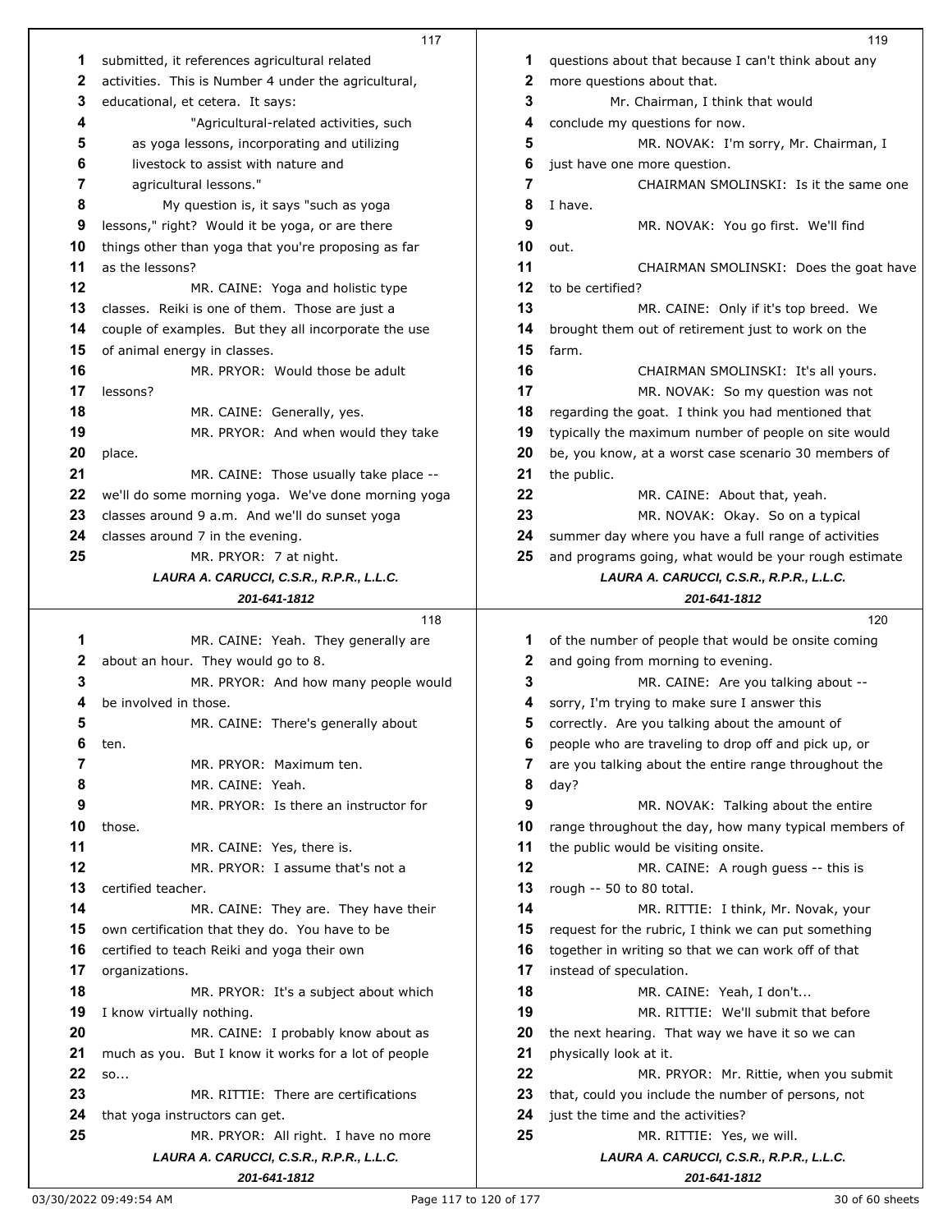|    | 117                                                             |    | 119                                                      |
|----|-----------------------------------------------------------------|----|----------------------------------------------------------|
| 1  | submitted, it references agricultural related                   | 1  | questions about that because I can't think about any     |
| 2  | activities. This is Number 4 under the agricultural,            | 2  | more questions about that.                               |
| 3  | educational, et cetera. It says:                                | 3  | Mr. Chairman, I think that would                         |
| 4  | "Agricultural-related activities, such                          | 4  | conclude my questions for now.                           |
| 5  | as yoga lessons, incorporating and utilizing                    | 5  | MR. NOVAK: I'm sorry, Mr. Chairman, I                    |
| 6  | livestock to assist with nature and                             | 6  | just have one more question.                             |
| 7  | agricultural lessons."                                          | 7  | CHAIRMAN SMOLINSKI: Is it the same one                   |
| 8  | My question is, it says "such as yoga                           | 8  | I have.                                                  |
| 9  | lessons," right? Would it be yoga, or are there                 | 9  | MR. NOVAK: You go first. We'll find                      |
| 10 | things other than yoga that you're proposing as far             | 10 | out.                                                     |
| 11 | as the lessons?                                                 | 11 | CHAIRMAN SMOLINSKI: Does the goat have                   |
| 12 | MR. CAINE: Yoga and holistic type                               | 12 | to be certified?                                         |
| 13 | classes. Reiki is one of them. Those are just a                 | 13 | MR. CAINE: Only if it's top breed. We                    |
| 14 |                                                                 | 14 | brought them out of retirement just to work on the       |
| 15 | couple of examples. But they all incorporate the use            | 15 | farm.                                                    |
| 16 | of animal energy in classes.<br>MR. PRYOR: Would those be adult | 16 |                                                          |
| 17 |                                                                 | 17 | CHAIRMAN SMOLINSKI: It's all yours.                      |
| 18 | lessons?                                                        |    | MR. NOVAK: So my question was not                        |
|    | MR. CAINE: Generally, yes.                                      | 18 | regarding the goat. I think you had mentioned that       |
| 19 | MR. PRYOR: And when would they take                             | 19 | typically the maximum number of people on site would     |
| 20 | place.                                                          | 20 | be, you know, at a worst case scenario 30 members of     |
| 21 | MR. CAINE: Those usually take place --                          | 21 | the public.                                              |
| 22 | we'll do some morning yoga. We've done morning yoga             | 22 | MR. CAINE: About that, yeah.                             |
| 23 | classes around 9 a.m. And we'll do sunset yoga                  | 23 | MR. NOVAK: Okay. So on a typical                         |
| 24 | classes around 7 in the evening.                                | 24 | summer day where you have a full range of activities     |
| 25 | MR. PRYOR: 7 at night.                                          | 25 | and programs going, what would be your rough estimate    |
|    | LAURA A. CARUCCI, C.S.R., R.P.R., L.L.C.                        |    | LAURA A. CARUCCI, C.S.R., R.P.R., L.L.C.                 |
|    | 201-641-1812                                                    |    | 201-641-1812                                             |
|    |                                                                 |    |                                                          |
|    | 118                                                             |    | 120                                                      |
| 1  | MR. CAINE: Yeah. They generally are                             | 1  | of the number of people that would be onsite coming      |
| 2  | about an hour. They would go to 8.                              | 2  | and going from morning to evening.                       |
| 3  | MR. PRYOR: And how many people would                            | 3  | MR. CAINE: Are you talking about --                      |
| 4  | be involved in those.                                           | 4  | sorry, I'm trying to make sure I answer this             |
| 5  | MR. CAINE: There's generally about                              | 5  | correctly. Are you talking about the amount of           |
| 6  | ten.                                                            | 6  | people who are traveling to drop off and pick up, or     |
| 7  | MR. PRYOR: Maximum ten.                                         | 7  | are you talking about the entire range throughout the    |
| 8  | MR. CAINE: Yeah.                                                | 8  | day?                                                     |
| 9  | MR. PRYOR: Is there an instructor for                           | 9  | MR. NOVAK: Talking about the entire                      |
| 10 | those.                                                          | 10 | range throughout the day, how many typical members of    |
| 11 | MR. CAINE: Yes, there is.                                       | 11 | the public would be visiting onsite.                     |
| 12 | MR. PRYOR: I assume that's not a                                | 12 | MR. CAINE: A rough guess -- this is                      |
| 13 | certified teacher.                                              | 13 | rough -- 50 to 80 total.                                 |
| 14 | MR. CAINE: They are. They have their                            | 14 | MR. RITTIE: I think, Mr. Novak, your                     |
| 15 | own certification that they do. You have to be                  | 15 | request for the rubric, I think we can put something     |
| 16 | certified to teach Reiki and yoga their own                     | 16 | together in writing so that we can work off of that      |
| 17 | organizations.                                                  | 17 | instead of speculation.                                  |
| 18 | MR. PRYOR: It's a subject about which                           | 18 | MR. CAINE: Yeah, I don't                                 |
| 19 | I know virtually nothing.                                       | 19 | MR. RITTIE: We'll submit that before                     |
| 20 | MR. CAINE: I probably know about as                             | 20 | the next hearing. That way we have it so we can          |
| 21 | much as you. But I know it works for a lot of people            | 21 | physically look at it.                                   |
| 22 | SO                                                              | 22 | MR. PRYOR: Mr. Rittie, when you submit                   |
| 23 | MR. RITTIE: There are certifications                            | 23 | that, could you include the number of persons, not       |
| 24 | that yoga instructors can get.                                  | 24 | just the time and the activities?                        |
| 25 | MR. PRYOR: All right. I have no more                            | 25 | MR. RITTIE: Yes, we will.                                |
|    | LAURA A. CARUCCI, C.S.R., R.P.R., L.L.C.<br>201-641-1812        |    | LAURA A. CARUCCI, C.S.R., R.P.R., L.L.C.<br>201-641-1812 |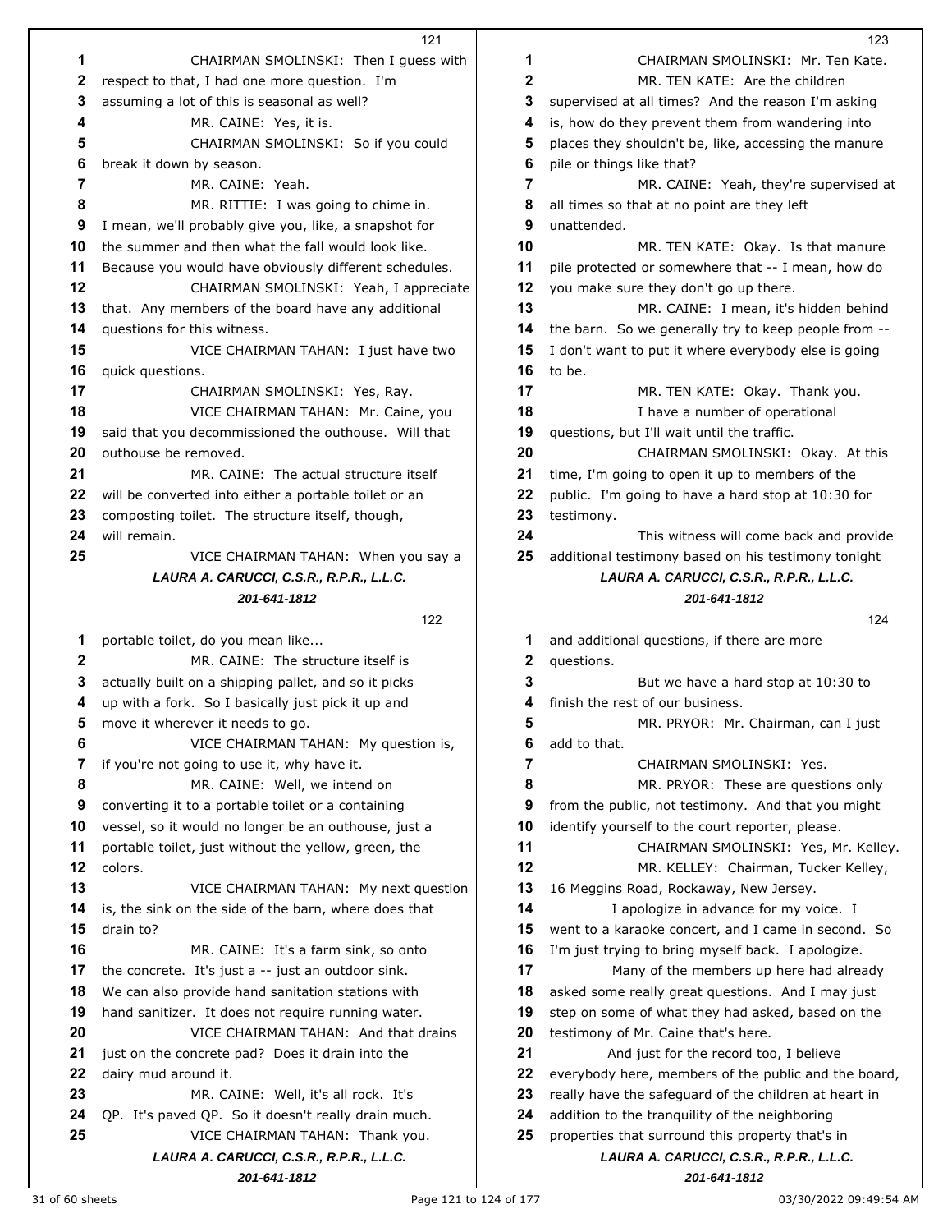|              | 121                                                                     |    | 123                                                      |
|--------------|-------------------------------------------------------------------------|----|----------------------------------------------------------|
| 1            | CHAIRMAN SMOLINSKI: Then I guess with                                   | 1  | CHAIRMAN SMOLINSKI: Mr. Ten Kate.                        |
| $\mathbf{2}$ | respect to that, I had one more question. I'm                           | 2  | MR. TEN KATE: Are the children                           |
| 3            | assuming a lot of this is seasonal as well?                             | 3  | supervised at all times? And the reason I'm asking       |
| 4            | MR. CAINE: Yes, it is.                                                  | 4  | is, how do they prevent them from wandering into         |
| 5            | CHAIRMAN SMOLINSKI: So if you could                                     | 5  | places they shouldn't be, like, accessing the manure     |
| 6            | break it down by season.                                                | 6  | pile or things like that?                                |
| 7            | MR. CAINE: Yeah.                                                        | 7  | MR. CAINE: Yeah, they're supervised at                   |
| 8            | MR. RITTIE: I was going to chime in.                                    | 8  | all times so that at no point are they left              |
| 9            |                                                                         | 9  | unattended.                                              |
|              | I mean, we'll probably give you, like, a snapshot for                   |    |                                                          |
| 10           | the summer and then what the fall would look like.                      | 10 | MR. TEN KATE: Okay. Is that manure                       |
| 11           | Because you would have obviously different schedules.                   | 11 | pile protected or somewhere that -- I mean, how do       |
| 12           | CHAIRMAN SMOLINSKI: Yeah, I appreciate                                  | 12 | you make sure they don't go up there.                    |
| 13           | that. Any members of the board have any additional                      | 13 | MR. CAINE: I mean, it's hidden behind                    |
| 14           | questions for this witness.                                             | 14 | the barn. So we generally try to keep people from --     |
| 15           | VICE CHAIRMAN TAHAN: I just have two                                    | 15 | I don't want to put it where everybody else is going     |
| 16           | quick questions.                                                        | 16 | to be.                                                   |
| 17           | CHAIRMAN SMOLINSKI: Yes, Ray.                                           | 17 | MR. TEN KATE: Okay. Thank you.                           |
| 18           | VICE CHAIRMAN TAHAN: Mr. Caine, you                                     | 18 | I have a number of operational                           |
| 19           | said that you decommissioned the outhouse. Will that                    | 19 | questions, but I'll wait until the traffic.              |
| 20           | outhouse be removed.                                                    | 20 | CHAIRMAN SMOLINSKI: Okay. At this                        |
| 21           | MR. CAINE: The actual structure itself                                  | 21 | time, I'm going to open it up to members of the          |
| 22           | will be converted into either a portable toilet or an                   | 22 | public. I'm going to have a hard stop at 10:30 for       |
| 23           | composting toilet. The structure itself, though,                        | 23 | testimony.                                               |
| 24           | will remain.                                                            | 24 | This witness will come back and provide                  |
| 25           | VICE CHAIRMAN TAHAN: When you say a                                     | 25 | additional testimony based on his testimony tonight      |
|              | LAURA A. CARUCCI, C.S.R., R.P.R., L.L.C.                                |    | LAURA A. CARUCCI, C.S.R., R.P.R., L.L.C.                 |
|              | 201-641-1812                                                            |    | 201-641-1812                                             |
|              |                                                                         |    |                                                          |
|              | 122                                                                     |    | 124                                                      |
|              |                                                                         | 1  |                                                          |
| 1<br>2       | portable toilet, do you mean like<br>MR. CAINE: The structure itself is | 2  | and additional questions, if there are more              |
| 3            |                                                                         | 3  | questions.                                               |
| 4            | actually built on a shipping pallet, and so it picks                    | 4  | But we have a hard stop at 10:30 to                      |
| 5            | up with a fork. So I basically just pick it up and                      | 5  | finish the rest of our business.                         |
| 6            | move it wherever it needs to go.                                        | 6  | MR. PRYOR: Mr. Chairman, can I just                      |
|              | VICE CHAIRMAN TAHAN: My question is,                                    |    | add to that.                                             |
| 7            | if you're not going to use it, why have it.                             | 7  | CHAIRMAN SMOLINSKI: Yes.                                 |
| 8            | MR. CAINE: Well, we intend on                                           | 8  | MR. PRYOR: These are questions only                      |
| 9            | converting it to a portable toilet or a containing                      | 9  | from the public, not testimony. And that you might       |
| 10           | vessel, so it would no longer be an outhouse, just a                    | 10 | identify yourself to the court reporter, please.         |
| 11           | portable toilet, just without the yellow, green, the                    | 11 | CHAIRMAN SMOLINSKI: Yes, Mr. Kelley.                     |
| 12           | colors.                                                                 | 12 | MR. KELLEY: Chairman, Tucker Kelley,                     |
| 13           | VICE CHAIRMAN TAHAN: My next question                                   | 13 | 16 Meggins Road, Rockaway, New Jersey.                   |
| 14           | is, the sink on the side of the barn, where does that                   | 14 | I apologize in advance for my voice. I                   |
| 15           | drain to?                                                               | 15 | went to a karaoke concert, and I came in second. So      |
| 16           | MR. CAINE: It's a farm sink, so onto                                    | 16 | I'm just trying to bring myself back. I apologize.       |
| 17           | the concrete. It's just a -- just an outdoor sink.                      | 17 | Many of the members up here had already                  |
| 18           | We can also provide hand sanitation stations with                       | 18 | asked some really great questions. And I may just        |
| 19           | hand sanitizer. It does not require running water.                      | 19 | step on some of what they had asked, based on the        |
| 20           | VICE CHAIRMAN TAHAN: And that drains                                    | 20 | testimony of Mr. Caine that's here.                      |
| 21           | just on the concrete pad? Does it drain into the                        | 21 | And just for the record too, I believe                   |
| 22           | dairy mud around it.                                                    | 22 | everybody here, members of the public and the board,     |
| 23           | MR. CAINE: Well, it's all rock. It's                                    | 23 | really have the safeguard of the children at heart in    |
| 24           | QP. It's paved QP. So it doesn't really drain much.                     | 24 | addition to the tranquility of the neighboring           |
| 25           | VICE CHAIRMAN TAHAN: Thank you.                                         | 25 | properties that surround this property that's in         |
|              | LAURA A. CARUCCI, C.S.R., R.P.R., L.L.C.<br>201-641-1812                |    | LAURA A. CARUCCI, C.S.R., R.P.R., L.L.C.<br>201-641-1812 |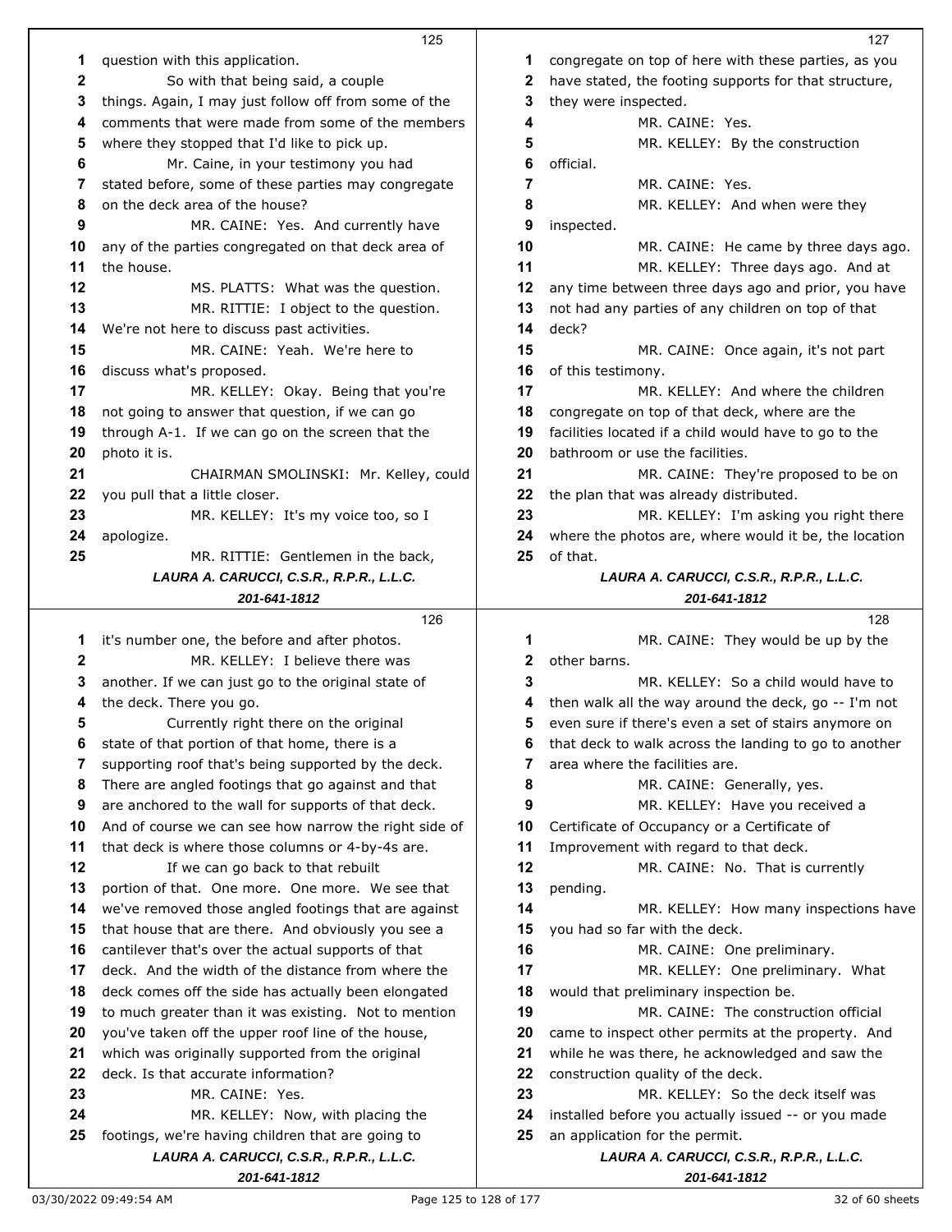|    | 125                                                                                           |    | 127                                                                        |
|----|-----------------------------------------------------------------------------------------------|----|----------------------------------------------------------------------------|
| 1  | question with this application.                                                               | 1  | congregate on top of here with these parties, as you                       |
| 2  | So with that being said, a couple                                                             | 2  | have stated, the footing supports for that structure,                      |
| 3  | things. Again, I may just follow off from some of the                                         | 3  | they were inspected.                                                       |
| 4  | comments that were made from some of the members                                              | 4  | MR. CAINE: Yes.                                                            |
| 5  | where they stopped that I'd like to pick up.                                                  | 5  | MR. KELLEY: By the construction                                            |
| 6  | Mr. Caine, in your testimony you had                                                          | 6  | official.                                                                  |
| 7  | stated before, some of these parties may congregate                                           | 7  | MR. CAINE: Yes.                                                            |
| 8  | on the deck area of the house?                                                                | 8  | MR. KELLEY: And when were they                                             |
| 9  | MR. CAINE: Yes. And currently have                                                            | 9  | inspected.                                                                 |
| 10 | any of the parties congregated on that deck area of                                           | 10 | MR. CAINE: He came by three days ago.                                      |
| 11 | the house.                                                                                    | 11 | MR. KELLEY: Three days ago. And at                                         |
| 12 | MS. PLATTS: What was the question.                                                            | 12 | any time between three days ago and prior, you have                        |
| 13 | MR. RITTIE: I object to the question.                                                         | 13 | not had any parties of any children on top of that                         |
| 14 | We're not here to discuss past activities.                                                    | 14 | deck?                                                                      |
| 15 | MR. CAINE: Yeah. We're here to                                                                | 15 | MR. CAINE: Once again, it's not part                                       |
| 16 | discuss what's proposed.                                                                      | 16 | of this testimony.                                                         |
| 17 | MR. KELLEY: Okay. Being that you're                                                           | 17 | MR. KELLEY: And where the children                                         |
| 18 | not going to answer that question, if we can go                                               | 18 | congregate on top of that deck, where are the                              |
| 19 | through A-1. If we can go on the screen that the                                              | 19 | facilities located if a child would have to go to the                      |
| 20 | photo it is.                                                                                  | 20 | bathroom or use the facilities.                                            |
| 21 | CHAIRMAN SMOLINSKI: Mr. Kelley, could                                                         | 21 | MR. CAINE: They're proposed to be on                                       |
| 22 | you pull that a little closer.                                                                | 22 | the plan that was already distributed.                                     |
| 23 | MR. KELLEY: It's my voice too, so I                                                           | 23 | MR. KELLEY: I'm asking you right there                                     |
| 24 | apologize.                                                                                    | 24 | where the photos are, where would it be, the location                      |
| 25 | MR. RITTIE: Gentlemen in the back,                                                            | 25 | of that.                                                                   |
|    | LAURA A. CARUCCI, C.S.R., R.P.R., L.L.C.                                                      |    | LAURA A. CARUCCI, C.S.R., R.P.R., L.L.C.                                   |
|    | 201-641-1812                                                                                  |    | 201-641-1812                                                               |
|    | 126                                                                                           |    | 128                                                                        |
| 1  | it's number one, the before and after photos.                                                 | 1  | MR. CAINE: They would be up by the                                         |
| 2  | MR. KELLEY: I believe there was                                                               | 2  | other barns.                                                               |
| 3  | another. If we can just go to the original state of                                           | 3  | MR. KELLEY: So a child would have to                                       |
| 4  | the deck. There you go.                                                                       | 4  | then walk all the way around the deck, go -- I'm not                       |
| 5  | Currently right there on the original                                                         | 5  | even sure if there's even a set of stairs anymore on                       |
| 6  | state of that portion of that home, there is a                                                | 6  | that deck to walk across the landing to go to another                      |
| 7  | supporting roof that's being supported by the deck.                                           | 7  | area where the facilities are.                                             |
| 8  | There are angled footings that go against and that                                            | 8  | MR. CAINE: Generally, yes.                                                 |
| 9  | are anchored to the wall for supports of that deck.                                           | 9  | MR. KELLEY: Have you received a                                            |
| 10 | And of course we can see how narrow the right side of                                         | 10 | Certificate of Occupancy or a Certificate of                               |
| 11 | that deck is where those columns or 4-by-4s are.                                              | 11 | Improvement with regard to that deck.                                      |
| 12 | If we can go back to that rebuilt                                                             | 12 | MR. CAINE: No. That is currently                                           |
| 13 | portion of that. One more. One more. We see that                                              | 13 | pending.                                                                   |
| 14 | we've removed those angled footings that are against                                          | 14 | MR. KELLEY: How many inspections have                                      |
| 15 | that house that are there. And obviously you see a                                            | 15 | you had so far with the deck.                                              |
| 16 | cantilever that's over the actual supports of that                                            | 16 | MR. CAINE: One preliminary.                                                |
| 17 | deck. And the width of the distance from where the                                            | 17 | MR. KELLEY: One preliminary. What                                          |
| 18 | deck comes off the side has actually been elongated                                           | 18 | would that preliminary inspection be.                                      |
| 19 | to much greater than it was existing. Not to mention                                          | 19 | MR. CAINE: The construction official                                       |
|    |                                                                                               |    |                                                                            |
| 20 | you've taken off the upper roof line of the house,                                            | 20 | came to inspect other permits at the property. And                         |
| 21 | which was originally supported from the original                                              | 21 | while he was there, he acknowledged and saw the                            |
| 22 | deck. Is that accurate information?                                                           | 22 | construction quality of the deck.                                          |
| 23 | MR. CAINE: Yes.                                                                               | 23 | MR. KELLEY: So the deck itself was                                         |
| 24 |                                                                                               |    |                                                                            |
|    | MR. KELLEY: Now, with placing the                                                             | 24 | installed before you actually issued -- or you made                        |
| 25 | footings, we're having children that are going to<br>LAURA A. CARUCCI, C.S.R., R.P.R., L.L.C. | 25 | an application for the permit.<br>LAURA A. CARUCCI, C.S.R., R.P.R., L.L.C. |

*201-641-1812*

*201-641-1812*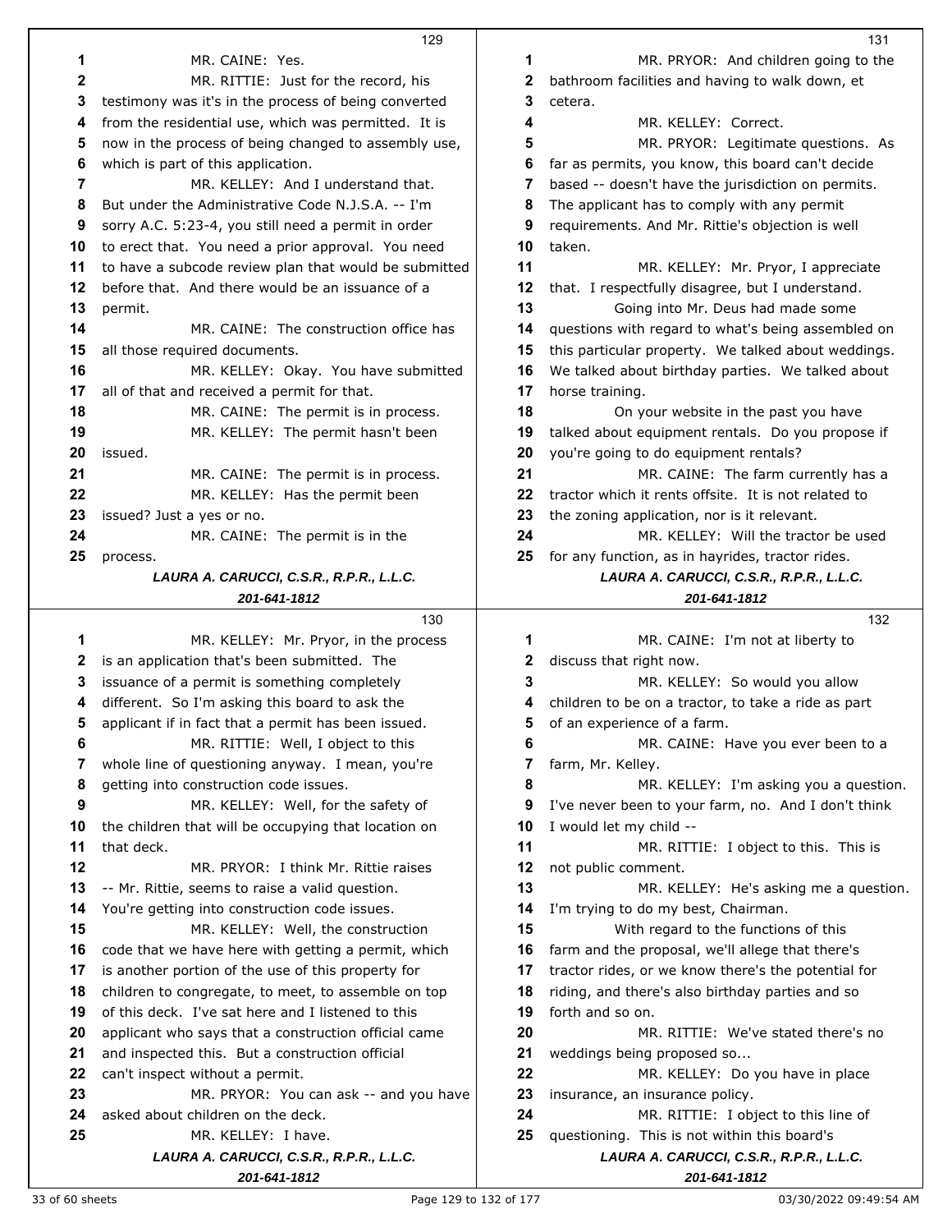|    | 129                                                                |    | 131                                                                                      |
|----|--------------------------------------------------------------------|----|------------------------------------------------------------------------------------------|
| 1  | MR. CAINE: Yes.                                                    | 1  | MR. PRYOR: And children going to the                                                     |
| 2  | MR. RITTIE: Just for the record, his                               | 2  | bathroom facilities and having to walk down, et                                          |
| 3  | testimony was it's in the process of being converted               | 3  | cetera.                                                                                  |
| 4  | from the residential use, which was permitted. It is               | 4  | MR. KELLEY: Correct.                                                                     |
| 5  | now in the process of being changed to assembly use,               | 5  | MR. PRYOR: Legitimate questions. As                                                      |
| 6  | which is part of this application.                                 | 6  | far as permits, you know, this board can't decide                                        |
| 7  | MR. KELLEY: And I understand that.                                 | 7  | based -- doesn't have the jurisdiction on permits.                                       |
| 8  | But under the Administrative Code N.J.S.A. -- I'm                  | 8  | The applicant has to comply with any permit                                              |
| 9  | sorry A.C. 5:23-4, you still need a permit in order                | 9  | requirements. And Mr. Rittie's objection is well                                         |
| 10 | to erect that. You need a prior approval. You need                 | 10 | taken.                                                                                   |
| 11 | to have a subcode review plan that would be submitted              | 11 | MR. KELLEY: Mr. Pryor, I appreciate                                                      |
| 12 | before that. And there would be an issuance of a                   | 12 | that. I respectfully disagree, but I understand.                                         |
| 13 | permit.                                                            | 13 | Going into Mr. Deus had made some                                                        |
| 14 | MR. CAINE: The construction office has                             | 14 | questions with regard to what's being assembled on                                       |
| 15 | all those required documents.                                      | 15 | this particular property. We talked about weddings.                                      |
| 16 |                                                                    |    |                                                                                          |
|    | MR. KELLEY: Okay. You have submitted                               | 16 | We talked about birthday parties. We talked about                                        |
| 17 | all of that and received a permit for that.                        | 17 | horse training.                                                                          |
| 18 | MR. CAINE: The permit is in process.                               | 18 | On your website in the past you have                                                     |
| 19 | MR. KELLEY: The permit hasn't been                                 | 19 | talked about equipment rentals. Do you propose if                                        |
| 20 | issued.                                                            | 20 | you're going to do equipment rentals?                                                    |
| 21 | MR. CAINE: The permit is in process.                               | 21 | MR. CAINE: The farm currently has a                                                      |
| 22 | MR. KELLEY: Has the permit been                                    | 22 | tractor which it rents offsite. It is not related to                                     |
| 23 | issued? Just a yes or no.                                          | 23 | the zoning application, nor is it relevant.                                              |
| 24 | MR. CAINE: The permit is in the                                    | 24 | MR. KELLEY: Will the tractor be used                                                     |
| 25 | process.                                                           | 25 | for any function, as in hayrides, tractor rides.                                         |
|    | LAURA A. CARUCCI, C.S.R., R.P.R., L.L.C.                           |    | LAURA A. CARUCCI, C.S.R., R.P.R., L.L.C.                                                 |
|    | 201-641-1812                                                       |    | 201-641-1812                                                                             |
|    |                                                                    |    |                                                                                          |
|    | 130                                                                |    | 132                                                                                      |
| 1  | MR. KELLEY: Mr. Pryor, in the process                              | 1  | MR. CAINE: I'm not at liberty to                                                         |
| 2  | is an application that's been submitted. The                       | 2  | discuss that right now.                                                                  |
| 3  | issuance of a permit is something completely                       | 3  | MR. KELLEY: So would you allow                                                           |
| 4  | different. So I'm asking this board to ask the                     | 4  | children to be on a tractor, to take a ride as part                                      |
| 5  | applicant if in fact that a permit has been issued.                | 5  | of an experience of a farm.                                                              |
| 6  | MR. RITTIE: Well, I object to this                                 | 6  | MR. CAINE: Have you ever been to a                                                       |
| 7  | whole line of questioning anyway. I mean, you're                   | 7  | farm, Mr. Kelley.                                                                        |
| 8  | getting into construction code issues.                             | 8  | MR. KELLEY: I'm asking you a question.                                                   |
| 9  | MR. KELLEY: Well, for the safety of                                | 9  | I've never been to your farm, no. And I don't think                                      |
| 10 |                                                                    | 10 |                                                                                          |
| 11 | the children that will be occupying that location on<br>that deck. | 11 | I would let my child --                                                                  |
|    |                                                                    | 12 | MR. RITTIE: I object to this. This is                                                    |
| 12 | MR. PRYOR: I think Mr. Rittie raises                               |    | not public comment.                                                                      |
| 13 | -- Mr. Rittie, seems to raise a valid question.                    | 13 | MR. KELLEY: He's asking me a question.                                                   |
| 14 | You're getting into construction code issues.                      | 14 | I'm trying to do my best, Chairman.                                                      |
| 15 | MR. KELLEY: Well, the construction                                 | 15 | With regard to the functions of this                                                     |
| 16 | code that we have here with getting a permit, which                | 16 | farm and the proposal, we'll allege that there's                                         |
| 17 | is another portion of the use of this property for                 | 17 | tractor rides, or we know there's the potential for                                      |
| 18 | children to congregate, to meet, to assemble on top                | 18 | riding, and there's also birthday parties and so                                         |
| 19 | of this deck. I've sat here and I listened to this                 | 19 | forth and so on.                                                                         |
| 20 | applicant who says that a construction official came               | 20 | MR. RITTIE: We've stated there's no                                                      |
| 21 | and inspected this. But a construction official                    | 21 | weddings being proposed so                                                               |
| 22 | can't inspect without a permit.                                    | 22 | MR. KELLEY: Do you have in place                                                         |
| 23 | MR. PRYOR: You can ask -- and you have                             | 23 | insurance, an insurance policy.                                                          |
| 24 | asked about children on the deck.                                  | 24 | MR. RITTIE: I object to this line of                                                     |
| 25 | MR. KELLEY: I have.<br>LAURA A. CARUCCI, C.S.R., R.P.R., L.L.C.    | 25 | questioning. This is not within this board's<br>LAURA A. CARUCCI, C.S.R., R.P.R., L.L.C. |

*201-641-1812*

33 of 60 sheets example 129 to 132 of 177 contract the contract of the 03/30/2022 09:49:54 AM

*201-641-1812*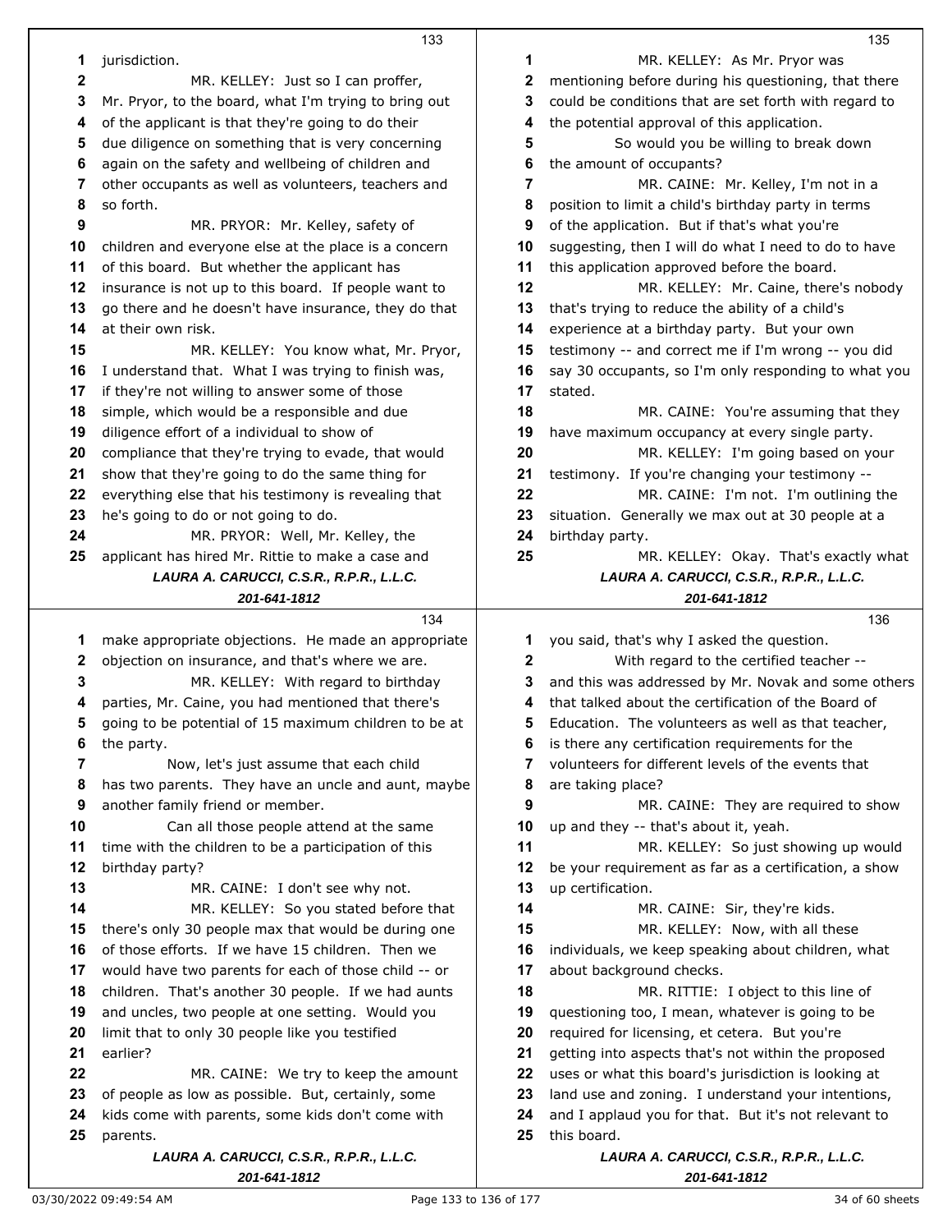|          | 133                                                                                           |              | 135                                                                                      |
|----------|-----------------------------------------------------------------------------------------------|--------------|------------------------------------------------------------------------------------------|
| 1        | jurisdiction.                                                                                 | 1            | MR. KELLEY: As Mr. Pryor was                                                             |
| 2        | MR. KELLEY: Just so I can proffer,                                                            | 2            | mentioning before during his questioning, that there                                     |
| 3        | Mr. Pryor, to the board, what I'm trying to bring out                                         | 3            | could be conditions that are set forth with regard to                                    |
| 4        | of the applicant is that they're going to do their                                            | 4            | the potential approval of this application.                                              |
| 5        | due diligence on something that is very concerning                                            | 5            | So would you be willing to break down                                                    |
| 6        | again on the safety and wellbeing of children and                                             | 6            | the amount of occupants?                                                                 |
| 7        | other occupants as well as volunteers, teachers and                                           | 7            | MR. CAINE: Mr. Kelley, I'm not in a                                                      |
| 8        | so forth.                                                                                     | 8            | position to limit a child's birthday party in terms                                      |
| 9        | MR. PRYOR: Mr. Kelley, safety of                                                              | 9            | of the application. But if that's what you're                                            |
| 10       | children and everyone else at the place is a concern                                          | 10           | suggesting, then I will do what I need to do to have                                     |
| 11       | of this board. But whether the applicant has                                                  | 11           | this application approved before the board.                                              |
| 12       | insurance is not up to this board. If people want to                                          | 12           | MR. KELLEY: Mr. Caine, there's nobody                                                    |
| 13       | go there and he doesn't have insurance, they do that                                          | 13           | that's trying to reduce the ability of a child's                                         |
| 14       | at their own risk.                                                                            | 14           | experience at a birthday party. But your own                                             |
| 15       | MR. KELLEY: You know what, Mr. Pryor,                                                         | 15           | testimony -- and correct me if I'm wrong -- you did                                      |
|          |                                                                                               | 16           | say 30 occupants, so I'm only responding to what you                                     |
| 16<br>17 | I understand that. What I was trying to finish was,                                           | 17           |                                                                                          |
|          | if they're not willing to answer some of those                                                |              | stated.                                                                                  |
| 18       | simple, which would be a responsible and due                                                  | 18           | MR. CAINE: You're assuming that they                                                     |
| 19       | diligence effort of a individual to show of                                                   | 19           | have maximum occupancy at every single party.                                            |
| 20<br>21 | compliance that they're trying to evade, that would                                           | 20           | MR. KELLEY: I'm going based on your                                                      |
| 22       | show that they're going to do the same thing for                                              | 21<br>22     | testimony. If you're changing your testimony --<br>MR. CAINE: I'm not. I'm outlining the |
| 23       | everything else that his testimony is revealing that                                          | 23           |                                                                                          |
| 24       | he's going to do or not going to do.                                                          |              | situation. Generally we max out at 30 people at a                                        |
| 25       | MR. PRYOR: Well, Mr. Kelley, the                                                              | 24<br>25     | birthday party.                                                                          |
|          | applicant has hired Mr. Rittie to make a case and<br>LAURA A. CARUCCI, C.S.R., R.P.R., L.L.C. |              | MR. KELLEY: Okay. That's exactly what<br>LAURA A. CARUCCI, C.S.R., R.P.R., L.L.C.        |
|          | 201-641-1812                                                                                  |              | 201-641-1812                                                                             |
|          | 134                                                                                           |              | 136                                                                                      |
|          |                                                                                               |              |                                                                                          |
|          |                                                                                               |              |                                                                                          |
| 1        | make appropriate objections. He made an appropriate                                           | 1            | you said, that's why I asked the question.                                               |
| 2        | objection on insurance, and that's where we are.                                              | $\mathbf{2}$ | With regard to the certified teacher --                                                  |
| 3        | MR. KELLEY: With regard to birthday                                                           | 3            | and this was addressed by Mr. Novak and some others                                      |
| 4        | parties, Mr. Caine, you had mentioned that there's                                            | 4            | that talked about the certification of the Board of                                      |
| 5        | going to be potential of 15 maximum children to be at                                         | 5            | Education. The volunteers as well as that teacher,                                       |
| 6        | the party.                                                                                    | 6            | is there any certification requirements for the                                          |
| 7        | Now, let's just assume that each child                                                        | 7            | volunteers for different levels of the events that                                       |
| 8        | has two parents. They have an uncle and aunt, maybe                                           | 8            | are taking place?                                                                        |
| 9        | another family friend or member.                                                              | 9            | MR. CAINE: They are required to show                                                     |
| 10       | Can all those people attend at the same                                                       | 10           | up and they -- that's about it, yeah.                                                    |
| 11       | time with the children to be a participation of this                                          | 11           | MR. KELLEY: So just showing up would                                                     |
| 12       | birthday party?                                                                               | 12           | be your requirement as far as a certification, a show                                    |
| 13       | MR. CAINE: I don't see why not.                                                               | 13           | up certification.                                                                        |
| 14       | MR. KELLEY: So you stated before that                                                         | 14           | MR. CAINE: Sir, they're kids.                                                            |
| 15       | there's only 30 people max that would be during one                                           | 15           | MR. KELLEY: Now, with all these                                                          |
| 16       | of those efforts. If we have 15 children. Then we                                             | 16           | individuals, we keep speaking about children, what                                       |
| 17       | would have two parents for each of those child -- or                                          | 17           | about background checks.                                                                 |
| 18       | children. That's another 30 people. If we had aunts                                           | 18           | MR. RITTIE: I object to this line of                                                     |
| 19       | and uncles, two people at one setting. Would you                                              | 19           | questioning too, I mean, whatever is going to be                                         |
| 20       | limit that to only 30 people like you testified                                               | 20           | required for licensing, et cetera. But you're                                            |
| 21       | earlier?                                                                                      | 21           | getting into aspects that's not within the proposed                                      |
| 22       | MR. CAINE: We try to keep the amount                                                          | 22           | uses or what this board's jurisdiction is looking at                                     |
| 23       | of people as low as possible. But, certainly, some                                            | 23           | land use and zoning. I understand your intentions,                                       |
| 24       | kids come with parents, some kids don't come with                                             | 24           | and I applaud you for that. But it's not relevant to                                     |
| 25       | parents.                                                                                      | 25           | this board.                                                                              |
|          | LAURA A. CARUCCI, C.S.R., R.P.R., L.L.C.<br>201-641-1812                                      |              | LAURA A. CARUCCI, C.S.R., R.P.R., L.L.C.<br>201-641-1812                                 |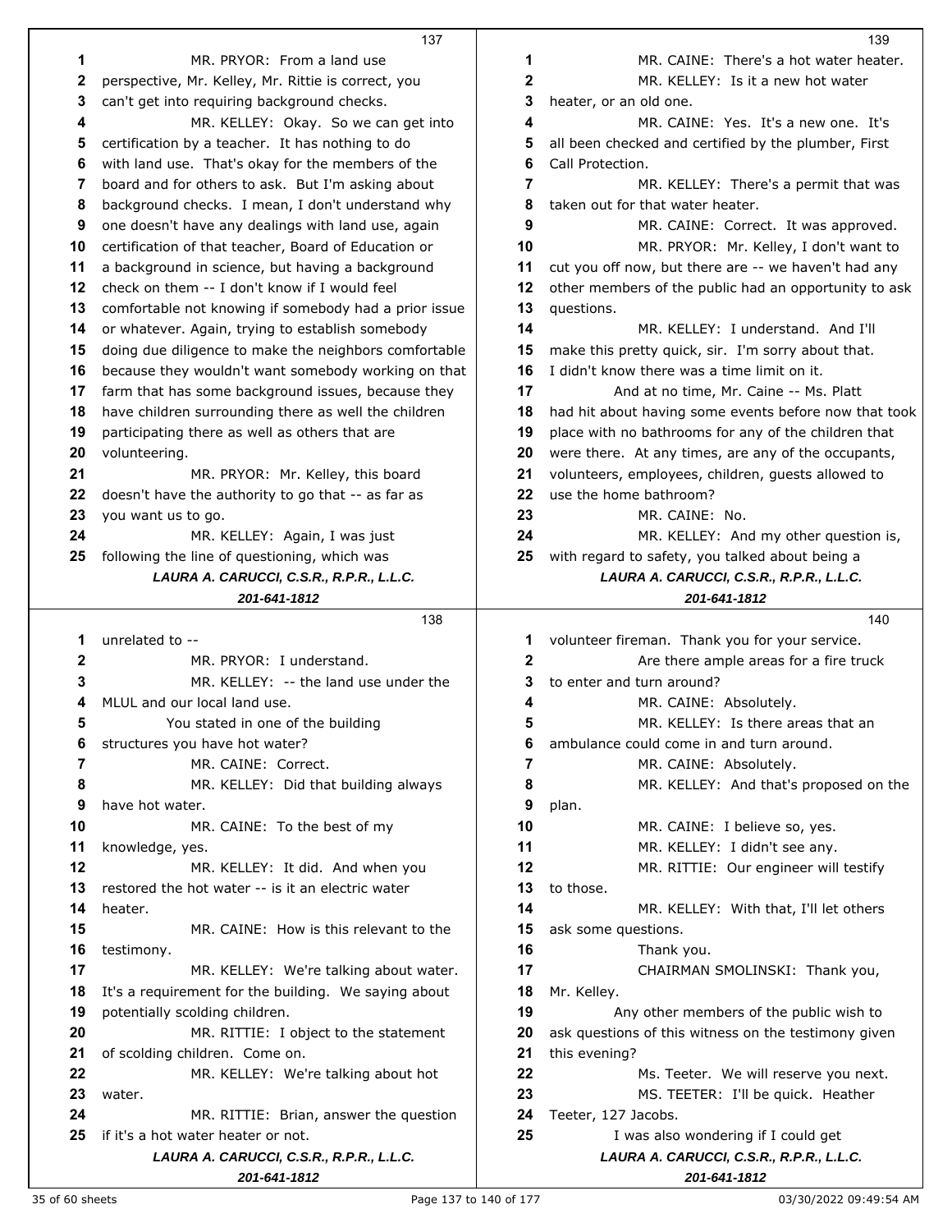|              | 137                                                   |              | 139                                                   |
|--------------|-------------------------------------------------------|--------------|-------------------------------------------------------|
| 1            | MR. PRYOR: From a land use                            | 1            | MR. CAINE: There's a hot water heater.                |
| $\mathbf{2}$ | perspective, Mr. Kelley, Mr. Rittie is correct, you   | 2            | MR. KELLEY: Is it a new hot water                     |
| 3            | can't get into requiring background checks.           | 3            | heater, or an old one.                                |
| 4            | MR. KELLEY: Okay. So we can get into                  | 4            | MR. CAINE: Yes. It's a new one. It's                  |
| 5            | certification by a teacher. It has nothing to do      | 5            | all been checked and certified by the plumber, First  |
| 6            | with land use. That's okay for the members of the     | 6            | Call Protection.                                      |
| 7            | board and for others to ask. But I'm asking about     | 7            | MR. KELLEY: There's a permit that was                 |
| 8            | background checks. I mean, I don't understand why     | 8            | taken out for that water heater.                      |
| 9            | one doesn't have any dealings with land use, again    | 9            | MR. CAINE: Correct. It was approved.                  |
| 10           | certification of that teacher, Board of Education or  | 10           | MR. PRYOR: Mr. Kelley, I don't want to                |
| 11           | a background in science, but having a background      | 11           | cut you off now, but there are -- we haven't had any  |
| 12           | check on them -- I don't know if I would feel         | 12           | other members of the public had an opportunity to ask |
| 13           | comfortable not knowing if somebody had a prior issue | 13           | questions.                                            |
| 14           | or whatever. Again, trying to establish somebody      | 14           | MR. KELLEY: I understand. And I'll                    |
| 15           | doing due diligence to make the neighbors comfortable | 15           | make this pretty quick, sir. I'm sorry about that.    |
| 16           | because they wouldn't want somebody working on that   | 16           | I didn't know there was a time limit on it.           |
| 17           | farm that has some background issues, because they    | 17           | And at no time, Mr. Caine -- Ms. Platt                |
| 18           | have children surrounding there as well the children  | 18           | had hit about having some events before now that took |
| 19           | participating there as well as others that are        | 19           | place with no bathrooms for any of the children that  |
| 20           | volunteering.                                         | 20           | were there. At any times, are any of the occupants,   |
| 21           | MR. PRYOR: Mr. Kelley, this board                     | 21           | volunteers, employees, children, guests allowed to    |
| 22           | doesn't have the authority to go that -- as far as    | 22           | use the home bathroom?                                |
| 23           | you want us to go.                                    | 23           | MR. CAINE: No.                                        |
| 24           | MR. KELLEY: Again, I was just                         | 24           | MR. KELLEY: And my other question is,                 |
| 25           | following the line of questioning, which was          | 25           | with regard to safety, you talked about being a       |
|              | LAURA A. CARUCCI, C.S.R., R.P.R., L.L.C.              |              | LAURA A. CARUCCI, C.S.R., R.P.R., L.L.C.              |
|              | 201-641-1812                                          |              | 201-641-1812                                          |
|              |                                                       |              |                                                       |
|              | 138                                                   |              | 140                                                   |
| 1            | unrelated to --                                       | 1            | volunteer fireman. Thank you for your service.        |
| 2            | MR. PRYOR: I understand.                              | $\mathbf{2}$ | Are there ample areas for a fire truck                |
| 3            | MR. KELLEY: -- the land use under the                 | 3            | to enter and turn around?                             |
| 4            | MLUL and our local land use.                          | 4            | MR. CAINE: Absolutely.                                |
| 5            | You stated in one of the building                     | 5            | MR. KELLEY: Is there areas that an                    |
| 6            | structures you have hot water?                        | 6            | ambulance could come in and turn around.              |
| 7            | MR. CAINE: Correct.                                   | 7            | MR. CAINE: Absolutely.                                |
| 8            | MR. KELLEY: Did that building always                  | 8            | MR. KELLEY: And that's proposed on the                |
| 9            | have hot water.                                       | 9            | plan.                                                 |
| 10           | MR. CAINE: To the best of my                          | 10           | MR. CAINE: I believe so, yes.                         |
| 11           | knowledge, yes.                                       | 11           | MR. KELLEY: I didn't see any.                         |
| 12           | MR. KELLEY: It did. And when you                      | 12           | MR. RITTIE: Our engineer will testify                 |
| 13           | restored the hot water -- is it an electric water     | 13           | to those.                                             |
| 14           | heater.                                               | 14           | MR. KELLEY: With that, I'll let others                |
| 15           | MR. CAINE: How is this relevant to the                | 15           | ask some questions.                                   |
| 16           | testimony.                                            | 16           | Thank you.                                            |
| 17           | MR. KELLEY: We're talking about water.                | 17           | CHAIRMAN SMOLINSKI: Thank you,                        |
| 18           | It's a requirement for the building. We saying about  | 18           | Mr. Kelley.                                           |
| 19           | potentially scolding children.                        | 19           | Any other members of the public wish to               |
| 20           | MR. RITTIE: I object to the statement                 | 20           | ask questions of this witness on the testimony given  |
| 21           | of scolding children. Come on.                        | 21           | this evening?                                         |
| 22           | MR. KELLEY: We're talking about hot                   | 22           | Ms. Teeter. We will reserve you next.                 |
| 23           | water.                                                | 23           | MS. TEETER: I'll be quick. Heather                    |
| 24           | MR. RITTIE: Brian, answer the question                | 24           | Teeter, 127 Jacobs.                                   |
| 25           | if it's a hot water heater or not.                    | 25           | I was also wondering if I could get                   |
|              | LAURA A. CARUCCI, C.S.R., R.P.R., L.L.C.              |              | LAURA A. CARUCCI, C.S.R., R.P.R., L.L.C.              |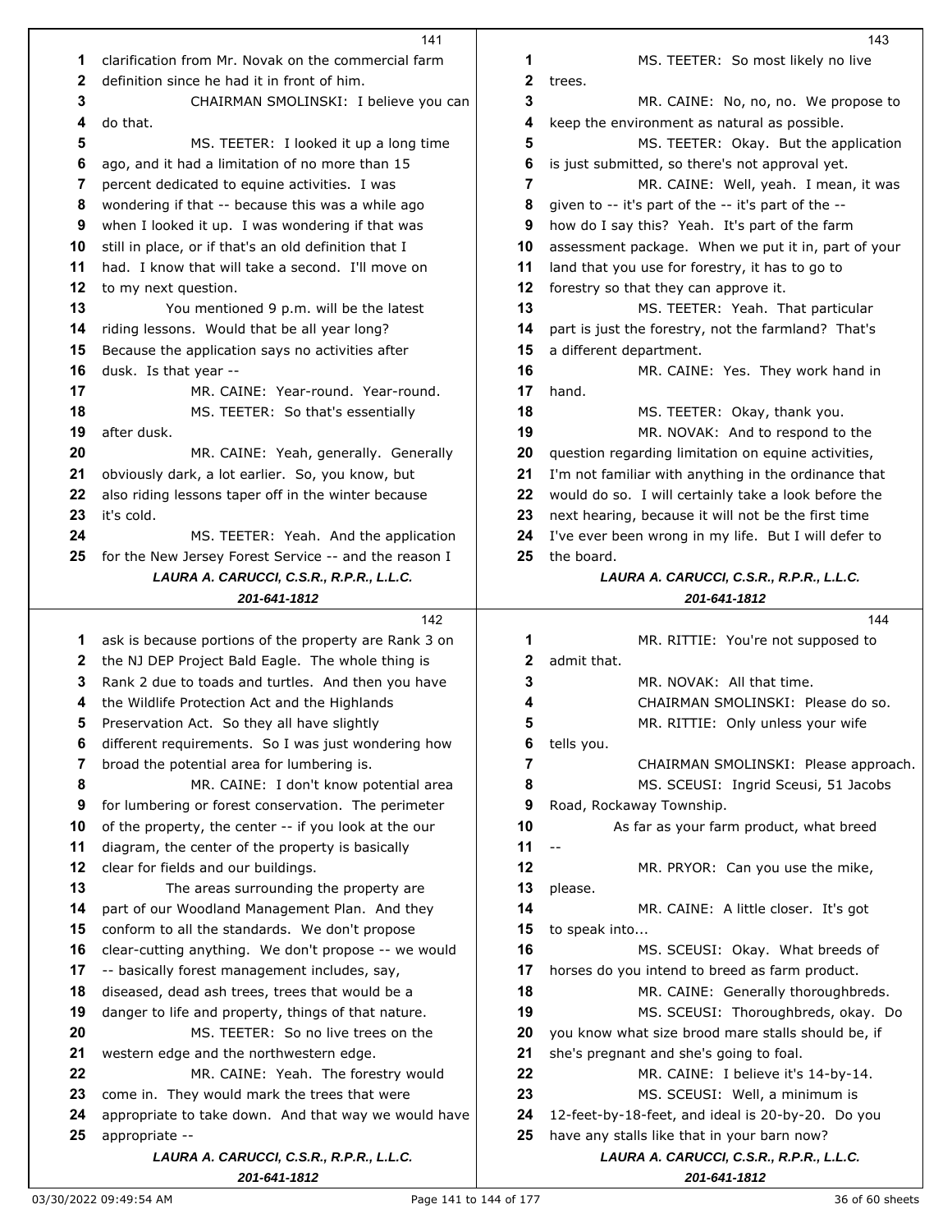|          | 141                                                                    |              | 143                                                                                              |
|----------|------------------------------------------------------------------------|--------------|--------------------------------------------------------------------------------------------------|
| 1        | clarification from Mr. Novak on the commercial farm                    | 1            | MS. TEETER: So most likely no live                                                               |
| 2        | definition since he had it in front of him.                            | $\mathbf{2}$ | trees.                                                                                           |
| 3        | CHAIRMAN SMOLINSKI: I believe you can                                  | 3            | MR. CAINE: No, no, no. We propose to                                                             |
| 4        | do that.                                                               | 4            | keep the environment as natural as possible.                                                     |
| 5        | MS. TEETER: I looked it up a long time                                 | 5            | MS. TEETER: Okay. But the application                                                            |
| 6        | ago, and it had a limitation of no more than 15                        | 6            | is just submitted, so there's not approval yet.                                                  |
| 7        | percent dedicated to equine activities. I was                          | 7            | MR. CAINE: Well, yeah. I mean, it was                                                            |
| 8        | wondering if that -- because this was a while ago                      | 8            | given to -- it's part of the -- it's part of the --                                              |
| 9        | when I looked it up. I was wondering if that was                       | 9            | how do I say this? Yeah. It's part of the farm                                                   |
| 10       | still in place, or if that's an old definition that I                  | 10           | assessment package. When we put it in, part of your                                              |
|          |                                                                        | 11           |                                                                                                  |
| 11       | had. I know that will take a second. I'll move on                      |              | land that you use for forestry, it has to go to                                                  |
| 12<br>13 | to my next question.                                                   | 12<br>13     | forestry so that they can approve it.                                                            |
|          | You mentioned 9 p.m. will be the latest                                |              | MS. TEETER: Yeah. That particular                                                                |
| 14       | riding lessons. Would that be all year long?                           | 14           | part is just the forestry, not the farmland? That's                                              |
| 15       | Because the application says no activities after                       | 15           | a different department.                                                                          |
| 16       | dusk. Is that year --                                                  | 16           | MR. CAINE: Yes. They work hand in                                                                |
| 17       | MR. CAINE: Year-round. Year-round.                                     | 17           | hand.                                                                                            |
| 18       | MS. TEETER: So that's essentially                                      | 18           | MS. TEETER: Okay, thank you.                                                                     |
| 19       | after dusk.                                                            | 19           | MR. NOVAK: And to respond to the                                                                 |
| 20       | MR. CAINE: Yeah, generally. Generally                                  | 20           | question regarding limitation on equine activities,                                              |
| 21       | obviously dark, a lot earlier. So, you know, but                       | 21           | I'm not familiar with anything in the ordinance that                                             |
| 22       | also riding lessons taper off in the winter because                    | 22           | would do so. I will certainly take a look before the                                             |
| 23       | it's cold.                                                             | 23           | next hearing, because it will not be the first time                                              |
| 24       | MS. TEETER: Yeah. And the application                                  | 24           | I've ever been wrong in my life. But I will defer to                                             |
| 25       | for the New Jersey Forest Service -- and the reason I                  | 25           | the board.                                                                                       |
|          | LAURA A. CARUCCI, C.S.R., R.P.R., L.L.C.                               |              | LAURA A. CARUCCI, C.S.R., R.P.R., L.L.C.                                                         |
|          | 201-641-1812                                                           |              | 201-641-1812                                                                                     |
|          |                                                                        |              |                                                                                                  |
|          | 142                                                                    |              | 144                                                                                              |
| 1        | ask is because portions of the property are Rank 3 on                  | 1            | MR. RITTIE: You're not supposed to                                                               |
| 2        | the NJ DEP Project Bald Eagle. The whole thing is                      | 2            | admit that.                                                                                      |
| 3        | Rank 2 due to toads and turtles. And then you have                     | 3            | MR. NOVAK: All that time.                                                                        |
| 4        | the Wildlife Protection Act and the Highlands                          | 4            | CHAIRMAN SMOLINSKI: Please do so.                                                                |
| 5        | Preservation Act. So they all have slightly                            | 5            | MR. RITTIE: Only unless your wife                                                                |
| 6        | different requirements. So I was just wondering how                    | 6            | tells you.                                                                                       |
| 7        | broad the potential area for lumbering is.                             | 7            | CHAIRMAN SMOLINSKI: Please approach.                                                             |
| 8        | MR. CAINE: I don't know potential area                                 | 8            | MS. SCEUSI: Ingrid Sceusi, 51 Jacobs                                                             |
| 9        | for lumbering or forest conservation. The perimeter                    | 9            | Road, Rockaway Township.                                                                         |
| 10       | of the property, the center -- if you look at the our                  | 10           | As far as your farm product, what breed                                                          |
| 11       | diagram, the center of the property is basically                       | 11           | $-$                                                                                              |
| 12       | clear for fields and our buildings.                                    | 12           | MR. PRYOR: Can you use the mike,                                                                 |
| 13       | The areas surrounding the property are                                 | 13           | please.                                                                                          |
| 14       | part of our Woodland Management Plan. And they                         | 14           | MR. CAINE: A little closer. It's got                                                             |
| 15       | conform to all the standards. We don't propose                         | 15           | to speak into                                                                                    |
| 16       | clear-cutting anything. We don't propose -- we would                   | 16           | MS. SCEUSI: Okay. What breeds of                                                                 |
| 17       | -- basically forest management includes, say,                          | 17           | horses do you intend to breed as farm product.                                                   |
| 18       | diseased, dead ash trees, trees that would be a                        | 18           | MR. CAINE: Generally thoroughbreds.                                                              |
| 19       | danger to life and property, things of that nature.                    | 19           | MS. SCEUSI: Thoroughbreds, okay. Do                                                              |
| 20       | MS. TEETER: So no live trees on the                                    | 20           | you know what size brood mare stalls should be, if                                               |
| 21       | western edge and the northwestern edge.                                | 21           | she's pregnant and she's going to foal.                                                          |
| 22       | MR. CAINE: Yeah. The forestry would                                    | 22           | MR. CAINE: I believe it's 14-by-14.                                                              |
| 23       | come in. They would mark the trees that were                           | 23           | MS. SCEUSI: Well, a minimum is                                                                   |
| 24       |                                                                        | 24           |                                                                                                  |
| 25       | appropriate to take down. And that way we would have<br>appropriate -- | 25           | 12-feet-by-18-feet, and ideal is 20-by-20. Do you<br>have any stalls like that in your barn now? |
|          | LAURA A. CARUCCI, C.S.R., R.P.R., L.L.C.                               |              | LAURA A. CARUCCI, C.S.R., R.P.R., L.L.C.                                                         |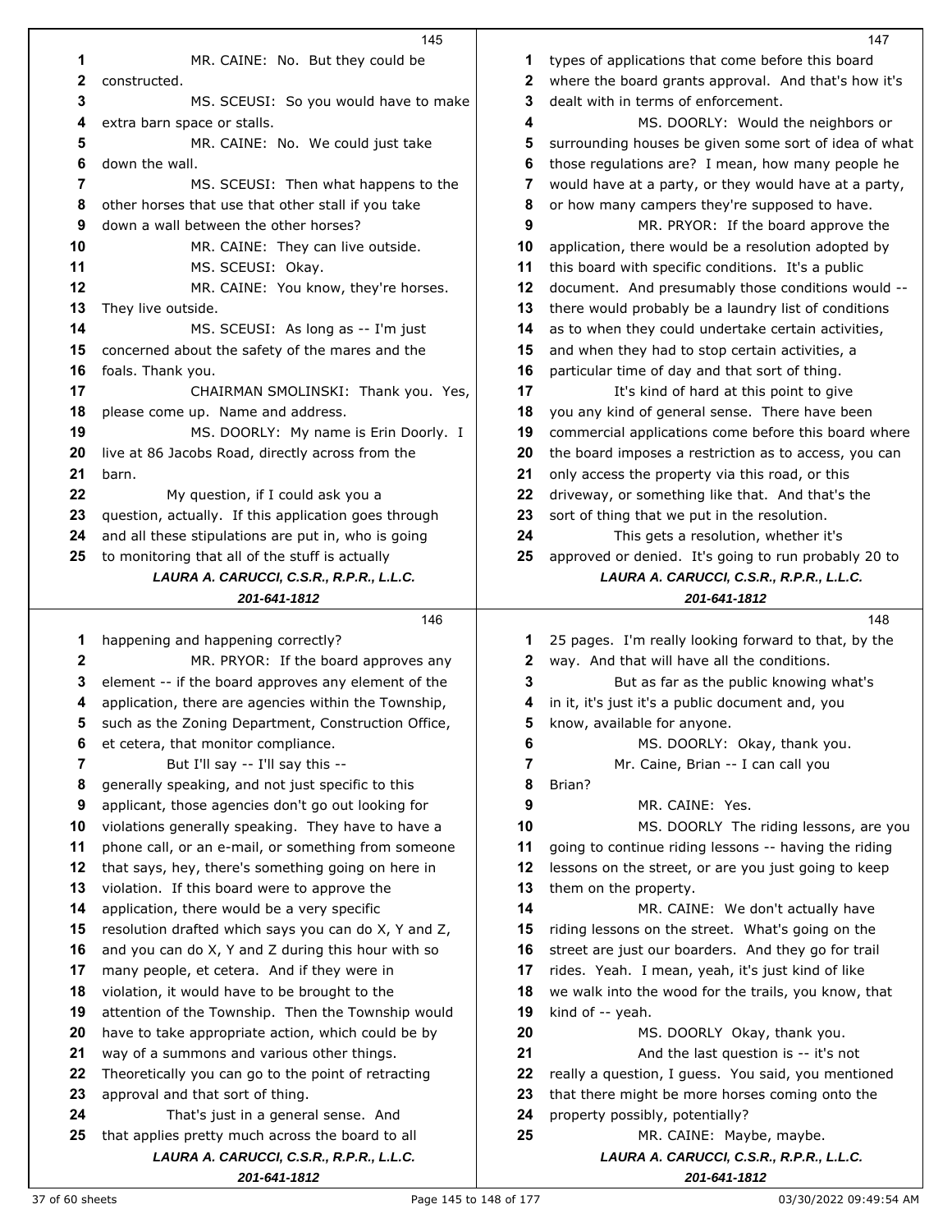|              | 145                                                                                                        |          | 147                                                                                                      |
|--------------|------------------------------------------------------------------------------------------------------------|----------|----------------------------------------------------------------------------------------------------------|
| 1            | MR. CAINE: No. But they could be                                                                           | 1        | types of applications that come before this board                                                        |
| 2            | constructed.                                                                                               | 2        | where the board grants approval. And that's how it's                                                     |
| 3            | MS. SCEUSI: So you would have to make                                                                      | 3        | dealt with in terms of enforcement.                                                                      |
| 4            | extra barn space or stalls.                                                                                | 4        | MS. DOORLY: Would the neighbors or                                                                       |
| 5            | MR. CAINE: No. We could just take                                                                          | 5        | surrounding houses be given some sort of idea of wha                                                     |
| 6            | down the wall.                                                                                             | 6        | those regulations are? I mean, how many people he                                                        |
| 7            | MS. SCEUSI: Then what happens to the                                                                       | 7        | would have at a party, or they would have at a party,                                                    |
| 8            | other horses that use that other stall if you take                                                         | 8        | or how many campers they're supposed to have.                                                            |
| 9            | down a wall between the other horses?                                                                      | 9        | MR. PRYOR: If the board approve the                                                                      |
| 10           | MR. CAINE: They can live outside.                                                                          | 10       | application, there would be a resolution adopted by                                                      |
| 11           | MS. SCEUSI: Okay.                                                                                          | 11       | this board with specific conditions. It's a public                                                       |
| 12           | MR. CAINE: You know, they're horses.                                                                       | 12       | document. And presumably those conditions would --                                                       |
| 13           | They live outside.                                                                                         | 13       | there would probably be a laundry list of conditions                                                     |
| 14           | MS. SCEUSI: As long as -- I'm just                                                                         | 14       | as to when they could undertake certain activities,                                                      |
| 15           | concerned about the safety of the mares and the                                                            | 15       | and when they had to stop certain activities, a                                                          |
| 16           | foals. Thank you.                                                                                          | 16       | particular time of day and that sort of thing.                                                           |
| 17           | CHAIRMAN SMOLINSKI: Thank you. Yes,                                                                        | 17       | It's kind of hard at this point to give                                                                  |
| 18           | please come up. Name and address.                                                                          | 18       | you any kind of general sense. There have been                                                           |
| 19           | MS. DOORLY: My name is Erin Doorly. I                                                                      | 19       | commercial applications come before this board where                                                     |
| 20           | live at 86 Jacobs Road, directly across from the                                                           | 20       | the board imposes a restriction as to access, you can                                                    |
| 21           | barn.                                                                                                      | 21       | only access the property via this road, or this                                                          |
| 22           | My question, if I could ask you a                                                                          | 22       | driveway, or something like that. And that's the                                                         |
| 23           | question, actually. If this application goes through                                                       | 23       | sort of thing that we put in the resolution.                                                             |
| 24           | and all these stipulations are put in, who is going                                                        | 24       | This gets a resolution, whether it's                                                                     |
| 25           | to monitoring that all of the stuff is actually                                                            | 25       | approved or denied. It's going to run probably 20 to                                                     |
|              | LAURA A. CARUCCI, C.S.R., R.P.R., L.L.C.                                                                   |          | LAURA A. CARUCCI, C.S.R., R.P.R., L.L.C.                                                                 |
|              | 201-641-1812                                                                                               |          | 201-641-1812                                                                                             |
|              | 146                                                                                                        |          | 148                                                                                                      |
| 1            | happening and happening correctly?                                                                         | 1        | 25 pages. I'm really looking forward to that, by the                                                     |
| $\mathbf{2}$ | MR. PRYOR: If the board approves any                                                                       | 2        | way. And that will have all the conditions.                                                              |
| 3            | element -- if the board approves any element of the                                                        | 3        | But as far as the public knowing what's                                                                  |
| 4            | application, there are agencies within the Township,                                                       | 4        | in it, it's just it's a public document and, you                                                         |
| 5            | such as the Zoning Department, Construction Office,                                                        | 5        | know, available for anyone.                                                                              |
| 6            | et cetera, that monitor compliance.                                                                        | 6        | MS. DOORLY: Okay, thank you.                                                                             |
| 7            | But I'll say -- I'll say this --                                                                           | 7        | Mr. Caine, Brian -- I can call you                                                                       |
| 8            | generally speaking, and not just specific to this                                                          | 8        | Brian?                                                                                                   |
| 9            | applicant, those agencies don't go out looking for                                                         | 9        | MR. CAINE: Yes.                                                                                          |
| 10           | violations generally speaking. They have to have a                                                         | 10       | MS. DOORLY The riding lessons, are you                                                                   |
| 11           | phone call, or an e-mail, or something from someone                                                        | 11       | going to continue riding lessons -- having the riding                                                    |
| 12<br>13     | that says, hey, there's something going on here in                                                         | 12<br>13 | lessons on the street, or are you just going to keep                                                     |
|              | violation. If this board were to approve the                                                               |          | them on the property.                                                                                    |
| 14<br>15     | application, there would be a very specific                                                                | 14       | MR. CAINE: We don't actually have                                                                        |
| 16           | resolution drafted which says you can do X, Y and Z,<br>and you can do X, Y and Z during this hour with so | 15<br>16 | riding lessons on the street. What's going on the<br>street are just our boarders. And they go for trail |
| 17           | many people, et cetera. And if they were in                                                                | 17       | rides. Yeah. I mean, yeah, it's just kind of like                                                        |
| 18           | violation, it would have to be brought to the                                                              | 18       | we walk into the wood for the trails, you know, that                                                     |
| 19           | attention of the Township. Then the Township would                                                         | 19       | kind of -- yeah.                                                                                         |
| 20           | have to take appropriate action, which could be by                                                         | 20       | MS. DOORLY Okay, thank you.                                                                              |
| 21           | way of a summons and various other things.                                                                 | 21       | And the last question is -- it's not                                                                     |
| 22           | Theoretically you can go to the point of retracting                                                        | 22       | really a question, I guess. You said, you mentioned                                                      |
| 23           | approval and that sort of thing.                                                                           | 23       | that there might be more horses coming onto the                                                          |
| 24           | That's just in a general sense. And                                                                        | 24       | property possibly, potentially?                                                                          |
| 25           | that applies pretty much across the board to all                                                           | 25       | MR. CAINE: Maybe, maybe.                                                                                 |
|              | LAURA A. CARUCCI, C.S.R., R.P.R., L.L.C.                                                                   |          | LAURA A. CARUCCI, C.S.R., R.P.R., L.L.C.                                                                 |
|              | 201-641-1812                                                                                               |          |                                                                                                          |
|              |                                                                                                            |          | 201-641-1812                                                                                             |

 $ms$  of enforcement.  $6.$  DOORLY: Would the neighbors or **ISES** be given some sort of idea of what is are? I mean, how many people he party, or they would have at a party, mpers they're supposed to have. MR. PRYOR: If the board approve the <sup>1</sup> a would be a resolution adopted by specific conditions. It's a public presumably those conditions would -bably be a laundry list of conditions could undertake certain activities, had to stop certain activities, a particular that sort of thing. *n* Ithis point to give general sense. There have been **lications come before this board where**  a restriction as to access, you can property via this road, or this driveway, or something like that. And that's the it we put in the resolution. ets a resolution, whether it's approved or denied. It's going to run probably 20 to *LAURA A. CARUCCI, C.S.R., R.P.R., L.L.C. 201-641-1812* **1** 25 really looking forward to that, by the will have all the conditions. far as the public knowing what's **a** public document and, you for anyone. 6. DOORLY: Okay, thank you. Mr. Caine, Brian -- I can call you R. CAINE: Yes. DOORLY The riding lessons, are you 1e riding lessons -- having the riding **treet, or are you just going to keep** perty. CAINE: We don't actually have n the street. What's going on the ur boarders. And they go for trail mean, yeah, it's just kind of like wood for the trails, you know, that DOORLY Okay, thank you. And the last question is -- it's not n, I guess. You said, you mentioned t be more horses coming onto the **y**, potentially? MR. CAINE: Maybe, maybe. *LAURA A. CARUCCI, C.S.R., R.P.R., L.L.C. 201-641-1812*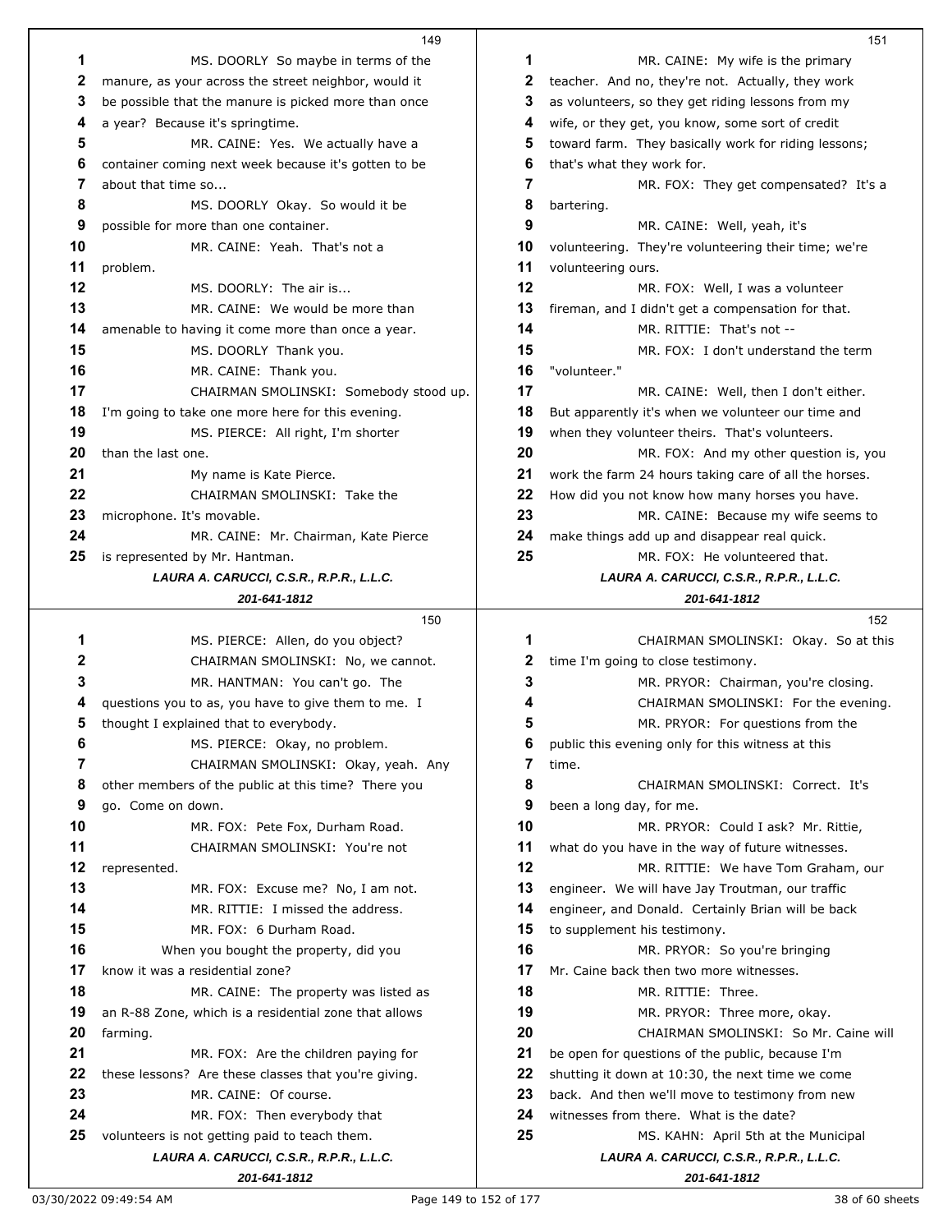|    | 149                                                   |    | 151                                                   |
|----|-------------------------------------------------------|----|-------------------------------------------------------|
| 1  | MS. DOORLY So maybe in terms of the                   | 1  | MR. CAINE: My wife is the primary                     |
| 2  | manure, as your across the street neighbor, would it  | 2  | teacher. And no, they're not. Actually, they work     |
| 3  | be possible that the manure is picked more than once  | 3  | as volunteers, so they get riding lessons from my     |
| 4  | a year? Because it's springtime.                      | 4  | wife, or they get, you know, some sort of credit      |
| 5  | MR. CAINE: Yes. We actually have a                    | 5  | toward farm. They basically work for riding lessons;  |
| 6  | container coming next week because it's gotten to be  | 6  | that's what they work for.                            |
| 7  | about that time so                                    | 7  | MR. FOX: They get compensated? It's a                 |
| 8  | MS. DOORLY Okay. So would it be                       | 8  | bartering.                                            |
| 9  | possible for more than one container.                 | 9  | MR. CAINE: Well, yeah, it's                           |
| 10 | MR. CAINE: Yeah. That's not a                         | 10 | volunteering. They're volunteering their time; we're  |
| 11 | problem.                                              | 11 | volunteering ours.                                    |
| 12 | MS. DOORLY: The air is                                | 12 | MR. FOX: Well, I was a volunteer                      |
| 13 | MR. CAINE: We would be more than                      | 13 | fireman, and I didn't get a compensation for that.    |
| 14 | amenable to having it come more than once a year.     | 14 | MR. RITTIE: That's not --                             |
| 15 | MS. DOORLY Thank you.                                 | 15 | MR. FOX: I don't understand the term                  |
| 16 | MR. CAINE: Thank you.                                 | 16 | "volunteer."                                          |
| 17 | CHAIRMAN SMOLINSKI: Somebody stood up.                | 17 | MR. CAINE: Well, then I don't either.                 |
| 18 | I'm going to take one more here for this evening.     | 18 | But apparently it's when we volunteer our time and    |
| 19 | MS. PIERCE: All right, I'm shorter                    | 19 | when they volunteer theirs. That's volunteers.        |
| 20 | than the last one.                                    | 20 | MR. FOX: And my other question is, you                |
| 21 | My name is Kate Pierce.                               | 21 | work the farm 24 hours taking care of all the horses. |
| 22 | CHAIRMAN SMOLINSKI: Take the                          | 22 | How did you not know how many horses you have.        |
| 23 | microphone. It's movable.                             | 23 | MR. CAINE: Because my wife seems to                   |
| 24 | MR. CAINE: Mr. Chairman, Kate Pierce                  | 24 | make things add up and disappear real quick.          |
| 25 | is represented by Mr. Hantman.                        | 25 | MR. FOX: He volunteered that.                         |
|    | LAURA A. CARUCCI, C.S.R., R.P.R., L.L.C.              |    | LAURA A. CARUCCI, C.S.R., R.P.R., L.L.C.              |
|    | 201-641-1812                                          |    | 201-641-1812                                          |
|    |                                                       |    |                                                       |
|    | 150                                                   |    | 152                                                   |
| 1  | MS. PIERCE: Allen, do you object?                     | 1  | CHAIRMAN SMOLINSKI: Okay. So at this                  |
| 2  | CHAIRMAN SMOLINSKI: No, we cannot.                    | 2  | time I'm going to close testimony.                    |
| 3  | MR. HANTMAN: You can't go. The                        | 3  | MR. PRYOR: Chairman, you're closing.                  |
| 4  | questions you to as, you have to give them to me. I   |    | CHAIRMAN SMOLINSKI: For the evening.                  |
| 5  | thought I explained that to everybody.                | 5  | MR. PRYOR: For questions from the                     |
| 6  | MS. PIERCE: Okay, no problem.                         | 6  | public this evening only for this witness at this     |
| 7  | CHAIRMAN SMOLINSKI: Okay, yeah. Any                   | 7  | time.                                                 |
| 8  | other members of the public at this time? There you   | 8  | CHAIRMAN SMOLINSKI: Correct. It's                     |
| 9  | go. Come on down.                                     | 9  | been a long day, for me.                              |
| 10 | MR. FOX: Pete Fox, Durham Road.                       | 10 | MR. PRYOR: Could I ask? Mr. Rittie,                   |
| 11 | CHAIRMAN SMOLINSKI: You're not                        | 11 | what do you have in the way of future witnesses.      |
| 12 | represented.                                          | 12 | MR. RITTIE: We have Tom Graham, our                   |
| 13 | MR. FOX: Excuse me? No, I am not.                     | 13 | engineer. We will have Jay Troutman, our traffic      |
| 14 | MR. RITTIE: I missed the address.                     | 14 | engineer, and Donald. Certainly Brian will be back    |
| 15 | MR. FOX: 6 Durham Road.                               | 15 | to supplement his testimony.                          |
| 16 | When you bought the property, did you                 | 16 | MR. PRYOR: So you're bringing                         |
| 17 | know it was a residential zone?                       | 17 | Mr. Caine back then two more witnesses.               |
| 18 | MR. CAINE: The property was listed as                 | 18 | MR. RITTIE: Three.                                    |
| 19 | an R-88 Zone, which is a residential zone that allows | 19 | MR. PRYOR: Three more, okay.                          |
| 20 | farming.                                              | 20 | CHAIRMAN SMOLINSKI: So Mr. Caine will                 |
| 21 | MR. FOX: Are the children paying for                  | 21 | be open for questions of the public, because I'm      |
| 22 | these lessons? Are these classes that you're giving.  | 22 | shutting it down at 10:30, the next time we come      |
| 23 | MR. CAINE: Of course.                                 | 23 | back. And then we'll move to testimony from new       |
| 24 | MR. FOX: Then everybody that                          | 24 | witnesses from there. What is the date?               |
| 25 | volunteers is not getting paid to teach them.         | 25 | MS. KAHN: April 5th at the Municipal                  |
|    | LAURA A. CARUCCI, C.S.R., R.P.R., L.L.C.              |    | LAURA A. CARUCCI, C.S.R., R.P.R., L.L.C.              |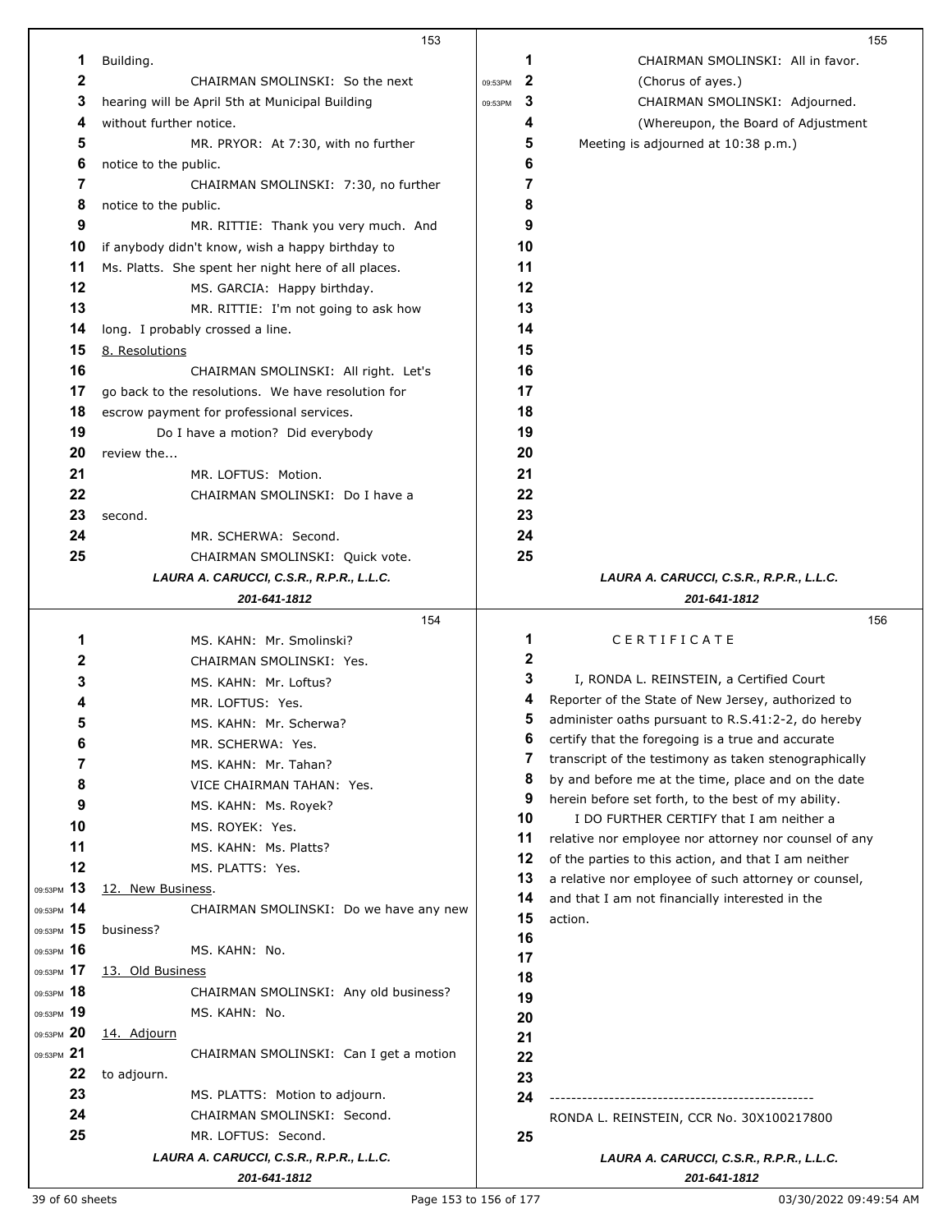|                  | 153                                                 |         |              | 155                                                   |
|------------------|-----------------------------------------------------|---------|--------------|-------------------------------------------------------|
| 1                | Building.                                           |         | 1            | CHAIRMAN SMOLINSKI: All in favor.                     |
| $\boldsymbol{2}$ | CHAIRMAN SMOLINSKI: So the next                     | 09:53PM | $\mathbf{2}$ | (Chorus of ayes.)                                     |
| 3                | hearing will be April 5th at Municipal Building     | 09:53PM | 3            | CHAIRMAN SMOLINSKI: Adjourned.                        |
| 4                | without further notice.                             |         | 4            | (Whereupon, the Board of Adjustment                   |
| 5                | MR. PRYOR: At 7:30, with no further                 |         | 5            | Meeting is adjourned at 10:38 p.m.)                   |
| 6                | notice to the public.                               |         | 6            |                                                       |
| 7                | CHAIRMAN SMOLINSKI: 7:30, no further                |         | 7            |                                                       |
| 8                | notice to the public.                               |         | 8            |                                                       |
| 9                | MR. RITTIE: Thank you very much. And                |         | 9            |                                                       |
| 10               | if anybody didn't know, wish a happy birthday to    |         | 10           |                                                       |
| 11               |                                                     |         | 11           |                                                       |
| 12               | Ms. Platts. She spent her night here of all places. |         | 12           |                                                       |
| 13               | MS. GARCIA: Happy birthday.                         |         | 13           |                                                       |
|                  | MR. RITTIE: I'm not going to ask how                |         |              |                                                       |
| 14               | long. I probably crossed a line.                    |         | 14           |                                                       |
| 15               | 8. Resolutions                                      |         | 15           |                                                       |
| 16               | CHAIRMAN SMOLINSKI: All right. Let's                |         | 16           |                                                       |
| 17               | go back to the resolutions. We have resolution for  |         | 17           |                                                       |
| 18               | escrow payment for professional services.           |         | 18           |                                                       |
| 19               | Do I have a motion? Did everybody                   |         | 19           |                                                       |
| 20               | review the                                          |         | 20           |                                                       |
| 21               | MR. LOFTUS: Motion.                                 |         | 21           |                                                       |
| 22               | CHAIRMAN SMOLINSKI: Do I have a                     |         | 22           |                                                       |
| 23               | second.                                             |         | 23           |                                                       |
| 24               | MR. SCHERWA: Second.                                |         | 24           |                                                       |
| 25               | CHAIRMAN SMOLINSKI: Quick vote.                     |         | 25           |                                                       |
|                  | LAURA A. CARUCCI, C.S.R., R.P.R., L.L.C.            |         |              | LAURA A. CARUCCI, C.S.R., R.P.R., L.L.C.              |
|                  | 201-641-1812                                        |         |              | 201-641-1812                                          |
|                  | 154                                                 |         |              | 156                                                   |
| 1                | MS. KAHN: Mr. Smolinski?                            |         | 1            | CERTIFICATE                                           |
| 2                | CHAIRMAN SMOLINSKI: Yes.                            |         | 2            |                                                       |
| 3                | MS. KAHN: Mr. Loftus?                               |         | 3            | I, RONDA L. REINSTEIN, a Certified Court              |
| 4                | MR. LOFTUS: Yes.                                    |         | 4            | Reporter of the State of New Jersey, authorized to    |
| 5                | MS. KAHN: Mr. Scherwa?                              |         | 5            | administer oaths pursuant to R.S.41:2-2, do hereby    |
| 6                | MR. SCHERWA: Yes.                                   |         | 6            | certify that the foregoing is a true and accurate     |
| 7                | MS. KAHN: Mr. Tahan?                                |         | 7            | transcript of the testimony as taken stenographically |
| 8                | VICE CHAIRMAN TAHAN: Yes.                           |         | 8            | by and before me at the time, place and on the date   |
| 9                | MS. KAHN: Ms. Royek?                                |         | 9            | herein before set forth, to the best of my ability.   |
| 10               |                                                     |         | 10           | I DO FURTHER CERTIFY that I am neither a              |
| 11               | MS. ROYEK: Yes.                                     |         | 11           | relative nor employee nor attorney nor counsel of any |
|                  | MS. KAHN: Ms. Platts?                               |         | 12           | of the parties to this action, and that I am neither  |
| 12               | MS. PLATTS: Yes.                                    |         | 13           | a relative nor employee of such attorney or counsel,  |
| 09:53PM 13       | 12. New Business.                                   |         | 14           | and that I am not financially interested in the       |
| 09:53PM 14       | CHAIRMAN SMOLINSKI: Do we have any new              |         | 15           | action.                                               |
| 09:53PM 15       | business?                                           |         | 16           |                                                       |
| 09:53PM 16       | MS. KAHN: No.                                       |         | 17           |                                                       |
| 09:53PM 17       | 13. Old Business                                    |         | 18           |                                                       |
| 09:53PM 18       | CHAIRMAN SMOLINSKI: Any old business?               |         | 19           |                                                       |
| 09:53PM 19       | MS. KAHN: No.                                       |         | 20           |                                                       |
| 09:53PM 20       | 14. Adjourn                                         |         | 21           |                                                       |
| 09:53PM 21       | CHAIRMAN SMOLINSKI: Can I get a motion              |         | 22           |                                                       |
| 22               | to adjourn.                                         |         | 23           |                                                       |
| 23               | MS. PLATTS: Motion to adjourn.                      |         | 24           |                                                       |
| 24               | CHAIRMAN SMOLINSKI: Second.                         |         |              | RONDA L. REINSTEIN, CCR No. 30X100217800              |
| 25               | MR. LOFTUS: Second.                                 |         | 25           |                                                       |
|                  | LAURA A. CARUCCI, C.S.R., R.P.R., L.L.C.            |         |              | LAURA A. CARUCCI, C.S.R., R.P.R., L.L.C.              |
|                  | 201-641-1812                                        |         |              | 201-641-1812                                          |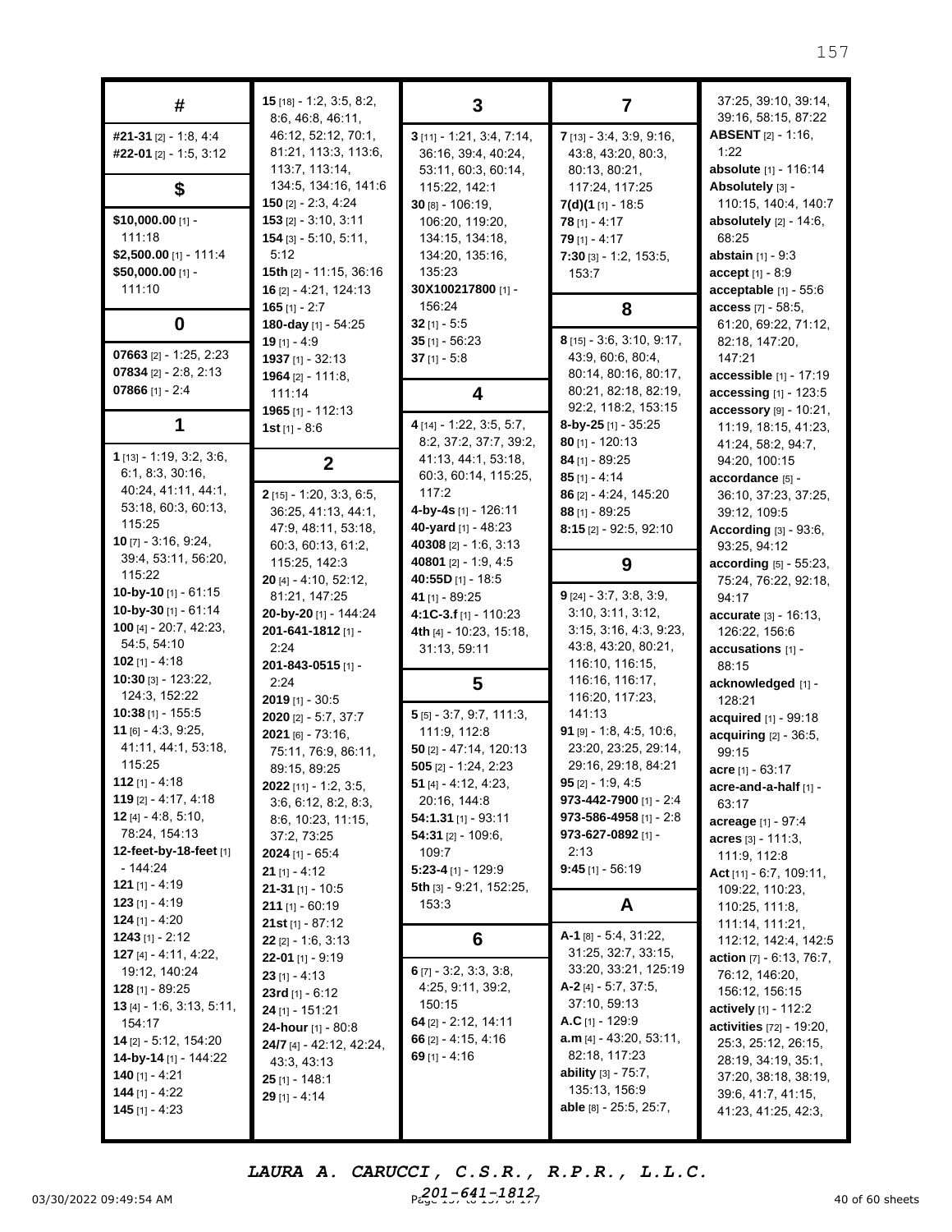| #                                                                                                                                                                                                                                                                                                     | $15$ [18] - 1:2, 3:5, 8:2,<br>8:6, 46:8, 46:11,                                                                                                                                                                                                                                        | 3                                                                                                                                                                                                                                                                 | 7                                                                                                                                                                                                                                                                  | 37:25, 39:10, 39:14,<br>39:16, 58:15, 87:22                                                                                                                                                                                                                                   |
|-------------------------------------------------------------------------------------------------------------------------------------------------------------------------------------------------------------------------------------------------------------------------------------------------------|----------------------------------------------------------------------------------------------------------------------------------------------------------------------------------------------------------------------------------------------------------------------------------------|-------------------------------------------------------------------------------------------------------------------------------------------------------------------------------------------------------------------------------------------------------------------|--------------------------------------------------------------------------------------------------------------------------------------------------------------------------------------------------------------------------------------------------------------------|-------------------------------------------------------------------------------------------------------------------------------------------------------------------------------------------------------------------------------------------------------------------------------|
| #21-31 [2] - 1:8, 4:4<br>#22-01 [2] - 1:5, 3:12                                                                                                                                                                                                                                                       | 46:12, 52:12, 70:1,<br>81:21, 113:3, 113:6,<br>113:7, 113:14,                                                                                                                                                                                                                          | $3$ [11] - 1:21, 3:4, 7:14,<br>36:16, 39:4, 40:24,<br>53:11, 60:3, 60:14,                                                                                                                                                                                         | 7 [13] - 3:4, 3:9, 9:16,<br>43:8, 43:20, 80:3,<br>80:13, 80:21,                                                                                                                                                                                                    | <b>ABSENT</b> [2] - 1:16,<br>1:22<br>absolute [1] - 116:14                                                                                                                                                                                                                    |
| \$                                                                                                                                                                                                                                                                                                    | 134:5, 134:16, 141:6<br><b>150</b> [2] $- 2:3, 4:24$                                                                                                                                                                                                                                   | 115:22, 142:1<br>$30$ [8] - $106:19$ ,                                                                                                                                                                                                                            | 117:24, 117:25<br>$7(d)(1_{[1]} - 18.5)$                                                                                                                                                                                                                           | Absolutely [3] -<br>110:15, 140:4, 140:7                                                                                                                                                                                                                                      |
| $$10,000.00$ [1] -<br>111:18<br>\$2,500.00 $[1] - 111:4$<br>\$50,000.00 [1] -<br>111:10                                                                                                                                                                                                               | $153$ [2] - 3:10, 3:11<br>$154$ [3] - 5:10, 5:11,<br>5:12<br>15th $[2] - 11:15$ , 36:16<br>16 [2] - 4:21, 124:13<br>$165$ [1] - 2:7                                                                                                                                                    | 106:20, 119:20,<br>134:15, 134:18,<br>134:20, 135:16,<br>135:23<br>30X100217800 [1] -<br>156:24                                                                                                                                                                   | $78$ [1] - 4:17<br>$79$ [1] - 4:17<br>$7:30$ [3] - 1:2, 153:5,<br>153:7                                                                                                                                                                                            | absolutely [2] - 14:6,<br>68:25<br>abstain [1] - 9:3<br>$accept[1] - 8:9$<br>acceptable [1] - 55:6<br>access [7] - 58:5,                                                                                                                                                      |
| 0                                                                                                                                                                                                                                                                                                     | 180-day [1] - 54:25<br>$19$ [1] - 4:9                                                                                                                                                                                                                                                  | $32$ [1] - 5:5<br>$35$ [1] - 56:23                                                                                                                                                                                                                                | 8<br>8 [15] - 3:6, 3:10, 9:17,                                                                                                                                                                                                                                     | 61:20, 69:22, 71:12,<br>82:18, 147:20,                                                                                                                                                                                                                                        |
| 07663 $[2] - 1:25, 2:23$<br>07834 $[2] - 2:8, 2:13$<br>07866 $[1] - 2:4$                                                                                                                                                                                                                              | 1937 $[1] - 32:13$<br>1964 $[2] - 111:8$<br>111:14                                                                                                                                                                                                                                     | $37$ [1] - 5:8<br>4                                                                                                                                                                                                                                               | 43:9, 60:6, 80:4,<br>80:14, 80:16, 80:17,<br>80:21, 82:18, 82:19,<br>92:2, 118:2, 153:15                                                                                                                                                                           | 147:21<br>accessible [1] - 17:19<br>accessing [1] - 123:5                                                                                                                                                                                                                     |
| 1                                                                                                                                                                                                                                                                                                     | 1965 $[1] - 112:13$<br>1st $[1] - 8:6$                                                                                                                                                                                                                                                 | 4 [14] - 1:22, 3:5, 5:7,<br>8:2, 37:2, 37:7, 39:2,                                                                                                                                                                                                                | 8-by-25 $[1]$ - 35:25<br>$80$ [1] - 120:13                                                                                                                                                                                                                         | accessory [9] - 10:21,<br>11:19, 18:15, 41:23,<br>41:24, 58:2, 94:7,                                                                                                                                                                                                          |
| $1$ [13] - 1:19, 3:2, 3:6,<br>6:1, 8:3, 30:16,<br>40:24, 41:11, 44:1,<br>53:18, 60:3, 60:13,                                                                                                                                                                                                          | $\mathbf 2$<br>2 [15] - 1:20, 3:3, 6:5,<br>36:25, 41:13, 44:1,                                                                                                                                                                                                                         | 41:13, 44:1, 53:18,<br>60:3, 60:14, 115:25,<br>117:2<br>4-by-4s [1] - 126:11                                                                                                                                                                                      | 84 [1] - 89:25<br>$85$ [1] - 4:14<br>86 [2] - 4:24, 145:20<br>88 [1] - 89:25                                                                                                                                                                                       | 94:20, 100:15<br>accordance [5] -<br>36:10, 37:23, 37:25,<br>39:12, 109:5                                                                                                                                                                                                     |
| 115:25<br><b>10</b> [7] - $3:16, 9:24$ ,<br>39:4, 53:11, 56:20,                                                                                                                                                                                                                                       | 47:9, 48:11, 53:18,<br>60:3, 60:13, 61:2,<br>115:25, 142:3                                                                                                                                                                                                                             | 40-yard [1] - 48:23<br>40308 [2] - 1:6, 3:13<br>40801 [2] - 1:9, 4:5                                                                                                                                                                                              | 8:15 [2] - 92:5, 92:10<br>9                                                                                                                                                                                                                                        | According $[3] - 93:6$ ,<br>93:25, 94:12<br>according [5] - 55:23,                                                                                                                                                                                                            |
| 115:22<br>10-by-10 $[1] - 61:15$<br>10-by-30 [1] - 61:14<br>100 [4] - 20:7, 42:23,<br>54:5, 54:10<br>102 $[1] - 4:18$                                                                                                                                                                                 | $20$ [4] - 4:10, 52:12,<br>81:21, 147:25<br>20-by-20 [1] - 144:24<br>201-641-1812 [1] -<br>2:24<br>201-843-0515 [1] -                                                                                                                                                                  | 40:55D [1] - 18:5<br>41 [1] - 89:25<br>4:1C-3.f [1] - 110:23<br>4th [4] - 10:23, 15:18,<br>31:13, 59:11                                                                                                                                                           | $9$ [24] - 3:7, 3:8, 3:9,<br>3:10, 3:11, 3:12,<br>3:15, 3:16, 4:3, 9:23,<br>43:8, 43:20, 80:21,<br>116:10, 116:15,                                                                                                                                                 | 75:24, 76:22, 92:18,<br>94:17<br>accurate [3] - 16:13,<br>126:22, 156:6<br>accusations [1] -<br>88:15                                                                                                                                                                         |
| 10:30 [3] - 123:22,<br>124:3, 152:22<br>$10:38$ [1] - 155:5<br>11 [6] $- 4:3, 9:25,$<br>41:11, 44:1, 53:18,<br>115:25<br>112 $[1] - 4:18$<br>119 $[2] - 4:17, 4:18$<br><b>12</b> [4] - 4:8, 5:10,<br>78:24, 154:13<br>12-feet-by-18-feet [1]<br>- 144:24<br><b>121</b> [1] - 4:19<br>$123$ [1] - 4:19 | 2:24<br>$2019$ [1] - 30:5<br>2020 [2] - 5:7, 37:7<br>2021 [6] - 73:16,<br>75:11, 76:9, 86:11,<br>89:15, 89:25<br>2022 [11] - 1:2, 3:5,<br>3:6, 6:12, 8:2, 8:3,<br>8:6, 10:23, 11:15,<br>37:2, 73:25<br>$2024$ [1] - 65:4<br>$21$ [1] - 4:12<br>$21-31$ [1] - 10:5<br>$211$ [1] - 60:19 | 5<br>$5$ [5] - 3:7, 9:7, 111:3,<br>111:9, 112:8<br>$50$ [2] - 47:14, 120:13<br>$505$ [2] - 1:24, 2:23<br>51 [4] $- 4:12, 4:23,$<br>20:16, 144:8<br>$54:1.31$ [1] - 93:11<br>54:31 [2] - 109:6,<br>109:7<br>5:23-4 [1] - 129:9<br>5th [3] - 9:21, 152:25,<br>153:3 | 116:16, 116:17,<br>116:20, 117:23,<br>141:13<br>91 $[9] - 1:8, 4:5, 10:6,$<br>23:20, 23:25, 29:14,<br>29:16, 29:18, 84:21<br><b>95</b> [2] - 1:9, 4:5<br>973-442-7900 [1] - 2:4<br>973-586-4958 [1] - 2:8<br>973-627-0892 [1] -<br>2:13<br>$9:45$ [1] - 56:19<br>A | acknowledged [1] -<br>128:21<br>acquired [1] - 99:18<br>acquiring [2] - 36:5,<br>99:15<br>acre [1] - 63:17<br>acre-and-a-half [1] -<br>63:17<br>acreage [1] - 97:4<br>acres $[3] - 111:3$ ,<br>111:9, 112:8<br>Act $[11] - 6:7, 109:11,$<br>109:22, 110:23,<br>110:25, 111:8, |
| <b>124</b> [1] - 4:20<br>1243 [1] - 2:12                                                                                                                                                                                                                                                              | 21st $[1] - 87:12$<br><b>22</b> [2] - 1:6, 3:13                                                                                                                                                                                                                                        | 6                                                                                                                                                                                                                                                                 | A-1 [8] - 5:4, 31:22,                                                                                                                                                                                                                                              | 111:14, 111:21,<br>112:12, 142:4, 142:5                                                                                                                                                                                                                                       |
| 127 [4] - 4:11, 4:22,<br>19:12, 140:24<br><b>128</b> [1] - 89:25<br><b>13</b> [4] - 1:6, 3:13, 5:11,<br>154:17<br><b>14</b> [2] - 5:12, 154:20<br><b>14-by-14</b> [1] - 144:22<br>140 [1] - 4:21<br><b>144</b> [1] - 4:22<br><b>145</b> [1] - 4:23                                                    | 22-01 [1] - $9:19$<br>$23$ [1] - 4:13<br>23rd [1] - $6:12$<br>$24$ [1] - 151:21<br>24-hour [1] - 80:8<br><b>24/7</b> [4] - 42:12, 42:24,<br>43:3, 43:13<br>25 [1] - 148:1<br>$29$ [1] - 4:14                                                                                           | 6 $[7]$ - 3:2, 3:3, 3:8,<br>4:25, 9:11, 39:2,<br>150:15<br>64 [2] - 2:12, 14:11<br>66 $[2] - 4:15, 4:16$<br>69 $[1] - 4:16$                                                                                                                                       | 31:25, 32:7, 33:15,<br>33:20, 33:21, 125:19<br>$A-2$ [4] - 5:7, 37:5,<br>37:10, 59:13<br>A.C $[1] - 129.9$<br>$a.m$ [4] - 43:20, 53:11,<br>82:18, 117:23<br><b>ability</b> $[3] - 75:7$ ,<br>135:13, 156:9<br><b>able</b> [8] - 25:5, 25:7,                        | <b>action</b> $[7] - 6:13, 76:7,$<br>76:12, 146:20,<br>156:12, 156:15<br><b>actively</b> $[1]$ - 112:2<br>activities [72] - 19:20,<br>25:3, 25:12, 26:15,<br>28:19, 34:19, 35:1,<br>37:20, 38:18, 38:19,<br>39:6, 41:7, 41:15,<br>41:23, 41:25, 42:3,                         |

03/30/2022 09:49:54 AM  $P_{6.9}^{201}$   $P_{6.9}^{41}$   $P_{7.9}^{41}$   $P_{8.9}^{41}$   $P_{9.9}^{41}$   $P_{9.9}^{41}$   $P_{9.9}^{41}$   $P_{9.9}^{41}$   $P_{9.9}^{41}$   $P_{9.9}^{41}$   $P_{9.9}^{41}$   $P_{9.9}^{41}$   $P_{9.9}^{41}$   $P_{9.9}^{41}$   $P_{9.9}^{41}$   $P$ *LAURA A. CARUCCI, C.S.R., R.P.R., L.L.C. 201-641-1812*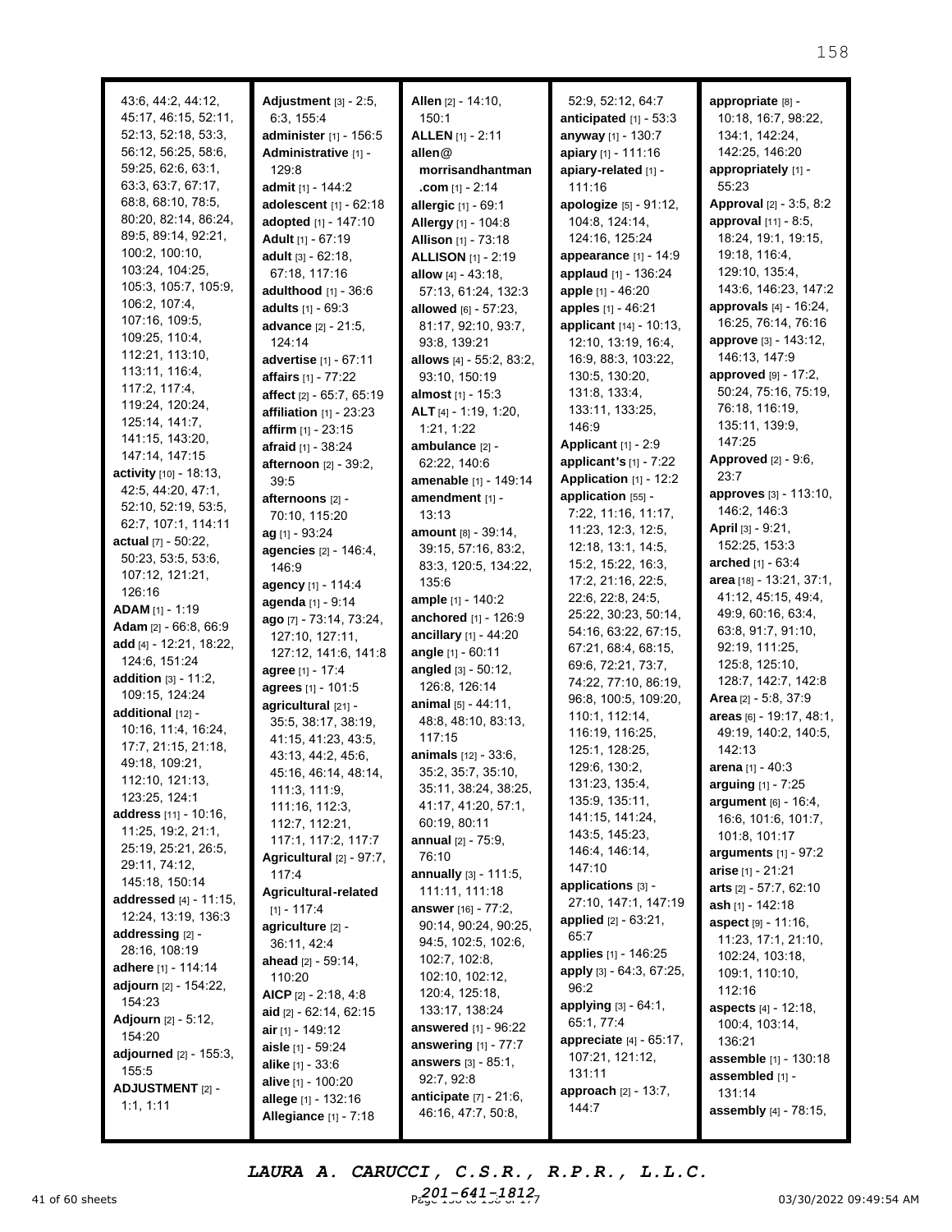| 43:6, 44:2, 44:12,             | Adjustment [3] - 2:5,        | Allen [2] - 14:10,             | 52:9, 52:12, 64:7                         | appropriate [8] -             |
|--------------------------------|------------------------------|--------------------------------|-------------------------------------------|-------------------------------|
| 45:17, 46:15, 52:11,           | 6:3, 155:4                   | 150:1                          | anticipated [1] - 53:3                    | 10:18, 16:7, 98:22,           |
| 52:13, 52:18, 53:3,            | administer [1] - 156:5       | <b>ALLEN</b> [1] - 2:11        | anyway [1] - 130:7                        | 134:1, 142:24,                |
| 56:12, 56:25, 58:6,            | Administrative [1] -         | allen@                         | apiary [1] - 111:16                       | 142:25, 146:20                |
| 59:25, 62:6, 63:1,             | 129:8                        | morrisandhantman               | apiary-related [1] -                      | appropriately [1] -           |
| 63:3, 63:7, 67:17,             | admit [1] - 144:2            | <b>.com</b> [1] - 2:14         | 111:16                                    | 55:23                         |
| 68:8, 68:10, 78:5,             | adolescent [1] - 62:18       | allergic [1] - 69:1            | apologize [5] - 91:12,                    | Approval [2] - 3:5, 8:2       |
| 80:20, 82:14, 86:24,           | adopted [1] - 147:10         | Allergy [1] - 104:8            | 104:8, 124:14,                            | approval [11] - 8:5,          |
| 89:5, 89:14, 92:21,            | Adult [1] - 67:19            | Allison [1] - 73:18            | 124:16, 125:24                            | 18:24, 19:1, 19:15,           |
| 100:2, 100:10,                 | adult $[3] - 62:18$ ,        | <b>ALLISON</b> [1] - 2:19      | appearance [1] - 14:9                     | 19:18, 116:4,                 |
| 103:24, 104:25,                | 67:18, 117:16                | allow [4] - 43:18.             | applaud [1] - 136:24                      | 129:10, 135:4,                |
| 105:3, 105:7, 105:9,           | adulthood [1] - 36:6         | 57:13, 61:24, 132:3            | apple [1] - 46:20                         | 143:6, 146:23, 147:2          |
| 106:2, 107:4,                  | adults [1] - 69:3            | allowed $[6] - 57:23$ ,        | apples [1] - 46:21                        | <b>approvals</b> [4] - 16:24, |
| 107:16, 109:5,                 | advance [2] - 21:5,          | 81:17, 92:10, 93:7,            | applicant [14] - 10:13,                   | 16:25, 76:14, 76:16           |
| 109:25, 110:4,                 | 124:14                       | 93:8, 139:21                   | 12:10, 13:19, 16:4,                       | approve [3] - 143:12,         |
| 112:21, 113:10,                | advertise [1] - 67:11        | allows [4] - 55:2, 83:2,       | 16:9, 88:3, 103:22,                       | 146:13, 147:9                 |
| 113:11, 116:4,                 | affairs [1] - 77:22          | 93:10, 150:19                  | 130:5, 130:20,                            | approved $[9] - 17:2$ ,       |
| 117:2, 117:4,                  | affect [2] - 65:7, 65:19     | almost [1] - 15:3              | 131:8, 133:4,                             | 50:24, 75:16, 75:19,          |
| 119:24, 120:24,                | affiliation $[1]$ - 23:23    | ALT [4] - 1:19, 1:20,          | 133:11, 133:25,                           | 76:18, 116:19,                |
| 125:14, 141:7,                 | <b>affirm</b> $[1] - 23:15$  | 1:21, 1:22                     | 146:9                                     | 135:11, 139:9,                |
| 141:15, 143:20,                | afraid [1] - 38:24           | ambulance [2] -                | Applicant [1] - 2:9                       | 147:25                        |
| 147:14, 147:15                 | afternoon [2] - 39:2,        | 62:22, 140:6                   | applicant's $[1]$ - $7:22$                | <b>Approved</b> [2] - 9:6,    |
| activity [10] - 18:13.         | 39:5                         | amenable [1] - 149:14          | Application [1] - 12:2                    | 23:7                          |
| 42:5, 44:20, 47:1,             | afternoons [2] -             | amendment [1] -                | application [55] -                        | approves [3] - 113:10,        |
| 52:10, 52:19, 53:5,            |                              | 13:13                          | 7:22, 11:16, 11:17,                       | 146:2, 146:3                  |
| 62:7, 107:1, 114:11            | 70:10, 115:20                | amount [8] - 39:14,            | 11:23, 12:3, 12:5,                        | April [3] - 9:21,             |
| actual $[7] - 50:22$ ,         | $ag$ [1] - 93:24             |                                | 12:18, 13:1, 14:5,                        | 152:25, 153:3                 |
| 50:23, 53:5, 53:6,             | agencies [2] - 146:4,        | 39:15, 57:16, 83:2,            | 15:2, 15:22, 16:3,                        | arched [1] - 63:4             |
| 107:12, 121:21,                | 146:9                        | 83:3, 120:5, 134:22,           | 17:2, 21:16, 22:5,                        | area [18] - 13:21, 37:1,      |
| 126:16                         | agency [1] - 114:4           | 135:6                          |                                           | 41:12, 45:15, 49:4,           |
| <b>ADAM</b> [1] - 1:19         | agenda [1] - 9:14            | ample [1] - 140:2              | 22:6, 22:8, 24:5,<br>25:22, 30:23, 50:14, | 49:9, 60:16, 63:4,            |
| Adam $[2] - 66:8, 66:9$        | ago [7] - 73:14, 73:24,      | anchored [1] - 126:9           |                                           |                               |
| add [4] - 12:21, 18:22,        | 127:10, 127:11,              | ancillary [1] - 44:20          | 54:16, 63:22, 67:15,                      | 63:8, 91:7, 91:10,            |
| 124:6, 151:24                  | 127:12, 141:6, 141:8         | angle [1] - 60:11              | 67:21, 68:4, 68:15,                       | 92:19, 111:25,                |
| <b>addition</b> $[3] - 11:2$ , | agree [1] - 17:4             | angled $[3] - 50:12$ ,         | 69:6, 72:21, 73:7,                        | 125:8, 125:10,                |
| 109:15, 124:24                 | agrees [1] - 101:5           | 126:8, 126:14                  | 74:22, 77:10, 86:19,                      | 128:7, 142:7, 142:8           |
| additional [12] -              | agricultural [21] -          | animal [5] - 44:11,            | 96:8, 100:5, 109:20,                      | Area [2] - 5:8, 37:9          |
| 10:16, 11:4, 16:24,            | 35:5, 38:17, 38:19,          | 48:8, 48:10, 83:13,            | 110:1, 112:14,                            | areas [6] - 19:17, 48:1,      |
| 17:7, 21:15, 21:18,            | 41:15, 41:23, 43:5,          | 117:15                         | 116:19, 116:25,                           | 49:19, 140:2, 140:5,          |
| 49:18, 109:21.                 | 43:13, 44:2, 45:6,           | <b>animals</b> $[12] - 33:6$ , | 125:1, 128:25,                            | 142:13                        |
|                                | 45:16, 46:14, 48:14,         | 35:2, 35:7, 35:10,             | 129:6, 130:2,                             | arena [1] - 40:3              |
| 112:10, 121:13,                | 111:3, 111:9,                | 35:11, 38:24, 38:25,           | 131:23, 135:4,                            | arguing [1] - 7:25            |
| 123:25, 124:1                  | 111:16, 112:3,               | 41:17, 41:20, 57:1,            | 135:9, 135:11,                            | argument [6] - 16:4,          |
| <b>address</b> [11] - 10:16,   | 112:7, 112:21,               | 60:19, 80:11                   | 141:15, 141:24,                           | 16:6, 101:6, 101:7,           |
| 11:25, 19:2, 21:1,             | 117:1, 117:2, 117:7          | <b>annual</b> $[2] - 75:9$ ,   | 143:5, 145:23,                            | 101:8, 101:17                 |
| 25:19, 25:21, 26:5,            | Agricultural [2] - 97:7,     | 76:10                          | 146:4, 146:14,                            | <b>arguments</b> [1] - 97:2   |
| 29:11, 74:12,                  | 117:4                        | annually [3] - 111:5,          | 147:10                                    | <b>arise</b> א - 21:21        |
| 145:18, 150:14                 | Agricultural-related         | 111:11, 111:18                 | applications [3] -                        | arts [2] - 57:7, 62:10        |
| addressed [4] - 11:15,         | $[1] - 117:4$                | answer [16] - 77:2,            | 27:10, 147:1, 147:19                      | <b>ash</b> א1 - 142:18        |
| 12:24, 13:19, 136:3            | agriculture [2] -            | 90:14, 90:24, 90:25,           | applied [2] - 63:21,                      | <b>aspect</b> [9] - 11:16,    |
| addressing [2] -               | 36:11, 42:4                  | 94:5, 102:5, 102:6,            | 65:7                                      | 11:23, 17:1, 21:10,           |
| 28:16, 108:19                  | ahead $[2] - 59:14$ ,        | 102:7, 102:8,                  | applies [1] - 146:25                      | 102:24, 103:18,               |
| <b>adhere</b> [1] - 114:14     | 110:20                       | 102:10, 102:12,                | apply [3] - 64:3, 67:25,                  | 109:1, 110:10,                |
| adjourn [2] - 154:22,          |                              | 120:4, 125:18,                 | 96:2                                      | 112:16                        |
| 154:23                         | AICP $[2] - 2:18, 4:8$       | 133:17, 138:24                 | applying [3] - 64:1,                      | aspects [4] - 12:18,          |
| <b>Adjourn</b> [2] - 5:12,     | aid [2] - 62:14, 62:15       |                                | 65:1, 77:4                                | 100:4, 103:14,                |
| 154:20                         | air $[1] - 149:12$           | <b>answered</b> [1] - 96:22    | appreciate [4] - 65:17,                   | 136:21                        |
| adjourned [2] - 155:3,         | aisle [1] - 59:24            | answering $[1]$ - 77:7         | 107:21, 121:12,                           | assemble [1] - 130:18         |
| 155:5                          | <b>alike</b> $[1] - 33:6$    | <b>answers</b> $[3] - 85:1$ ,  | 131:11                                    | assembled [1] -               |
| <b>ADJUSTMENT</b> [2] -        | <b>alive</b> [1] - 100:20    | 92:7, 92:8                     | approach [2] - 13:7,                      | 131:14                        |
| 1:1, 1:11                      | allege [1] - 132:16          | anticipate [7] - 21:6,         | 144:7                                     |                               |
|                                | <b>Allegiance</b> [1] - 7:18 | 46:16, 47:7, 50:8,             |                                           | assembly [4] - 78:15,         |

41 of 60 sheets **Page 158 to 158 of 178 of 178 to 158 of 178 of 178 of 178 of 178 of 178 of 178 of 178 of 178 of 178 of 178 of 178 of 178 of 178 of 178 of 178 of 178 of 178 of 178 of 178 of 178 of 178 of 178 of 178 of 178** *LAURA A. CARUCCI, C.S.R., R.P.R., L.L.C. 201-641-1812*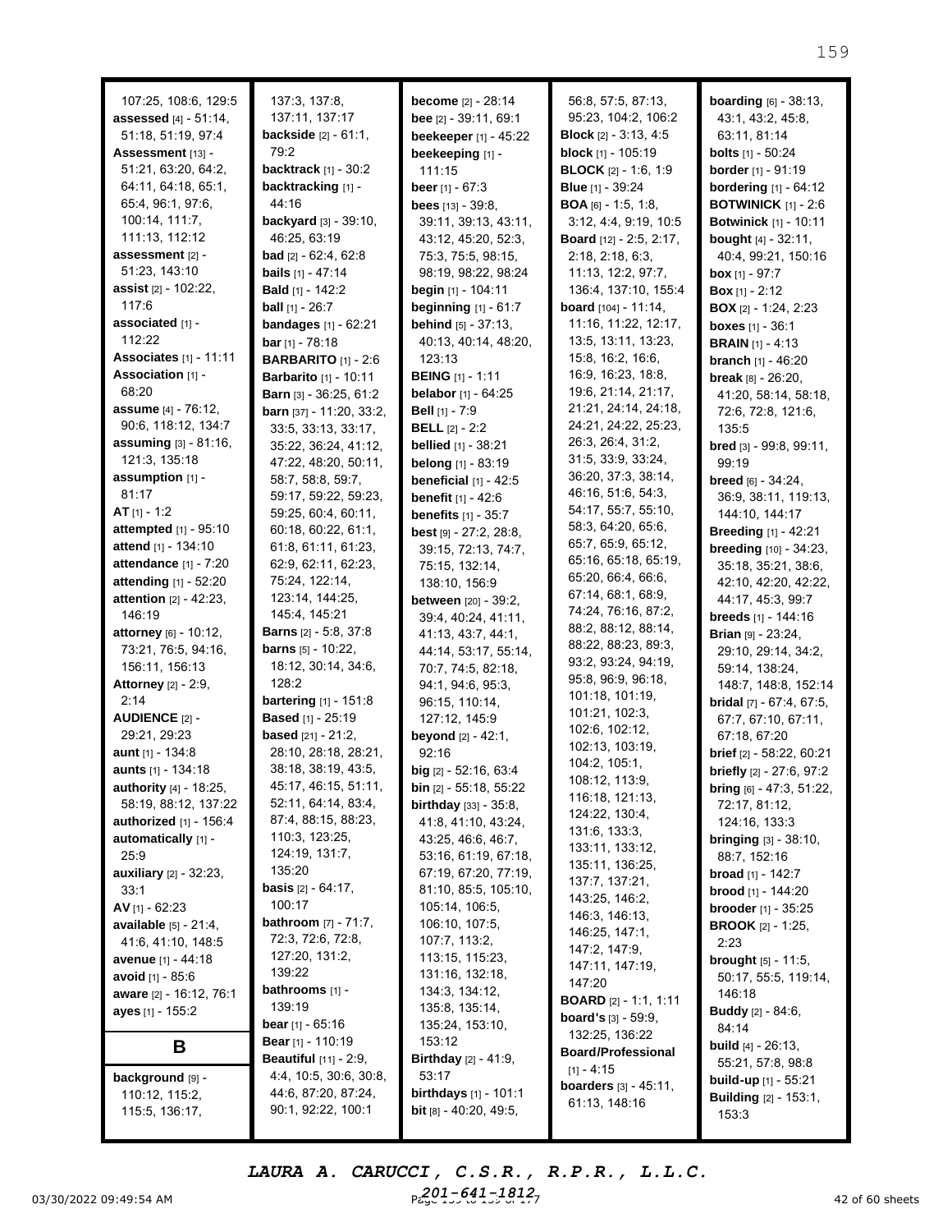| 107:25, 108:6, 129:5            | 137:3, 137:8,                                               | <b>become</b> [2] - 28:14                               | 56:8, 57:5, 87:13,                       | <b>boarding</b> $[6] - 38:13$ ,                   |
|---------------------------------|-------------------------------------------------------------|---------------------------------------------------------|------------------------------------------|---------------------------------------------------|
| <b>assessed</b> [4] - 51:14,    | 137:11, 137:17                                              | bee [2] - 39:11, 69:1                                   | 95:23, 104:2, 106:2                      | 43:1, 43:2, 45:8,                                 |
| 51:18, 51:19, 97:4              | <b>backside</b> $[2] - 61:1$ ,                              | beekeeper [1] - 45:22                                   | <b>Block</b> $[2] - 3:13, 4:5$           | 63:11, 81:14                                      |
| Assessment [13] -               | 79:2                                                        | beekeeping [1] -                                        | block [1] - 105:19                       | <b>bolts</b> [1] - 50:24                          |
| 51:21, 63:20, 64:2,             | backtrack [1] - 30:2                                        | 111:15                                                  | <b>BLOCK</b> [2] - 1:6, 1:9              | <b>border</b> [1] - 91:19                         |
| 64:11, 64:18, 65:1,             | backtracking [1] -                                          | <b>beer</b> $[1] - 67:3$                                | <b>Blue</b> [1] - 39:24                  | <b>bordering</b> [1] - 64:12                      |
| 65:4, 96:1, 97:6,               | 44:16                                                       | bees $[13] - 39:8$ ,                                    | <b>BOA</b> [6] - 1:5, 1:8,               | <b>BOTWINICK</b> $[1] - 2:6$                      |
| 100:14, 111:7,                  | backyard [3] - 39:10,                                       | 39:11, 39:13, 43:11,                                    | 3:12, 4:4, 9:19, 10:5                    | <b>Botwinick</b> [1] - 10:11                      |
| 111:13, 112:12                  | 46:25, 63:19                                                | 43:12, 45:20, 52:3,                                     | <b>Board</b> [12] - 2:5, 2:17,           | bought [4] - 32:11,                               |
| assessment [2] -                | <b>bad</b> $[2] - 62:4, 62:8$                               | 75:3, 75:5, 98:15,                                      | 2:18, 2:18, 6:3,                         | 40:4, 99:21, 150:16                               |
| 51:23, 143:10                   | <b>bails</b> [1] - 47:14                                    | 98:19, 98:22, 98:24                                     | 11:13, 12:2, 97:7,                       | <b>box</b> $[1] - 97:7$                           |
| <b>assist</b> [2] - 102:22,     | <b>Bald</b> [1] - 142:2                                     | begin [1] - 104:11                                      | 136:4, 137:10, 155:4                     | <b>Box</b> $[1] - 2:12$                           |
| 117:6                           | <b>ball</b> $[1] - 26:7$                                    | <b>beginning</b> $[1] - 61:7$                           | <b>board</b> $[104] - 11:14$ ,           | <b>BOX</b> [2] - 1:24, 2:23                       |
| associated [1] -<br>112:22      | bandages [1] - 62:21                                        | behind [5] - 37:13,                                     | 11:16, 11:22, 12:17,                     | <b>boxes</b> $[1] - 36:1$                         |
| <b>Associates</b> [1] - 11:11   | <b>bar</b> $[1] - 78:18$                                    | 40:13, 40:14, 48:20,                                    | 13:5, 13:11, 13:23,<br>15:8, 16:2, 16:6, | <b>BRAIN</b> $[1] - 4:13$                         |
| Association [1] -               | <b>BARBARITO</b> [1] - 2:6                                  | 123:13                                                  | 16:9, 16:23, 18:8,                       | <b>branch</b> $[1] - 46:20$                       |
| 68:20                           | <b>Barbarito</b> [1] - 10:11                                | <b>BEING</b> [1] - 1:11<br><b>belabor</b> [1] - $64:25$ | 19:6, 21:14, 21:17,                      | <b>break</b> $[8] - 26:20$ ,                      |
| <b>assume</b> [4] - 76:12,      | Barn [3] - 36:25, 61:2<br><b>barn</b> $[37] - 11:20, 33:2,$ | Bell [1] - 7:9                                          | 21:21, 24:14, 24:18,                     | 41:20, 58:14, 58:18,                              |
| 90:6, 118:12, 134:7             | 33:5, 33:13, 33:17,                                         | <b>BELL</b> $[2] - 2:2$                                 | 24:21, 24:22, 25:23,                     | 72:6, 72:8, 121:6,<br>135:5                       |
| <b>assuming</b> $[3] - 81:16$ , | 35:22, 36:24, 41:12,                                        | <b>bellied</b> [1] - 38:21                              | 26:3, 26:4, 31:2,                        | <b>bred</b> $[3] - 99:8, 99:11,$                  |
| 121:3, 135:18                   | 47:22, 48:20, 50:11,                                        | belong [1] - 83:19                                      | 31:5, 33:9, 33:24,                       | 99:19                                             |
| assumption [1] -                | 58:7, 58:8, 59:7,                                           | beneficial $[1]$ - 42:5                                 | 36:20, 37:3, 38:14,                      | <b>breed</b> $[6] - 34:24$ ,                      |
| 81:17                           | 59:17, 59:22, 59:23,                                        | <b>benefit</b> $[1] - 42:6$                             | 46:16, 51:6, 54:3,                       | 36:9, 38:11, 119:13,                              |
| AT $[1] - 1:2$                  | 59:25, 60:4, 60:11,                                         | <b>benefits</b> [1] - 35:7                              | 54:17, 55:7, 55:10,                      | 144:10, 144:17                                    |
| attempted [1] - 95:10           | 60:18, 60:22, 61:1,                                         | <b>best</b> $[9] - 27:2, 28:8,$                         | 58:3, 64:20, 65:6,                       | <b>Breeding</b> [1] - 42:21                       |
| attend [1] - 134:10             | 61:8, 61:11, 61:23,                                         | 39:15, 72:13, 74:7,                                     | 65:7, 65:9, 65:12,                       | breeding [10] - 34:23,                            |
| <b>attendance</b> [1] - 7:20    | 62:9, 62:11, 62:23,                                         | 75:15, 132:14,                                          | 65:16, 65:18, 65:19,                     | 35:18, 35:21, 38:6,                               |
| attending [1] - 52:20           | 75:24, 122:14,                                              | 138:10, 156:9                                           | 65:20, 66:4, 66:6,                       | 42:10, 42:20, 42:22,                              |
| attention [2] - 42:23,          | 123:14, 144:25,                                             | between [20] - 39:2,                                    | 67:14, 68:1, 68:9,                       | 44:17, 45:3, 99:7                                 |
| 146:19                          | 145:4, 145:21                                               | 39:4, 40:24, 41:11,                                     | 74:24, 76:16, 87:2,                      | <b>breeds</b> $[1]$ - 144:16                      |
| attorney [6] - 10:12,           | <b>Barns</b> [2] - 5:8, 37:8                                | 41:13, 43:7, 44:1,                                      | 88:2, 88:12, 88:14,                      | <b>Brian</b> $[9] - 23:24$ ,                      |
| 73:21, 76:5, 94:16,             | <b>barns</b> [5] - 10:22,                                   | 44:14, 53:17, 55:14,                                    | 88:22, 88:23, 89:3,                      | 29:10, 29:14, 34:2,                               |
| 156:11, 156:13                  | 18:12, 30:14, 34:6,                                         | 70:7, 74:5, 82:18,                                      | 93:2, 93:24, 94:19,                      | 59:14, 138:24,                                    |
| <b>Attorney</b> [2] - 2:9,      | 128:2                                                       | 94:1, 94:6, 95:3,                                       | 95:8, 96:9, 96:18,                       | 148:7, 148:8, 152:14                              |
| 2:14                            | <b>bartering</b> $[1] - 151:8$                              | 96:15, 110:14,                                          | 101:18, 101:19,                          | <b>bridal</b> $[7] - 67:4, 67:5,$                 |
| <b>AUDIENCE [2] -</b>           | <b>Based</b> [1] - 25:19                                    | 127:12, 145:9                                           | 101:21, 102:3,                           | 67:7, 67:10, 67:11,                               |
| 29:21, 29:23                    | based [21] - 21:2,                                          | <b>beyond</b> $[2] - 42:1$ ,                            | 102:6, 102:12,                           | 67:18, 67:20                                      |
| aunt [1] - 134:8                | 28:10, 28:18, 28:21,                                        | 92:16                                                   | 102:13, 103:19,                          | brief [2] - 58:22, 60:21                          |
| aunts [1] - 134:18              | 38:18, 38:19, 43:5,                                         | big $[2] - 52:16, 63:4$                                 | 104:2, 105:1,<br>108:12, 113:9,          | briefly [2] - 27:6, 97:2                          |
| authority [4] - 18:25,          | 45:17, 46:15, 51:11,                                        | <b>bin</b> $[2] - 55:18, 55:22$                         | 116:18, 121:13,                          | bring [6] - 47:3, 51:22,                          |
| 58:19, 88:12, 137:22            | 52:11, 64:14, 83:4,                                         | <b>birthday</b> $[33] - 35:8$ ,                         | 124:22, 130:4,                           | 72:17, 81:12,                                     |
| <b>authorized</b> $[1] - 156:4$ | 87:4, 88:15, 88:23,                                         | 41:8, 41:10, 43:24,                                     | 131:6, 133:3,                            | 124:16, 133:3                                     |
| automatically [1] -             | 110:3, 123:25,                                              | 43:25, 46:6, 46:7,                                      | 133:11, 133:12,                          | <b>bringing</b> $[3] - 38:10$ ,                   |
| 25:9                            | 124:19, 131:7,                                              | 53:16, 61:19, 67:18,                                    | 135:11, 136:25,                          | 88:7, 152:16                                      |
| <b>auxiliary</b> [2] - 32:23,   | 135:20                                                      | 67:19, 67:20, 77:19,                                    | 137:7, 137:21,                           | <b>broad</b> $[1]$ - 142:7                        |
| 33:1                            | <b>basis</b> $[2] - 64:17$ ,                                | 81:10, 85:5, 105:10,                                    | 143:25, 146:2,                           | <b>brood</b> $[1]$ - 144:20                       |
| AV [1] - 62:23                  | 100:17                                                      | 105:14, 106:5,                                          | 146:3, 146:13,                           | <b>brooder</b> $[1] - 35:25$                      |
| <b>available</b> $[5] - 21:4$ , | <b>bathroom</b> $[7] - 71:7$ ,<br>72:3, 72:6, 72:8,         | 106:10, 107:5,                                          | 146:25, 147:1,                           | <b>BROOK</b> $[2] - 1:25$ ,                       |
| 41:6, 41:10, 148:5              |                                                             | 107:7, 113:2,                                           | 147:2, 147:9,                            | 2:23                                              |
| avenue [1] - 44:18              | 127:20, 131:2,<br>139:22                                    | 113:15, 115:23,                                         | 147:11, 147:19,                          | <b>brought</b> $[5] - 11:5$ ,                     |
| avoid [1] - 85:6                | bathrooms [1] -                                             | 131:16, 132:18,<br>134:3, 134:12,                       | 147:20                                   | 50:17, 55:5, 119:14,                              |
| aware [2] - 16:12, 76:1         | 139:19                                                      | 135:8, 135:14,                                          | <b>BOARD</b> [2] - 1:1, 1:11             | 146:18                                            |
| ayes [1] - 155:2                | <b>bear</b> [1] - 65:16                                     | 135:24, 153:10,                                         | <b>board's</b> [3] - 59:9,               | <b>Buddy</b> [2] - 84:6,                          |
|                                 | <b>Bear</b> [1] - 110:19                                    | 153:12                                                  | 132:25, 136:22                           | 84:14                                             |
| B                               | <b>Beautiful</b> $[11] - 2:9$ ,                             | <b>Birthday</b> [2] - 41:9,                             | <b>Board/Professional</b>                | <b>build</b> $[4] - 26:13$ ,<br>55:21, 57:8, 98:8 |
| background [9] -                | 4:4, 10:5, 30:6, 30:8,                                      | 53:17                                                   | $[1] - 4:15$                             | <b>build-up</b> $[1]$ - 55:21                     |
| 110:12, 115:2,                  | 44:6, 87:20, 87:24,                                         | <b>birthdays</b> [1] - 101:1                            | <b>boarders</b> [3] - 45:11,             | <b>Building</b> [2] - 153:1,                      |
| 115:5, 136:17,                  | 90:1, 92:22, 100:1                                          | <b>bit</b> $[8] - 40:20, 49:5,$                         | 61:13, 148:16                            | 153:3                                             |
|                                 |                                                             |                                                         |                                          |                                                   |

03/30/2022 09:49:54 AM  $P_{c}^{2}Q1_{1}^{2}P_{0}^{4}1_{2}^{1}P_{0}^{8}1_{3}^{2}P_{1}^{7}$   $\qquad \qquad$  42 of 60 sheets *LAURA A. CARUCCI, C.S.R., R.P.R., L.L.C. 201-641-1812*

159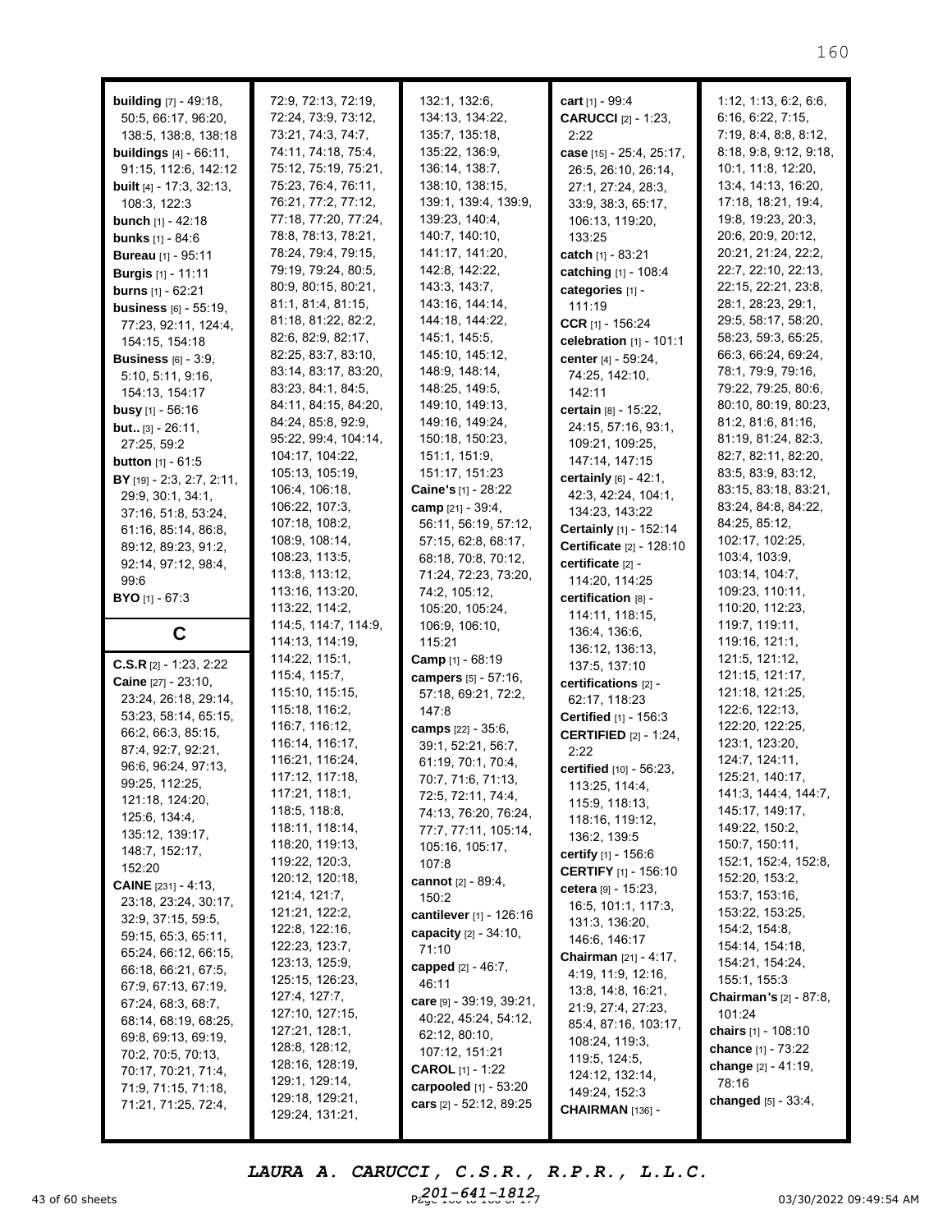| <b>building</b> $[7] - 49:18$ ,<br>50:5, 66:17, 96:20,<br>138:5, 138:8, 138:18<br><b>buildings</b> $[4] - 66:11$ ,<br>91:15, 112:6, 142:12<br><b>built</b> [4] - 17:3, 32:13,<br>108:3, 122:3<br><b>bunch</b> $[1] - 42:18$<br><b>bunks</b> $[1] - 84:6$<br><b>Bureau</b> [1] - 95:11<br><b>Burgis</b> [1] - 11:11<br><b>burns</b> $[1] - 62:21$<br><b>business</b> $[6] - 55:19$ ,<br>77:23, 92:11, 124:4,<br>154:15, 154:18<br><b>Business</b> $[6] - 3:9$ ,<br>5:10, 5:11, 9:16,<br>154:13, 154:17<br><b>busy</b> $[1] - 56:16$<br>but [3] - 26:11,<br>27:25, 59:2<br><b>button</b> $[1] - 61:5$<br>BY [19] - 2:3, 2:7, 2:11,<br>29:9, 30:1, 34:1,<br>37:16, 51:8, 53:24,<br>61:16, 85:14, 86:8,<br>89:12, 89:23, 91:2,<br>92:14, 97:12, 98:4,<br>99:6 | 72:9, 72:13, 72:19,<br>72:24, 73:9, 73:12,<br>73:21, 74:3, 74:7,<br>74:11, 74:18, 75:4,<br>75:12, 75:19, 75:21,<br>75:23, 76:4, 76:11,<br>76:21, 77:2, 77:12,<br>77:18, 77:20, 77:24,<br>78:8, 78:13, 78:21,<br>78:24, 79:4, 79:15,<br>79:19, 79:24, 80:5,<br>80:9, 80:15, 80:21,<br>81:1, 81:4, 81:15,<br>81:18, 81:22, 82:2,<br>82:6, 82:9, 82:17,<br>82:25, 83:7, 83:10,<br>83:14, 83:17, 83:20,<br>83:23, 84:1, 84:5,<br>84:11, 84:15, 84:20,<br>84:24, 85:8, 92:9,<br>95:22, 99:4, 104:14,<br>104:17, 104:22,<br>105:13, 105:19,<br>106:4, 106:18,<br>106:22, 107:3,<br>107:18, 108:2,<br>108:9, 108:14,<br>108:23, 113:5,<br>113:8, 113:12,<br>113:16, 113:20, | 132:1, 132:6,<br>134:13, 134:22,<br>135:7, 135:18,<br>135:22, 136:9,<br>136:14, 138:7,<br>138:10, 138:15,<br>139:1, 139:4, 139:9,<br>139:23, 140:4,<br>140:7, 140:10,<br>141:17, 141:20,<br>142:8, 142:22,<br>143:3, 143:7,<br>143:16, 144:14,<br>144:18, 144:22,<br>145:1, 145:5,<br>145:10, 145:12,<br>148:9, 148:14,<br>148:25, 149:5,<br>149:10, 149:13,<br>149:16, 149:24,<br>150:18, 150:23,<br>151:1, 151:9,<br>151:17, 151:23<br>Caine's [1] - 28:22<br>camp [21] - 39:4,<br>56:11, 56:19, 57:12,<br>57:15, 62:8, 68:17,<br>68:18, 70:8, 70:12,<br>71:24, 72:23, 73:20,<br>74:2, 105:12, | cart [1] - 99:4<br><b>CARUCCI</b> [2] - 1:23,<br>2:22<br>case [15] - 25:4, 25:17,<br>26:5, 26:10, 26:14,<br>27:1, 27:24, 28:3,<br>33:9, 38:3, 65:17,<br>106:13, 119:20,<br>133:25<br>catch [1] - 83:21<br>catching [1] - 108:4<br>categories [1] -<br>111:19<br>CCR $[1]$ - 156:24<br>celebration $[1]$ - 101:1<br>center [4] - 59:24,<br>74:25, 142:10,<br>142:11<br>certain [8] - 15:22,<br>24:15, 57:16, 93:1,<br>109:21, 109:25,<br>147:14, 147:15<br>certainly [6] - 42:1,<br>42:3, 42:24, 104:1,<br>134:23, 143:22<br>Certainly [1] - 152:14<br>Certificate [2] - 128:10<br>certificate [2] -<br>114:20, 114:25 | 1:12, 1:13, 6:2, 6:6,<br>6:16, 6:22, 7:15,<br>7:19, 8:4, 8:8, 8:12,<br>8:18, 9:8, 9:12, 9:18,<br>10:1, 11:8, 12:20,<br>13:4, 14:13, 16:20,<br>17:18, 18:21, 19:4,<br>19:8, 19:23, 20:3,<br>20:6, 20:9, 20:12,<br>20:21, 21:24, 22:2,<br>22:7, 22:10, 22:13,<br>22:15, 22:21, 23:8,<br>28:1, 28:23, 29:1,<br>29:5, 58:17, 58:20,<br>58:23, 59:3, 65:25,<br>66:3, 66:24, 69:24,<br>78:1, 79:9, 79:16,<br>79:22, 79:25, 80:6,<br>80:10, 80:19, 80:23,<br>81:2, 81:6, 81:16,<br>81:19, 81:24, 82:3,<br>82:7, 82:11, 82:20,<br>83:5, 83:9, 83:12,<br>83:15, 83:18, 83:21,<br>83:24, 84:8, 84:22,<br>84:25, 85:12,<br>102:17, 102:25,<br>103:4, 103:9,<br>103:14, 104:7,<br>109:23, 110:11, |
|-----------------------------------------------------------------------------------------------------------------------------------------------------------------------------------------------------------------------------------------------------------------------------------------------------------------------------------------------------------------------------------------------------------------------------------------------------------------------------------------------------------------------------------------------------------------------------------------------------------------------------------------------------------------------------------------------------------------------------------------------------------|----------------------------------------------------------------------------------------------------------------------------------------------------------------------------------------------------------------------------------------------------------------------------------------------------------------------------------------------------------------------------------------------------------------------------------------------------------------------------------------------------------------------------------------------------------------------------------------------------------------------------------------------------------------------|--------------------------------------------------------------------------------------------------------------------------------------------------------------------------------------------------------------------------------------------------------------------------------------------------------------------------------------------------------------------------------------------------------------------------------------------------------------------------------------------------------------------------------------------------------------------------------------------------|-----------------------------------------------------------------------------------------------------------------------------------------------------------------------------------------------------------------------------------------------------------------------------------------------------------------------------------------------------------------------------------------------------------------------------------------------------------------------------------------------------------------------------------------------------------------------------------------------------------------------|---------------------------------------------------------------------------------------------------------------------------------------------------------------------------------------------------------------------------------------------------------------------------------------------------------------------------------------------------------------------------------------------------------------------------------------------------------------------------------------------------------------------------------------------------------------------------------------------------------------------------------------------------------------------------------------|
| <b>BYO</b> [1] - 67:3                                                                                                                                                                                                                                                                                                                                                                                                                                                                                                                                                                                                                                                                                                                                     | 113:22, 114:2,<br>114:5, 114:7, 114:9,                                                                                                                                                                                                                                                                                                                                                                                                                                                                                                                                                                                                                               | 105:20, 105:24,<br>106:9, 106:10,                                                                                                                                                                                                                                                                                                                                                                                                                                                                                                                                                                | certification [8] -<br>114:11, 118:15,                                                                                                                                                                                                                                                                                                                                                                                                                                                                                                                                                                                | 110:20, 112:23,<br>119:7, 119:11,                                                                                                                                                                                                                                                                                                                                                                                                                                                                                                                                                                                                                                                     |
| C                                                                                                                                                                                                                                                                                                                                                                                                                                                                                                                                                                                                                                                                                                                                                         | 114:13, 114:19,                                                                                                                                                                                                                                                                                                                                                                                                                                                                                                                                                                                                                                                      | 115:21                                                                                                                                                                                                                                                                                                                                                                                                                                                                                                                                                                                           | 136:4, 136:6,<br>136:12, 136:13,                                                                                                                                                                                                                                                                                                                                                                                                                                                                                                                                                                                      | 119:16, 121:1,                                                                                                                                                                                                                                                                                                                                                                                                                                                                                                                                                                                                                                                                        |
| <b>C.S.R</b> $[2] - 1:23, 2:22$<br>Caine [27] - 23:10,<br>23:24, 26:18, 29:14,<br>53:23, 58:14, 65:15,<br>66:2, 66:3, 85:15,<br>87:4, 92:7, 92:21,<br>96:6, 96:24, 97:13,<br>99:25, 112:25,<br>121:18, 124:20,<br>125:6, 134:4,<br>135:12, 139:17,<br>148:7, 152:17,<br>152:20<br><b>CAINE</b> $[231] - 4:13$ ,<br>23:18, 23:24, 30:17,<br>32:9, 37:15, 59:5,<br>59:15, 65:3, 65:11,                                                                                                                                                                                                                                                                                                                                                                      | 114:22, 115:1,<br>115:4, 115:7,<br>115:10, 115:15,<br>115:18, 116:2,<br>116:7, 116:12,<br>116:14, 116:17,<br>116:21, 116:24,<br>117:12, 117:18,<br>117:21, 118:1,<br>118:5, 118:8,<br>118:11, 118:14,<br>118:20, 119:13,<br>119:22, 120:3,<br>120:12, 120:18,<br>121:4, 121:7,<br>121:21, 122:2,<br>122:8, 122:16,<br>122:23, 123:7,                                                                                                                                                                                                                                                                                                                                 | Camp [1] - 68:19<br>campers [5] - 57:16,<br>57:18, 69:21, 72:2,<br>147:8<br>camps [22] - 35:6,<br>39:1, 52:21, 56:7,<br>61:19, 70:1, 70:4,<br>70:7, 71:6, 71:13,<br>72:5, 72:11, 74:4,<br>74:13, 76:20, 76:24,<br>77:7, 77:11, 105:14,<br>105:16, 105:17,<br>107:8<br><b>cannot</b> [2] - 89:4,<br>150:2<br>cantilever [1] - 126:16<br>capacity [2] - 34:10,<br>71:10                                                                                                                                                                                                                            | 137:5, 137:10<br>certifications [2] -<br>62:17, 118:23<br>Certified [1] - 156:3<br><b>CERTIFIED</b> [2] - 1:24,<br>2:22<br>certified [10] - 56:23,<br>113:25, 114:4,<br>115:9, 118:13,<br>118:16, 119:12,<br>136:2, 139:5<br><b>certify</b> $[1] - 156:6$<br><b>CERTIFY</b> [1] - 156:10<br>cetera [9] - 15:23,<br>16:5, 101:1, 117:3,<br>131:3, 136:20,<br>146:6, 146:17                                                                                                                                                                                                                                             | 121:5, 121:12,<br>121:15, 121:17,<br>121:18, 121:25,<br>122:6, 122:13,<br>122:20, 122:25,<br>123:1, 123:20,<br>124:7, 124:11,<br>125:21, 140:17,<br>141:3, 144:4, 144:7,<br>145:17, 149:17,<br>149:22, 150:2,<br>150:7, 150:11,<br>152:1, 152:4, 152:8,<br>152:20, 153:2,<br>153:7, 153:16,<br>153:22, 153:25,<br>154:2, 154:8,<br>154:14, 154:18,                                                                                                                                                                                                                                                                                                                                    |

43 of 60 sheets **Page 160 to 160 of 171 of 171 of 171 of 171 of 171 of 171 of 171 of 171 of 171 of 171 of 171 of 171 of 171 of 171 of 171 of 171 of 171 of 171 of 171 of 171 of 171 of 171 of 171 of 171 of 171 of 171 of 171** *LAURA A. CARUCCI, C.S.R., R.P.R., L.L.C. 201-641-1812*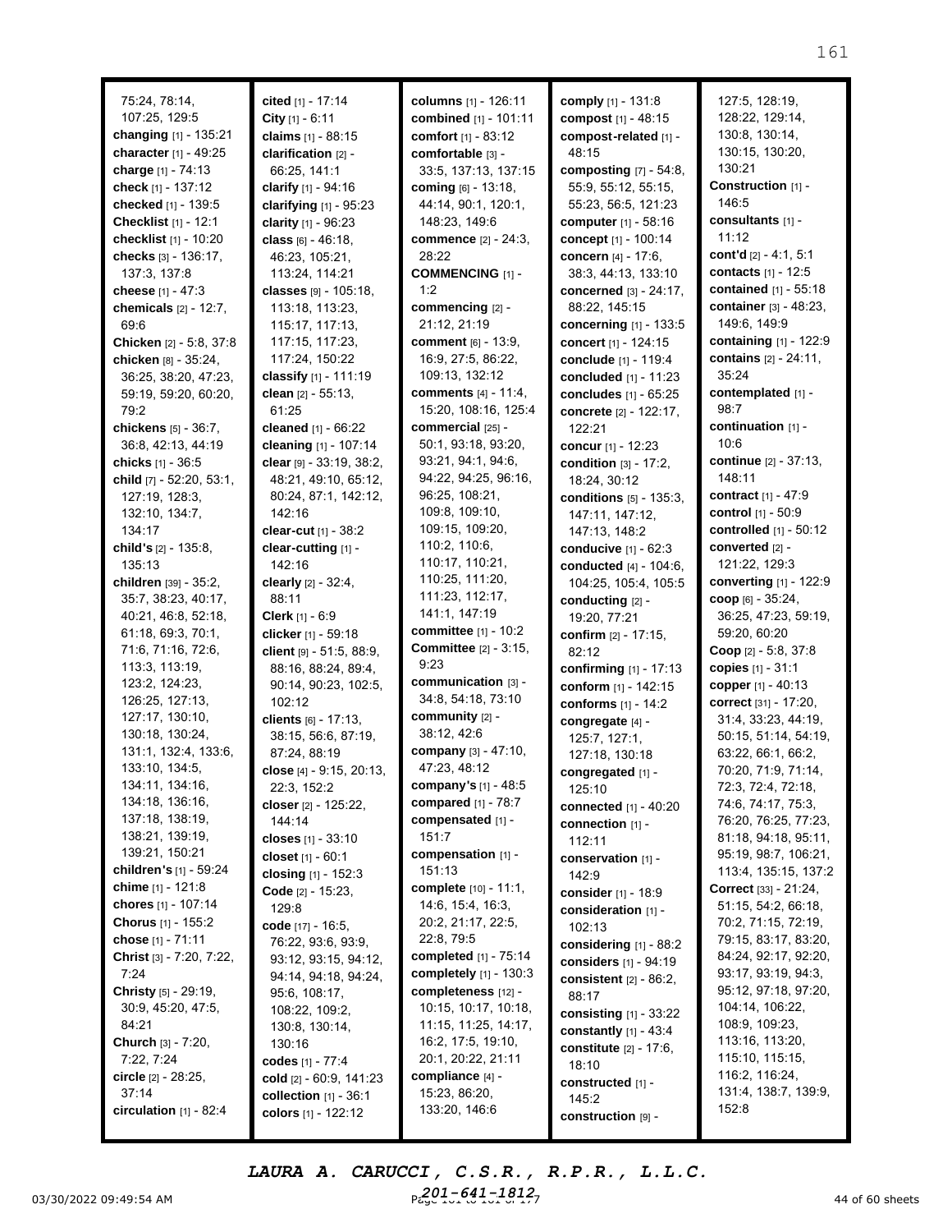| 75:24, 78:14,                              | cited [1] - 17:14          | columns [1] - 126:11         | comply [1] - 131:8            | 127:5, 128:19,                  |
|--------------------------------------------|----------------------------|------------------------------|-------------------------------|---------------------------------|
| 107:25, 129:5                              | City [1] - 6:11            | combined [1] - 101:11        | compost $[1] - 48:15$         | 128:22, 129:14,                 |
| changing [1] - 135:21                      | claims [1] - 88:15         | comfort [1] - 83:12          | compost-related [1] -         | 130:8, 130:14,                  |
| character [1] - 49:25                      | clarification [2] -        | comfortable [3] -            | 48:15                         | 130:15, 130:20,                 |
| charge [1] - 74:13                         | 66:25, 141:1               | 33:5, 137:13, 137:15         | composting $[7] - 54:8$ ,     | 130:21                          |
| check [1] - 137:12                         | clarify $[1] - 94:16$      | <b>coming</b> [6] - 13:18,   | 55:9, 55:12, 55:15,           | Construction [1] -              |
| checked [1] - 139:5                        | clarifying [1] - 95:23     | 44:14, 90:1, 120:1,          | 55:23, 56:5, 121:23           | 146:5                           |
| <b>Checklist</b> $[1] - 12:1$              | clarity $[1] - 96:23$      | 148:23, 149:6                | computer [1] - 58:16          | consultants [1] -               |
| checklist [1] - 10:20                      | class [6] - 46:18,         | <b>commence</b> [2] - 24:3,  | concept [1] - 100:14          | 11:12                           |
| checks [3] - 136:17,                       | 46:23, 105:21,             | 28:22                        | concern [4] - 17:6,           | cont'd $[2] - 4:1, 5:1$         |
| 137:3, 137:8                               | 113:24, 114:21             | <b>COMMENCING [1] -</b>      | 38:3, 44:13, 133:10           | <b>contacts</b> [1] - 12:5      |
| cheese [1] - 47:3                          | classes [9] - 105:18,      | 1:2                          | <b>concerned</b> [3] - 24:17. | contained [1] - 55:18           |
| chemicals $[2] - 12:7$ ,                   | 113:18, 113:23,            | commencing [2] -             | 88:22, 145:15                 | container [3] - 48:23,          |
| 69:6                                       | 115:17, 117:13,            | 21:12, 21:19                 | concerning [1] - 133:5        | 149:6, 149:9                    |
| Chicken [2] - 5:8, 37:8                    | 117:15, 117:23,            | comment [6] - 13:9,          | concert [1] - 124:15          | containing [1] - 122:9          |
| chicken [8] - 35:24,                       | 117:24, 150:22             | 16:9, 27:5, 86:22,           | conclude [1] - 119:4          | contains [2] - 24:11,           |
| 36:25, 38:20, 47:23,                       | classify [1] - 111:19      | 109:13, 132:12               | concluded [1] - 11:23         | 35:24                           |
| 59:19, 59:20, 60:20,                       | clean [2] - 55:13.         | comments $[4] - 11:4$ ,      | concludes [1] - 65:25         | contemplated [1] -              |
| 79:2                                       | 61:25                      | 15:20, 108:16, 125:4         | concrete [2] - 122:17,        | 98:7                            |
| chickens [5] - 36:7,                       | cleaned [1] - 66:22        | commercial [25] -            | 122:21                        | continuation [1] -              |
| 36:8, 42:13, 44:19                         | cleaning [1] - 107:14      | 50:1, 93:18, 93:20,          | concur [1] - 12:23            | 10:6                            |
| <b>chicks</b> [1] - 36:5                   | clear $[9] - 33:19, 38:2,$ | 93:21, 94:1, 94:6,           | condition [3] - 17:2,         | continue [2] - 37:13,           |
| <b>child</b> <sub>[7]</sub> - 52:20, 53:1, | 48:21, 49:10, 65:12,       | 94:22, 94:25, 96:16,         | 18:24, 30:12                  | 148:11                          |
| 127:19, 128:3,                             | 80:24, 87:1, 142:12,       | 96:25, 108:21,               | conditions $[5]$ - 135:3,     | contract [1] - 47:9             |
| 132:10, 134:7,                             | 142:16                     | 109:8, 109:10,               | 147:11, 147:12,               | <b>control</b> [1] - 50:9       |
| 134:17                                     | clear-cut [1] - 38:2       | 109:15, 109:20,              | 147:13, 148:2                 | <b>controlled</b> $[1] - 50:12$ |
| <b>child's</b> [2] - 135:8,                | clear-cutting [1] -        | 110:2, 110:6,                | conducive [1] - 62:3          | converted [2] -                 |
| 135:13                                     | 142:16                     | 110:17, 110:21,              | conducted $[4] - 104:6$ ,     | 121:22, 129:3                   |
| children [39] - 35:2,                      | clearly [2] - 32:4,        | 110:25, 111:20,              | 104:25, 105:4, 105:5          | <b>converting</b> [1] - 122:9   |
| 35:7, 38:23, 40:17,                        | 88:11                      | 111:23, 112:17,              | conducting [2] -              | $\bf{coop}$ [6] - 35:24,        |
| 40:21, 46:8, 52:18,                        | Clerk [1] - 6:9            | 141:1, 147:19                | 19:20, 77:21                  | 36:25, 47:23, 59:19,            |
| 61:18, 69:3, 70:1,                         | clicker [1] - 59:18        | <b>committee</b> [1] - 10:2  | confirm [2] - 17:15,          | 59:20, 60:20                    |
| 71:6, 71:16, 72:6,                         | client [9] - 51:5, 88:9,   | <b>Committee</b> [2] - 3:15, | 82:12                         | <b>Coop</b> $[2] - 5:8, 37:8$   |
| 113:3, 113:19,                             | 88:16, 88:24, 89:4,        | 9:23                         | confirming [1] - 17:13        | copies $[1] - 31:1$             |
| 123:2, 124:23,                             | 90:14, 90:23, 102:5,       | communication [3] -          | conform [1] - 142:15          | copper [1] - 40:13              |
| 126:25, 127:13,                            | 102:12                     | 34:8, 54:18, 73:10           | conforms [1] - 14:2           | correct [31] - 17:20,           |
| 127:17, 130:10,                            | clients [6] - 17:13,       | community [2] -              | congregate [4] -              | 31:4, 33:23, 44:19,             |
| 130:18, 130:24,                            | 38:15, 56:6, 87:19,        | 38:12, 42:6                  | 125:7, 127:1,                 | 50:15, 51:14, 54:19,            |
| 131:1, 132:4, 133:6,                       | 87:24, 88:19               | company [3] - 47:10,         | 127:18, 130:18                | 63:22, 66:1, 66:2,              |
| 133:10, 134:5,                             | close [4] - 9:15, 20:13,   | 47:23, 48:12                 | congregated [1] -             | 70:20, 71:9, 71:14,             |
| 134:11, 134:16,                            | 22:3, 152:2                | company's [1] - 48:5         | 125:10                        | 72:3, 72:4, 72:18,              |
| 134:18, 136:16,                            | closer [2] - 125:22,       | compared $[1] - 78:7$        | <b>connected</b> [1] - 40:20  | 74:6, 74:17, 75:3,              |
| 137:18, 138:19,                            | 144:14                     | compensated [1] -            | connection [1] -              | 76:20, 76:25, 77:23,            |
| 138:21, 139:19,                            | closes $[1] - 33:10$       | 151:7                        | 112:11                        | 81:18, 94:18, 95:11,            |
| 139:21, 150:21                             | closet [1] - 60:1          | compensation [1] -           | conservation [1] -            | 95:19, 98:7, 106:21,            |
| <b>children's</b> [1] - 59:24              | closing $[1] - 152:3$      | 151:13                       | 142:9                         | 113:4, 135:15, 137:2            |
| chime [1] - 121:8                          | Code [2] - 15:23,          | complete [10] - 11:1,        | consider [1] - 18:9           | Correct [33] - 21:24,           |
| chores [1] - 107:14                        | 129:8                      | 14:6, 15:4, 16:3,            | consideration [1] -           | 51:15, 54:2, 66:18,             |
| <b>Chorus</b> [1] - 155:2                  | code $[17] - 16:5,$        | 20:2, 21:17, 22:5,           | 102:13                        | 70:2, 71:15, 72:19,             |
| chose [1] - 71:11                          | 76:22, 93:6, 93:9,         | 22:8, 79:5                   | considering $[1]$ - 88:2      | 79:15, 83:17, 83:20,            |
| Christ [3] - 7:20, 7:22,                   | 93:12, 93:15, 94:12,       | <b>completed</b> [1] - 75:14 | considers [1] - 94:19         | 84:24, 92:17, 92:20,            |
| 7:24                                       | 94:14, 94:18, 94:24,       | completely $[1] - 130:3$     | consistent $[2] - 86:2$ ,     | 93:17, 93:19, 94:3,             |
| <b>Christy</b> [5] - 29:19,                | 95:6, 108:17,              | completeness [12] -          | 88:17                         | 95:12, 97:18, 97:20,            |
| 30:9, 45:20, 47:5,                         | 108:22, 109:2,             | 10:15, 10:17, 10:18,         | consisting $[1]$ - 33:22      | 104:14, 106:22,                 |
| 84:21                                      | 130:8, 130:14,             | 11:15, 11:25, 14:17,         | constantly $[1] - 43:4$       | 108:9, 109:23,                  |
| Church [3] - 7:20,                         | 130:16                     | 16:2, 17:5, 19:10,           | constitute [2] - 17:6,        | 113:16, 113:20,                 |
| 7:22, 7:24                                 | codes [1] - 77:4           | 20:1, 20:22, 21:11           | 18:10                         | 115:10, 115:15,                 |
| <b>circle</b> [2] - 28:25,                 | cold $[2] - 60:9, 141:23$  | compliance [4] -             | constructed [1] -             | 116:2, 116:24,                  |
| 37:14                                      | collection $[1]$ - $36:1$  | 15:23, 86:20,                | 145:2                         | 131:4, 138:7, 139:9,            |
| circulation $[1]$ - 82:4                   | colors [1] - 122:12        | 133:20, 146:6                | construction $[9]$ -          | 152:8                           |

03/30/2022 09:49:54 AM  $P_{cyc}^{201-641-1812}$   $P_{cyc}^{201-641-17}$   $P_{cyc}^{201-641-1812}$   $P_{cyc}^{201-641-1812}$   $P_{cyc}^{201-641-1812}$   $P_{cyc}^{201-641-1812}$   $P_{cyc}^{201-641-1812}$   $P_{cyc}^{201-641-1812}$   $P_{cyc}^{201-641-1812}$   $P$ *LAURA A. CARUCCI, C.S.R., R.P.R., L.L.C.* Paye 10**1641-1812**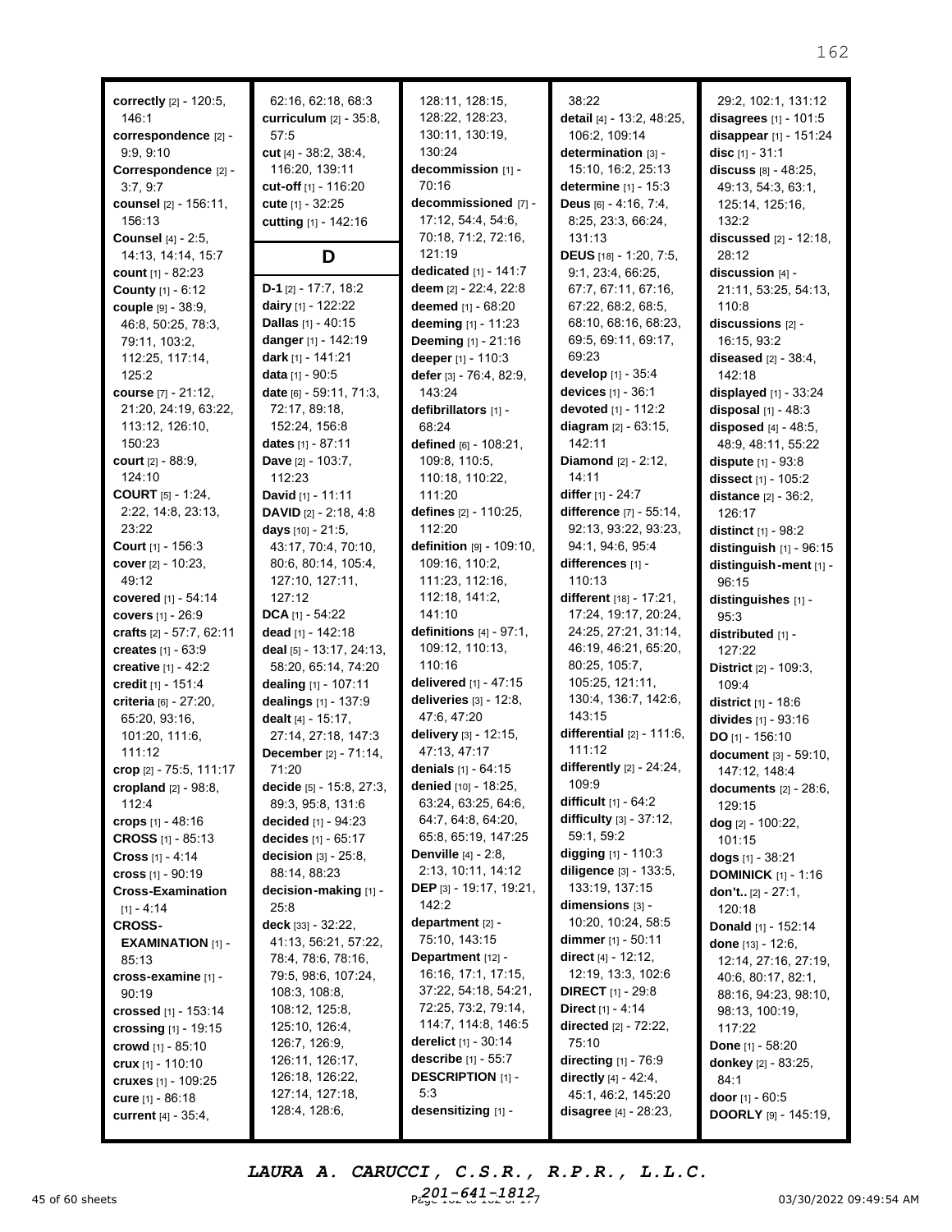**correctly** [2] - 120:5, 146:1 **correspondence** [2] - 9:9, 9:10 **Correspondence** [2] - 3:7, 9:7 **counsel** [2] - 156:11, 156:13 **Counsel** [4] - 2:5, 14:13, 14:14, 15:7 **count** [1] - 82:23 **County** [1] - 6:12 **couple** [9] - 38:9, 46:8, 50:25, 78:3, 79:11, 103:2, 112:25, 117:14, 125:2 **course** [7] - 21:12, 21:20, 24:19, 63:22, 113:12, 126:10, 150:23 **court** [2] - 88:9, 124:10 **COURT** [5] - 1:24, 2:22, 14:8, 23:13, 23:22 **Court** [1] - 156:3 **cover** [2] - 10:23, 49:12 **covered** [1] - 54:14 **covers** [1] - 26:9 **crafts** [2] - 57:7, 62:11 **creates** [1] - 63:9 **creative** [1] - 42:2 **credit** [1] - 151:4 **criteria** [6] - 27:20, 65:20, 93:16, 101:20, 111:6, 111:12 **crop** [2] - 75:5, 111:17 **cropland** [2] - 98:8, 112:4 **crops** [1] - 48:16 **CROSS** [1] - 85:13 **Cross** [1] - 4:14 **cross** [1] - 90:19 **Cross-Examination**  $[1] - 4:14$ **CROSS-EXAMINATION** [1] - 85:13 **cross-examine** [1] - 90:19 **crossed** [1] - 153:14 **crossing** [1] - 19:15 **crowd** [1] - 85:10 **crux** [1] - 110:10 **cruxes** [1] - 109:25 **cure** [1] - 86:18 **current** [4] - 35:4,

62:16, 62:18, 68:3 **curriculum** [2] - 35:8, 57:5 **cut** [4] - 38:2, 38:4, 116:20, 139:11 **cut-off** [1] - 116:20 **cute** [1] - 32:25 **cutting** [1] - 142:16 **D D-1** [2] - 17:7, 18:2 **dairy** [1] - 122:22 **Dallas** [1] - 40:15 **danger** [1] - 142:19 **dark** [1] - 141:21 **data** [1] - 90:5 **date** [6] - 59:11, 71:3, 72:17, 89:18, 152:24, 156:8 **dates** [1] - 87:11 **Dave** [2] - 103:7, 112:23 **David** [1] - 11:11 **DAVID** [2] - 2:18, 4:8 **days** [10] - 21:5, 43:17, 70:4, 70:10, 80:6, 80:14, 105:4, 127:10, 127:11,  $127:12$ **DCA** [1] - 54:22 **dead** [1] - 142:18 **deal** [5] - 13:17, 24:13, 58:20, 65:14, 74:20 **dealing** [1] - 107:11 **dealings** [1] - 137:9 **dealt** [4] - 15:17, 27:14, 27:18, 147:3 **December** [2] - 71:14, 71:20 **decide** [5] - 15:8, 27:3, 89:3, 95:8, 131:6 **decided** [1] - 94:23 **decides** [1] - 65:17 **decision** [3] - 25:8, 88:14, 88:23 **decision-making** [1] - 25:8 **deck** [33] - 32:22, 41:13, 56:21, 57:22, 78:4, 78:6, 78:16, 79:5, 98:6, 107:24, 108:3, 108:8, 108:12, 125:8, 125:10, 126:4, 126:7, 126:9, 126:11, 126:17, 126:18, 126:22, 127:14, 127:18, 128:4, 128:6,

128:11, 128:15, 128:22, 128:23, 130:11, 130:19, 130:24 **decommission** [1] - 70:16 **decommissioned** [7] - 17:12, 54:4, 54:6, 70:18, 71:2, 72:16, 121:19 **dedicated** [1] - 141:7 **deem** [2] - 22:4, 22:8 **deemed** [1] - 68:20 **deeming** [1] - 11:23 **Deeming** [1] - 21:16 **deeper** [1] - 110:3 **defer** [3] - 76:4, 82:9, 143:24 **defibrillators** [1] - 68:24 **defined** [6] - 108:21, 109:8, 110:5, 110:18, 110:22,  $111:20$ **defines** [2] - 110:25, 112:20 **definition** [9] - 109:10, 109:16, 110:2, 111:23, 112:16, 112:18, 141:2, 141:10 **definitions** [4] - 97:1, 109:12, 110:13, 110:16 **delivered** [1] - 47:15 **deliveries** [3] - 12:8, 47:6, 47:20 **delivery** [3] - 12:15, 47:13, 47:17 **denials** [1] - 64:15 **denied** [10] - 18:25, 63:24, 63:25, 64:6, 64:7, 64:8, 64:20, 65:8, 65:19, 147:25 **Denville** [4] - 2:8, 2:13, 10:11, 14:12 **DEP** [3] - 19:17, 19:21, 142:2 **department** [2] - 75:10, 143:15 **Department** [12] - 16:16, 17:1, 17:15, 37:22, 54:18, 54:21, 72:25, 73:2, 79:14, 114:7, 114:8, 146:5 **derelict** [1] - 30:14 **describe** [1] - 55:7 **DESCRIPTION** [1] - 5:3 **desensitizing** [1] -

38:22 **detail** [4] - 13:2, 48:25, 106:2, 109:14 **determination** [3] - 15:10, 16:2, 25:13 **determine** [1] - 15:3 **Deus** [6] - 4:16, 7:4, 8:25, 23:3, 66:24, 131:13 **DEUS** [18] - 1:20, 7:5, 9:1, 23:4, 66:25, 67:7, 67:11, 67:16, 67:22, 68:2, 68:5, 68:10, 68:16, 68:23, 69:5, 69:11, 69:17, 69:23 **develop** [1] - 35:4 **devices** [1] - 36:1 **devoted** [1] - 112:2 **diagram** [2] - 63:15, 142:11 **Diamond** [2] - 2:12, 14:11 **differ** [1] - 24:7 **difference** [7] - 55:14, 92:13, 93:22, 93:23, 94:1, 94:6, 95:4 **differences** [1] - 110:13 **different** [18] - 17:21, 17:24, 19:17, 20:24, 24:25, 27:21, 31:14, 46:19, 46:21, 65:20, 80:25, 105:7, 105:25, 121:11, 130:4, 136:7, 142:6, 143:15 **differential** [2] - 111:6, 111:12 **differently** [2] - 24:24, 109:9 **difficult** [1] - 64:2 **difficulty** [3] - 37:12, 59:1, 59:2 **digging** [1] - 110:3 **diligence** [3] - 133:5, 133:19, 137:15 **dimensions** [3] - 10:20, 10:24, 58:5 **dimmer** [1] - 50:11 **direct** [4] - 12:12, 12:19, 13:3, 102:6 **DIRECT** [1] - 29:8 **Direct** [1] - 4:14 **directed** [2] - 72:22, 75:10 **directing** [1] - 76:9 **directly** [4] - 42:4, 45:1, 46:2, 145:20 **disagree** [4] - 28:23,

29:2, 102:1, 131:12 **disagrees** [1] - 101:5 **disappear** [1] - 151:24 **disc** [1] - 31:1 **discuss** [8] - 48:25, 49:13, 54:3, 63:1, 125:14, 125:16, 132:2 **discussed** [2] - 12:18, 28:12 **discussion** [4] - 21:11, 53:25, 54:13, 110:8 **discussions** [2] - 16:15, 93:2 **diseased** [2] - 38:4, 142:18 **displayed** [1] - 33:24 **disposal** [1] - 48:3 **disposed** [4] - 48:5, 48:9, 48:11, 55:22 **dispute** [1] - 93:8 **dissect** [1] - 105:2 **distance** [2] - 36:2, 126:17 **distinct** [1] - 98:2 **distinguish** [1] - 96:15 **distinguish-ment** [1] - 96:15 **distinguishes** [1] - 95:3 **distributed** [1] - 127:22 **District** [2] - 109:3, 109:4 **district** [1] - 18:6 **divides** [1] - 93:16 **DO** [1] - 156:10 **document** [3] - 59:10, 147:12, 148:4 **documents** [2] - 28:6, 129:15 **dog** [2] - 100:22, 101:15 **dogs** [1] - 38:21 **DOMINICK** [1] - 1:16 **don't..** [2] - 27:1, 120:18 **Donald** [1] - 152:14 **done** [13] - 12:6, 12:14, 27:16, 27:19, 40:6, 80:17, 82:1, 88:16, 94:23, 98:10, 98:13, 100:19, 117:22 **Done** [1] - 58:20 **donkey** [2] - 83:25, 84:1 **door** [1] - 60:5

45 of 60 sheets 20130/2022 09:49:54 AM *LAURA A. CARUCCI, C.S.R., R.P.R., L.L.C. 201-641-1812*

**DOORLY** [9] - 145:19,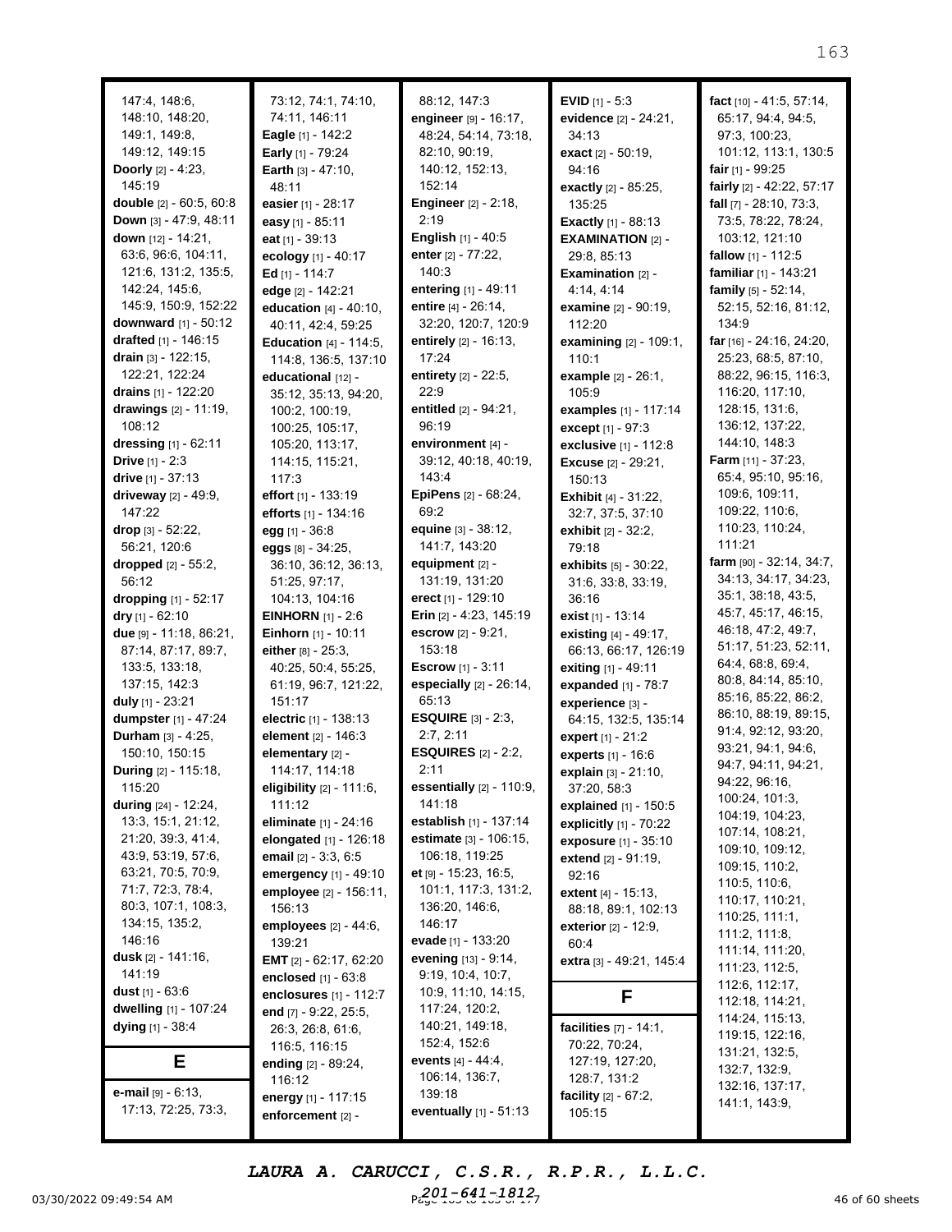| 147:4, 148:6,                                       |
|-----------------------------------------------------|
| 148:10, 148:20,                                     |
| 149:1, 149:8,                                       |
| 149:12, 149:15                                      |
| Doorly [2] - 4:23,                                  |
| 145:19                                              |
| double [2] - 60:5, 60:8                             |
| Down [3] - 47:9, 48:11                              |
| down [12] - 14:21,                                  |
| 63:6, 96:6, 104:11,                                 |
| 121:6, 131:2, 135:5,<br>142:24, 145:6,              |
| 145:9, 150:9, 152:22                                |
| downward [1] - 50:12                                |
| <b>drafted</b> [1] - 146:15                         |
| drain [3] - 122:15,                                 |
| 122:21, 122:24                                      |
| drains [1] - 122:20                                 |
| drawings [2] - 11:19,                               |
| 108:12                                              |
| <b>dressing</b> [1] - 62:11                         |
| Drive [1] - 2:3                                     |
| drive [1] - 37:13                                   |
| driveway [2] - 49:9,                                |
| 147:22                                              |
| drop [3] - 52:22,                                   |
| 56:21, 120:6                                        |
| dropped [2] - 55:2,                                 |
| 56:12                                               |
| dropping [1] - 52:17                                |
| dry [1] - 62:10<br>due [9] - 11:18, 86:21,          |
| 87:14, 87:17, 89:7,                                 |
| 133:5, 133:18,                                      |
| 137:15, 142:3                                       |
| duly [1] - 23:21                                    |
| dumpster [1] - 47:24                                |
| Durham [3] - 4:25,                                  |
| 150:10, 150:15                                      |
| <b>During</b> [2] - 115:18,                         |
| 115:20                                              |
| <b>during</b> [24] - 12:24,                         |
| 13:3, 15:1, 21:12,                                  |
| 21:20, 39:3, 41:4,                                  |
| 43:9, 53:19, 57:6,                                  |
| 63:21, 70:5, 70:9,                                  |
| 71:7, 72:3, 78:4,<br>80:3, 107:1, 108:3,            |
| 134:15, 135:2,                                      |
| 146:16                                              |
| <b>dusk</b> [2] - 141:16,                           |
| 141:19                                              |
| <b>dust</b> [1] - 63:6                              |
| dwelling [1] - 107:24                               |
| dying [1] - 38:4                                    |
| F                                                   |
|                                                     |
| <b>e-mail</b> $[9] - 6:13$ ,<br>17:13, 72:25, 73:3, |
|                                                     |

73:12, 74:1, 74:10, 74:11, 146:11 **Eagle** [1] - 142:2 **Early** [1] - 79:24 **Earth** [3] - 47:10, 48:11 **easier** [1] - 28:17 **easy** [1] - 85:11 **eat** [1] - 39:13 **ecology** [1] - 40:17 **Ed** [1] - 114:7 **edge** [2] - 142:21 **education** [4] - 40:10, 40:11, 42:4, 59:25 **Education** [4] - 114:5, 114:8, 136:5, 137:10 **educational** [12] - 35:12, 35:13, 94:20, 100:2, 100:19, 100:25, 105:17, 105:20, 113:17, 114:15, 115:21, 117:3 **effort** [1] - 133:19 **efforts** [1] - 134:16 **egg** [1] - 36:8 **eggs** [8] - 34:25, 36:10, 36:12, 36:13, 51:25, 97:17, 104:13, 104:16 **EINHORN** [1] - 2:6 **Einhorn** [1] - 10:11 **either** [8] - 25:3, 40:25, 50:4, 55:25, 61:19, 96:7, 121:22, 151:17 **electric** [1] - 138:13 **element** [2] - 146:3 **elementary** [2] - 114:17, 114:18 **eligibility** [2] - 111:6, 111:12 **eliminate** [1] - 24:16 **elongated** [1] - 126:18 **email** [2] - 3:3, 6:5 **emergency** [1] - 49:10 **employee** [2] - 156:11, 156:13 **employees** [2] - 44:6, 139:21 **EMT** [2] - 62:17, 62:20 **enclosed** [1] - 63:8 **enclosures** [1] - 112:7 **end** [7] - 9:22, 25:5, 26:3, 26:8, 61:6, 116:5, 116:15 **ending** [2] - 89:24, 116:12 **energy** [1] - 117:15 **enforcement** [2] -

88:12, 147:3 **engineer** [9] - 16:17, 48:24, 54:14, 73:18, 82:10, 90:19, 140:12, 152:13, 152:14 **Engineer** [2] - 2:18, 2:19 **English** [1] - 40:5 **enter** [2] - 77:22, 140:3 **entering** [1] - 49:11 **entire** [4] - 26:14, 32:20, 120:7, 120:9 **entirely** [2] - 16:13, 17:24 **entirety** [2] - 22:5,  $22.9$ **entitled** [2] - 94:21, 96:19 **environment** [4] - 39:12, 40:18, 40:19, 143:4 **EpiPens** [2] - 68:24, 69:2 **equine** [3] - 38:12, 141:7, 143:20 **equipment** [2] - 131:19, 131:20 **erect** [1] - 129:10 **Erin** [2] - 4:23, 145:19 **escrow** [2] - 9:21, 153:18 **Escrow** [1] - 3:11 **especially** [2] - 26:14, 65:13 **ESQUIRE** [3] - 2:3, 2:7, 2:11 **ESQUIRES** [2] - 2:2,  $2.11$ **essentially** [2] - 110:9, 141:18 **establish** [1] - 137:14 **estimate** [3] - 106:15, 106:18, 119:25 **et** [9] - 15:23, 16:5, 101:1, 117:3, 131:2, 136:20, 146:6, 146:17 **evade** [1] - 133:20 **evening** [13] - 9:14, 9:19, 10:4, 10:7, 10:9, 11:10, 14:15, 117:24, 120:2, 140:21, 149:18, 152:4, 152:6 **events** [4] - 44:4, 106:14, 136:7, 139:18 **eventually** [1] - 51:13

**EVID** [1] - 5:3 **evidence** [2] - 24:21, 34:13 **exact** [2] - 50:19, 94:16 **exactly** [2] - 85:25, 135:25 **Exactly** [1] - 88:13 **EXAMINATION** [2] - 29:8, 85:13 **Examination** [2] - 4:14, 4:14 **examine** [2] - 90:19, 112:20 **examining** [2] - 109:1, 110:1 **example** [2] - 26:1, 105:9 **examples** [1] - 117:14 **except** [1] - 97:3 **exclusive** [1] - 112:8 **Excuse** [2] - 29:21, 150:13 **Exhibit** [4] - 31:22, 32:7, 37:5, 37:10 **exhibit** [2] - 32:2, 79:18 **exhibits** [5] - 30:22, 31:6, 33:8, 33:19, 36:16 **exist** [1] - 13:14 **existing** [4] - 49:17, 66:13, 66:17, 126:19 **exiting** [1] - 49:11 **expanded** [1] - 78:7 **experience** [3] - 64:15, 132:5, 135:14 **expert** [1] - 21:2 **experts** [1] - 16:6 **explain** [3] - 21:10, 37:20, 58:3 **explained** [1] - 150:5 **explicitly** [1] - 70:22 **exposure** [1] - 35:10 **extend** [2] - 91:19, 92:16 **extent** [4] - 15:13, 88:18, 89:1, 102:13 **exterior** [2] - 12:9, 60:4 **extra** [3] - 49:21, 145:4 **F facilities** [7] - 14:1, 70:22, 70:24, 127:19, 127:20, 128:7, 131:2

**facility** [2] - 67:2, 105:15

**fact** [10] - 41:5, 57:14, 65:17, 94:4, 94:5, 97:3, 100:23, 101:12, 113:1, 130:5 **fair** [1] - 99:25 **fairly** [2] - 42:22, 57:17 **fall** [7] - 28:10, 73:3, 73:5, 78:22, 78:24, 103:12, 121:10 **fallow** [1] - 112:5 **familiar** [1] - 143:21 **family** [5] - 52:14, 52:15, 52:16, 81:12, 134:9 **far** [16] - 24:16, 24:20, 25:23, 68:5, 87:10, 88:22, 96:15, 116:3, 116:20, 117:10, 128:15, 131:6, 136:12, 137:22, 144:10, 148:3 **Farm** [11] - 37:23, 65:4, 95:10, 95:16, 109:6, 109:11, 109:22, 110:6, 110:23, 110:24, 111:21 **farm** [90] - 32:14, 34:7, 34:13, 34:17, 34:23, 35:1, 38:18, 43:5, 45:7, 45:17, 46:15, 46:18, 47:2, 49:7, 51:17, 51:23, 52:11, 64:4, 68:8, 69:4, 80:8, 84:14, 85:10, 85:16, 85:22, 86:2, 86:10, 88:19, 89:15, 91:4, 92:12, 93:20, 93:21, 94:1, 94:6, 94:7, 94:11, 94:21, 94:22, 96:16, 100:24, 101:3, 104:19, 104:23, 107:14, 108:21, 109:10, 109:12, 109:15, 110:2, 110:5, 110:6, 110:17, 110:21, 110:25, 111:1, 111:2, 111:8, 111:14, 111:20, 111:23, 112:5, 112:6, 112:17, 112:18, 114:21, 114:24, 115:13, 119:15, 122:16, 131:21, 132:5, 132:7, 132:9, 132:16, 137:17, 141:1, 143:9,

 $P_{\text{e.g.}}^{\text{OJ}} = 1.54 \text{ A}$  and  $P_{\text{e.g.}}^{\text{OJ}} = 1.54 \text{ A}$  and  $1.54 \text{ A}$  and  $1.54 \text{ A}$  and  $1.7 \text{ A}$  and  $1.7 \text{ A}$  and  $1.7 \text{ A}$  and  $1.7 \text{ A}$  and  $1.7 \text{ A}$  and  $1.7 \text{ A}$  and  $1.7 \text{ A}$  and  $1.7 \text{ A}$  and *LAURA A. CARUCCI, C.S.R., R.P.R., L.L.C. 201-641-1812*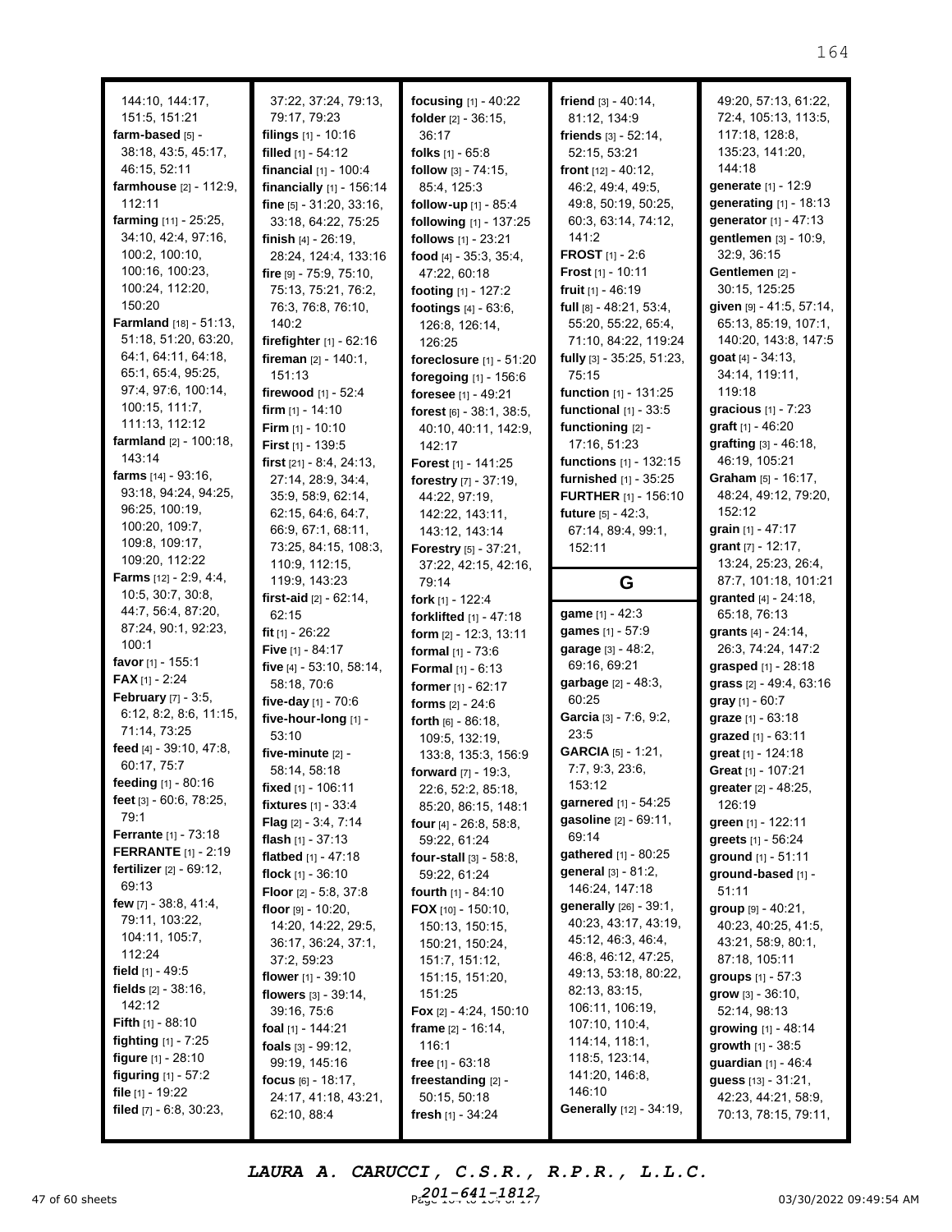| 144:10, 144:17,                              | 37:22, 37:24, 79:13,           | focusing [1] - 40:22            | friend $[3] - 40:14$ ,         | 49:20, 57:13, 61:22,         |
|----------------------------------------------|--------------------------------|---------------------------------|--------------------------------|------------------------------|
| 151:5, 151:21                                | 79:17, 79:23                   | folder [2] - 36:15,             | 81:12, 134:9                   | 72:4, 105:13, 113:5,         |
| farm-based [5] -                             | filings $[1]$ - 10:16          | 36:17                           | friends $[3] - 52:14$ ,        | 117:18, 128:8,               |
| 38:18, 43:5, 45:17,                          | filled [1] - 54:12             | folks $[1] - 65:8$              | 52:15, 53:21                   | 135:23, 141:20,              |
| 46:15, 52:11                                 | financial [1] - 100:4          |                                 | front $[12] - 40:12$ ,         | 144:18                       |
| farmhouse [2] - 112:9,                       |                                | follow $[3] - 74:15$ ,          | 46:2, 49:4, 49:5,              | generate [1] - 12:9          |
| 112:11                                       | financially [1] - 156:14       | 85:4, 125:3                     |                                |                              |
|                                              | fine $[5] - 31:20, 33:16$ ,    | follow-up [1] - 85:4            | 49:8, 50:19, 50:25,            | generating [1] - 18:13       |
| farming [11] - 25:25,<br>34:10, 42:4, 97:16, | 33:18, 64:22, 75:25            | following [1] - 137:25          | 60:3, 63:14, 74:12,<br>141:2   | generator [1] - 47:13        |
|                                              | finish $[4] - 26:19$ ,         | follows [1] - 23:21             |                                | gentlemen [3] - 10:9,        |
| 100:2, 100:10,                               | 28:24, 124:4, 133:16           | food $[4] - 35:3, 35:4,$        | <b>FROST</b> $[1] - 2:6$       | 32:9, 36:15                  |
| 100:16, 100:23,                              | fire [9] - 75:9, 75:10,        | 47:22, 60:18                    | Frost [1] - 10:11              | Gentlemen [2] -              |
| 100:24, 112:20,<br>150:20                    | 75:13, 75:21, 76:2,            | footing [1] - 127:2             | fruit [1] - 46:19              | 30:15, 125:25                |
| Farmland [18] - 51:13,                       | 76:3, 76:8, 76:10,             | footings [4] - 63:6,            | full $[8] - 48:21, 53:4,$      | given [9] - 41:5, 57:14,     |
|                                              | 140:2                          | 126:8, 126:14,                  | 55:20, 55:22, 65:4,            | 65:13, 85:19, 107:1,         |
| 51:18, 51:20, 63:20,                         | firefighter $[1] - 62:16$      | 126:25                          | 71:10, 84:22, 119:24           | 140:20, 143:8, 147:5         |
| 64:1, 64:11, 64:18,                          | fireman [2] - 140:1,           | foreclosure [1] - 51:20         | fully [3] - 35:25, 51:23,      | <b>goat</b> $[4] - 34:13$ ,  |
| 65:1, 65:4, 95:25,                           | 151:13                         | foregoing [1] - 156:6           | 75:15                          | 34:14, 119:11,               |
| 97:4, 97:6, 100:14,                          | firewood [1] - 52:4            | foresee [1] - 49:21             | function [1] - 131:25          | 119:18                       |
| 100:15, 111:7,                               | firm $[1] - 14:10$             | forest [6] - 38:1, 38:5,        | functional $[1]$ - 33:5        | gracious [1] - 7:23          |
| 111:13, 112:12                               | <b>Firm</b> $[1] - 10:10$      | 40:10, 40:11, 142:9,            | functioning [2] -              | graft [1] - 46:20            |
| farmland $[2] - 100:18$ ,                    | First [1] - 139:5              | 142:17                          | 17:16, 51:23                   | grafting [3] - 46:18,        |
| 143:14                                       | first $[21] - 8:4, 24:13,$     | Forest [1] - 141:25             | functions [1] - 132:15         | 46:19, 105:21                |
| farms $[14] - 93:16$ ,                       | 27:14, 28:9, 34:4,             | forestry [7] - 37:19,           | furnished [1] - 35:25          | Graham [5] - 16:17,          |
| 93:18, 94:24, 94:25,                         | 35:9, 58:9, 62:14,             | 44:22, 97:19,                   | <b>FURTHER</b> [1] - 156:10    | 48:24, 49:12, 79:20,         |
| 96:25, 100:19,                               | 62:15, 64:6, 64:7,             | 142:22, 143:11,                 | future [5] - 42:3.             | 152:12                       |
| 100:20, 109:7,                               | 66:9, 67:1, 68:11,             | 143:12, 143:14                  | 67:14, 89:4, 99:1,             | grain [1] - 47:17            |
| 109:8, 109:17,                               | 73:25, 84:15, 108:3,           | Forestry [5] - 37:21,           | 152:11                         | grant [7] - 12:17,           |
| 109:20, 112:22                               | 110:9, 112:15,                 | 37:22, 42:15, 42:16,            |                                | 13:24, 25:23, 26:4,          |
| <b>Farms</b> $[12] - 2:9, 4:4,$              | 119:9, 143:23                  | 79:14                           | G                              | 87:7, 101:18, 101:21         |
| 10:5, 30:7, 30:8,                            | first-aid $[2] - 62:14$ ,      | fork $[1]$ - 122:4              |                                | granted [4] - 24:18,         |
| 44:7, 56:4, 87:20,                           | 62:15                          | forklifted [1] - 47:18          | game [1] - 42:3                | 65:18, 76:13                 |
| 87:24, 90:1, 92:23,                          | fit $[1] - 26:22$              | form [2] - 12:3, 13:11          | games [1] - 57:9               | grants [4] - 24:14,          |
| 100:1                                        | Five [1] - 84:17               | formal $[1] - 73:6$             | garage [3] - 48:2,             | 26:3, 74:24, 147:2           |
| favor $[1]$ - 155:1                          | five [4] - 53:10, 58:14,       | <b>Formal</b> $[1] - 6:13$      | 69:16, 69:21                   | <b>grasped</b> $[1] - 28:18$ |
| <b>FAX</b> [1] - 2:24                        | 58:18, 70:6                    | former [1] - 62:17              | garbage [2] - 48:3,            | grass [2] - 49:4, 63:16      |
| <b>February</b> [7] - 3:5,                   | five-day [1] - 70:6            | forms $[2] - 24:6$              | 60:25                          | gray $[1] - 60:7$            |
| 6:12, 8:2, 8:6, 11:15,                       | five-hour-long [1] -           | forth $[6] - 86:18$ ,           | Garcia [3] - 7:6, 9:2,         | graze [1] - 63:18            |
| 71:14, 73:25                                 | 53:10                          | 109:5, 132:19,                  | 23:5                           | grazed [1] - 63:11           |
| feed [4] - 39:10, 47:8,                      | five-minute [2] -              | 133:8, 135:3, 156:9             | <b>GARCIA</b> [5] - 1:21,      | great [1] - 124:18           |
| 60:17, 75:7                                  | 58:14, 58:18                   | forward [7] - 19:3,             | 7:7, 9:3, 23:6,                | Great [1] - 107:21           |
| feeding [1] - 80:16                          | fixed $[1]$ - 106:11           | 22:6, 52:2, 85:18,              | 153:12                         | greater [2] - 48:25,         |
| feet [3] - 60:6, 78:25,                      | fixtures [1] - 33:4            | 85:20, 86:15, 148:1             | garnered [1] - 54:25           | 126:19                       |
| 79:1                                         | Flag [2] - 3:4, 7:14           | <b>four</b> [4] $-$ 26:8, 58:8, | gasoline [2] - 69:11,          | green [1] - 122:11           |
| <b>Ferrante</b> $[1] - 73:18$                | flash $[1] - 37:13$            | 59:22, 61:24                    | 69:14                          | greets [1] - 56:24           |
| <b>FERRANTE</b> $[1] - 2:19$                 | flatbed [1] - 47:18            | four-stall [3] - 58:8,          | gathered [1] - 80:25           | ground [1] - 51:11           |
| <b>fertilizer</b> $[2] - 69:12$ ,            | flock $[1]$ - 36:10            | 59:22, 61:24                    | <b>general</b> $[3] - 81:2$    | ground-based [1] -           |
| 69:13                                        | <b>Floor</b> $[2] - 5:8, 37:8$ | <b>fourth</b> $[1] - 84:10$     | 146:24, 147:18                 | 51:11                        |
| few $[7] - 38:8, 41:4,$                      | floor $[9] - 10:20$ ,          | FOX [10] - 150:10,              | generally [26] - 39:1,         | group $[9] - 40:21$ ,        |
| 79:11, 103:22,                               | 14:20, 14:22, 29:5,            | 150:13, 150:15,                 | 40:23, 43:17, 43:19,           | 40:23, 40:25, 41:5,          |
| 104:11, 105:7,                               | 36:17, 36:24, 37:1,            | 150:21, 150:24,                 | 45:12, 46:3, 46:4,             | 43:21, 58:9, 80:1,           |
| 112:24                                       | 37:2, 59:23                    | 151:7, 151:12,                  | 46:8, 46:12, 47:25,            | 87:18, 105:11                |
| field $[1]$ - 49:5                           | flower $[1] - 39:10$           | 151:15, 151:20,                 | 49:13, 53:18, 80:22,           | groups $[1] - 57:3$          |
| fields $[2] - 38:16$ ,                       | flowers $[3] - 39:14$ ,        | 151:25                          | 82:13, 83:15,                  | <b>grow</b> $[3] - 36:10$ ,  |
| 142:12                                       | 39:16, 75:6                    | Fox $[2] - 4:24, 150:10$        | 106:11, 106:19,                | 52:14, 98:13                 |
| Fifth [1] - 88:10                            | foal $[1]$ - 144:21            | frame $[2] - 16:14$ ,           | 107:10, 110:4,                 | growing $[1] - 48:14$        |
| <b>fighting</b> $[1] - 7:25$                 | foals $[3] - 99:12$ ,          | 116:1                           | 114:14, 118:1,                 | growth $[1] - 38.5$          |
| figure $[1]$ - 28:10                         | 99:19, 145:16                  | free [1] - 63:18                | 118:5, 123:14,                 | guardian [1] - 46:4          |
| figuring $[1] - 57:2$                        | focus $[6] - 18:17$ ,          | freestanding [2] -              | 141:20, 146:8,                 | guess [13] - 31:21,          |
| file $[1]$ - 19:22                           | 24:17, 41:18, 43:21,           | 50:15, 50:18                    | 146:10                         | 42:23, 44:21, 58:9,          |
| filed $[7] - 6.8$ , 30:23,                   | 62:10, 88:4                    | fresh $[1] - 34:24$             | <b>Generally</b> [12] - 34:19, | 70:13, 78:15, 79:11,         |
|                                              |                                |                                 |                                |                              |

47 of 60 sheets **Page 164 to 164 of 171 of 171 of 171 of 171 of 171 of 171 of 171 of 171 of 171 of 171 of 171 of 171 of 171 of 171 of 171 of 171 of 171 of 171 of 171 of 171 of 171 of 171 of 171 of 171 of 171 of 171 of 171** *LAURA A. CARUCCI, C.S.R., R.P.R., L.L.C.* Paye 1<sub>0</sub>-641-1812<sub>7</sub>

164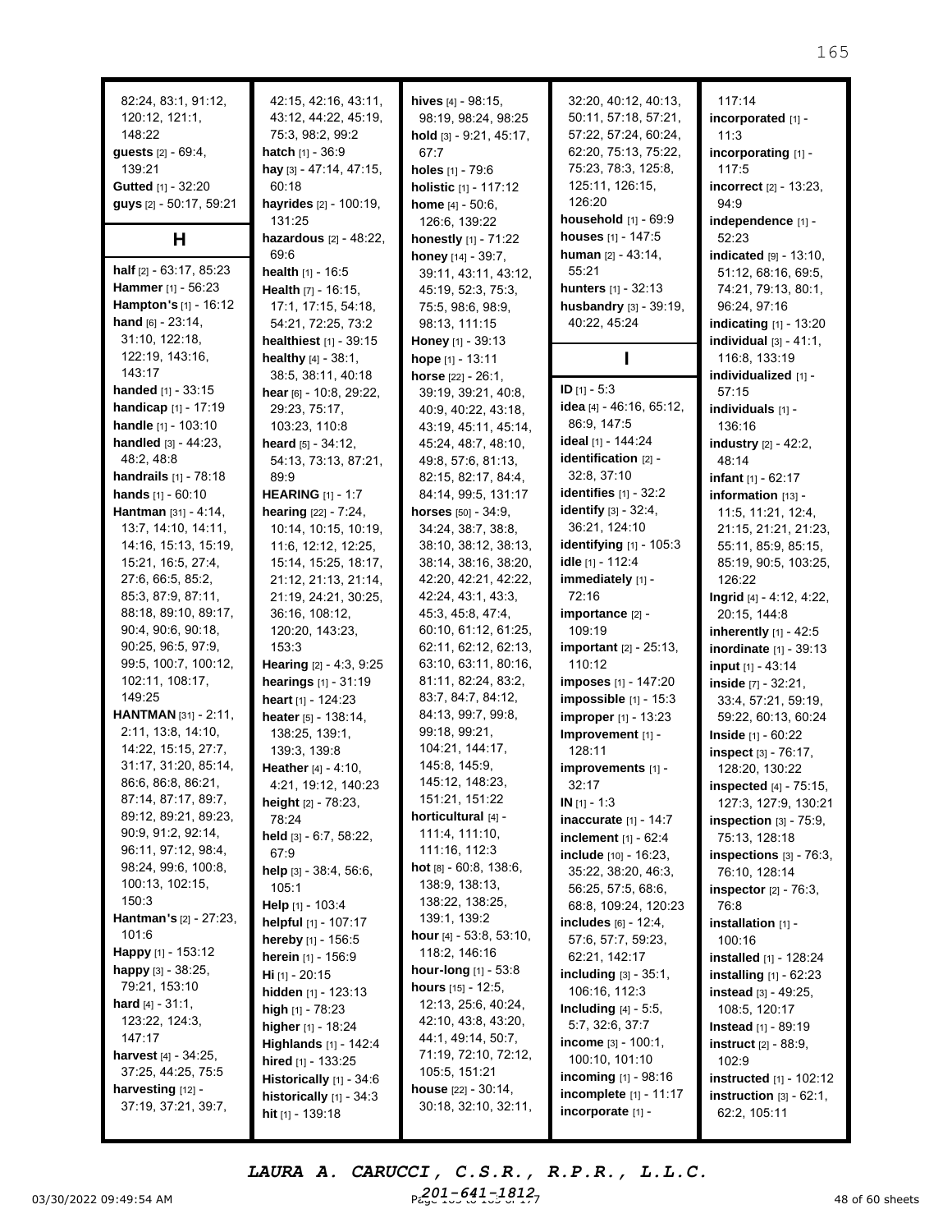| 82:24, 83:1, 91:12,              | 42:15, 42:16, 43:11,             | hives $[4] - 98:15$ ,                 | 32:20, 40:12, 40:13,             | 117:14                          |
|----------------------------------|----------------------------------|---------------------------------------|----------------------------------|---------------------------------|
| 120:12, 121:1,                   | 43:12, 44:22, 45:19,             | 98:19, 98:24, 98:25                   | 50:11, 57:18, 57:21,             | incorporated [1] -              |
| 148:22                           | 75:3, 98:2, 99:2                 |                                       | 57:22, 57:24, 60:24,             |                                 |
|                                  |                                  | hold [3] - 9:21, 45:17,               |                                  | 11:3                            |
| guests [2] - 69:4,               | hatch [1] - 36:9                 | 67:7                                  | 62:20, 75:13, 75:22,             | incorporating [1] -             |
| 139:21                           | hay [3] - 47:14, 47:15,          | holes [1] - 79:6                      | 75:23, 78:3, 125:8,              | 117:5                           |
| Gutted [1] - 32:20               | 60:18                            | holistic [1] - 117:12                 | 125:11, 126:15,                  | incorrect [2] - 13:23,          |
| guys [2] - 50:17, 59:21          | hayrides [2] - 100:19,           | <b>home</b> $[4] - 50:6$ ,            | 126:20                           | 94:9                            |
|                                  | 131:25                           | 126:6, 139:22                         | household [1] - 69:9             | independence [1] -              |
| H                                | <b>hazardous</b> $[2] - 48:22$ , | honestly [1] - 71:22                  | houses [1] - 147:5               | 52:23                           |
|                                  | 69:6                             | honey [14] - 39:7,                    | human $[2] - 43:14$ ,            | indicated $[9] - 13:10$ ,       |
| half [2] - 63:17, 85:23          | <b>health</b> $[1] - 16:5$       | 39:11, 43:11, 43:12,                  | 55:21                            | 51:12, 68:16, 69:5,             |
| Hammer [1] - 56:23               | Health [7] - 16:15,              | 45:19, 52:3, 75:3,                    | hunters [1] - 32:13              | 74:21, 79:13, 80:1,             |
| Hampton's [1] - 16:12            | 17:1, 17:15, 54:18,              | 75:5, 98:6, 98:9,                     | husbandry [3] - 39:19,           | 96:24, 97:16                    |
| hand $[6] - 23:14$ ,             | 54:21, 72:25, 73:2               | 98:13, 111:15                         | 40:22, 45:24                     | indicating [1] - 13:20          |
| 31:10, 122:18,                   | healthiest [1] - 39:15           | Honey [1] - 39:13                     |                                  | individual $[3] - 41:1$ ,       |
| 122:19, 143:16,                  | <b>healthy</b> $[4] - 38:1$ ,    | hope $[1] - 13:11$                    |                                  | 116:8, 133:19                   |
| 143:17                           | 38:5, 38:11, 40:18               | horse $[22] - 26:1$ ,                 |                                  | individualized [1] -            |
| <b>handed</b> $[1] - 33:15$      | hear [6] - 10:8, 29:22,          | 39:19, 39:21, 40:8,                   | $ID$ [1] - 5:3                   | 57:15                           |
| handicap [1] - 17:19             | 29:23, 75:17,                    | 40:9, 40:22, 43:18,                   | idea [4] - 46:16, 65:12,         | individuals [1] -               |
| handle [1] - 103:10              | 103:23, 110:8                    | 43:19, 45:11, 45:14,                  | 86:9, 147:5                      | 136:16                          |
| <b>handled</b> $[3] - 44:23$ ,   | heard $[5] - 34:12$ ,            | 45:24, 48:7, 48:10,                   | ideal [1] - 144:24               | industry [2] - 42:2,            |
| 48:2, 48:8                       | 54:13, 73:13, 87:21,             | 49:8, 57:6, 81:13,                    | identification [2] -             | 48:14                           |
| handrails [1] - 78:18            | 89:9                             | 82:15, 82:17, 84:4,                   | 32:8, 37:10                      | infant $[1] - 62:17$            |
| hands $[1] - 60:10$              | <b>HEARING</b> [1] - 1:7         | 84:14, 99:5, 131:17                   | identifies $[1] - 32:2$          | information [13] -              |
| Hantman [31] - 4:14,             | <b>hearing</b> $[22] - 7:24$ ,   | horses [50] - 34:9,                   | <b>identify</b> $[3] - 32:4$ ,   | 11:5, 11:21, 12:4,              |
| 13:7, 14:10, 14:11,              | 10:14, 10:15, 10:19,             | 34:24, 38:7, 38:8,                    | 36:21, 124:10                    | 21:15, 21:21, 21:23,            |
| 14:16, 15:13, 15:19,             | 11:6, 12:12, 12:25,              | 38:10, 38:12, 38:13,                  | <b>identifying</b> $[1] - 105:3$ | 55:11, 85:9, 85:15,             |
| 15:21, 16:5, 27:4,               | 15:14, 15:25, 18:17,             | 38:14, 38:16, 38:20,                  | idle [1] - 112:4                 | 85:19, 90:5, 103:25,            |
| 27:6, 66:5, 85:2,                | 21:12, 21:13, 21:14,             | 42:20, 42:21, 42:22,                  | immediately [1] -                | 126:22                          |
| 85:3, 87:9, 87:11,               | 21:19, 24:21, 30:25,             | 42:24, 43:1, 43:3,                    | 72:16                            | Ingrid [4] - 4:12, 4:22,        |
| 88:18, 89:10, 89:17,             | 36:16, 108:12,                   | 45:3, 45:8, 47:4,                     | importance [2] -                 | 20:15, 144:8                    |
| 90:4, 90:6, 90:18,               | 120:20, 143:23,                  | 60:10, 61:12, 61:25,                  | 109:19                           | inherently $[1] - 42:5$         |
| 90:25, 96:5, 97:9,               | 153:3                            | 62:11, 62:12, 62:13,                  | <b>important</b> $[2] - 25:13$ , | <b>inordinate</b> $[1] - 39:13$ |
| 99:5, 100:7, 100:12,             | Hearing [2] - 4:3, 9:25          | 63:10, 63:11, 80:16,                  | 110:12                           | input [1] - 43:14               |
| 102:11, 108:17,                  | hearings [1] - 31:19             | 81:11, 82:24, 83:2,                   | imposes [1] - 147:20             | inside $[7] - 32:21$ ,          |
| 149:25                           | heart [1] - 124:23               | 83:7, 84:7, 84:12,                    | impossible [1] - 15:3            | 33:4, 57:21, 59:19,             |
| HANTMAN [31] - 2:11,             | heater [5] - 138:14,             | 84:13, 99:7, 99:8,                    | improper [1] - 13:23             | 59:22, 60:13, 60:24             |
| 2:11, 13:8, 14:10,               | 138:25, 139:1,                   | 99:18, 99:21,                         | Improvement [1] -                | Inside [1] - 60:22              |
| 14:22, 15:15, 27:7,              | 139:3, 139:8                     | 104:21, 144:17,                       | 128:11                           | inspect [3] - 76:17,            |
| 31:17, 31:20, 85:14,             | <b>Heather</b> $[4] - 4:10$ ,    | 145:8, 145:9,                         | improvements [1] -               | 128:20, 130:22                  |
| 86:6, 86:8, 86:21,               | 4:21, 19:12, 140:23              | 145:12, 148:23,                       | 32:17                            |                                 |
| 87:14, 87:17, 89:7,              |                                  | 151:21, 151:22                        |                                  | inspected [4] - 75:15,          |
| 89:12, 89:21, 89:23,             | height [2] - 78:23,<br>78:24     | horticultural [4] -                   | IN $[1] - 1:3$                   | 127:3, 127:9, 130:21            |
| 90:9, 91:2, 92:14,               |                                  | 111:4, 111:10,                        | inaccurate $[1] - 14:7$          | inspection $[3]$ - $75:9$ ,     |
| 96:11, 97:12, 98:4,              | held [3] - 6:7, 58:22,           | 111:16, 112:3                         | <b>inclement</b> $[1] - 62:4$    | 75:13, 128:18                   |
| 98:24, 99:6, 100:8,              | 67:9                             | <b>hot</b> $[8] - 60.8$ , 138:6,      | <b>include</b> [10] - 16:23,     | inspections $[3]$ - $76:3$ ,    |
| 100:13, 102:15,                  | help $[3] - 38:4, 56:6,$         | 138:9, 138:13,                        | 35:22, 38:20, 46:3,              | 76:10, 128:14                   |
| 150:3                            | 105:1                            | 138:22, 138:25,                       | 56:25, 57:5, 68:6,               | <b>inspector</b> $[2] - 76:3$ , |
| <b>Hantman's</b> $[2] - 27:23$ , | Help [1] - 103:4                 | 139:1, 139:2                          | 68:8, 109:24, 120:23             | 76:8                            |
| 101:6                            | helpful [1] - 107:17             | hour [4] - 53:8, 53:10,               | <b>includes</b> $[6]$ - 12:4,    | installation [1] -              |
| Happy [1] - 153:12               | <b>hereby</b> $[1] - 156:5$      | 118:2, 146:16                         | 57:6, 57:7, 59:23,               | 100:16                          |
| happy [3] - 38:25,               | herein [1] - 156:9               | <b>hour-long</b> $[1]$ - 53:8         | 62:21, 142:17                    | <b>installed</b> $[1]$ - 128:24 |
| 79:21, 153:10                    | <b>Hi</b> [1] - 20:15            | <b>hours</b> $[15] - 12:5$ ,          | including <sub>[3]</sub> - 35:1, | <b>installing</b> $[1]$ - 62:23 |
| <b>hard</b> $[4] - 31:1$ ,       | hidden $[1]$ - 123:13            | 12:13, 25:6, 40:24,                   | 106:16, 112:3                    | <b>instead</b> $[3] - 49:25$ ,  |
| 123:22, 124:3,                   | high $[1]$ - 78:23               | 42:10, 43:8, 43:20,                   | Including $[4] - 5.5$ ,          | 108:5, 120:17                   |
| 147:17                           | higher $[1]$ - 18:24             |                                       | 5:7, 32:6, 37:7                  | <b>Instead</b> [1] - 89:19      |
|                                  | Highlands [1] - 142:4            | 44:1, 49:14, 50:7,                    | income [3] - 100:1,              | <b>instruct</b> $[2] - 88:9$ ,  |
| <b>harvest</b> $[4] - 34:25$ ,   | hired $[1]$ - 133:25             | 71:19, 72:10, 72:12,<br>105:5, 151:21 | 100:10, 101:10                   | 102:9                           |
| 37:25, 44:25, 75:5               | <b>Historically</b> $[1] - 34:6$ |                                       | <b>incoming</b> $[1]$ - 98:16    | instructed [1] - 102:12         |
| harvesting [12] -                | historically $[1]$ - 34:3        | <b>house</b> $[22] - 30:14$ ,         | <b>incomplete</b> $[1] - 11:17$  | instruction $[3] - 62:1$ ,      |
| 37:19, 37:21, 39:7,              | hit $[1]$ - 139:18               | 30:18, 32:10, 32:11,                  | incorporate [1] -                | 62:2, 105:11                    |
|                                  |                                  |                                       |                                  |                                 |

03/30/2022 09:49:54 AM  $P_{cyc}^{201-641-1812}$ ,  $P_{cyc}^{100-17}$  and  $P_{cyc}^{201-641-1812}$ *LAURA A. CARUCCI, C.S.R., R.P.R., L.L.C. 201-641-1812*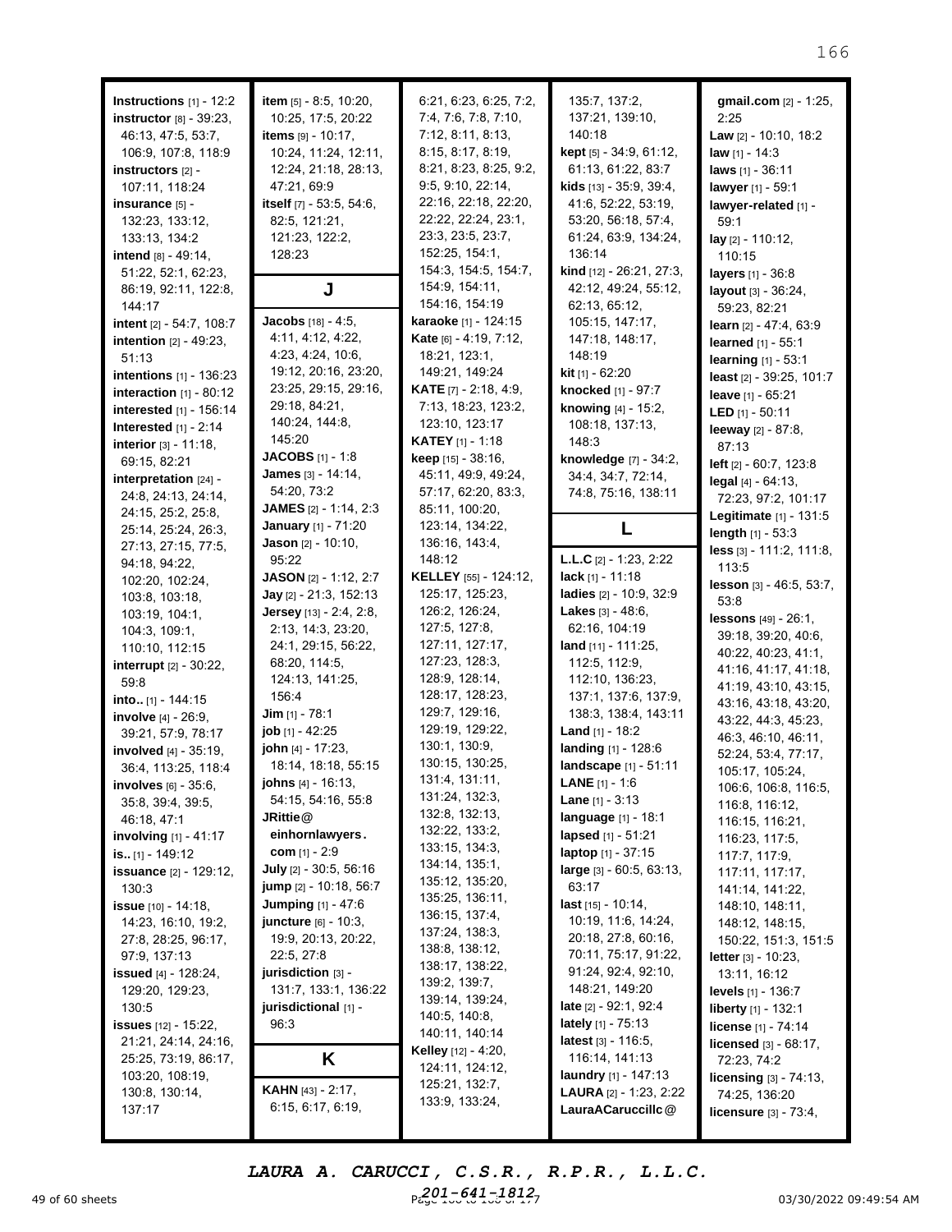| <b>Instructions</b> $[1]$ - 12:2<br>instructor [8] - 39:23,<br>46:13, 47:5, 53:7,<br>106:9, 107:8, 118:9<br>instructors [2] -<br>107:11, 118:24<br>insurance [5] -<br>132:23, 133:12,<br>133:13, 134:2<br>intend [8] - 49:14,<br>51:22, 52:1, 62:23, | item [5] - 8:5, 10:20,<br>10:25, 17:5, 20:22<br>items [9] - 10:17.<br>10:24, 11:24, 12:11,<br>12:24, 21:18, 28:13,<br>47:21, 69:9<br>itself [7] - 53:5, 54:6,<br>82:5, 121:21,<br>121:23, 122:2,<br>128:23 | 6:21, 6:23, 6:25, 7:2,<br>7:4, 7:6, 7:8, 7:10,<br>7:12, 8:11, 8:13,<br>8:15, 8:17, 8:19,<br>8:21, 8:23, 8:25, 9:2,<br>9:5, 9:10, 22:14,<br>22:16, 22:18, 22:20,<br>22:22, 22:24, 23:1,<br>23:3, 23:5, 23:7,<br>152:25, 154:1,<br>154:3, 154:5, 154:7, | 135:7, 137:2,<br>137:21, 139:10,<br>140:18<br>kept [5] - 34:9, 61:12,<br>61:13, 61:22, 83:7<br><b>kids</b> $[13] - 35:9, 39:4,$<br>41:6, 52:22, 53:19,<br>53:20, 56:18, 57:4,<br>61:24, 63:9, 134:24,<br>136:14<br>kind [12] - 26:21, 27:3, | gmail.com [2] - 1:25,<br>2:25<br><b>Law</b> $[2] - 10:10, 18:2$<br><b>law</b> $[1] - 14:3$<br>laws [1] - 36:11<br>lawyer [1] - 59:1<br>lawyer-related [1] -<br>59:1<br>$lay_{[2]} - 110:12,$<br>110:15<br>layers [1] - 36:8 |
|------------------------------------------------------------------------------------------------------------------------------------------------------------------------------------------------------------------------------------------------------|------------------------------------------------------------------------------------------------------------------------------------------------------------------------------------------------------------|-------------------------------------------------------------------------------------------------------------------------------------------------------------------------------------------------------------------------------------------------------|---------------------------------------------------------------------------------------------------------------------------------------------------------------------------------------------------------------------------------------------|-----------------------------------------------------------------------------------------------------------------------------------------------------------------------------------------------------------------------------|
| 86:19, 92:11, 122:8,<br>144:17<br>intent [2] - 54:7, 108:7<br>intention [2] - 49:23,                                                                                                                                                                 | J<br>Jacobs [18] - 4:5,<br>4:11, 4:12, 4:22,                                                                                                                                                               | 154:9, 154:11,<br>154:16, 154:19<br>karaoke [1] - 124:15<br>Kate [6] - 4:19, 7:12,                                                                                                                                                                    | 42:12, 49:24, 55:12,<br>62:13, 65:12,<br>105:15, 147:17,<br>147:18, 148:17,                                                                                                                                                                 | layout [3] - 36:24,<br>59:23, 82:21<br>learn [2] - 47:4, 63:9                                                                                                                                                               |
| 51:13<br>intentions [1] - 136:23<br>interaction $[1]$ - 80:12                                                                                                                                                                                        | 4:23, 4:24, 10:6,<br>19:12, 20:16, 23:20,<br>23:25, 29:15, 29:16,                                                                                                                                          | 18:21, 123:1,<br>149:21, 149:24<br><b>KATE</b> $[7] - 2:18, 4:9,$                                                                                                                                                                                     | 148:19<br><b>kit</b> $[1] - 62:20$<br>knocked [1] - 97:7                                                                                                                                                                                    | learned [1] - 55:1<br>learning [1] - 53:1<br>least [2] - 39:25, 101:7<br>leave [1] - 65:21                                                                                                                                  |
| interested [1] - 156:14<br>Interested $[1]$ - 2:14<br>interior [3] - 11:18,                                                                                                                                                                          | 29:18, 84:21,<br>140:24, 144:8,<br>145:20<br><b>JACOBS</b> $[1]$ - 1:8                                                                                                                                     | 7:13, 18:23, 123:2,<br>123:10, 123:17<br><b>KATEY</b> [1] - 1:18                                                                                                                                                                                      | knowing [4] - 15:2,<br>108:18, 137:13,<br>148:3                                                                                                                                                                                             | <b>LED</b> $[1] - 50:11$<br>leeway [2] - 87:8,<br>87:13                                                                                                                                                                     |
| 69:15, 82:21<br>interpretation [24] -<br>24:8, 24:13, 24:14,<br>24:15, 25:2, 25:8,                                                                                                                                                                   | <b>James</b> [3] - 14:14,<br>54:20, 73:2<br><b>JAMES</b> $[2] - 1:14, 2:3$                                                                                                                                 | <b>keep</b> $[15] - 38:16$ ,<br>45:11, 49:9, 49:24,<br>57:17, 62:20, 83:3,<br>85:11, 100:20,                                                                                                                                                          | knowledge [7] - 34:2,<br>34:4, 34:7, 72:14,<br>74:8, 75:16, 138:11                                                                                                                                                                          | left [2] - 60:7, 123:8<br>legal $[4] - 64:13$ ,<br>72:23, 97:2, 101:17<br>Legitimate [1] - 131:5                                                                                                                            |
| 25:14, 25:24, 26:3,<br>27:13, 27:15, 77:5,<br>94:18, 94:22,                                                                                                                                                                                          | January [1] - 71:20<br>Jason [2] - 10:10,<br>95:22                                                                                                                                                         | 123:14, 134:22,<br>136:16, 143:4,<br>148:12                                                                                                                                                                                                           | $\mathsf{L}$<br><b>L.L.C</b> $[2] - 1:23, 2:22$                                                                                                                                                                                             | length $[1] - 53:3$<br>less [3] - 111:2, 111:8,<br>113:5                                                                                                                                                                    |
| 102:20, 102:24,<br>103:8, 103:18,<br>103:19, 104:1,<br>104:3, 109:1,                                                                                                                                                                                 | <b>JASON</b> $[2] - 1:12, 2:7$<br>Jay [2] - 21:3, 152:13<br>Jersey [13] - 2:4, 2:8,<br>2:13, 14:3, 23:20,                                                                                                  | <b>KELLEY</b> [55] - 124:12,<br>125:17, 125:23,<br>126:2, 126:24,<br>127:5, 127:8,                                                                                                                                                                    | <b>lack</b> [1] - 11:18<br>ladies [2] - 10:9, 32:9<br><b>Lakes</b> $[3] - 48:6$ ,<br>62:16, 104:19                                                                                                                                          | lesson [3] - 46:5, 53:7,<br>53:8<br><b>lessons</b> $[49] - 26:1$ ,                                                                                                                                                          |
| 110:10, 112:15<br>interrupt [2] - 30:22,<br>59:8                                                                                                                                                                                                     | 24:1, 29:15, 56:22,<br>68:20, 114:5,<br>124:13, 141:25,                                                                                                                                                    | 127:11, 127:17,<br>127:23, 128:3,<br>128:9, 128:14,                                                                                                                                                                                                   | land [11] - 111:25,<br>112:5, 112:9,<br>112:10, 136:23,                                                                                                                                                                                     | 39:18, 39:20, 40:6,<br>40:22, 40:23, 41:1,<br>41:16, 41:17, 41:18,<br>41:19, 43:10, 43:15,                                                                                                                                  |
| into $[1] - 144:15$<br>involve [4] - 26:9,<br>39:21, 57:9, 78:17                                                                                                                                                                                     | 156:4<br><b>Jim</b> [1] - 78:1<br>job [1] - 42:25<br>john [4] - 17:23,                                                                                                                                     | 128:17, 128:23,<br>129:7, 129:16,<br>129:19, 129:22,<br>130:1, 130:9,                                                                                                                                                                                 | 137:1, 137:6, 137:9,<br>138:3, 138:4, 143:11<br><b>Land</b> $[1] - 18:2$                                                                                                                                                                    | 43:16, 43:18, 43:20,<br>43:22, 44:3, 45:23,<br>46:3, 46:10, 46:11,                                                                                                                                                          |
| involved [4] - 35:19,<br>36:4, 113:25, 118:4<br><b>involves</b> $[6] - 35:6$ ,<br>35:8, 39:4, 39:5,                                                                                                                                                  | 18:14, 18:18, 55:15<br><b>johns</b> [4] - 16:13,<br>54:15, 54:16, 55:8                                                                                                                                     | 130:15, 130:25,<br>131:4, 131:11,<br>131:24, 132:3,                                                                                                                                                                                                   | landing [1] - 128:6<br>landscape [1] - 51:11<br><b>LANE</b> $[1] - 1:6$<br><b>Lane</b> $[1] - 3:13$                                                                                                                                         | 52:24, 53:4, 77:17,<br>105:17, 105:24,<br>106:6, 106:8, 116:5,<br>116:8, 116:12,                                                                                                                                            |
| 46:18, 47:1<br><b>involving</b> $[1] - 41:17$<br>is [1] - 149:12                                                                                                                                                                                     | JRittie @<br>einhornlawyers.<br>com $[1] - 2:9$                                                                                                                                                            | 132:8, 132:13,<br>132:22, 133:2,<br>133:15, 134:3,                                                                                                                                                                                                    | language [1] - 18:1<br>lapsed [1] - 51:21<br>laptop [1] - 37:15                                                                                                                                                                             | 116:15, 116:21,<br>116:23, 117:5,<br>117:7, 117:9,                                                                                                                                                                          |
| <b>issuance</b> [2] - 129:12,<br>130:3<br>issue [10] - 14:18,<br>14:23, 16:10, 19:2,                                                                                                                                                                 | July [2] - 30:5, 56:16<br>jump [2] - 10:18, 56:7<br>Jumping [1] - 47:6<br>juncture [6] - 10:3,                                                                                                             | 134:14, 135:1,<br>135:12, 135:20,<br>135:25, 136:11,<br>136:15, 137:4,                                                                                                                                                                                | large [3] - 60:5, 63:13,<br>63:17<br>last $[15] - 10:14$ ,<br>10:19, 11:6, 14:24,                                                                                                                                                           | 117:11, 117:17,<br>141:14, 141:22,<br>148:10, 148:11,<br>148:12, 148:15,                                                                                                                                                    |
| 27:8, 28:25, 96:17,<br>97:9, 137:13<br><b>issued</b> [4] - 128:24,<br>129:20, 129:23,<br>130:5                                                                                                                                                       | 19:9, 20:13, 20:22,<br>22:5, 27:8<br>jurisdiction [3] -<br>131:7, 133:1, 136:22<br>jurisdictional [1] -                                                                                                    | 137:24, 138:3,<br>138:8, 138:12,<br>138:17, 138:22,<br>139:2, 139:7,<br>139:14, 139:24,                                                                                                                                                               | 20:18, 27:8, 60:16,<br>70:11, 75:17, 91:22,<br>91:24, 92:4, 92:10,<br>148:21, 149:20<br>late $[2] - 92:1, 92:4$                                                                                                                             | 150:22, 151:3, 151:5<br>letter [3] - 10:23,<br>13:11, 16:12<br><b>levels</b> $[1]$ - 136:7<br>liberty [1] - 132:1                                                                                                           |
| <b>issues</b> [12] - 15:22,<br>21:21, 24:14, 24:16,<br>25:25, 73:19, 86:17,                                                                                                                                                                          | 96:3<br>Κ                                                                                                                                                                                                  | 140:5, 140:8,<br>140:11, 140:14<br><b>Kelley</b> [12] - 4:20,<br>124:11, 124:12,                                                                                                                                                                      | lately [1] - 75:13<br>latest $[3] - 116:5$ ,<br>116:14, 141:13                                                                                                                                                                              | license [1] - 74:14<br>licensed [3] - 68:17,<br>72:23, 74:2                                                                                                                                                                 |
| 103:20, 108:19,<br>130:8, 130:14,<br>137:17                                                                                                                                                                                                          | <b>KAHN</b> [43] - 2:17,<br>6:15, 6:17, 6:19,                                                                                                                                                              | 125:21, 132:7,<br>133:9, 133:24,                                                                                                                                                                                                                      | <b>laundry</b> [1] - 147:13<br>LAURA [2] - 1:23, 2:22<br>LauraACaruccillc@                                                                                                                                                                  | <b>licensing</b> $[3] - 74:13$ ,<br>74:25, 136:20<br><b>licensure</b> $[3] - 73:4$ ,                                                                                                                                        |

49 of 60 sheets **Page 166 to 166 of 171 of 171 of 171 of 171 of 171 of 171 of 171 of 171 of 171 of 171 of 171 of 1** *LAURA A. CARUCCI, C.S.R., R.P.R., L.L.C. 201-641-1812*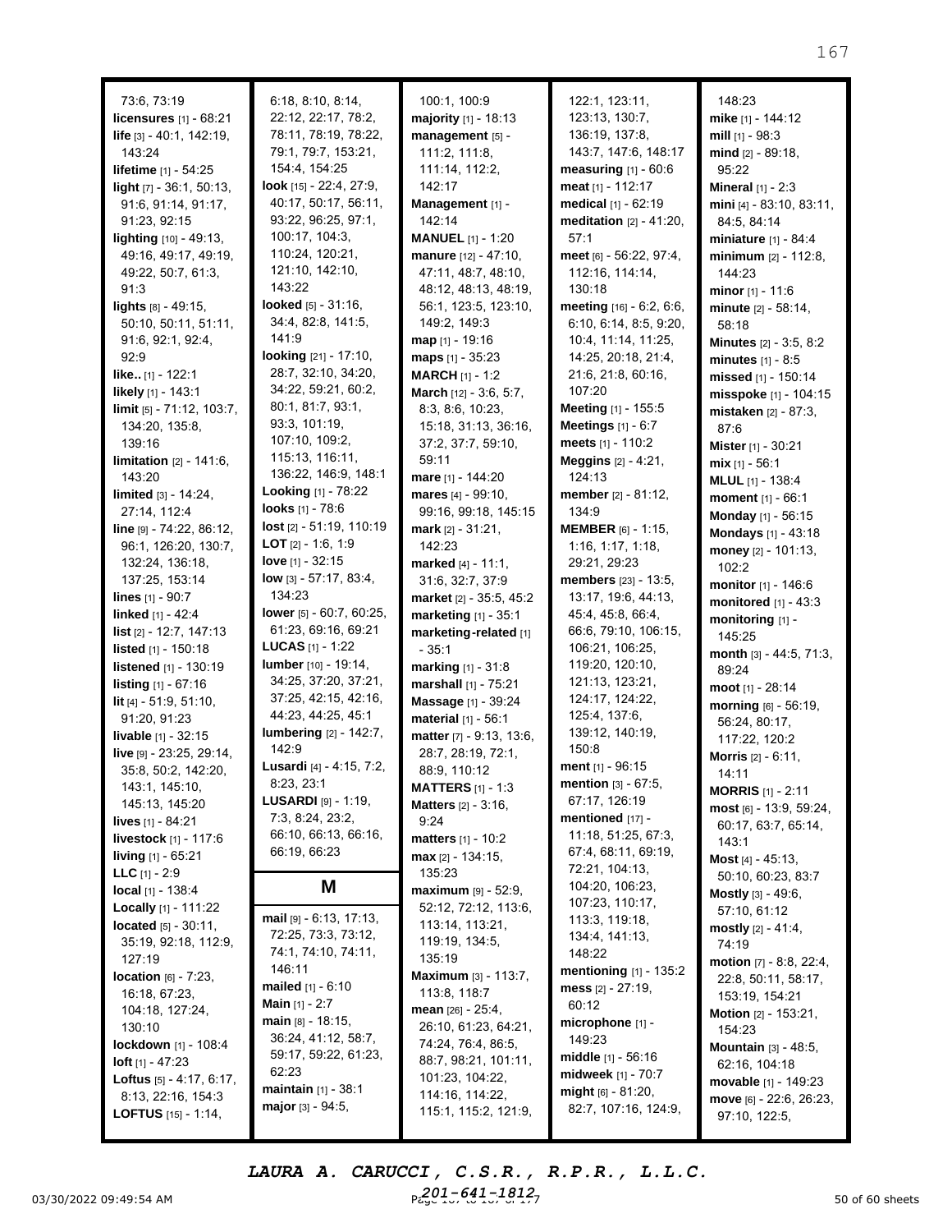| 73:6, 73:19                       | 6:18, 8:10, 8:14,                    | 100:1, 100:9                     | 122:1, 123:11,                  | 148:23                                           |
|-----------------------------------|--------------------------------------|----------------------------------|---------------------------------|--------------------------------------------------|
| licensures [1] - 68:21            | 22:12, 22:17, 78:2,                  | majority [1] - 18:13             | 123:13, 130:7,                  | mike [1] - 144:12                                |
| life [3] - 40:1, 142:19,          | 78:11, 78:19, 78:22,                 | management [5] -                 | 136:19, 137:8,                  | mill $[1]$ - 98:3                                |
| 143:24                            | 79:1, 79:7, 153:21,                  | 111:2, 111:8,                    | 143:7, 147:6, 148:17            | mind [2] - 89:18.                                |
| <b>lifetime</b> [1] - 54:25       | 154:4, 154:25                        | 111:14, 112:2,                   | measuring $[1] - 60:6$          | 95:22                                            |
| light [7] - 36:1, 50:13,          | <b>look</b> $[15] - 22:4$ , $27:9$ , | 142:17                           | meat $[1] - 112:17$             | <b>Mineral</b> $[1] - 2:3$                       |
| 91:6, 91:14, 91:17,               | 40:17, 50:17, 56:11,                 | Management [1] -                 | medical [1] - 62:19             | mini [4] - 83:10, 83:11,                         |
| 91:23, 92:15                      | 93:22, 96:25, 97:1,                  | 142:14                           | meditation $[2] - 41:20$ ,      | 84:5, 84:14                                      |
| lighting [10] - 49:13,            | 100:17, 104:3,                       | <b>MANUEL</b> $[1] - 1:20$       | 57:1                            | <b>miniature</b> $[1] - 84:4$                    |
| 49:16, 49:17, 49:19,              | 110:24, 120:21,                      | manure [12] - 47:10,             | meet [6] - 56:22, 97:4,         | minimum $[2] - 112:8$ ,                          |
| 49:22, 50:7, 61:3,                | 121:10, 142:10,                      | 47:11, 48:7, 48:10,              | 112:16, 114:14,                 | 144:23                                           |
| 91:3                              | 143:22                               | 48:12, 48:13, 48:19,             | 130:18                          | minor $[1] - 11:6$                               |
| lights [8] - 49:15,               | looked [5] - 31:16,                  | 56:1, 123:5, 123:10,             | meeting [16] - 6:2, 6:6,        | minute [2] - 58:14,                              |
| 50:10, 50:11, 51:11,              | 34:4, 82:8, 141:5,                   | 149:2, 149:3                     | 6:10, 6:14, 8:5, 9:20,          | 58:18                                            |
| 91:6, 92:1, 92:4,                 | 141:9                                | $map_{[1]} - 19:16$              | 10:4, 11:14, 11:25,             | <b>Minutes</b> $[2] - 3:5, 8:2$                  |
| 92:9                              | looking [21] - 17:10,                | maps $[1] - 35:23$               | 14:25, 20:18, 21:4,             | minutes $[1] - 8:5$                              |
| <b>like</b> $[1] - 122:1$         | 28:7, 32:10, 34:20,                  | <b>MARCH</b> [1] - 1:2           | 21:6, 21:8, 60:16,              | missed [1] - 150:14                              |
| likely [1] - 143:1                | 34:22, 59:21, 60:2,                  | March [12] - 3:6, 5:7,           | 107:20                          | misspoke [1] - 104:15                            |
| limit [5] - 71:12, 103:7,         | 80:1, 81:7, 93:1,                    | 8:3, 8:6, 10:23,                 | <b>Meeting</b> [1] - 155:5      |                                                  |
| 134:20, 135:8,                    | 93:3, 101:19,                        | 15:18, 31:13, 36:16,             | Meetings $[1] - 6:7$            | mistaken [2] - 87:3,                             |
| 139:16                            | 107:10, 109:2,                       | 37:2, 37:7, 59:10,               | meets $[1] - 110:2$             | 87:6                                             |
| <b>limitation</b> $[2] - 141:6$ , | 115:13, 116:11,                      | 59:11                            | <b>Meggins</b> $[2] - 4:21$ ,   | Mister [1] - 30:21                               |
| 143:20                            | 136:22, 146:9, 148:1                 | mare [1] - 144:20                | 124:13                          | $mix$ [1] - 56:1                                 |
| limited [3] - 14:24.              | <b>Looking</b> [1] - 78:22           | mares [4] - 99:10,               | member [2] - 81:12,             | <b>MLUL</b> [1] - 138:4                          |
| 27:14, 112:4                      | <b>looks</b> $[1] - 78:6$            | 99:16, 99:18, 145:15             | 134:9                           | moment [1] - 66:1                                |
| line [9] - 74:22, 86:12,          | lost [2] - 51:19, 110:19             | mark $[2] - 31:21$ ,             | MEMBER [6] - 1:15,              | Monday [1] - 56:15                               |
| 96:1, 126:20, 130:7,              | <b>LOT</b> $[2] - 1:6, 1:9$          | 142:23                           | 1:16, 1:17, 1:18,               | <b>Mondays</b> [1] - 43:18                       |
| 132:24, 136:18,                   | love $[1] - 32:15$                   | <b>marked</b> $[4] - 11:1$ ,     | 29:21, 29:23                    | money $[2] - 101:13$ ,                           |
| 137:25, 153:14                    | low [3] - 57:17, 83:4,               | 31:6, 32:7, 37:9                 | members [23] - 13:5,            | 102:2                                            |
| <b>lines</b> $[1] - 90:7$         | 134:23                               | <b>market</b> $[2] - 35:5, 45:2$ | 13:17, 19:6, 44:13,             | monitor [1] - 146:6                              |
| <b>linked</b> $[1] - 42:4$        | lower [5] - 60:7, 60:25,             | marketing [1] - 35:1             | 45:4, 45:8, 66:4,               | monitored [1] - 43:3                             |
| list [2] - 12:7, 147:13           | 61:23, 69:16, 69:21                  | marketing-related [1]            | 66:6, 79:10, 106:15,            | monitoring [1] -                                 |
| listed [1] - 150:18               | <b>LUCAS</b> $[1] - 1:22$            | $-35:1$                          | 106:21, 106:25,                 | 145:25                                           |
| <b>listened</b> [1] - 130:19      | <b>lumber</b> [10] - 19:14,          | marking [1] - 31:8               | 119:20, 120:10,                 | month [3] - 44:5, 71:3,                          |
| <b>listing</b> $[1] - 67:16$      | 34:25, 37:20, 37:21,                 | marshall [1] - 75:21             | 121:13, 123:21,                 | 89:24                                            |
| lit $[4] - 51:9, 51:10,$          | 37:25, 42:15, 42:16,                 | Massage [1] - 39:24              | 124:17, 124:22,                 | moot [1] - 28:14                                 |
| 91:20, 91:23                      | 44:23, 44:25, 45:1                   | material [1] - 56:1              | 125:4, 137:6,                   | morning [6] - 56:19,                             |
| livable [1] - 32:15               | <b>lumbering</b> [2] - 142:7,        | matter [7] - 9:13, 13:6,         | 139:12, 140:19,                 | 56:24, 80:17,<br>117:22, 120:2                   |
| live [9] - 23:25, 29:14,          | 142:9                                | 28:7, 28:19, 72:1,               | 150:8                           | Morris [2] - 6:11,                               |
| 35:8, 50:2, 142:20,               | Lusardi [4] - 4:15, 7:2,             | 88:9, 110:12                     | ment [1] - 96:15                |                                                  |
| 143:1, 145:10,                    | 8:23,23:1                            | <b>MATTERS</b> $[1]$ - 1:3       | mention [3] - 67:5,             | 14:11                                            |
| 145:13, 145:20                    | <b>LUSARDI</b> $[9] - 1:19$ ,        | <b>Matters</b> [2] - 3:16,       | 67:17, 126:19                   | <b>MORRIS</b> $[1]$ - 2:11                       |
| <b>lives</b> $[1] - 84:21$        | 7:3, 8:24, 23:2,                     | 9:24                             | mentioned [17] -                | $most$ [6] - 13:9, 59:24,<br>60:17, 63:7, 65:14, |
| <b>livestock</b> $[1] - 117:6$    | 66:10, 66:13, 66:16,                 | matters [1] - 10:2               | 11:18, 51:25, 67:3,             | 143:1                                            |
| <b>living</b> $[1]$ - 65:21       | 66:19, 66:23                         | $max$ [2] - 134:15,              | 67:4, 68:11, 69:19,             | Most $[4] - 45:13$ ,                             |
| <b>LLC</b> $[1] - 2:9$            |                                      | 135:23                           | 72:21, 104:13,                  | 50:10, 60:23, 83:7                               |
| <b>local</b> $[1]$ - 138:4        | M                                    | maximum [9] - 52:9,              | 104:20, 106:23,                 | <b>Mostly</b> $[3] - 49:6$ ,                     |
| <b>Locally</b> $[1]$ - 111:22     |                                      | 52:12, 72:12, 113:6,             | 107:23, 110:17,                 | 57:10, 61:12                                     |
| <b>located</b> $[5] - 30:11$ ,    | mail $[9] - 6:13, 17:13,$            | 113:14, 113:21,                  | 113:3, 119:18,                  | mostly $[2] - 41:4,$                             |
| 35:19, 92:18, 112:9,              | 72:25, 73:3, 73:12,                  | 119:19, 134:5,                   | 134:4, 141:13,                  | 74:19                                            |
| 127:19                            | 74:1, 74:10, 74:11,                  | 135:19                           | 148:22                          | <b>motion</b> $[7] - 8:8$ , 22:4,                |
| <b>location</b> $[6] - 7:23$ ,    | 146:11                               | <b>Maximum</b> [3] - 113:7,      | <b>mentioning</b> $[1] - 135:2$ | 22:8, 50:11, 58:17,                              |
| 16:18, 67:23,                     | <b>mailed</b> $[1] - 6:10$           | 113:8, 118:7                     | mess $[2] - 27:19$ ,            | 153:19, 154:21                                   |
| 104:18, 127:24,                   | <b>Main</b> [1] - 2:7                | <b>mean</b> $[26] - 25:4$ ,      | 60:12                           | <b>Motion</b> $[2] - 153:21$ ,                   |
| 130:10                            | $main$ [8] - 18:15,                  | 26:10, 61:23, 64:21,             | microphone [1] -                | 154:23                                           |
| <b>lockdown</b> [1] - 108:4       | 36:24, 41:12, 58:7,                  | 74:24, 76:4, 86:5,               | 149:23                          | Mountain [3] - 48:5,                             |
| $Ioff [1] - 47:23$                | 59:17, 59:22, 61:23,                 | 88:7, 98:21, 101:11,             | <b>middle</b> $[1] - 56:16$     | 62:16, 104:18                                    |
| <b>Loftus</b> $[5] - 4:17, 6:17,$ | 62:23                                | 101:23, 104:22,                  | <b>midweek</b> [1] - 70:7       | movable [1] - 149:23                             |
| 8:13, 22:16, 154:3                | <b>maintain</b> $[1] - 38:1$         | 114:16, 114:22,                  | might $[6] - 81:20$ ,           | move [6] - 22:6, 26:23,                          |
| <b>LOFTUS</b> $[15] - 1:14$ ,     | major $[3] - 94:5$ ,                 | 115:1, 115:2, 121:9,             | 82:7, 107:16, 124:9,            | 97:10, 122:5,                                    |

03/30/2022 09:49:54 AM  $P_{cyc}^{201-641-1812}$   $P_{cyc}^{201-641-7}$   $P_{cyc}^{17}$ *LAURA A. CARUCCI, C.S.R., R.P.R., L.L.C.* Paye 1-641-1812<sub>7</sub>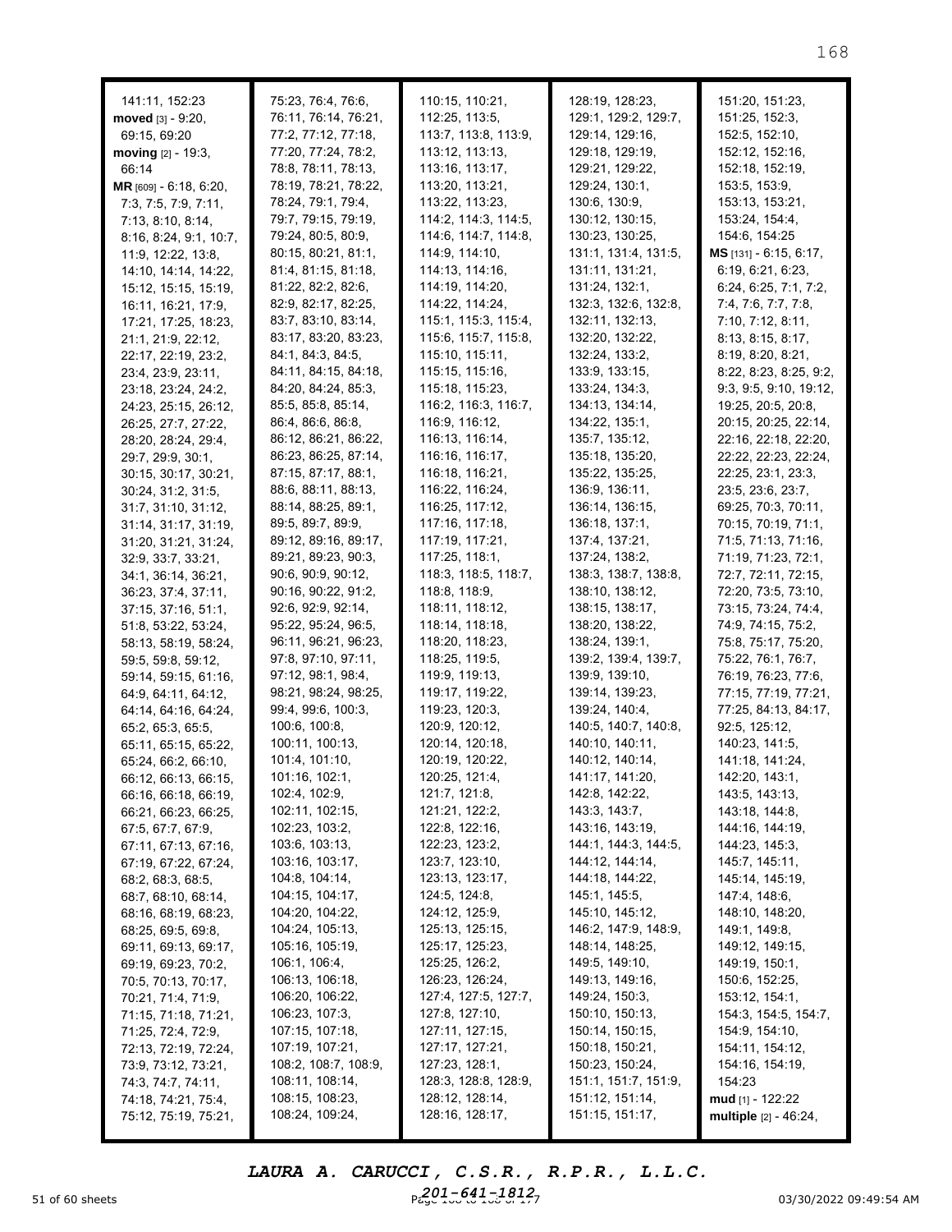| 141:11, 152:23                            | 75:23, 76:4, 76:6,                        | 110:15, 110:21,                              | 128:19, 128:23,                    | 151:20, 151:23,                  |
|-------------------------------------------|-------------------------------------------|----------------------------------------------|------------------------------------|----------------------------------|
| moved $[3] - 9:20$ ,                      | 76:11, 76:14, 76:21,                      | 112:25, 113:5,                               | 129:1, 129:2, 129:7,               | 151:25, 152:3,<br>152:5, 152:10, |
| 69:15, 69:20                              | 77:2, 77:12, 77:18,                       | 113:7, 113:8, 113:9,                         | 129:14, 129:16,                    |                                  |
| moving $[2] - 19:3$ ,                     | 77:20, 77:24, 78:2,                       | 113:12, 113:13,                              | 129:18, 129:19,<br>129:21, 129:22, | 152:12, 152:16,                  |
| 66:14                                     | 78:8, 78:11, 78:13,                       | 113:16, 113:17,                              |                                    | 152:18, 152:19,                  |
| MR [609] - 6:18, 6:20,                    | 78:19, 78:21, 78:22,                      | 113:20, 113:21,                              | 129:24, 130:1,<br>130:6, 130:9,    | 153:5, 153:9,                    |
| 7:3, 7:5, 7:9, 7:11,                      | 78:24, 79:1, 79:4,                        | 113:22, 113:23,                              |                                    | 153:13, 153:21,                  |
| 7:13, 8:10, 8:14,                         | 79:7, 79:15, 79:19,<br>79:24, 80:5, 80:9, | 114:2, 114:3, 114:5,<br>114:6, 114:7, 114:8, | 130:12, 130:15,<br>130:23, 130:25, | 153:24, 154:4,<br>154:6, 154:25  |
| 8:16, 8:24, 9:1, 10:7,                    | 80:15, 80:21, 81:1,                       | 114:9, 114:10,                               | 131:1, 131:4, 131:5,               | $MS$ [131] - 6:15, 6:17,         |
| 11:9, 12:22, 13:8,                        | 81:4, 81:15, 81:18,                       | 114:13, 114:16,                              | 131:11, 131:21,                    | 6:19, 6:21, 6:23,                |
| 14:10, 14:14, 14:22,                      | 81:22, 82:2, 82:6,                        | 114:19, 114:20,                              | 131:24, 132:1,                     | 6:24, 6:25, 7:1, 7:2,            |
| 15:12, 15:15, 15:19,                      | 82:9, 82:17, 82:25,                       | 114:22, 114:24,                              | 132:3, 132:6, 132:8,               | 7:4, 7:6, 7:7, 7:8,              |
| 16:11, 16:21, 17:9,                       | 83:7, 83:10, 83:14,                       | 115:1, 115:3, 115:4,                         | 132:11, 132:13,                    | 7:10, 7:12, 8:11,                |
| 17:21, 17:25, 18:23,                      | 83:17, 83:20, 83:23,                      | 115:6, 115:7, 115:8,                         | 132:20, 132:22,                    | 8:13, 8:15, 8:17,                |
| 21:1, 21:9, 22:12,                        | 84:1, 84:3, 84:5,                         | 115:10, 115:11,                              | 132:24, 133:2,                     | 8:19, 8:20, 8:21,                |
| 22:17, 22:19, 23:2,                       | 84:11, 84:15, 84:18,                      | 115:15, 115:16,                              | 133:9, 133:15,                     | 8:22, 8:23, 8:25, 9:2,           |
| 23:4, 23:9, 23:11,<br>23:18, 23:24, 24:2, | 84:20, 84:24, 85:3,                       | 115:18, 115:23,                              | 133:24, 134:3,                     | 9:3, 9:5, 9:10, 19:12,           |
| 24:23, 25:15, 26:12,                      | 85:5, 85:8, 85:14,                        | 116:2, 116:3, 116:7,                         | 134:13, 134:14,                    | 19:25, 20:5, 20:8,               |
| 26:25, 27:7, 27:22,                       | 86:4, 86:6, 86:8,                         | 116:9, 116:12,                               | 134:22, 135:1,                     | 20:15, 20:25, 22:14,             |
| 28:20, 28:24, 29:4,                       | 86:12, 86:21, 86:22,                      | 116:13, 116:14,                              | 135:7, 135:12,                     | 22:16, 22:18, 22:20,             |
| 29:7, 29:9, 30:1,                         | 86:23, 86:25, 87:14,                      | 116:16, 116:17,                              | 135:18, 135:20,                    | 22:22, 22:23, 22:24,             |
| 30:15, 30:17, 30:21,                      | 87:15, 87:17, 88:1,                       | 116:18, 116:21,                              | 135:22, 135:25,                    | 22:25, 23:1, 23:3,               |
| 30:24, 31:2, 31:5,                        | 88:6, 88:11, 88:13,                       | 116:22, 116:24,                              | 136:9, 136:11,                     | 23:5, 23:6, 23:7,                |
| 31:7, 31:10, 31:12,                       | 88:14, 88:25, 89:1,                       | 116:25, 117:12,                              | 136:14, 136:15,                    | 69:25, 70:3, 70:11,              |
| 31:14, 31:17, 31:19,                      | 89:5, 89:7, 89:9,                         | 117:16, 117:18,                              | 136:18, 137:1,                     | 70:15, 70:19, 71:1,              |
| 31:20, 31:21, 31:24,                      | 89:12, 89:16, 89:17,                      | 117:19, 117:21,                              | 137:4, 137:21,                     | 71:5, 71:13, 71:16,              |
| 32:9, 33:7, 33:21,                        | 89:21, 89:23, 90:3,                       | 117:25, 118:1,                               | 137:24, 138:2,                     | 71:19, 71:23, 72:1,              |
| 34:1, 36:14, 36:21,                       | 90:6, 90:9, 90:12,                        | 118:3, 118:5, 118:7,                         | 138:3, 138:7, 138:8,               | 72:7, 72:11, 72:15,              |
| 36:23, 37:4, 37:11,                       | 90:16, 90:22, 91:2,                       | 118:8, 118:9,                                | 138:10, 138:12,                    | 72:20, 73:5, 73:10,              |
| 37:15, 37:16, 51:1,                       | 92:6, 92:9, 92:14,                        | 118:11, 118:12,                              | 138:15, 138:17,                    | 73:15, 73:24, 74:4,              |
| 51:8, 53:22, 53:24,                       | 95:22, 95:24, 96:5,                       | 118:14, 118:18,                              | 138:20, 138:22,                    | 74:9, 74:15, 75:2,               |
| 58:13, 58:19, 58:24,                      | 96:11, 96:21, 96:23,                      | 118:20, 118:23,                              | 138:24, 139:1,                     | 75:8, 75:17, 75:20,              |
| 59:5, 59:8, 59:12,                        | 97:8, 97:10, 97:11,                       | 118:25, 119:5,                               | 139:2, 139:4, 139:7,               | 75:22, 76:1, 76:7,               |
| 59:14, 59:15, 61:16,                      | 97:12, 98:1, 98:4,                        | 119:9, 119:13,                               | 139:9, 139:10,                     | 76:19, 76:23, 77:6,              |
| 64:9, 64:11, 64:12,                       | 98:21, 98:24, 98:25,                      | 119:17, 119:22,                              | 139:14, 139:23,                    | 77:15, 77:19, 77:21,             |
| 64:14, 64:16, 64:24,                      | 99:4, 99:6, 100:3,                        | 119:23, 120:3,                               | 139:24, 140:4,                     | 77:25, 84:13, 84:17,             |
| 65:2, 65:3, 65:5,                         | 100:6, 100:8,                             | 120:9, 120:12,                               | 140:5, 140:7, 140:8,               | 92:5, 125:12,                    |
| 65:11, 65:15, 65:22,                      | 100:11, 100:13,                           | 120:14, 120:18,                              | 140:10, 140:11,                    | 140:23, 141:5,                   |
| 65:24, 66:2, 66:10,                       | 101:4, 101:10,                            | 120:19, 120:22,                              | 140:12, 140:14,                    | 141:18, 141:24,                  |
| 66:12, 66:13, 66:15,                      | 101:16, 102:1,                            | 120:25, 121:4,                               | 141:17, 141:20,                    | 142:20, 143:1,                   |
| 66:16, 66:18, 66:19,                      | 102:4, 102:9,                             | 121:7, 121:8,                                | 142:8, 142:22,                     | 143:5, 143:13,                   |
| 66:21, 66:23, 66:25,                      | 102:11, 102:15,                           | 121:21, 122:2,                               | 143:3, 143:7,                      | 143:18, 144:8,                   |
| 67:5, 67:7, 67:9,                         | 102:23, 103:2,                            | 122:8, 122:16,                               | 143:16, 143:19,                    | 144:16, 144:19,                  |
| 67:11, 67:13, 67:16,                      | 103:6, 103:13,                            | 122:23, 123:2,                               | 144:1, 144:3, 144:5,               | 144:23, 145:3,                   |
| 67:19, 67:22, 67:24,                      | 103:16, 103:17,                           | 123:7, 123:10,                               | 144:12, 144:14,                    | 145:7, 145:11,                   |
| 68:2, 68:3, 68:5,                         | 104:8, 104:14,                            | 123:13, 123:17,                              | 144:18, 144:22,                    | 145:14, 145:19,                  |
| 68:7, 68:10, 68:14,                       | 104:15, 104:17,                           | 124:5, 124:8,                                | 145:1, 145:5,                      | 147:4, 148:6,                    |
| 68:16, 68:19, 68:23,                      | 104:20, 104:22,                           | 124:12, 125:9,                               | 145:10, 145:12,                    | 148:10, 148:20,                  |
| 68:25, 69:5, 69:8,                        | 104:24, 105:13,                           | 125:13, 125:15,                              | 146:2, 147:9, 148:9,               | 149:1, 149:8,                    |
| 69:11, 69:13, 69:17,                      | 105:16, 105:19,                           | 125:17, 125:23,                              | 148:14, 148:25,                    | 149:12, 149:15,                  |
| 69:19, 69:23, 70:2,                       | 106:1, 106:4,                             | 125:25, 126:2,                               | 149:5, 149:10,                     | 149:19, 150:1,                   |
| 70:5, 70:13, 70:17,                       | 106:13, 106:18,                           | 126:23, 126:24,                              | 149:13, 149:16,                    | 150:6, 152:25,                   |
| 70:21, 71:4, 71:9,                        | 106:20, 106:22,                           | 127:4, 127:5, 127:7,                         | 149:24, 150:3,                     | 153:12, 154:1,                   |
| 71:15, 71:18, 71:21,                      | 106:23, 107:3,                            | 127:8, 127:10,                               | 150:10, 150:13,                    | 154:3, 154:5, 154:7,             |
| 71:25, 72:4, 72:9,                        | 107:15, 107:18,                           | 127:11, 127:15,                              | 150:14, 150:15,                    | 154:9, 154:10,                   |
| 72:13, 72:19, 72:24,                      | 107:19, 107:21,                           | 127:17, 127:21,                              | 150:18, 150:21,                    | 154:11, 154:12,                  |
| 73:9, 73:12, 73:21,                       | 108:2, 108:7, 108:9,                      | 127:23, 128:1,                               | 150:23, 150:24,                    | 154:16, 154:19,                  |
| 74:3, 74:7, 74:11,                        | 108:11, 108:14,                           | 128:3, 128:8, 128:9,                         | 151:1, 151:7, 151:9,               | 154:23                           |
| 74:18, 74:21, 75:4,                       | 108:15, 108:23,                           | 128:12, 128:14,                              | 151:12, 151:14,                    | mud [1] - 122:22                 |
| 75:12, 75:19, 75:21,                      | 108:24, 109:24,                           | 128:16, 128:17,                              | 151:15, 151:17,                    | multiple [2] - 46:24,            |

51 of 60 sheets **Page 168 to 168 to 168 of 171 of 171 of 171 of 171 of 171 of 171 of 171 of 171 of 171 of 171 of 171 of 171 of 171 of 171 of 171 of 171 of 171 of 171 of 171 of 171 of 171 of 171 of 171 of 171 of 171 of 171** *LAURA A. CARUCCI, C.S.R., R.P.R., L.L.C. 201-641-1812*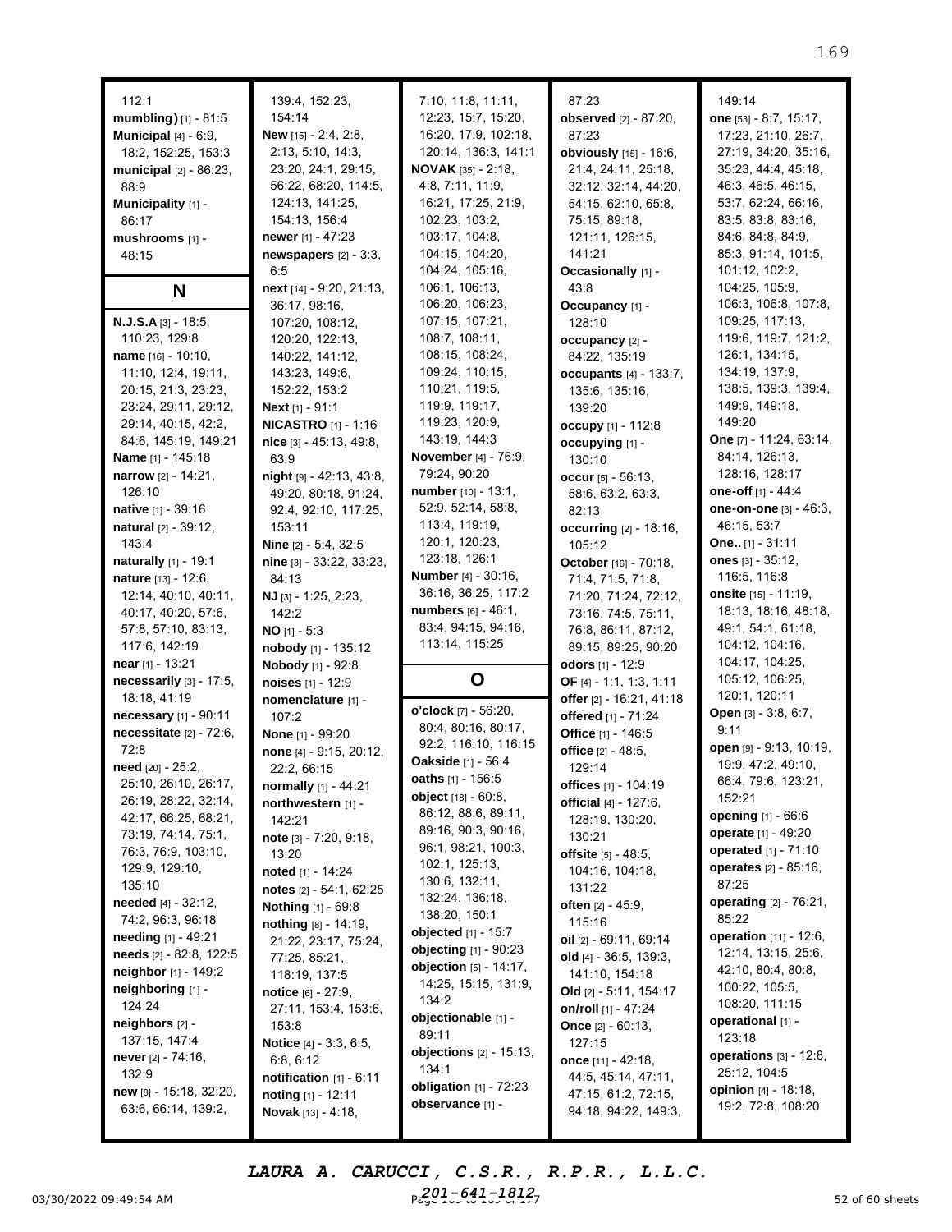| 112:1                      | 139:4, 152:23,                  | 7:10, 11:8, 11:11,         | 87:23                         | 149:14                      |
|----------------------------|---------------------------------|----------------------------|-------------------------------|-----------------------------|
| mumbling) [1] - 81:5       | 154:14                          | 12:23, 15:7, 15:20,        | <b>observed</b> [2] - 87:20,  | one [53] - 8:7, 15:17,      |
|                            |                                 |                            |                               |                             |
| Municipal $[4] - 6:9$ ,    | <b>New</b> [15] - 2:4, 2:8,     | 16:20, 17:9, 102:18,       | 87:23                         | 17:23, 21:10, 26:7,         |
| 18:2, 152:25, 153:3        | 2:13, 5:10, 14:3,               | 120:14, 136:3, 141:1       | obviously $[15] - 16:6$ ,     | 27:19, 34:20, 35:16,        |
| municipal [2] - 86:23,     | 23:20, 24:1, 29:15,             | <b>NOVAK</b> $[35] - 2:18$ | 21:4, 24:11, 25:18,           | 35:23, 44:4, 45:18,         |
| 88:9                       | 56:22, 68:20, 114:5,            | 4:8, 7:11, 11:9,           | 32:12, 32:14, 44:20,          | 46:3, 46:5, 46:15,          |
| Municipality [1] -         | 124:13, 141:25,                 | 16:21, 17:25, 21:9,        | 54:15, 62:10, 65:8,           | 53:7, 62:24, 66:16,         |
| 86:17                      | 154:13, 156:4                   | 102:23, 103:2,             | 75:15, 89:18,                 | 83:5, 83:8, 83:16,          |
| mushrooms [1] -            | <b>newer</b> [1] - 47:23        | 103:17, 104:8,             | 121:11, 126:15,               | 84:6, 84:8, 84:9,           |
| 48:15                      | newspapers $[2] - 3:3$ ,        | 104:15, 104:20,            | 141:21                        | 85:3, 91:14, 101:5,         |
|                            | 6:5                             | 104:24, 105:16,            | Occasionally [1] -            | 101:12, 102:2,              |
| N                          | next [14] - 9:20, 21:13,        | 106:1, 106:13,             | 43:8                          | 104:25, 105:9,              |
|                            | 36:17, 98:16,                   | 106:20, 106:23,            | Occupancy [1] -               | 106:3, 106:8, 107:8,        |
| <b>N.J.S.A</b> [3] - 18:5, | 107:20, 108:12,                 | 107:15, 107:21,            | 128:10                        | 109:25, 117:13,             |
| 110:23, 129:8              | 120:20, 122:13,                 | 108:7, 108:11,             | occupancy [2] -               | 119:6, 119:7, 121:2,        |
| name [16] - 10:10,         | 140:22, 141:12,                 | 108:15, 108:24,            | 84:22, 135:19                 | 126:1, 134:15,              |
| 11:10, 12:4, 19:11,        | 143:23, 149:6,                  | 109:24, 110:15,            |                               | 134:19, 137:9,              |
|                            |                                 | 110:21, 119:5,             | <b>occupants</b> [4] - 133:7, | 138:5, 139:3, 139:4,        |
| 20:15, 21:3, 23:23,        | 152:22, 153:2                   |                            | 135:6, 135:16,                |                             |
| 23:24, 29:11, 29:12,       | Next [1] - 91:1                 | 119:9, 119:17,             | 139:20                        | 149:9, 149:18,              |
| 29:14, 40:15, 42:2,        | <b>NICASTRO</b> [1] - 1:16      | 119:23, 120:9,             | occupy [1] - 112:8            | 149:20                      |
| 84:6, 145:19, 149:21       | nice [3] - 45:13, 49:8,         | 143:19, 144:3              | occupying [1] -               | One [7] - 11:24, 63:14,     |
| Name [1] - 145:18          | 63:9                            | November [4] - 76:9,       | 130:10                        | 84:14, 126:13,              |
| narrow [2] - 14:21,        | $night$ [9] - 42:13, 43:8,      | 79:24, 90:20               | occur [5] - 56:13,            | 128:16, 128:17              |
| 126:10                     | 49:20, 80:18, 91:24,            | number [10] - 13:1,        | 58:6, 63:2, 63:3,             | one-off [1] - 44:4          |
| native [1] - 39:16         | 92:4, 92:10, 117:25,            | 52:9, 52:14, 58:8,         | 82:13                         | one-on-one [3] - 46:3,      |
| natural [2] - 39:12,       | 153:11                          | 113:4, 119:19,             | occurring [2] - 18:16,        | 46:15, 53:7                 |
| 143:4                      | Nine [2] - 5:4, 32:5            | 120:1, 120:23,             | 105:12                        | <b>One</b> [1] - $31:11$    |
| naturally [1] - 19:1       | nine [3] - 33:22, 33:23,        | 123:18, 126:1              | October [16] - 70:18,         | ones $[3] - 35:12$ ,        |
| nature [13] - 12:6,        | 84:13                           | <b>Number</b> [4] - 30:16, | 71:4, 71:5, 71:8,             | 116:5, 116:8                |
| 12:14, 40:10, 40:11,       | NJ [3] - 1:25, 2:23,            | 36:16, 36:25, 117:2        | 71:20, 71:24, 72:12,          | <b>onsite</b> [15] - 11:19, |
|                            |                                 | numbers [6] - 46:1,        |                               | 18:13, 18:16, 48:18,        |
| 40:17, 40:20, 57:6,        | 142:2                           | 83:4, 94:15, 94:16,        | 73:16, 74:5, 75:11,           | 49:1, 54:1, 61:18,          |
| 57:8, 57:10, 83:13,        | <b>NO</b> [1] - 5:3             | 113:14, 115:25             | 76:8, 86:11, 87:12,           |                             |
| 117:6, 142:19              | nobody [1] - 135:12             |                            | 89:15, 89:25, 90:20           | 104:12, 104:16,             |
| near $[1]$ - 13:21         | Nobody [1] - 92:8               |                            | <b>odors</b> [1] - 12:9       | 104:17, 104:25,             |
| necessarily [3] - 17:5,    | noises [1] - 12:9               | O                          | OF [4] - 1:1, 1:3, 1:11       | 105:12, 106:25,             |
| 18:18, 41:19               | nomenclature [1] -              |                            | offer [2] - 16:21, 41:18      | 120:1, 120:11               |
| necessary [1] - 90:11      | 107:2                           | o'clock [7] - 56:20,       | offered [1] - 71:24           | Open [3] - 3:8, 6:7,        |
| necessitate [2] - 72:6,    | None [1] - 99:20                | 80:4, 80:16, 80:17,        | Office [1] - 146:5            | 9:11                        |
| 72:8                       | none [4] - 9:15, 20:12,         | 92:2, 116:10, 116:15       | office [2] - 48:5,            | open [9] - 9:13, 10:19,     |
| need [20] - 25:2,          | 22:2, 66:15                     | <b>Oakside</b> [1] - 56:4  | 129:14                        | 19:9, 47:2, 49:10,          |
| 25:10, 26:10, 26:17,       | normally [1] - 44:21            | oaths [1] - 156:5          | offices [1] - 104:19          | 66:4, 79:6, 123:21,         |
| 26:19, 28:22, 32:14,       | northwestern [1] -              | object [18] - 60:8.        | official [4] - 127:6,         | 152:21                      |
| 42:17, 66:25, 68:21,       | 142:21                          | 86:12, 88:6, 89:11,        | 128:19, 130:20,               | opening $[1] - 66.6$        |
| 73:19, 74:14, 75:1,        |                                 | 89:16, 90:3, 90:16,        | 130:21                        | operate [1] - 49:20         |
| 76:3, 76:9, 103:10,        | note $[3] - 7:20, 9:18,$        | 96:1, 98:21, 100:3,        | offsite $[5] - 48:5$ ,        | operated [1] - 71:10        |
| 129:9, 129:10,             | 13:20                           | 102:1, 125:13,             |                               | operates [2] - 85:16,       |
| 135:10                     | noted [1] - 14:24               | 130:6, 132:11,             | 104:16, 104:18,               | 87:25                       |
|                            | notes [2] - 54:1, 62:25         | 132:24, 136:18,            | 131:22                        | operating [2] - 76:21,      |
| needed [4] - 32:12,        | Nothing [1] - 69:8              | 138:20, 150:1              | <b>often</b> $[2] - 45:9$ ,   |                             |
| 74:2, 96:3, 96:18          | nothing [8] - 14:19,            | objected [1] - 15:7        | 115:16                        | 85:22                       |
| needing [1] - 49:21        | 21:22, 23:17, 75:24,            | objecting [1] - 90:23      | oil [2] - 69:11, 69:14        | operation [11] - 12:6,      |
| needs [2] - 82:8, 122:5    | 77:25, 85:21,                   | objection [5] - 14:17,     | old $[4] - 36:5, 139:3,$      | 12:14, 13:15, 25:6,         |
| neighbor [1] - 149:2       | 118:19, 137:5                   |                            | 141:10, 154:18                | 42:10, 80:4, 80:8,          |
| neighboring [1] -          | <b>notice</b> $[6] - 27:9$ ,    | 14:25, 15:15, 131:9,       | Old $[2] - 5:11, 154:17$      | 100:22, 105:5,              |
| 124:24                     | 27:11, 153:4, 153:6,            | 134:2                      | on/roll [1] - 47:24           | 108:20, 111:15              |
| neighbors [2] -            | 153:8                           | objectionable [1] -        | <b>Once</b> $[2] - 60:13$ ,   | operational [1] -           |
| 137:15, 147:4              | <b>Notice</b> $[4] - 3:3, 6:5,$ | 89:11                      | 127:15                        | 123:18                      |
| never $[2] - 74:16$ ,      | 6:8, 6:12                       | objections $[2] - 15:13$ , | once [11] - 42:18,            | operations [3] - 12:8,      |
| 132:9                      | notification [1] - 6:11         | 134:1                      | 44:5, 45:14, 47:11,           | 25:12, 104:5                |
| new [8] - 15:18, 32:20,    | noting [1] - 12:11              | obligation $[1]$ - $72:23$ | 47:15, 61:2, 72:15,           | <b>opinion</b> [4] - 18:18, |
| 63:6, 66:14, 139:2,        | Novak [13] - 4:18,              | observance [1] -           | 94:18, 94:22, 149:3,          | 19:2, 72:8, 108:20          |
|                            |                                 |                            |                               |                             |

03/30/2022 09:49:54 AM  $P_{\text{e.g}}^{201-641-1812}$ *LAURA A. CARUCCI, C.S.R., R.P.R., L.L.C. 201-641-1812*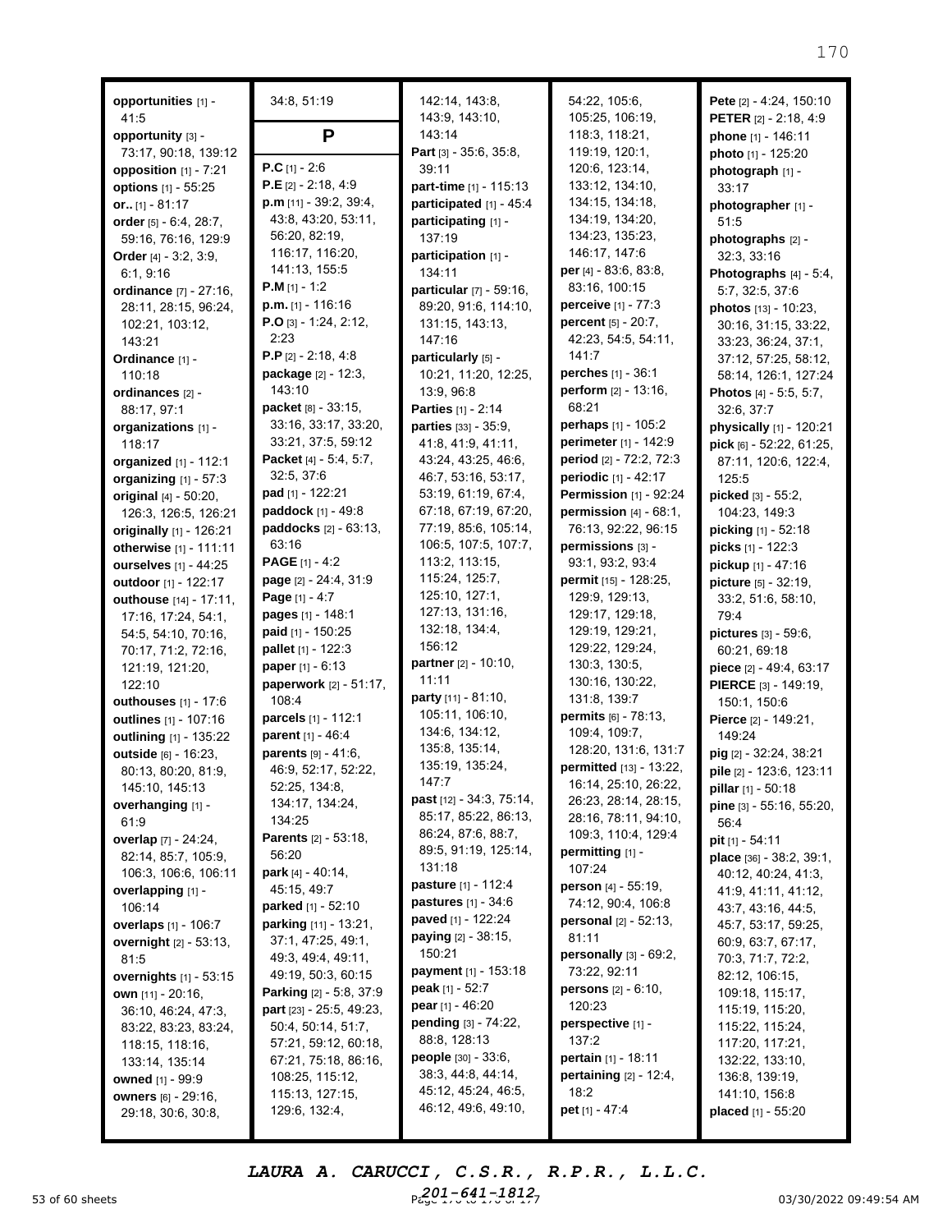| opportunities [1] -<br>41:5                       | 34:8, 51:19                                                  | 142:14, 143:8,<br>143:9, 143:10,           | 54:22, 105:6,<br>105:25, 106:19,                             | Pete [2] - 4:24, 150:10<br><b>PETER</b> [2] - 2:18, 4:9 |
|---------------------------------------------------|--------------------------------------------------------------|--------------------------------------------|--------------------------------------------------------------|---------------------------------------------------------|
| opportunity [3] -                                 | P                                                            | 143:14                                     | 118:3, 118:21,                                               | phone [1] - 146:11                                      |
| 73:17, 90:18, 139:12                              |                                                              | Part [3] - 35:6, 35:8,                     | 119:19, 120:1,                                               | photo [1] - 125:20                                      |
| opposition [1] - 7:21                             | $P.C$ [1] - 2:6                                              | 39:11                                      | 120:6, 123:14,                                               | photograph [1] -                                        |
| options [1] - 55:25                               | $P.E$ [2] - 2:18, 4:9                                        | part-time [1] - 115:13                     | 133:12, 134:10,                                              | 33:17                                                   |
| or $[1] - 81:17$                                  | $p.m$ [11] - 39:2, 39:4,<br>43:8, 43:20, 53:11,              | participated [1] - 45:4                    | 134:15, 134:18,                                              | photographer [1] -                                      |
| order [5] - 6:4, 28:7,                            | 56:20, 82:19,                                                | participating [1] -                        | 134:19, 134:20,<br>134:23, 135:23,                           | 51:5                                                    |
| 59:16, 76:16, 129:9                               | 116:17, 116:20,                                              | 137:19<br>participation [1] -              | 146:17, 147:6                                                | photographs [2] -                                       |
| Order [4] - 3:2, 3:9,<br>6:1, 9:16                | 141:13, 155:5                                                | 134:11                                     | per [4] - 83:6, 83:8,                                        | 32:3, 33:16<br>Photographs [4] - 5:4,                   |
| ordinance [7] - 27:16,                            | $P.M$ [1] - 1:2                                              | particular [7] - 59:16,                    | 83:16, 100:15                                                | 5:7, 32:5, 37:6                                         |
| 28:11, 28:15, 96:24,                              | $p.m.$ [1] - 116:16                                          | 89:20, 91:6, 114:10,                       | perceive [1] - 77:3                                          | photos [13] - 10:23,                                    |
| 102:21, 103:12,                                   | $P.O$ [3] - 1:24, 2:12,                                      | 131:15, 143:13,                            | percent [5] - 20:7,                                          | 30:16, 31:15, 33:22,                                    |
| 143:21                                            | 2:23                                                         | 147:16                                     | 42:23, 54:5, 54:11,                                          | 33:23, 36:24, 37:1,                                     |
| Ordinance [1] -                                   | <b>P.P</b> [2] $- 2:18, 4:8$                                 | particularly [5] -                         | 141:7                                                        | 37:12, 57:25, 58:12,                                    |
| 110:18                                            | package [2] - 12:3,                                          | 10:21, 11:20, 12:25,                       | perches [1] - 36:1                                           | 58:14, 126:1, 127:24                                    |
| ordinances [2] -                                  | 143:10                                                       | 13:9, 96:8                                 | perform $[2] - 13:16$ ,                                      | Photos [4] - 5:5, 5:7,                                  |
| 88:17, 97:1                                       | packet [8] - 33:15,                                          | <b>Parties</b> [1] - 2:14                  | 68:21                                                        | 32:6, 37:7                                              |
| organizations [1] -                               | 33:16, 33:17, 33:20,                                         | <b>parties</b> $[33] - 35:9$               | perhaps $[1] - 105:2$                                        | physically [1] - 120:21                                 |
| 118:17                                            | 33:21, 37:5, 59:12                                           | 41:8, 41:9, 41:11,                         | perimeter [1] - 142:9                                        | pick [6] - 52:22, 61:25,                                |
| organized [1] - 112:1                             | Packet [4] - 5:4, 5:7,                                       | 43:24, 43:25, 46:6,                        | period [2] - 72:2, 72:3                                      | 87:11, 120:6, 122:4,                                    |
| organizing [1] - 57:3                             | 32:5, 37:6<br>pad [1] - 122:21                               | 46:7, 53:16, 53:17,<br>53:19, 61:19, 67:4, | periodic [1] - 42:17                                         | 125:5                                                   |
| original [4] - 50:20,                             | paddock [1] - 49:8                                           | 67:18, 67:19, 67:20,                       | <b>Permission</b> $[1] - 92:24$<br>permission $[4] - 68:1$ , | picked [3] - 55:2,                                      |
| 126:3, 126:5, 126:21                              | paddocks [2] - 63:13,                                        | 77:19, 85:6, 105:14,                       | 76:13, 92:22, 96:15                                          | 104:23, 149:3<br>picking [1] - 52:18                    |
| originally [1] - 126:21<br>otherwise [1] - 111:11 | 63:16                                                        | 106:5, 107:5, 107:7,                       | permissions [3] -                                            | picks [1] - 122:3                                       |
| <b>ourselves</b> [1] - 44:25                      | PAGE [1] - 4:2                                               | 113:2, 113:15,                             | 93:1, 93:2, 93:4                                             | pickup [1] - 47:16                                      |
| outdoor [1] - 122:17                              | page [2] - 24:4, 31:9                                        | 115:24, 125:7,                             | permit [15] - 128:25,                                        | picture [5] - 32:19,                                    |
| outhouse [14] - 17:11,                            | Page [1] - 4:7                                               | 125:10, 127:1,                             | 129:9, 129:13,                                               | 33:2, 51:6, 58:10,                                      |
| 17:16, 17:24, 54:1,                               | pages [1] - 148:1                                            | 127:13, 131:16,                            | 129:17, 129:18,                                              | 79:4                                                    |
| 54:5, 54:10, 70:16,                               | paid [1] - 150:25                                            | 132:18, 134:4,                             | 129:19, 129:21,                                              | pictures [3] - 59:6,                                    |
| 70:17, 71:2, 72:16,                               | pallet [1] - 122:3                                           | 156:12                                     | 129:22, 129:24,                                              | 60:21, 69:18                                            |
| 121:19, 121:20,                                   | paper [1] - 6:13                                             | partner [2] - 10:10,                       | 130:3, 130:5,                                                | piece [2] - 49:4, 63:17                                 |
| 122:10                                            | paperwork [2] - 51:17,                                       | 11:11                                      | 130:16, 130:22,                                              | PIERCE [3] - 149:19,                                    |
| outhouses [1] - 17:6                              | 108:4                                                        | party [11] - 81:10,                        | 131:8, 139:7                                                 | 150:1, 150:6                                            |
| outlines [1] - 107:16                             | parcels [1] - 112:1                                          | 105:11, 106:10,<br>134:6, 134:12,          | <b>permits</b> $[6] - 78:13$ ,                               | Pierce [2] - 149:21,                                    |
| outlining [1] - 135:22                            | parent [1] - 46:4                                            | 135:8, 135:14,                             | 109:4, 109:7,<br>128:20, 131:6, 131:7                        | 149:24                                                  |
| outside [6] - 16:23,                              | parents [9] - 41:6,                                          | 135:19, 135:24,                            | permitted [13] - 13:22,                                      | $pig$ [2] - 32:24, 38:21                                |
| 80:13, 80:20, 81:9,<br>145:10, 145:13             | 46:9, 52:17, 52:22,<br>52:25, 134:8,                         | 147:7                                      | 16:14, 25:10, 26:22,                                         | pile [2] - 123:6, 123:11                                |
| overhanging [1] -                                 | 134:17, 134:24,                                              | past [12] - 34:3, 75:14,                   | 26:23, 28:14, 28:15,                                         | <b>pillar</b> $[1] - 50:18$<br>pine [3] - 55:16, 55:20, |
| 61:9                                              | 134:25                                                       | 85:17, 85:22, 86:13,                       | 28:16, 78:11, 94:10,                                         | 56:4                                                    |
| overlap [7] - 24:24,                              | <b>Parents</b> [2] - 53:18,                                  | 86:24, 87:6, 88:7,                         | 109:3, 110:4, 129:4                                          | pit [1] - 54:11                                         |
| 82:14, 85:7, 105:9,                               | 56:20                                                        | 89:5, 91:19, 125:14,                       | permitting [1] -                                             | place [36] - 38:2, 39:1,                                |
| 106:3, 106:6, 106:11                              | <b>park</b> $[4] - 40:14$ ,                                  | 131:18                                     | 107:24                                                       | 40:12, 40:24, 41:3,                                     |
| overlapping [1] -                                 | 45:15, 49:7                                                  | pasture [1] - 112:4                        | person [4] - 55:19,                                          | 41:9, 41:11, 41:12,                                     |
| 106:14                                            | <b>parked</b> [1] - 52:10                                    | <b>pastures</b> $[1] - 34:6$               | 74:12, 90:4, 106:8                                           | 43:7, 43:16, 44:5,                                      |
| <b>overlaps</b> [1] - 106:7                       | parking [11] - 13:21,                                        | <b>paved</b> [1] - 122:24                  | <b>personal</b> $[2] - 52:13$ ,                              | 45:7, 53:17, 59:25,                                     |
| <b>overnight</b> [2] - 53:13,                     | 37:1, 47:25, 49:1,                                           | paying [2] - 38:15,<br>150:21              | 81:11                                                        | 60:9, 63:7, 67:17,                                      |
| 81:5                                              | 49:3, 49:4, 49:11,                                           | payment [1] - 153:18                       | personally $[3] - 69:2$ ,<br>73:22, 92:11                    | 70:3, 71:7, 72:2,                                       |
| overnights [1] - 53:15                            | 49:19, 50:3, 60:15                                           | <b>peak</b> $[1] - 52:7$                   | <b>persons</b> $[2] - 6:10$ ,                                | 82:12, 106:15,                                          |
| own $[11] - 20:16$ ,                              | <b>Parking</b> $[2] - 5:8, 37:9$<br>part [23] - 25:5, 49:23, | <b>pear</b> [1] - 46:20                    | 120:23                                                       | 109:18, 115:17,<br>115:19, 115:20,                      |
| 36:10, 46:24, 47:3,<br>83:22, 83:23, 83:24,       | 50:4, 50:14, 51:7,                                           | pending [3] - 74:22,                       | perspective [1] -                                            | 115:22, 115:24,                                         |
| 118:15, 118:16,                                   | 57:21, 59:12, 60:18,                                         | 88:8, 128:13                               | 137:2                                                        | 117:20, 117:21,                                         |
| 133:14, 135:14                                    | 67:21, 75:18, 86:16,                                         | <b>people</b> $[30] - 33:6$ ,              | pertain [1] - 18:11                                          | 132:22, 133:10,                                         |
| <b>owned</b> [1] - 99:9                           | 108:25, 115:12,                                              | 38:3, 44:8, 44:14,                         | pertaining [2] - 12:4,                                       | 136:8, 139:19,                                          |
| <b>owners</b> [6] - 29:16,                        | 115:13, 127:15,                                              | 45:12, 45:24, 46:5,                        | 18:2                                                         | 141:10, 156:8                                           |
| 29:18, 30:6, 30:8,                                | 129:6, 132:4,                                                | 46:12, 49:6, 49:10,                        | pet [1] - 47:4                                               | placed [1] - 55:20                                      |
|                                                   |                                                              |                                            |                                                              |                                                         |

53 of 60 sheets **Page 170 to 170 of 171 of 171 of 171 of 171 of 171 of 171 of 171 of 171 of 171 of 171 of 171 of 171 of 171 of 171 of 171 of 171 of 171 of 171 of 171 of 171 of 171 of 171 of 171 of 171 of 171 of 171 of 171** *LAURA A. CARUCCI, C.S.R., R.P.R., L.L.C. 201-641-1812*

170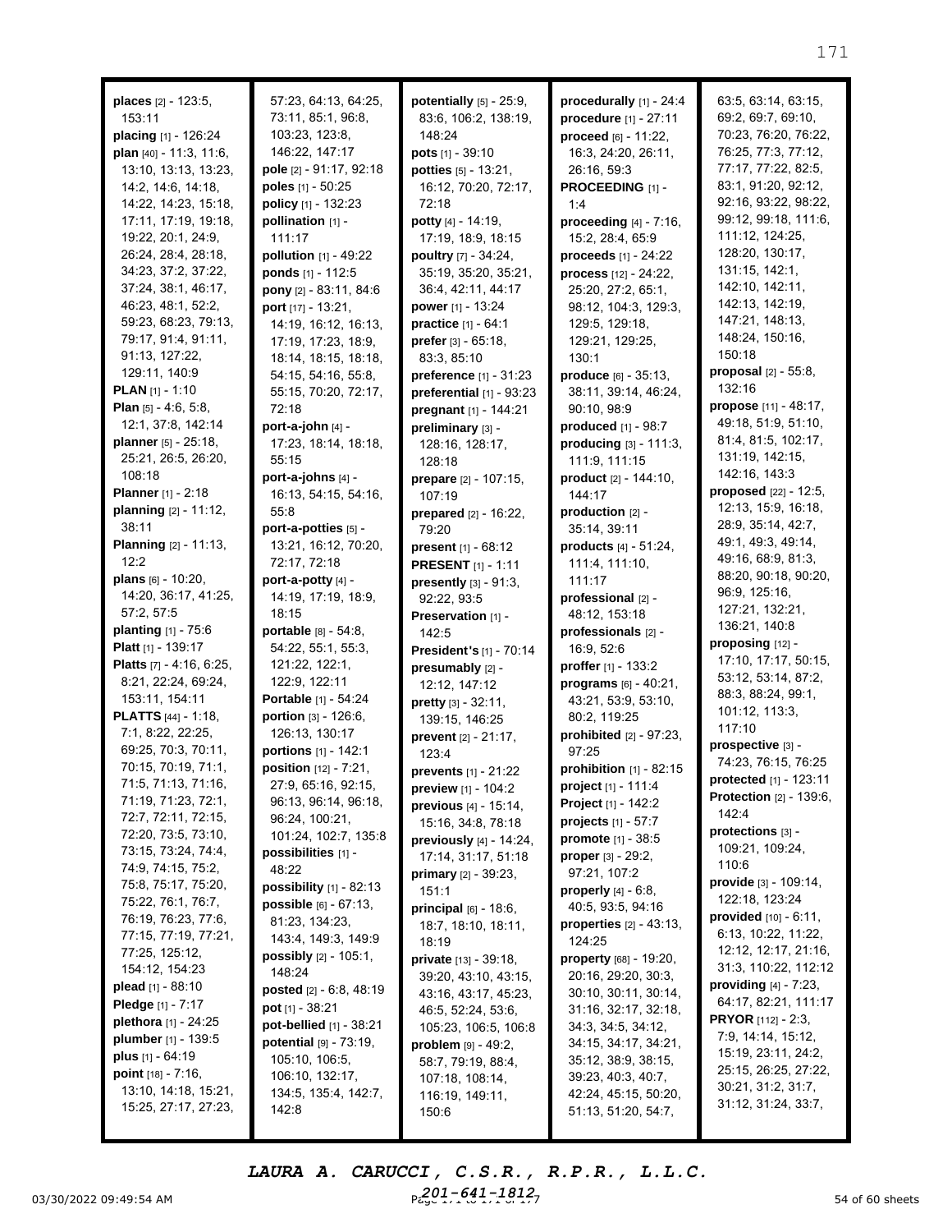| places [2] - 123:5,           | 57:23, 64:13, 64:25,            | potentially [5] - 25:9,         | procedurally [1] - 24:4          | 63:5, 63:14, 63:15,             |
|-------------------------------|---------------------------------|---------------------------------|----------------------------------|---------------------------------|
| 153:11                        | 73:11, 85:1, 96:8,              | 83:6, 106:2, 138:19,            | procedure [1] - 27:11            | 69:2, 69:7, 69:10,              |
| placing [1] - 126:24          | 103:23, 123:8,                  | 148:24                          | proceed $[6] - 11:22$ ,          | 70:23, 76:20, 76:22,            |
| plan $[40] - 11:3, 11:6,$     | 146:22, 147:17                  | pots [1] - 39:10                | 16:3, 24:20, 26:11,              | 76:25, 77:3, 77:12,             |
| 13:10, 13:13, 13:23,          | pole [2] - 91:17, 92:18         | potties [5] - 13:21,            | 26:16, 59:3                      | 77:17, 77:22, 82:5,             |
| 14:2, 14:6, 14:18,            | poles [1] - 50:25               | 16:12, 70:20, 72:17,            | PROCEEDING [1] -                 | 83:1, 91:20, 92:12,             |
| 14:22, 14:23, 15:18,          | policy [1] - 132:23             | 72:18                           | 1:4                              | 92:16, 93:22, 98:22,            |
| 17:11, 17:19, 19:18,          | pollination [1] -               | potty [4] - 14:19,              | <b>proceeding</b> $[4] - 7:16$ , | 99:12, 99:18, 111:6,            |
| 19:22, 20:1, 24:9,            | 111:17                          | 17:19, 18:9, 18:15              | 15:2, 28:4, 65:9                 | 111:12, 124:25,                 |
| 26:24, 28:4, 28:18,           | pollution [1] - 49:22           | poultry [7] - 34:24,            | proceeds $[1] - 24:22$           | 128:20, 130:17,                 |
| 34:23, 37:2, 37:22,           | ponds [1] - 112:5               | 35:19, 35:20, 35:21,            | process [12] - 24:22,            | 131:15, 142:1,                  |
| 37:24, 38:1, 46:17,           | pony $[2] - 83:11, 84:6$        | 36:4, 42:11, 44:17              | 25:20, 27:2, 65:1,               | 142:10, 142:11,                 |
| 46:23, 48:1, 52:2,            |                                 | <b>power</b> $[1] - 13:24$      | 98:12, 104:3, 129:3,             | 142:13, 142:19,                 |
| 59:23, 68:23, 79:13,          | port [17] - 13:21,              |                                 | 129:5, 129:18,                   | 147:21, 148:13,                 |
| 79:17, 91:4, 91:11,           | 14:19, 16:12, 16:13,            | practice [1] - 64:1             |                                  | 148:24, 150:16,                 |
| 91:13, 127:22,                | 17:19, 17:23, 18:9,             | prefer $[3] - 65:18$ ,          | 129:21, 129:25,                  | 150:18                          |
| 129:11, 140:9                 | 18:14, 18:15, 18:18,            | 83:3, 85:10                     | 130:1                            | <b>proposal</b> $[2] - 55:8$ ,  |
| <b>PLAN</b> [1] - 1:10        | 54:15, 54:16, 55:8,             | preference [1] - 31:23          | produce [6] - 35:13,             | 132:16                          |
| <b>Plan</b> $[5] - 4:6, 5:8,$ | 55:15, 70:20, 72:17,            | preferential [1] - 93:23        | 38:11, 39:14, 46:24,             | propose [11] - 48:17,           |
|                               | 72:18                           | pregnant [1] - 144:21           | 90:10, 98:9                      | 49:18, 51:9, 51:10,             |
| 12:1, 37:8, 142:14            | port-a-john [4] -               | preliminary [3] -               | produced $[1]$ - $98:7$          | 81:4, 81:5, 102:17,             |
| planner [5] - 25:18,          | 17:23, 18:14, 18:18,            | 128:16, 128:17,                 | $producting_{[3]} - 111:3,$      | 131:19, 142:15,                 |
| 25:21, 26:5, 26:20,           | 55:15                           | 128:18                          | 111:9, 111:15                    | 142:16, 143:3                   |
| 108:18                        | port-a-johns [4] -              | prepare [2] - 107:15,           | product [2] - 144:10,            | proposed $[22] - 12:5$ ,        |
| <b>Planner</b> [1] - 2:18     | 16:13, 54:15, 54:16,            | 107:19                          | 144:17                           | 12:13, 15:9, 16:18,             |
| planning [2] - 11:12,         | 55:8                            | prepared [2] - 16:22,           | production [2] -                 | 28:9, 35:14, 42:7,              |
| 38:11                         | port-a-potties [5] -            | 79:20                           | 35:14, 39:11                     |                                 |
| Planning [2] - 11:13,         | 13:21, 16:12, 70:20,            | <b>present</b> $[1] - 68:12$    | products [4] - 51:24,            | 49:1, 49:3, 49:14,              |
| 12:2                          | 72:17, 72:18                    | <b>PRESENT</b> [1] - 1:11       | 111:4, 111:10,                   | 49:16, 68:9, 81:3,              |
| plans $[6] - 10:20$ ,         | port-a-potty [4] -              | presently [3] - 91:3,           | 111:17                           | 88:20, 90:18, 90:20,            |
| 14:20, 36:17, 41:25,          | 14:19, 17:19, 18:9,             | 92:22, 93:5                     | professional [2] -               | 96:9, 125:16,                   |
| 57:2, 57:5                    | 18:15                           | Preservation [1] -              | 48:12, 153:18                    | 127:21, 132:21,                 |
| <b>planting</b> $[1] - 75:6$  | <b>portable</b> $[8] - 54:8$ ,  | 142:5                           | professionals [2] -              | 136:21, 140:8                   |
| <b>Platt</b> $[1]$ - 139:17   | 54:22, 55:1, 55:3,              | President's [1] - 70:14         | 16:9, 52:6                       | proposing [12] -                |
| Platts [7] - 4:16, 6:25,      | 121:22, 122:1,                  | presumably [2] -                | proffer [1] - 133:2              | 17:10, 17:17, 50:15,            |
| 8:21, 22:24, 69:24,           | 122:9, 122:11                   | 12:12, 147:12                   | programs [6] - 40:21,            | 53:12, 53:14, 87:2,             |
| 153:11, 154:11                | Portable [1] - 54:24            | pretty [3] - 32:11,             | 43:21, 53:9, 53:10,              | 88:3, 88:24, 99:1,              |
| <b>PLATTS</b> $[44] - 1:18$   | portion [3] - 126:6,            | 139:15, 146:25                  | 80:2, 119:25                     | 101:12, 113:3,                  |
| 7:1, 8:22, 22:25,             | 126:13, 130:17                  | prevent [2] - 21:17,            | prohibited [2] - 97:23,          | 117:10                          |
| 69:25, 70:3, 70:11,           | portions [1] - 142:1            | 123:4                           | 97:25                            | prospective [3] -               |
| 70:15, 70:19, 71:1,           | position [12] - 7:21,           | prevents [1] - 21:22            | prohibition [1] - 82:15          | 74:23, 76:15, 76:25             |
| 71:5, 71:13, 71:16,           | 27:9, 65:16, 92:15,             | preview [1] - 104:2             | <b>project</b> [1] - 111:4       | protected [1] - 123:11          |
| 71:19, 71:23, 72:1,           | 96:13, 96:14, 96:18,            | previous [4] - 15:14,           | <b>Project</b> [1] - 142:2       | Protection [2] - 139:6,         |
| 72:7, 72:11, 72:15,           | 96:24, 100:21,                  | 15:16, 34:8, 78:18              | <b>projects</b> $[1] - 57:7$     | 142:4                           |
| 72:20, 73:5, 73:10,           | 101:24, 102:7, 135:8            | previously $[4] - 14:24$ ,      | <b>promote</b> $[1] - 38:5$      | protections [3] -               |
| 73:15, 73:24, 74:4,           | possibilities [1] -             | 17:14, 31:17, 51:18             | <b>proper</b> $[3] - 29:2$ ,     | 109:21, 109:24,                 |
| 74:9, 74:15, 75:2,            | 48:22                           | <b>primary</b> $[2]$ - 39:23,   | 97:21, 107:2                     | 110:6                           |
| 75:8, 75:17, 75:20,           | possibility $[1]$ - 82:13       | 151:1                           | <b>properly</b> $[4] - 6:8$ ,    | provide [3] - 109:14,           |
| 75:22, 76:1, 76:7,            | possible [6] - 67:13,           | <b>principal</b> $[6] - 18:6$ , | 40:5, 93:5, 94:16                | 122:18, 123:24                  |
| 76:19, 76:23, 77:6,           | 81:23, 134:23,                  | 18:7, 18:10, 18:11,             | properties $[2] - 43:13$ ,       | <b>provided</b> $[10] - 6:11$ , |
| 77:15, 77:19, 77:21,          | 143:4, 149:3, 149:9             | 18:19                           | 124:25                           | 6:13, 10:22, 11:22,             |
| 77:25, 125:12,                | <b>possibly</b> $[2] - 105:1$ , | <b>private</b> $[13] - 39:18$   | property [68] - 19:20,           | 12:12, 12:17, 21:16,            |
| 154:12, 154:23                | 148:24                          | 39:20, 43:10, 43:15,            | 20:16, 29:20, 30:3,              | 31:3, 110:22, 112:12            |
| <b>plead</b> [1] - $88:10$    | posted [2] - 6:8, 48:19         | 43:16, 43:17, 45:23,            | 30:10, 30:11, 30:14,             | <b>providing</b> $[4] - 7:23$ , |
| <b>Pledge</b> [1] - 7:17      | pot [1] - 38:21                 | 46:5, 52:24, 53:6,              | 31:16, 32:17, 32:18,             | 64:17, 82:21, 111:17            |
| plethora [1] - 24:25          | pot-bellied [1] - 38:21         | 105:23, 106:5, 106:8            | 34:3, 34:5, 34:12,               | PRYOR [112] - 2:3,              |
| plumber [1] - 139:5           | potential [9] - 73:19,          | problem [9] - 49:2,             | 34:15, 34:17, 34:21,             | 7:9, 14:14, 15:12,              |
| plus [1] - 64:19              | 105:10, 106:5,                  | 58:7, 79:19, 88:4,              | 35:12, 38:9, 38:15,              | 15:19, 23:11, 24:2,             |
| point $[18] - 7:16$ ,         | 106:10, 132:17,                 | 107:18, 108:14,                 | 39:23, 40:3, 40:7,               | 25:15, 26:25, 27:22,            |
| 13:10, 14:18, 15:21,          | 134:5, 135:4, 142:7,            | 116:19, 149:11,                 | 42:24, 45:15, 50:20,             | 30:21, 31:2, 31:7,              |
| 15:25, 27:17, 27:23,          | 142:8                           | 150:6                           | 51:13, 51:20, 54:7,              | 31:12, 31:24, 33:7,             |
|                               |                                 |                                 |                                  |                                 |

03/30/2022 09:49:54 AM  $P_{6.9}^{201}$   $P_{6.9}^{41}$   $P_{4.9}^{41}$   $P_{4.7}^{41}$   $P_{4.7}^{41}$   $P_{4.7}^{41}$   $P_{4.7}^{41}$ *LAURA A. CARUCCI, C.S.R., R.P.R., L.L.C. 201-641-1812*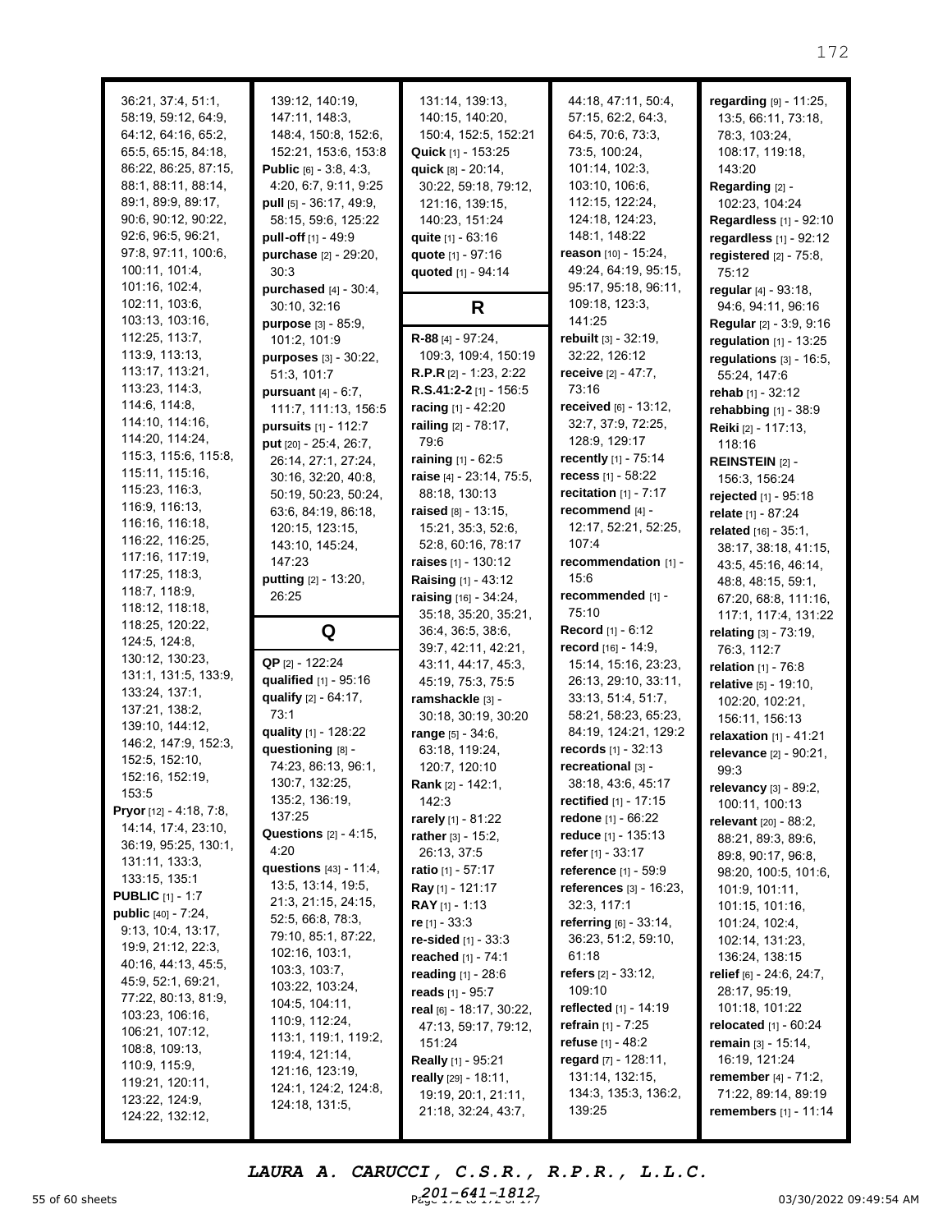| 36:21, 37:4, 51:1,<br>58:19, 59:12, 64:9,<br>64:12, 64:16, 65:2,<br>65:5, 65:15, 84:18,<br>86:22, 86:25, 87:15,<br>88:1, 88:11, 88:14,<br>89:1, 89:9, 89:17,<br>90:6, 90:12, 90:22,<br>92:6, 96:5, 96:21,<br>97:8, 97:11, 100:6,<br>100:11, 101:4,<br>101:16, 102:4, | 139:12, 140:19,<br>147:11, 148:3,<br>148:4, 150:8, 152:6,<br>152:21, 153:6, 153:8<br><b>Public</b> [6] - $3:8, 4:3,$<br>4:20, 6:7, 9:11, 9:25<br>pull [5] - 36:17, 49:9,<br>58:15, 59:6, 125:22<br>pull-off [1] - 49:9<br>purchase [2] - 29:20,<br>30:3<br>purchased $[4] - 30:4$ , | 131:14, 139:13,<br>140:15, 140:20,<br>150:4, 152:5, 152:21<br>Quick [1] - 153:25<br>quick [8] - 20:14,<br>30:22, 59:18, 79:12,<br>121:16, 139:15,<br>140:23, 151:24<br>quite [1] - 63:16<br>quote [1] - 97:16<br>quoted [1] - 94:14 | 44:18, 47:11, 50:4,<br>57:15, 62:2, 64:3,<br>64:5, 70:6, 73:3,<br>73:5, 100:24,<br>101:14, 102:3,<br>103:10, 106:6,<br>112:15, 122:24,<br>124:18, 124:23,<br>148:1, 148:22<br>reason [10] - 15:24,<br>49:24, 64:19, 95:15,<br>95:17, 95:18, 96:11, | regarding [9] - 11:25,<br>13:5, 66:11, 73:18,<br>78:3, 103:24,<br>108:17, 119:18,<br>143:20<br>Regarding [2] -<br>102:23, 104:24<br>Regardless [1] - 92:10<br>regardless [1] - 92:12<br>registered $[2]$ - $75:8$ ,<br>75:12<br>regular [4] - 93:18, |
|----------------------------------------------------------------------------------------------------------------------------------------------------------------------------------------------------------------------------------------------------------------------|-------------------------------------------------------------------------------------------------------------------------------------------------------------------------------------------------------------------------------------------------------------------------------------|-------------------------------------------------------------------------------------------------------------------------------------------------------------------------------------------------------------------------------------|----------------------------------------------------------------------------------------------------------------------------------------------------------------------------------------------------------------------------------------------------|------------------------------------------------------------------------------------------------------------------------------------------------------------------------------------------------------------------------------------------------------|
| 102:11, 103:6,                                                                                                                                                                                                                                                       | 30:10, 32:16                                                                                                                                                                                                                                                                        | R                                                                                                                                                                                                                                   | 109:18, 123:3,                                                                                                                                                                                                                                     | 94:6, 94:11, 96:16                                                                                                                                                                                                                                   |
| 103:13, 103:16,<br>112:25, 113:7,                                                                                                                                                                                                                                    | purpose [3] - 85:9,<br>101:2, 101:9                                                                                                                                                                                                                                                 | R-88 [4] - 97:24,                                                                                                                                                                                                                   | 141:25<br>rebuilt [3] - 32:19,                                                                                                                                                                                                                     | Regular [2] - 3:9, 9:16                                                                                                                                                                                                                              |
| 113:9, 113:13,                                                                                                                                                                                                                                                       | purposes [3] - 30:22,                                                                                                                                                                                                                                                               | 109:3, 109:4, 150:19                                                                                                                                                                                                                | 32:22, 126:12                                                                                                                                                                                                                                      | regulation $[1] - 13:25$<br>regulations $[3] - 16:5$ ,                                                                                                                                                                                               |
| 113:17, 113:21,                                                                                                                                                                                                                                                      | 51:3, 101:7                                                                                                                                                                                                                                                                         | <b>R.P.R</b> $[2] - 1:23$ , 2:22                                                                                                                                                                                                    | receive [2] - 47:7,                                                                                                                                                                                                                                | 55:24, 147:6                                                                                                                                                                                                                                         |
| 113:23, 114:3,                                                                                                                                                                                                                                                       | <b>pursuant</b> $[4] - 6:7$ ,                                                                                                                                                                                                                                                       | R.S.41:2-2 [1] - 156:5                                                                                                                                                                                                              | 73:16                                                                                                                                                                                                                                              | rehab [1] - 32:12                                                                                                                                                                                                                                    |
| 114:6, 114:8,                                                                                                                                                                                                                                                        | 111:7, 111:13, 156:5                                                                                                                                                                                                                                                                | racing [1] - 42:20                                                                                                                                                                                                                  | received [6] - 13:12,                                                                                                                                                                                                                              | rehabbing [1] - 38:9                                                                                                                                                                                                                                 |
| 114:10, 114:16,                                                                                                                                                                                                                                                      | pursuits [1] - 112:7                                                                                                                                                                                                                                                                | railing [2] - 78:17,                                                                                                                                                                                                                | 32:7, 37:9, 72:25,                                                                                                                                                                                                                                 | Reiki [2] - 117:13,                                                                                                                                                                                                                                  |
| 114:20, 114:24,<br>115:3, 115:6, 115:8,                                                                                                                                                                                                                              | put [20] - 25:4, 26:7,                                                                                                                                                                                                                                                              | 79:6                                                                                                                                                                                                                                | 128:9, 129:17                                                                                                                                                                                                                                      | 118:16                                                                                                                                                                                                                                               |
| 115:11, 115:16,                                                                                                                                                                                                                                                      | 26:14, 27:1, 27:24,                                                                                                                                                                                                                                                                 | raining [1] - 62:5                                                                                                                                                                                                                  | recently [1] - 75:14                                                                                                                                                                                                                               | REINSTEIN [2] -                                                                                                                                                                                                                                      |
| 115:23, 116:3,                                                                                                                                                                                                                                                       | 30:16, 32:20, 40:8,                                                                                                                                                                                                                                                                 | raise [4] - 23:14, 75:5,<br>88:18, 130:13                                                                                                                                                                                           | recess $[1] - 58:22$<br>recitation $[1] - 7:17$                                                                                                                                                                                                    | 156:3, 156:24                                                                                                                                                                                                                                        |
| 116:9, 116:13,                                                                                                                                                                                                                                                       | 50:19, 50:23, 50:24,<br>63:6, 84:19, 86:18,                                                                                                                                                                                                                                         | raised [8] - 13:15.                                                                                                                                                                                                                 | recommend <sub>[4]</sub> -                                                                                                                                                                                                                         | rejected [1] - 95:18                                                                                                                                                                                                                                 |
| 116:16, 116:18,                                                                                                                                                                                                                                                      | 120:15, 123:15,                                                                                                                                                                                                                                                                     | 15:21, 35:3, 52:6,                                                                                                                                                                                                                  | 12:17, 52:21, 52:25,                                                                                                                                                                                                                               | relate [1] - 87:24<br>related [16] - 35:1,                                                                                                                                                                                                           |
| 116:22, 116:25,                                                                                                                                                                                                                                                      | 143:10, 145:24,                                                                                                                                                                                                                                                                     | 52:8, 60:16, 78:17                                                                                                                                                                                                                  | 107:4                                                                                                                                                                                                                                              | 38:17, 38:18, 41:15,                                                                                                                                                                                                                                 |
| 117:16, 117:19,                                                                                                                                                                                                                                                      | 147:23                                                                                                                                                                                                                                                                              | <b>raises</b> [1] - 130:12                                                                                                                                                                                                          | recommendation [1] -                                                                                                                                                                                                                               | 43:5, 45:16, 46:14,                                                                                                                                                                                                                                  |
| 117:25, 118:3,                                                                                                                                                                                                                                                       | putting [2] - 13:20,                                                                                                                                                                                                                                                                | Raising [1] - 43:12                                                                                                                                                                                                                 | 15:6                                                                                                                                                                                                                                               | 48:8, 48:15, 59:1,                                                                                                                                                                                                                                   |
| 118:7, 118:9,                                                                                                                                                                                                                                                        | 26:25                                                                                                                                                                                                                                                                               | raising $[16] - 34:24$ ,                                                                                                                                                                                                            | recommended [1] -                                                                                                                                                                                                                                  | 67:20, 68:8, 111:16,                                                                                                                                                                                                                                 |
| 118:12, 118:18,                                                                                                                                                                                                                                                      |                                                                                                                                                                                                                                                                                     | 35:18, 35:20, 35:21,                                                                                                                                                                                                                | 75:10                                                                                                                                                                                                                                              | 117:1, 117:4, 131:22                                                                                                                                                                                                                                 |
| 118:25, 120:22,<br>124:5, 124:8,                                                                                                                                                                                                                                     | Q                                                                                                                                                                                                                                                                                   | 36:4, 36:5, 38:6,                                                                                                                                                                                                                   | Record [1] - 6:12                                                                                                                                                                                                                                  | relating [3] - 73:19,                                                                                                                                                                                                                                |
| 130:12, 130:23,                                                                                                                                                                                                                                                      |                                                                                                                                                                                                                                                                                     | 39:7, 42:11, 42:21,                                                                                                                                                                                                                 | record [16] - 14:9,                                                                                                                                                                                                                                | 76:3, 112:7                                                                                                                                                                                                                                          |
| 131:1, 131:5, 133:9,                                                                                                                                                                                                                                                 | QP [2] - 122:24<br>qualified [1] - 95:16                                                                                                                                                                                                                                            | 43:11, 44:17, 45:3,                                                                                                                                                                                                                 | 15:14, 15:16, 23:23,                                                                                                                                                                                                                               | relation [1] - 76:8                                                                                                                                                                                                                                  |
| 133:24, 137:1,                                                                                                                                                                                                                                                       | qualify [2] - 64:17,                                                                                                                                                                                                                                                                | 45:19, 75:3, 75:5<br>ramshackle [3] -                                                                                                                                                                                               | 26:13, 29:10, 33:11,<br>33:13, 51:4, 51:7,                                                                                                                                                                                                         | relative [5] - 19:10,                                                                                                                                                                                                                                |
| 137:21, 138:2,                                                                                                                                                                                                                                                       | 73:1                                                                                                                                                                                                                                                                                | 30:18, 30:19, 30:20                                                                                                                                                                                                                 | 58:21, 58:23, 65:23,                                                                                                                                                                                                                               | 102:20, 102:21,<br>156:11, 156:13                                                                                                                                                                                                                    |
| 139:10, 144:12,                                                                                                                                                                                                                                                      | quality [1] - 128:22                                                                                                                                                                                                                                                                | range [5] - 34:6,                                                                                                                                                                                                                   | 84:19, 124:21, 129:2                                                                                                                                                                                                                               | relaxation [1] - 41:21                                                                                                                                                                                                                               |
| 146:2, 147:9, 152:3,                                                                                                                                                                                                                                                 | questioning [8] -                                                                                                                                                                                                                                                                   | 63:18, 119:24,                                                                                                                                                                                                                      | records [1] - 32:13                                                                                                                                                                                                                                | relevance [2] - 90:21,                                                                                                                                                                                                                               |
| 152:5, 152:10,                                                                                                                                                                                                                                                       | 74:23, 86:13, 96:1,                                                                                                                                                                                                                                                                 | 120:7, 120:10                                                                                                                                                                                                                       | recreational [3] -                                                                                                                                                                                                                                 | 99:3                                                                                                                                                                                                                                                 |
| 152:16, 152:19,                                                                                                                                                                                                                                                      | 130:7, 132:25,                                                                                                                                                                                                                                                                      | <b>Rank</b> [2] - 142:1,                                                                                                                                                                                                            | 38:18, 43:6, 45:17                                                                                                                                                                                                                                 | relevancy [3] - 89:2,                                                                                                                                                                                                                                |
| 153:5<br>Pryor [12] - 4:18, 7:8,                                                                                                                                                                                                                                     | 135:2, 136:19,                                                                                                                                                                                                                                                                      | 142:3                                                                                                                                                                                                                               | <b>rectified</b> [1] - 17:15                                                                                                                                                                                                                       | 100:11, 100:13                                                                                                                                                                                                                                       |
| 14:14, 17:4, 23:10,                                                                                                                                                                                                                                                  | 137:25                                                                                                                                                                                                                                                                              | rarely [1] - 81:22                                                                                                                                                                                                                  | <b>redone</b> [1] - 66:22                                                                                                                                                                                                                          | relevant [20] - 88:2,                                                                                                                                                                                                                                |
| 36:19, 95:25, 130:1,                                                                                                                                                                                                                                                 | Questions [2] - 4:15,                                                                                                                                                                                                                                                               | rather $[3] - 15:2$ ,                                                                                                                                                                                                               | reduce [1] - 135:13                                                                                                                                                                                                                                | 88:21, 89:3, 89:6,                                                                                                                                                                                                                                   |
| 131:11, 133:3,                                                                                                                                                                                                                                                       | 4:20<br>questions [43] - 11:4,                                                                                                                                                                                                                                                      | 26:13, 37:5                                                                                                                                                                                                                         | refer [1] - 33:17                                                                                                                                                                                                                                  | 89:8, 90:17, 96:8,                                                                                                                                                                                                                                   |
| 133:15, 135:1                                                                                                                                                                                                                                                        | 13:5, 13:14, 19:5,                                                                                                                                                                                                                                                                  | <b>ratio</b> [1] - 57:17                                                                                                                                                                                                            | reference [1] - 59:9<br>references $[3] - 16:23$ ,                                                                                                                                                                                                 | 98:20, 100:5, 101:6,                                                                                                                                                                                                                                 |
| <b>PUBLIC</b> $[1] - 1:7$                                                                                                                                                                                                                                            | 21:3, 21:15, 24:15,                                                                                                                                                                                                                                                                 | Ray [1] - 121:17<br>RAY [1] - 1:13                                                                                                                                                                                                  | 32:3, 117:1                                                                                                                                                                                                                                        | 101:9, 101:11,                                                                                                                                                                                                                                       |
| <b>public</b> $[40] - 7:24$ ,                                                                                                                                                                                                                                        | 52:5, 66:8, 78:3,                                                                                                                                                                                                                                                                   | re [1] - 33:3                                                                                                                                                                                                                       | referring $[6] - 33:14$ ,                                                                                                                                                                                                                          | 101:15, 101:16,<br>101:24, 102:4,                                                                                                                                                                                                                    |
| 9:13, 10:4, 13:17,                                                                                                                                                                                                                                                   | 79:10, 85:1, 87:22,                                                                                                                                                                                                                                                                 | re-sided [1] - 33:3                                                                                                                                                                                                                 | 36:23, 51:2, 59:10,                                                                                                                                                                                                                                | 102:14, 131:23,                                                                                                                                                                                                                                      |
| 19:9, 21:12, 22:3,                                                                                                                                                                                                                                                   | 102:16, 103:1,                                                                                                                                                                                                                                                                      | reached [1] - 74:1                                                                                                                                                                                                                  | 61:18                                                                                                                                                                                                                                              | 136:24, 138:15                                                                                                                                                                                                                                       |
| 40:16, 44:13, 45:5,                                                                                                                                                                                                                                                  | 103:3, 103:7,                                                                                                                                                                                                                                                                       | reading [1] - 28:6                                                                                                                                                                                                                  | <b>refers</b> [2] - 33:12,                                                                                                                                                                                                                         | relief [6] - 24:6, 24:7,                                                                                                                                                                                                                             |
| 45:9, 52:1, 69:21,<br>77:22, 80:13, 81:9,                                                                                                                                                                                                                            | 103:22, 103:24,                                                                                                                                                                                                                                                                     | reads [1] - 95:7                                                                                                                                                                                                                    | 109:10                                                                                                                                                                                                                                             | 28:17, 95:19,                                                                                                                                                                                                                                        |
| 103:23, 106:16,                                                                                                                                                                                                                                                      | 104:5, 104:11,                                                                                                                                                                                                                                                                      | real $\overline{161}$ - 18:17, 30:22,                                                                                                                                                                                               | reflected [1] - 14:19                                                                                                                                                                                                                              | 101:18, 101:22                                                                                                                                                                                                                                       |
| 106:21, 107:12,                                                                                                                                                                                                                                                      | 110:9, 112:24,                                                                                                                                                                                                                                                                      | 47:13, 59:17, 79:12,                                                                                                                                                                                                                | <b>refrain</b> [1] - 7:25                                                                                                                                                                                                                          | relocated <sub>[1]</sub> - 60:24                                                                                                                                                                                                                     |
| 108:8, 109:13,                                                                                                                                                                                                                                                       | 113:1, 119:1, 119:2,                                                                                                                                                                                                                                                                | 151:24                                                                                                                                                                                                                              | <b>refuse</b> [1] - 48:2                                                                                                                                                                                                                           | remain $[3] - 15:14$ ,                                                                                                                                                                                                                               |
| 110:9, 115:9,                                                                                                                                                                                                                                                        | 119:4, 121:14,<br>121:16, 123:19,                                                                                                                                                                                                                                                   | <b>Really</b> [1] - 95:21                                                                                                                                                                                                           | regard [7] - 128:11,                                                                                                                                                                                                                               | 16:19, 121:24                                                                                                                                                                                                                                        |
| 119:21, 120:11,                                                                                                                                                                                                                                                      | 124:1, 124:2, 124:8,                                                                                                                                                                                                                                                                | really [29] - 18:11,                                                                                                                                                                                                                | 131:14, 132:15,                                                                                                                                                                                                                                    | <b>remember</b> $[4] - 71:2$ ,                                                                                                                                                                                                                       |
| 123:22, 124:9,                                                                                                                                                                                                                                                       | 124:18, 131:5,                                                                                                                                                                                                                                                                      | 19:19, 20:1, 21:11,                                                                                                                                                                                                                 | 134:3, 135:3, 136:2,                                                                                                                                                                                                                               | 71:22, 89:14, 89:19                                                                                                                                                                                                                                  |
| 124:22, 132:12,                                                                                                                                                                                                                                                      |                                                                                                                                                                                                                                                                                     | 21:18, 32:24, 43:7,                                                                                                                                                                                                                 | 139:25                                                                                                                                                                                                                                             | <b>remembers</b> $[1] - 11:14$                                                                                                                                                                                                                       |
|                                                                                                                                                                                                                                                                      |                                                                                                                                                                                                                                                                                     |                                                                                                                                                                                                                                     |                                                                                                                                                                                                                                                    |                                                                                                                                                                                                                                                      |

55 of 60 sheets **Page 172 to 172 to 172 of 172 to 172 of 172 of 172 of 172 of 172 of 172 of 172 of 177 of 177 of 17** *LAURA A. CARUCCI, C.S.R., R.P.R., L.L.C. 201-641-1812*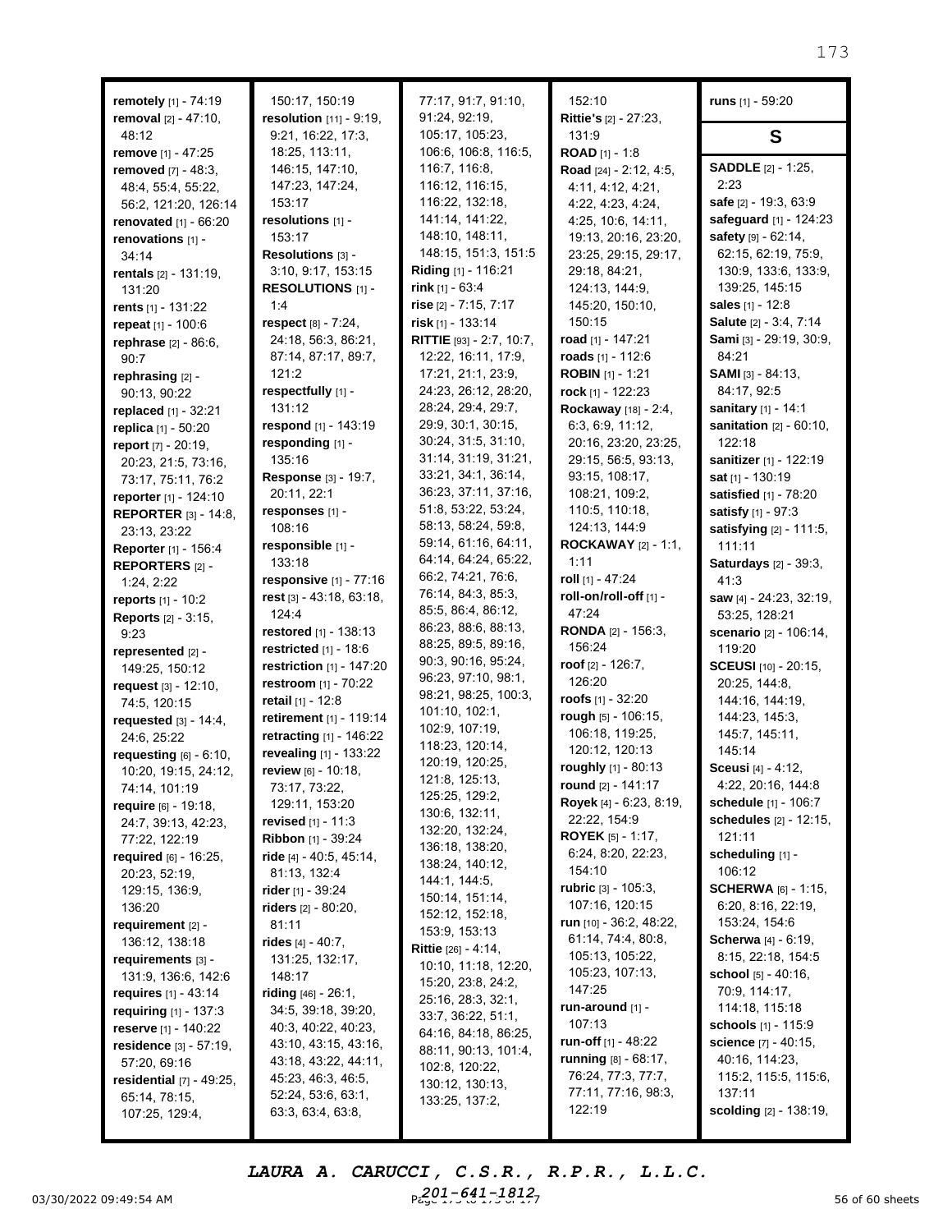| remotely [1] - 74:19<br>removal $[2] - 47:10$ , | 150:17, 150:19<br>resolution [11] - 9:19, | 77:17, 91:7, 91:10,<br>91:24, 92:19,     | 152:10<br>Rittie's [2] - 27:23,             | runs [1] - 59:20                    |
|-------------------------------------------------|-------------------------------------------|------------------------------------------|---------------------------------------------|-------------------------------------|
| 48:12                                           | 9:21, 16:22, 17:3,                        | 105:17, 105:23,                          | 131:9                                       | S                                   |
| remove [1] - 47:25                              | 18:25, 113:11,                            | 106:6, 106:8, 116:5,                     | <b>ROAD</b> [1] - 1:8                       |                                     |
| removed [7] - 48:3.                             | 146:15, 147:10,                           | 116:7, 116:8,                            | Road [24] - 2:12, 4:5,                      | <b>SADDLE</b> [2] - 1:25,           |
| 48:4, 55:4, 55:22,                              | 147:23, 147:24,                           | 116:12, 116:15,                          | 4:11, 4:12, 4:21,                           | 2:23                                |
| 56:2, 121:20, 126:14                            | 153:17                                    | 116:22, 132:18,                          | 4:22, 4:23, 4:24,                           | safe [2] - 19:3, 63:9               |
| <b>renovated</b> $[1] - 66:20$                  | resolutions [1] -                         | 141:14, 141:22,                          | 4:25, 10:6, 14:11,                          | safeguard [1] - 124:23              |
| renovations [1] -                               | 153:17                                    | 148:10, 148:11,                          | 19:13, 20:16, 23:20,                        | safety [9] - 62:14,                 |
| 34:14                                           | Resolutions [3] -                         | 148:15, 151:3, 151:5                     | 23:25, 29:15, 29:17,                        | 62:15, 62:19, 75:9,                 |
| rentals [2] - 131:19,                           | 3:10, 9:17, 153:15                        | <b>Riding</b> [1] - 116:21               | 29:18, 84:21,                               | 130:9, 133:6, 133:9,                |
| 131:20                                          | RESOLUTIONS [1] -                         | rink $[1] - 63:4$                        | 124:13, 144:9,                              | 139:25, 145:15                      |
| rents $[1] - 131:22$                            | 1:4                                       | rise $[2] - 7:15, 7:17$                  | 145:20, 150:10,                             | <b>sales</b> [1] - 12:8             |
| repeat [1] - 100:6                              | respect [8] - 7:24,                       | risk [1] - 133:14                        | 150:15                                      | Salute [2] - 3:4, 7:14              |
| rephrase [2] - 86:6,                            | 24:18, 56:3, 86:21,                       | RITTIE [93] - 2:7, 10:7,                 | road [1] - 147:21                           | Sami [3] - 29:19, 30:9,             |
| 90:7                                            | 87:14, 87:17, 89:7,                       | 12:22, 16:11, 17:9,                      | roads [1] - 112:6                           | 84:21                               |
| rephrasing [2] -                                | 121:2                                     | 17:21, 21:1, 23:9,                       | <b>ROBIN</b> $[1]$ - 1:21                   | <b>SAMI</b> $[3] - 84:13$ ,         |
| 90:13, 90:22                                    | respectfully [1] -                        | 24:23, 26:12, 28:20,                     | rock [1] - 122:23                           | 84:17, 92:5                         |
| replaced $[1] - 32:21$                          | 131:12                                    | 28:24, 29:4, 29:7,<br>29:9, 30:1, 30:15, | Rockaway [18] - 2:4,                        | sanitary [1] - 14:1                 |
| replica [1] - 50:20                             | respond [1] - 143:19                      | 30:24, 31:5, 31:10,                      | 6:3, 6:9, 11:12,                            | sanitation [2] - 60:10,<br>122:18   |
| report [7] - 20:19,                             | responding [1] -<br>135:16                | 31:14, 31:19, 31:21,                     | 20:16, 23:20, 23:25,<br>29:15, 56:5, 93:13, | sanitizer [1] - 122:19              |
| 20:23, 21:5, 73:16,                             | Response [3] - 19:7,                      | 33:21, 34:1, 36:14,                      | 93:15, 108:17,                              | sat [1] - 130:19                    |
| 73:17, 75:11, 76:2                              | 20:11, 22:1                               | 36:23, 37:11, 37:16,                     | 108:21, 109:2,                              | satisfied [1] - 78:20               |
| reporter [1] - 124:10                           | responses [1] -                           | 51:8, 53:22, 53:24,                      | 110:5, 110:18,                              | satisfy [1] - 97:3                  |
| <b>REPORTER [3] - 14:8.</b>                     | 108:16                                    | 58:13, 58:24, 59:8,                      | 124:13, 144:9                               | satisfying [2] - 111:5,             |
| 23:13, 23:22                                    | responsible [1] -                         | 59:14, 61:16, 64:11,                     | <b>ROCKAWAY</b> $[2] - 1:1$ ,               | 111:11                              |
| Reporter [1] - 156:4<br>REPORTERS [2] -         | 133:18                                    | 64:14, 64:24, 65:22,                     | 1:11                                        | <b>Saturdays</b> [2] - 39:3,        |
| 1:24, 2:22                                      | responsive [1] - 77:16                    | 66:2, 74:21, 76:6,                       | roll [1] - 47:24                            | 41:3                                |
| reports [1] - 10:2                              | rest $[3] - 43:18, 63:18,$                | 76:14, 84:3, 85:3,                       | roll-on/roll-off [1] -                      | saw [4] - 24:23, 32:19,             |
| <b>Reports</b> [2] - 3:15,                      | 124:4                                     | 85:5, 86:4, 86:12,                       | 47:24                                       | 53:25, 128:21                       |
| 9:23                                            | restored [1] - 138:13                     | 86:23, 88:6, 88:13,                      | RONDA [2] - 156:3,                          | scenario [2] - 106:14,              |
| represented [2] -                               | restricted $[1]$ - 18:6                   | 88:25, 89:5, 89:16,                      | 156:24                                      | 119:20                              |
| 149:25, 150:12                                  | restriction [1] - 147:20                  | 90:3, 90:16, 95:24,                      | roof $[2] - 126:7$ ,                        | SCEUSI [10] - 20:15,                |
| request $[3] - 12:10$ ,                         | restroom [1] - 70:22                      | 96:23, 97:10, 98:1,                      | 126:20                                      | 20:25, 144:8,                       |
| 74:5, 120:15                                    | retail [1] - 12:8                         | 98:21, 98:25, 100:3,                     | <b>roofs</b> [1] - 32:20                    | 144:16, 144:19,                     |
| requested $[3] - 14:4$ ,                        | retirement [1] - 119:14                   | 101:10, 102:1,                           | rough [5] - 106:15,                         | 144:23, 145:3,                      |
| 24:6, 25:22                                     | retracting [1] - 146:22                   | 102:9, 107:19,                           | 106:18, 119:25,                             | 145:7, 145:11,                      |
| requesting $[6] - 6:10$ ,                       | revealing [1] - 133:22                    | 118:23, 120:14,                          | 120:12, 120:13                              | 145:14                              |
| 10:20, 19:15, 24:12,                            | review [6] - 10:18,                       | 120:19, 120:25,                          | roughly [1] - 80:13                         | Sceusi [4] - 4:12,                  |
| 74:14, 101:19                                   | 73:17, 73:22,                             | 121:8, 125:13,<br>125:25, 129:2,         | round [2] - 141:17                          | 4:22, 20:16, 144:8                  |
| require [6] - 19:18,                            | 129:11, 153:20                            | 130:6, 132:11,                           | Royek [4] - 6:23, 8:19,                     | schedule [1] - 106:7                |
| 24:7, 39:13, 42:23,                             | <b>revised</b> $[1]$ - 11:3               | 132:20, 132:24,                          | 22:22, 154:9                                | schedules [2] - 12:15,              |
| 77:22, 122:19                                   | Ribbon [1] - 39:24                        | 136:18, 138:20,                          | <b>ROYEK</b> [5] - 1:17,                    | 121:11                              |
| required [6] - 16:25,                           | <b>ride</b> [4] - 40:5, 45:14,            | 138:24, 140:12,                          | 6:24, 8:20, 22:23,                          | scheduling [1] -                    |
| 20:23, 52:19,                                   | 81:13, 132:4                              | 144:1, 144:5,                            | 154:10                                      | 106:12                              |
| 129:15, 136:9,                                  | <b>rider</b> [1] - 39:24                  | 150:14, 151:14,                          | rubric $[3] - 105:3$ ,<br>107:16, 120:15    | <b>SCHERWA</b> $[6] - 1:15$         |
| 136:20                                          | riders $[2] - 80:20,$                     | 152:12, 152:18,                          | run [10] - 36:2, 48:22,                     | 6:20, 8:16, 22:19,<br>153:24, 154:6 |
| requirement $[2]$ -                             | 81:11                                     | 153:9, 153:13                            | 61:14, 74:4, 80:8,                          | <b>Scherwa</b> [4] - 6:19,          |
| 136:12, 138:18                                  | rides [4] - 40:7,                         | <b>Rittie</b> [26] - 4:14,               | 105:13, 105:22,                             | 8:15, 22:18, 154:5                  |
| requirements $[3]$ -                            | 131:25, 132:17,                           | 10:10, 11:18, 12:20,                     | 105:23, 107:13,                             | <b>school</b> $[5]$ - 40:16,        |
| 131:9, 136:6, 142:6                             | 148:17<br><b>riding</b> $[46] - 26:1$ ,   | 15:20, 23:8, 24:2,                       | 147:25                                      | 70:9, 114:17,                       |
| requires $[1] - 43:14$<br>requiring [1] - 137:3 | 34:5, 39:18, 39:20,                       | 25:16, 28:3, 32:1,                       | run-around [1] -                            | 114:18, 115:18                      |
| <b>reserve</b> [1] - 140:22                     | 40:3, 40:22, 40:23,                       | 33:7, 36:22, 51:1,                       | 107:13                                      | <b>schools</b> [1] - 115:9          |
| residence [3] - 57:19,                          | 43:10, 43:15, 43:16,                      | 64:16, 84:18, 86:25,                     | <b>run-off</b> [1] - 48:22                  | science [7] - 40:15,                |
| 57:20, 69:16                                    | 43:18, 43:22, 44:11,                      | 88:11, 90:13, 101:4,                     | running $[8] - 68:17$ ,                     | 40:16, 114:23,                      |
| residential $[7] - 49:25$ ,                     | 45:23, 46:3, 46:5,                        | 102:8, 120:22,                           | 76:24, 77:3, 77:7,                          | 115:2, 115:5, 115:6,                |
| 65:14, 78:15,                                   | 52:24, 53:6, 63:1,                        | 130:12, 130:13,<br>133:25, 137:2,        | 77:11, 77:16, 98:3,                         | 137:11                              |
| 107:25, 129:4,                                  | 63:3, 63:4, 63:8,                         |                                          | 122:19                                      | <b>scolding</b> [2] - 138:19,       |

03/30/2022 09:49:54 AM  $P_{cyc}^{201-641-1812}$   $P_{cyc}^{201-70.11-17.5}$   $P_{cyc}^{201-641-1812}$ *LAURA A. CARUCCI, C.S.R., R.P.R., L.L.C. 201-641-1812*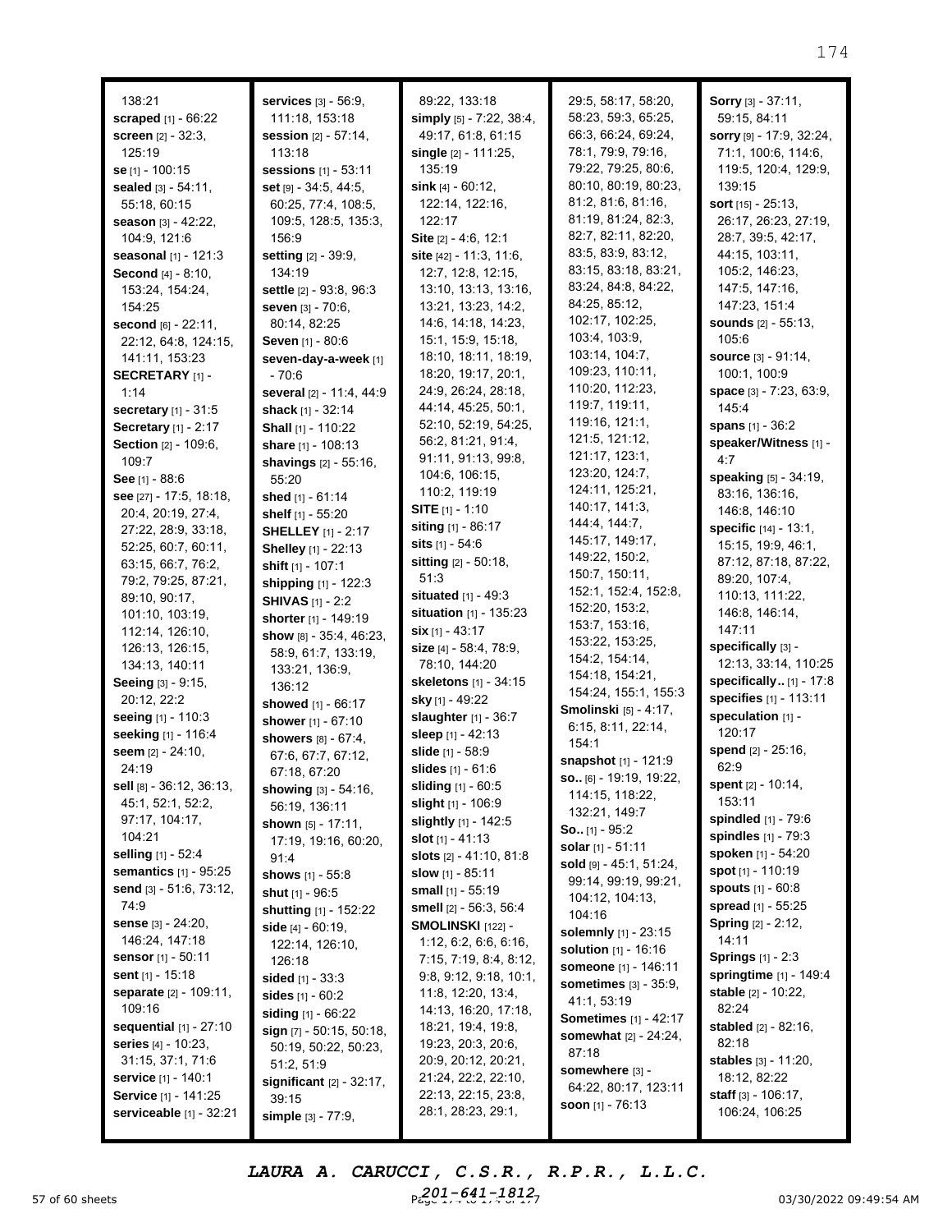| 138:21                          | services [3] - 56:9,         | 89:22, 133:18                | 29:5, 58:17, 58:20,                        | Sorry [3] - 37:11,           |
|---------------------------------|------------------------------|------------------------------|--------------------------------------------|------------------------------|
| <b>scraped</b> $[1] - 66:22$    | 111:18, 153:18               | simply [5] - 7:22, 38:4,     | 58:23, 59:3, 65:25,                        | 59:15, 84:11                 |
|                                 |                              |                              | 66:3, 66:24, 69:24,                        |                              |
| screen [2] - 32:3,              | session [2] - 57:14,         | 49:17, 61:8, 61:15           | 78:1, 79:9, 79:16,                         | sorry [9] - 17:9, 32:24,     |
| 125:19                          | 113:18                       | single $[2] - 111:25$ ,      |                                            | 71:1, 100:6, 114:6,          |
| se [1] - 100:15                 | sessions [1] - 53:11         | 135:19                       | 79:22, 79:25, 80:6,                        | 119:5, 120:4, 129:9,         |
| sealed [3] - 54:11,             | set [9] - 34:5, 44:5,        | sink $[4] - 60:12$ ,         | 80:10, 80:19, 80:23,                       | 139:15                       |
| 55:18, 60:15                    | 60:25, 77:4, 108:5,          | 122:14, 122:16,              | 81:2, 81:6, 81:16,                         | <b>sort</b> $[15] - 25:13$ , |
| season [3] - 42:22,             | 109:5, 128:5, 135:3,         | 122:17                       | 81:19, 81:24, 82:3,                        | 26:17, 26:23, 27:19,         |
| 104:9, 121:6                    | 156:9                        | Site [2] - 4:6, 12:1         | 82:7, 82:11, 82:20,                        | 28:7, 39:5, 42:17,           |
| seasonal [1] - 121:3            | setting [2] - 39:9,          | site $[42] - 11:3, 11:6,$    | 83:5, 83:9, 83:12,                         | 44:15, 103:11,               |
| Second [4] - 8:10,              | 134:19                       | 12:7, 12:8, 12:15,           | 83:15, 83:18, 83:21,                       | 105:2, 146:23,               |
| 153:24, 154:24,                 | settle [2] - 93:8, 96:3      | 13:10, 13:13, 13:16,         | 83:24, 84:8, 84:22,                        | 147:5, 147:16,               |
| 154:25                          | seven [3] - 70:6,            | 13:21, 13:23, 14:2,          | 84:25, 85:12,                              | 147:23, 151:4                |
| second [6] - 22:11,             | 80:14, 82:25                 | 14:6, 14:18, 14:23,          | 102:17, 102:25,                            | sounds [2] - 55:13,          |
| 22:12, 64:8, 124:15,            | Seven [1] - 80:6             | 15:1, 15:9, 15:18,           | 103:4, 103:9,                              | 105:6                        |
| 141:11, 153:23                  | seven-day-a-week [1]         | 18:10, 18:11, 18:19,         | 103:14, 104:7,                             | source [3] - 91:14,          |
| <b>SECRETARY</b> [1] -          | $-70.6$                      | 18:20, 19:17, 20:1,          | 109:23, 110:11,                            | 100:1, 100:9                 |
|                                 |                              | 24:9, 26:24, 28:18,          | 110:20, 112:23,                            | space [3] - 7:23, 63:9,      |
| 1:14                            | several [2] - 11:4, 44:9     | 44:14, 45:25, 50:1,          | 119:7, 119:11,                             | 145:4                        |
| <b>secretary</b> $[1] - 31:5$   | shack [1] - 32:14            |                              | 119:16, 121:1,                             |                              |
| Secretary [1] - 2:17            | Shall [1] - 110:22           | 52:10, 52:19, 54:25,         | 121:5, 121:12,                             | spans [1] - 36:2             |
| Section [2] - 109:6,            | share [1] - 108:13           | 56:2, 81:21, 91:4,           | 121:17, 123:1,                             | speaker/Witness [1] -        |
| 109:7                           | shavings [2] - 55:16,        | 91:11, 91:13, 99:8,          |                                            | 4:7                          |
| See [1] - 88:6                  | 55:20                        | 104:6, 106:15,               | 123:20, 124:7,                             | speaking [5] - 34:19,        |
| see [27] - 17:5, 18:18,         | shed [1] - 61:14             | 110:2, 119:19                | 124:11, 125:21,                            | 83:16, 136:16,               |
| 20:4, 20:19, 27:4,              | shelf [1] - 55:20            | <b>SITE</b> $[1] - 1:10$     | 140:17, 141:3,                             | 146:8, 146:10                |
| 27:22, 28:9, 33:18,             | <b>SHELLEY</b> [1] - 2:17    | siting [1] - 86:17           | 144:4, 144:7,                              | specific [14] - 13:1,        |
| 52:25, 60:7, 60:11,             | Shelley [1] - 22:13          | sits [1] - 54:6              | 145:17, 149:17,                            | 15:15, 19:9, 46:1,           |
| 63:15, 66:7, 76:2,              | shift [1] - 107:1            | sitting [2] - 50:18,         | 149:22, 150:2,                             | 87:12, 87:18, 87:22,         |
| 79:2, 79:25, 87:21,             | shipping [1] - 122:3         | 51:3                         | 150:7, 150:11,                             | 89:20, 107:4,                |
| 89:10, 90:17,                   | <b>SHIVAS</b> [1] - 2:2      | <b>situated</b> $[1] - 49:3$ | 152:1, 152:4, 152:8,                       | 110:13, 111:22,              |
| 101:10, 103:19,                 |                              | situation [1] - 135:23       | 152:20, 153:2,                             | 146:8, 146:14,               |
| 112:14, 126:10,                 | shorter [1] - 149:19         | $six$ [1] - 43:17            | 153:7, 153:16,                             | 147:11                       |
| 126:13, 126:15,                 | show [8] - 35:4, 46:23,      | size $[4] - 58:4, 78:9,$     | 153:22, 153:25,                            | specifically [3] -           |
| 134:13, 140:11                  | 58:9, 61:7, 133:19,          | 78:10, 144:20                | 154:2, 154:14,                             | 12:13, 33:14, 110:25         |
| Seeing [3] - 9:15,              | 133:21, 136:9,               | skeletons [1] - 34:15        | 154:18, 154:21,                            | specifically [1] - 17:8      |
| 20:12, 22:2                     | 136:12                       | sky [1] - 49:22              | 154:24, 155:1, 155:3                       | specifies [1] - 113:11       |
|                                 | showed [1] - 66:17           |                              | Smolinski [5] - 4:17,                      | speculation [1] -            |
| seeing [1] - 110:3              | shower [1] - 67:10           | slaughter [1] - 36:7         | 6:15, 8:11, 22:14,                         | 120:17                       |
| seeking [1] - 116:4             | showers [8] - 67:4,          | sleep [1] - 42:13            | 154:1                                      |                              |
| seem [2] - 24:10,               | 67:6, 67:7, 67:12,           | slide [1] - 58:9             | snapshot [1] - 121:9                       | spend [2] - 25:16,           |
| 24:19                           | 67:18, 67:20                 | slides [1] - 61:6            | so [6] - 19:19, 19:22,                     | 62:9                         |
| sell [8] - 36:12, 36:13,        | showing [3] - 54:16,         | sliding [1] - 60:5           | 114:15, 118:22,                            | spent $[2] - 10:14$ ,        |
| 45:1, 52:1, 52:2,               | 56:19, 136:11                | slight [1] - 106:9           | 132:21, 149:7                              | 153:11                       |
| 97:17, 104:17,                  | shown $[5] - 17:11$ ,        | slightly [1] - 142:5         |                                            | spindled [1] - 79:6          |
| 104:21                          | 17:19, 19:16, 60:20,         | slot $[1] - 41:13$           | <b>So.</b> [1] - 95:2<br>solar [1] - 51:11 | spindles $[1]$ - 79:3        |
| selling [1] - 52:4              | 91:4                         | slots $[2] - 41:10, 81:8$    |                                            | spoken [1] - 54:20           |
| semantics [1] - 95:25           | <b>shows</b> [1] - 55:8      | slow $[1] - 85:11$           | sold [9] - 45:1, 51:24,                    | spot [1] - 110:19            |
| send $[3] - 51:6, 73:12,$       | shut [1] - 96:5              | small $[1] - 55:19$          | 99:14, 99:19, 99:21,                       | spouts [1] - 60:8            |
| 74:9                            | <b>shutting</b> [1] - 152:22 | smell [2] - 56:3, 56:4       | 104:12, 104:13,                            | spread [1] - 55:25           |
| <b>sense</b> $[3] - 24:20,$     | <b>side</b> [4] - 60:19,     | SMOLINSKI [122] -            | 104:16                                     | <b>Spring</b> [2] - 2:12,    |
| 146:24, 147:18                  | 122:14, 126:10,              | 1:12, 6:2, 6:6, 6:16,        | solemnly [1] - 23:15                       | 14:11                        |
| sensor [1] - 50:11              |                              | 7:15, 7:19, 8:4, 8:12,       | solution [1] - 16:16                       | <b>Springs</b> $[1] - 2:3$   |
| <b>sent</b> [1] - 15:18         | 126:18                       | 9:8, 9:12, 9:18, 10:1,       | someone [1] - 146:11                       | springtime [1] - 149:4       |
| separate [2] - 109:11,          | <b>sided</b> $[1] - 33:3$    | 11:8, 12:20, 13:4,           | <b>sometimes</b> [3] - 35:9,               | stable [2] - 10:22,          |
| 109:16                          | sides $[1] - 60:2$           | 14:13, 16:20, 17:18,         | 41:1, 53:19                                | 82:24                        |
| <b>sequential</b> $[1] - 27:10$ | siding [1] - 66:22           |                              | <b>Sometimes</b> [1] - 42:17               | stabled [2] - 82:16,         |
|                                 | sign [7] - 50:15, 50:18,     | 18:21, 19:4, 19:8,           | <b>somewhat</b> [2] - 24:24,               | 82:18                        |
| <b>series</b> $[4] - 10:23$ ,   | 50:19, 50:22, 50:23,         | 19:23, 20:3, 20:6,           | 87:18                                      |                              |
| 31:15, 37:1, 71:6               | 51:2, 51:9                   | 20:9, 20:12, 20:21,          | somewhere [3] -                            | stables [3] - 11:20,         |
| service [1] - 140:1             | significant [2] - 32:17,     | 21:24, 22:2, 22:10,          | 64:22, 80:17, 123:11                       | 18:12, 82:22                 |
| Service [1] - 141:25            | 39:15                        | 22:13, 22:15, 23:8,          | soon $[1] - 76:13$                         | staff [3] - 106:17,          |
| serviceable [1] - 32:21         | simple [3] - 77:9,           | 28:1, 28:23, 29:1,           |                                            | 106:24, 106:25               |

57 of 60 sheets **Page 174 to 174 of 174 of 174 of 174 of 174 of 174 of 174 of 177 of 177 of 177 of 177 of 177 of 177 of 177 of 177 of 177 of 177 of 177 of 177 of 177 of 177 of 177 of 177 of 177 of 177 of 177 of 178 of 178** *LAURA A. CARUCCI, C.S.R., R.P.R., L.L.C.* Paye 1, -641-1812<sub>7</sub>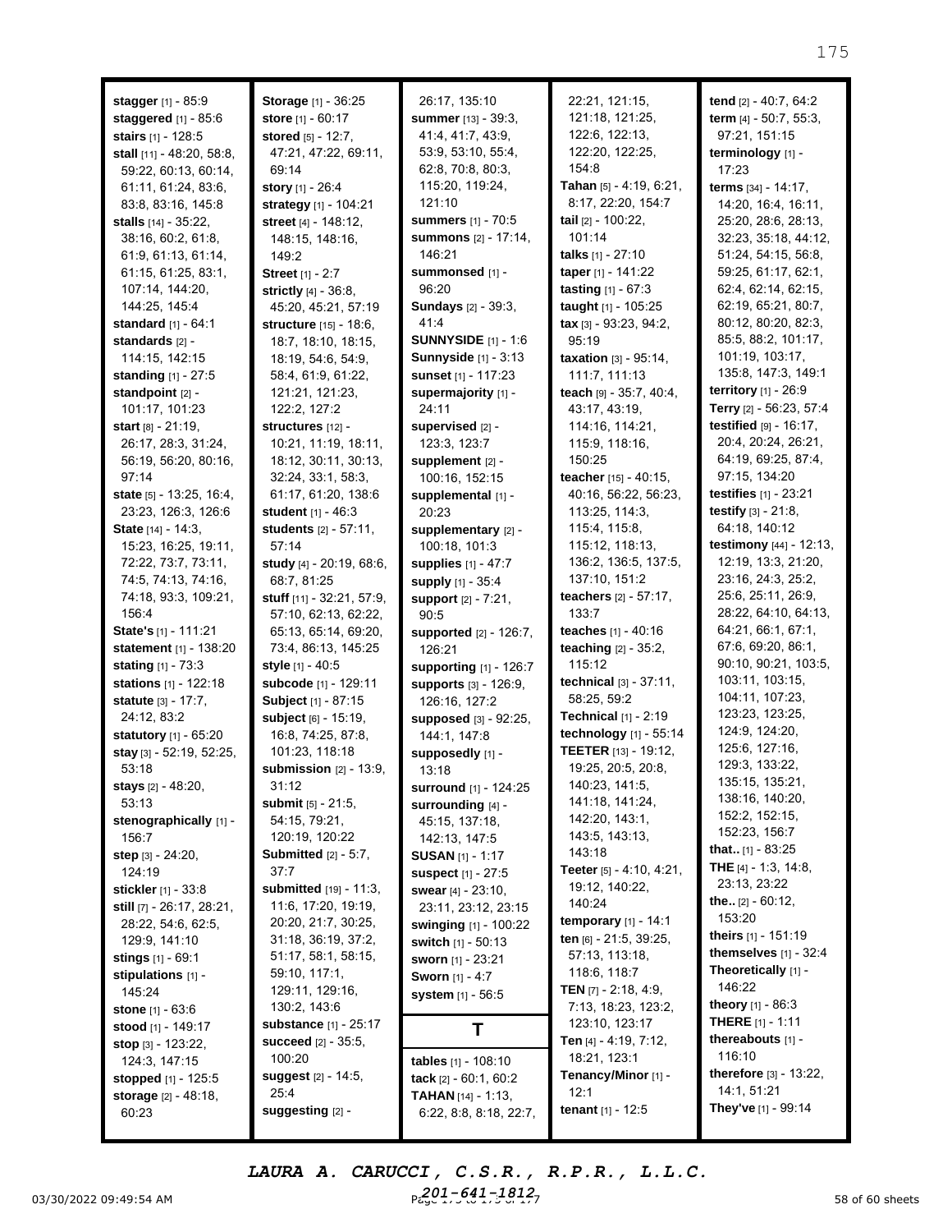| <b>stagger</b> $[1] - 85:9$<br><b>staggered</b> [1] - 85:6 | <b>Storage</b> [1] - 36:25<br><b>store</b> [1] - 60:17 | 26:17, 135:10<br><b>summer</b> [13] - 39:3,       | 22:21, 121:15,<br>121:18, 121:25,                       | tend [2] - 40:7, 64:2<br><b>term</b> $[4] - 50:7, 55:3,$ |
|------------------------------------------------------------|--------------------------------------------------------|---------------------------------------------------|---------------------------------------------------------|----------------------------------------------------------|
| stairs [1] - 128:5                                         | stored [5] - 12:7,                                     | 41:4, 41:7, 43:9,                                 | 122:6, 122:13,                                          | 97:21, 151:15                                            |
| stall [11] - 48:20, 58:8,                                  | 47:21, 47:22, 69:11,                                   | 53:9, 53:10, 55:4,                                | 122:20, 122:25,                                         | terminology [1] -                                        |
| 59:22, 60:13, 60:14,                                       | 69:14                                                  | 62:8, 70:8, 80:3,                                 | 154:8                                                   | 17:23                                                    |
| 61:11, 61:24, 83:6,                                        | <b>story</b> $[1] - 26:4$                              | 115:20, 119:24,                                   | Tahan [5] - 4:19, 6:21,                                 | terms [34] - 14:17,                                      |
| 83:8, 83:16, 145:8                                         | strategy [1] - 104:21                                  | 121:10                                            | 8:17, 22:20, 154:7                                      | 14:20, 16:4, 16:11,                                      |
| stalls [14] - 35:22,                                       | street [4] - 148:12,                                   | <b>summers</b> [1] - 70:5                         | tail [2] - 100:22,                                      | 25:20, 28:6, 28:13,                                      |
| 38:16, 60:2, 61:8,                                         | 148:15, 148:16,                                        | summons [2] - 17:14,                              | 101:14                                                  | 32:23, 35:18, 44:12,                                     |
| 61:9, 61:13, 61:14,                                        | 149:2                                                  | 146:21                                            | <b>talks</b> $[1] - 27:10$                              | 51:24, 54:15, 56:8,                                      |
| 61:15, 61:25, 83:1,                                        | Street [1] - 2:7                                       | summonsed [1] -                                   | taper [1] - 141:22                                      | 59:25, 61:17, 62:1,                                      |
| 107:14, 144:20,                                            | strictly [4] - 36:8.                                   | 96:20                                             | tasting [1] - 67:3                                      | 62:4, 62:14, 62:15,                                      |
| 144:25, 145:4                                              | 45:20, 45:21, 57:19                                    | <b>Sundays</b> [2] - 39:3,                        | taught $[1] - 105:25$                                   | 62:19, 65:21, 80:7,                                      |
| <b>standard</b> $[1] - 64:1$                               | structure [15] - 18:6,                                 | 41:4                                              | $\textbf{tax}$ [3] - 93:23, 94:2,                       | 80:12, 80:20, 82:3,                                      |
| standards [2] -                                            | 18:7, 18:10, 18:15,                                    | <b>SUNNYSIDE</b> [1] - 1:6                        | 95:19                                                   | 85:5, 88:2, 101:17,                                      |
| 114:15, 142:15                                             | 18:19, 54:6, 54:9,                                     | <b>Sunnyside [1] - 3:13</b>                       | <b>taxation</b> $[3] - 95:14$ ,                         | 101:19, 103:17,                                          |
| <b>standing</b> $[1] - 27:5$                               | 58:4, 61:9, 61:22,                                     | sunset [1] - 117:23                               | 111:7, 111:13                                           | 135:8, 147:3, 149:1                                      |
| standpoint [2] -                                           | 121:21, 121:23,                                        | supermajority [1] -                               | teach [9] - 35:7, 40:4,                                 | <b>territory</b> $[1] - 26:9$                            |
| 101:17, 101:23                                             | 122:2, 127:2                                           | 24:11                                             | 43:17, 43:19,                                           | Terry [2] - 56:23, 57:4                                  |
| <b>start</b> $[8] - 21:19$ ,                               | structures [12] -                                      | supervised [2] -                                  | 114:16, 114:21,                                         | testified [9] - 16:17,                                   |
| 26:17, 28:3, 31:24,                                        | 10:21, 11:19, 18:11,                                   | 123:3, 123:7                                      | 115:9, 118:16,                                          | 20:4, 20:24, 26:21,                                      |
| 56:19, 56:20, 80:16,                                       | 18:12, 30:11, 30:13,                                   | supplement [2] -                                  | 150:25                                                  | 64:19, 69:25, 87:4,                                      |
| 97:14                                                      | 32:24, 33:1, 58:3,                                     | 100:16, 152:15                                    | teacher [15] - 40:15,                                   | 97:15, 134:20                                            |
| state [5] - 13:25, 16:4,                                   | 61:17, 61:20, 138:6                                    | supplemental [1] -                                | 40:16, 56:22, 56:23,                                    | <b>testifies</b> $[1] - 23:21$                           |
| 23:23, 126:3, 126:6                                        | <b>student</b> [1] - 46:3                              | 20:23                                             | 113:25, 114:3,                                          | <b>testify</b> $[3] - 21:8$ ,                            |
| State [14] - 14:3.                                         | students [2] - 57:11,                                  | supplementary [2] -                               | 115:4, 115:8,                                           | 64:18, 140:12                                            |
| 15:23, 16:25, 19:11,                                       | 57:14                                                  | 100:18, 101:3                                     | 115:12, 118:13,                                         | testimony [44] - 12:13,                                  |
| 72:22, 73:7, 73:11,                                        | study [4] - 20:19, 68:6,                               | <b>supplies</b> [1] - 47:7                        | 136:2, 136:5, 137:5,                                    | 12:19, 13:3, 21:20,                                      |
| 74:5, 74:13, 74:16,                                        | 68:7, 81:25                                            | <b>supply</b> [1] - 35:4                          | 137:10, 151:2                                           | 23:16, 24:3, 25:2,                                       |
| 74:18, 93:3, 109:21,                                       | stuff [11] - 32:21, 57:9,                              | support [2] - 7:21,                               | <b>teachers</b> $[2] - 57:17$ ,                         | 25:6, 25:11, 26:9,                                       |
| 156:4                                                      | 57:10, 62:13, 62:22,                                   | 90:5                                              | 133:7                                                   | 28:22, 64:10, 64:13,                                     |
| State's [1] - 111:21                                       | 65:13, 65:14, 69:20,                                   | supported [2] - 126:7,                            | teaches $[1] - 40:16$                                   | 64:21, 66:1, 67:1,                                       |
| statement [1] - 138:20                                     | 73:4, 86:13, 145:25                                    | 126:21                                            | teaching [2] - 35:2,                                    | 67:6, 69:20, 86:1,                                       |
| stating [1] - 73:3                                         | style [1] - 40:5                                       | <b>supporting</b> [1] - 126:7                     | 115:12                                                  | 90:10, 90:21, 103:5,<br>103:11, 103:15,                  |
| stations [1] - 122:18                                      | subcode [1] - 129:11                                   | supports [3] - 126:9,                             | technical [3] - 37:11,                                  | 104:11, 107:23,                                          |
| <b>statute</b> [3] - 17:7,                                 | Subject [1] - 87:15                                    | 126:16, 127:2                                     | 58:25, 59:2                                             | 123:23, 123:25,                                          |
| 24:12, 83:2                                                | <b>subject</b> [6] - 15:19,<br>16:8, 74:25, 87:8,      | supposed [3] - 92:25,                             | <b>Technical</b> $[1]$ - 2:19<br>technology [1] - 55:14 | 124:9, 124:20,                                           |
| statutory [1] - 65:20                                      | 101:23, 118:18                                         | 144:1, 147:8                                      | <b>TEETER</b> [13] - 19:12,                             | 125:6, 127:16,                                           |
| stay [3] - 52:19, 52:25,<br>53:18                          | submission $[2]$ - 13:9,                               | supposedly [1] -<br>13:18                         | 19:25, 20:5, 20:8,                                      | 129:3, 133:22,                                           |
|                                                            | 31:12                                                  |                                                   | 140:23, 141:5,                                          | 135:15, 135:21,                                          |
| <b>stays</b> $[2] - 48:20$ ,<br>53:13                      | submit [5] - 21:5,                                     | <b>surround</b> [1] - 124:25<br>surrounding [4] - | 141:18, 141:24,                                         | 138:16, 140:20,                                          |
| stenographically [1] -                                     | 54:15, 79:21,                                          | 45:15, 137:18,                                    | 142:20, 143:1,                                          | 152:2, 152:15,                                           |
| 156:7                                                      | 120:19, 120:22                                         | 142:13, 147:5                                     | 143:5, 143:13,                                          | 152:23, 156:7                                            |
| <b>step</b> $[3] - 24:20,$                                 | <b>Submitted</b> $[2] - 5:7$ ,                         | <b>SUSAN</b> [1] - 1:17                           | 143:18                                                  | <b>that</b> [1] - 83:25                                  |
| 124:19                                                     | 37:7                                                   | suspect [1] - 27:5                                | Teeter [5] - 4:10, 4:21,                                | <b>THE</b> [4] - 1:3, 14:8,                              |
| <b>stickler</b> $[1]$ - 33:8                               | submitted [19] - 11:3.                                 | swear [4] - 23:10,                                | 19:12, 140:22,                                          | 23:13, 23:22                                             |
| <b>still</b> $[7] - 26:17, 28:21,$                         | 11:6, 17:20, 19:19,                                    | 23:11, 23:12, 23:15                               | 140:24                                                  | the $[2] - 60:12$ ,                                      |
| 28:22, 54:6, 62:5,                                         | 20:20, 21:7, 30:25,                                    | <b>swinging</b> [1] - 100:22                      | temporary [1] - 14:1                                    | 153:20                                                   |
| 129:9, 141:10                                              | 31:18, 36:19, 37:2,                                    | <b>switch</b> [1] - 50:13                         | ten [6] - 21:5, 39:25,                                  | theirs [1] - 151:19                                      |
| stings [1] - 69:1                                          | 51:17, 58:1, 58:15,                                    | <b>sworn</b> [1] - 23:21                          | 57:13, 113:18,                                          | themselves $[1]$ - 32:4                                  |
| stipulations [1] -                                         | 59:10, 117:1,                                          | <b>Sworn</b> [1] - 4:7                            | 118:6, 118:7                                            | Theoretically [1] -                                      |
| 145:24                                                     | 129:11, 129:16,                                        | system [1] - 56:5                                 | <b>TEN</b> $[7] - 2:18, 4:9,$                           | 146:22                                                   |
| <b>stone</b> $[1] - 63:6$                                  | 130:2, 143:6                                           |                                                   | 7:13, 18:23, 123:2,                                     | <b>theory</b> $[1] - 86:3$                               |
| stood [1] - 149:17                                         | <b>substance</b> [1] - 25:17                           | Т                                                 | 123:10, 123:17                                          | <b>THERE</b> [1] - 1:11                                  |
| stop $[3] - 123:22$ ,                                      | <b>succeed</b> [2] - 35:5,                             |                                                   | Ten [4] - 4:19, 7:12,                                   | thereabouts $[1]$ -                                      |
| 124:3, 147:15                                              | 100:20                                                 | tables [1] - 108:10                               | 18:21, 123:1                                            | 116:10                                                   |
| stopped [1] - 125:5                                        | suggest [2] - 14:5,                                    | tack $[2] - 60:1, 60:2$                           | Tenancy/Minor [1] -                                     | therefore [3] - 13:22,                                   |
| <b>storage</b> [2] - 48:18,                                | 25:4                                                   | <b>TAHAN</b> $[14] - 1:13$ ,                      | 12:1                                                    | 14:1, 51:21                                              |
| 60:23                                                      | suggesting [2] -                                       | 6:22, 8:8, 8:18, 22:7,                            | tenant [1] - 12:5                                       | They've [1] - 99:14                                      |

03/30/2022 09:49:54 AM  $P_{6.9}^{201}$   $P_{6.9}^{41}$   $P_{7.9}^{401}$   $P_{8.9}^{41}$   $P_{9.9}^{41}$   $P_{9.9}^{41}$   $P_{9.9}^{41}$   $P_{9.9}^{41}$   $P_{9.9}^{41}$   $P_{9.9}^{41}$   $P_{9.9}^{41}$   $P_{9.9}^{41}$   $P_{9.9}^{41}$   $P_{9.9}^{41}$   $P_{9.9}^{41}$  *LAURA A. CARUCCI, C.S.R., R.P.R., L.L.C. 201-641-1812*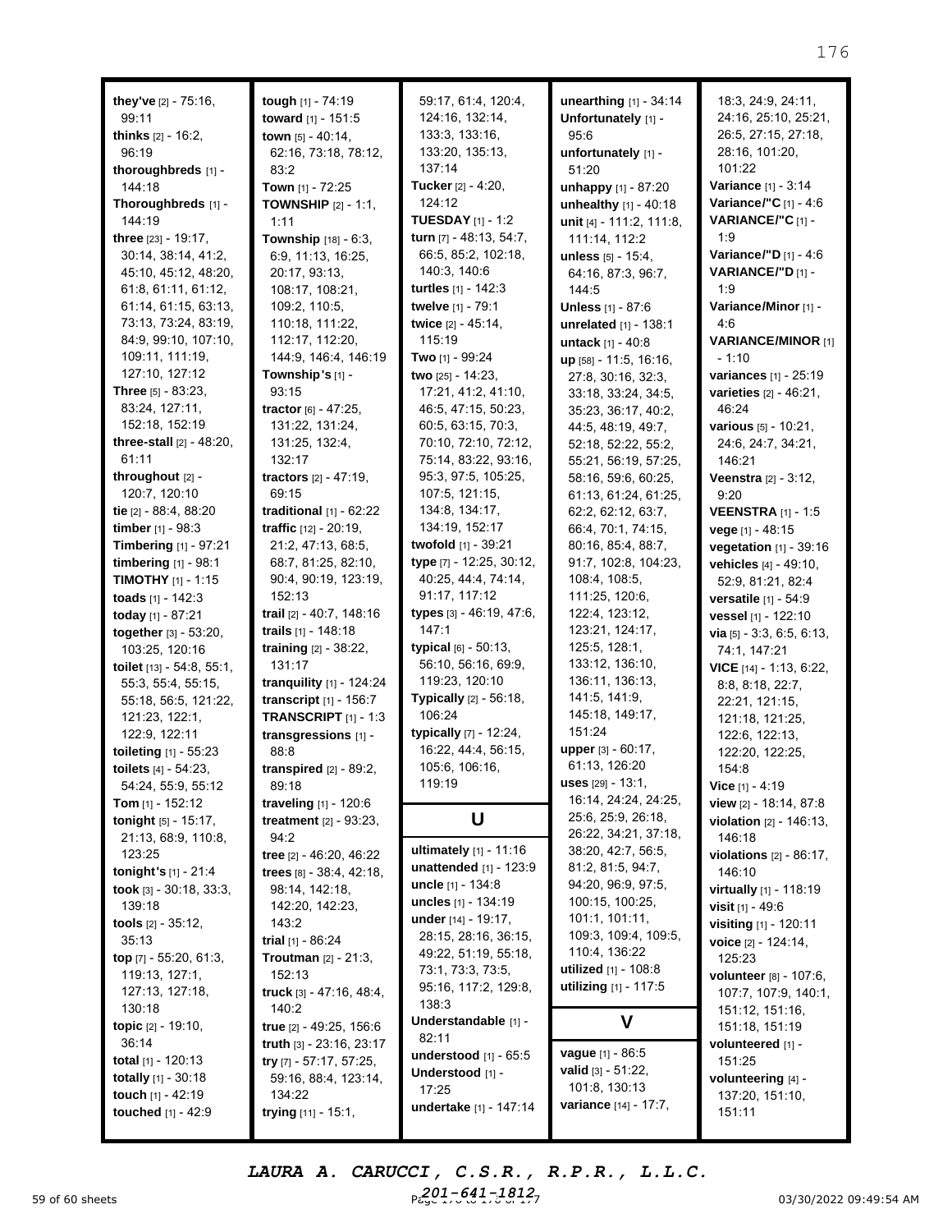| they've [2] - 75:16,                                                                                                                                                                                                                                                                                                                                               | tough [1] - 74:19                                                                                                                                                                                                                                                                                                                                                   | 59:17, 61:4, 120:4,                                                                                                                                                                                                                                                                                                                              | unearthing [1] - 34:14                                                                                                                                                                                                                                                                                   | 18:3, 24:9, 24:11,                                                                                                                                                                                                                                                                                                                |
|--------------------------------------------------------------------------------------------------------------------------------------------------------------------------------------------------------------------------------------------------------------------------------------------------------------------------------------------------------------------|---------------------------------------------------------------------------------------------------------------------------------------------------------------------------------------------------------------------------------------------------------------------------------------------------------------------------------------------------------------------|--------------------------------------------------------------------------------------------------------------------------------------------------------------------------------------------------------------------------------------------------------------------------------------------------------------------------------------------------|----------------------------------------------------------------------------------------------------------------------------------------------------------------------------------------------------------------------------------------------------------------------------------------------------------|-----------------------------------------------------------------------------------------------------------------------------------------------------------------------------------------------------------------------------------------------------------------------------------------------------------------------------------|
| 99:11                                                                                                                                                                                                                                                                                                                                                              | toward [1] - 151:5                                                                                                                                                                                                                                                                                                                                                  | 124:16, 132:14,                                                                                                                                                                                                                                                                                                                                  | Unfortunately [1] -                                                                                                                                                                                                                                                                                      | 24:16, 25:10, 25:21,                                                                                                                                                                                                                                                                                                              |
| thinks [2] - 16:2,                                                                                                                                                                                                                                                                                                                                                 | town [5] - 40:14,                                                                                                                                                                                                                                                                                                                                                   | 133:3, 133:16,                                                                                                                                                                                                                                                                                                                                   | 95:6                                                                                                                                                                                                                                                                                                     | 26:5, 27:15, 27:18,                                                                                                                                                                                                                                                                                                               |
| 96:19                                                                                                                                                                                                                                                                                                                                                              | 62:16, 73:18, 78:12,                                                                                                                                                                                                                                                                                                                                                | 133:20, 135:13,                                                                                                                                                                                                                                                                                                                                  | unfortunately [1] -                                                                                                                                                                                                                                                                                      | 28:16, 101:20,                                                                                                                                                                                                                                                                                                                    |
| thoroughbreds [1] -                                                                                                                                                                                                                                                                                                                                                | 83:2                                                                                                                                                                                                                                                                                                                                                                | 137:14                                                                                                                                                                                                                                                                                                                                           | 51:20                                                                                                                                                                                                                                                                                                    | 101:22                                                                                                                                                                                                                                                                                                                            |
| 144:18                                                                                                                                                                                                                                                                                                                                                             | Town $[1] - 72:25$                                                                                                                                                                                                                                                                                                                                                  | Tucker [2] - 4:20,                                                                                                                                                                                                                                                                                                                               | unhappy [1] - 87:20                                                                                                                                                                                                                                                                                      | Variance [1] - 3:14                                                                                                                                                                                                                                                                                                               |
| Thoroughbreds [1] -                                                                                                                                                                                                                                                                                                                                                | <b>TOWNSHIP</b> $[2] - 1:1$ ,                                                                                                                                                                                                                                                                                                                                       | 124:12                                                                                                                                                                                                                                                                                                                                           | unhealthy $[1] - 40:18$                                                                                                                                                                                                                                                                                  | Variance/"C [1] - 4:6                                                                                                                                                                                                                                                                                                             |
| 144:19                                                                                                                                                                                                                                                                                                                                                             | 1:11                                                                                                                                                                                                                                                                                                                                                                | <b>TUESDAY</b> [1] - 1:2                                                                                                                                                                                                                                                                                                                         | unit [4] - 111:2, 111:8,                                                                                                                                                                                                                                                                                 | VARIANCE/"C[1]-                                                                                                                                                                                                                                                                                                                   |
| three [23] - 19:17,                                                                                                                                                                                                                                                                                                                                                | Township [18] - 6:3,                                                                                                                                                                                                                                                                                                                                                | turn [7] - 48:13, 54:7,                                                                                                                                                                                                                                                                                                                          | 111:14, 112:2                                                                                                                                                                                                                                                                                            | 1:9                                                                                                                                                                                                                                                                                                                               |
| 30:14, 38:14, 41:2,                                                                                                                                                                                                                                                                                                                                                | 6:9, 11:13, 16:25,                                                                                                                                                                                                                                                                                                                                                  | 66:5, 85:2, 102:18,                                                                                                                                                                                                                                                                                                                              | unless [5] - 15:4,                                                                                                                                                                                                                                                                                       | Variance/"D [1] - 4:6                                                                                                                                                                                                                                                                                                             |
| 45:10, 45:12, 48:20,                                                                                                                                                                                                                                                                                                                                               | 20:17, 93:13,                                                                                                                                                                                                                                                                                                                                                       | 140:3, 140:6                                                                                                                                                                                                                                                                                                                                     | 64:16, 87:3, 96:7,                                                                                                                                                                                                                                                                                       | VARIANCE/"D[1] -                                                                                                                                                                                                                                                                                                                  |
| 61:8, 61:11, 61:12,                                                                                                                                                                                                                                                                                                                                                | 108:17, 108:21,                                                                                                                                                                                                                                                                                                                                                     | turtles [1] - 142:3                                                                                                                                                                                                                                                                                                                              | 144:5                                                                                                                                                                                                                                                                                                    | 1:9                                                                                                                                                                                                                                                                                                                               |
| 61:14, 61:15, 63:13,                                                                                                                                                                                                                                                                                                                                               | 109:2, 110:5,                                                                                                                                                                                                                                                                                                                                                       | twelve [1] - 79:1                                                                                                                                                                                                                                                                                                                                | Unless [1] - 87:6                                                                                                                                                                                                                                                                                        | Variance/Minor [1] -                                                                                                                                                                                                                                                                                                              |
| 73:13, 73:24, 83:19,                                                                                                                                                                                                                                                                                                                                               | 110:18, 111:22,                                                                                                                                                                                                                                                                                                                                                     | twice [2] - 45:14,                                                                                                                                                                                                                                                                                                                               | unrelated [1] - 138:1                                                                                                                                                                                                                                                                                    | 4:6                                                                                                                                                                                                                                                                                                                               |
| 84:9, 99:10, 107:10,                                                                                                                                                                                                                                                                                                                                               | 112:17, 112:20,                                                                                                                                                                                                                                                                                                                                                     | 115:19                                                                                                                                                                                                                                                                                                                                           | untack [1] - 40:8                                                                                                                                                                                                                                                                                        | <b>VARIANCE/MINOR [1]</b>                                                                                                                                                                                                                                                                                                         |
| 109:11, 111:19,                                                                                                                                                                                                                                                                                                                                                    | 144:9, 146:4, 146:19                                                                                                                                                                                                                                                                                                                                                | Two [1] - 99:24                                                                                                                                                                                                                                                                                                                                  | up [58] - 11:5, 16:16,                                                                                                                                                                                                                                                                                   | - 1:10                                                                                                                                                                                                                                                                                                                            |
| 127:10, 127:12                                                                                                                                                                                                                                                                                                                                                     | Township's [1] -                                                                                                                                                                                                                                                                                                                                                    | two [25] - 14:23,                                                                                                                                                                                                                                                                                                                                | 27:8, 30:16, 32:3,                                                                                                                                                                                                                                                                                       | variances [1] - 25:19                                                                                                                                                                                                                                                                                                             |
| <b>Three</b> $[5]$ - 83:23,                                                                                                                                                                                                                                                                                                                                        | 93:15                                                                                                                                                                                                                                                                                                                                                               | 17:21, 41:2, 41:10,                                                                                                                                                                                                                                                                                                                              | 33:18, 33:24, 34:5,                                                                                                                                                                                                                                                                                      | varieties [2] - 46:21,                                                                                                                                                                                                                                                                                                            |
| 83:24, 127:11,                                                                                                                                                                                                                                                                                                                                                     | tractor [6] - 47:25,                                                                                                                                                                                                                                                                                                                                                | 46:5, 47:15, 50:23,                                                                                                                                                                                                                                                                                                                              | 35:23, 36:17, 40:2,                                                                                                                                                                                                                                                                                      | 46:24                                                                                                                                                                                                                                                                                                                             |
| 152:18, 152:19                                                                                                                                                                                                                                                                                                                                                     | 131:22, 131:24,                                                                                                                                                                                                                                                                                                                                                     | 60:5, 63:15, 70:3,                                                                                                                                                                                                                                                                                                                               | 44:5, 48:19, 49:7,                                                                                                                                                                                                                                                                                       | various [5] - 10:21,                                                                                                                                                                                                                                                                                                              |
| three-stall [2] - 48:20,                                                                                                                                                                                                                                                                                                                                           | 131:25, 132:4,                                                                                                                                                                                                                                                                                                                                                      | 70:10, 72:10, 72:12,                                                                                                                                                                                                                                                                                                                             | 52:18, 52:22, 55:2,                                                                                                                                                                                                                                                                                      | 24:6, 24:7, 34:21,                                                                                                                                                                                                                                                                                                                |
| 61:11                                                                                                                                                                                                                                                                                                                                                              | 132:17                                                                                                                                                                                                                                                                                                                                                              | 75:14, 83:22, 93:16,                                                                                                                                                                                                                                                                                                                             | 55:21, 56:19, 57:25,                                                                                                                                                                                                                                                                                     | 146:21                                                                                                                                                                                                                                                                                                                            |
| throughout [2] -                                                                                                                                                                                                                                                                                                                                                   | tractors [2] - 47:19,                                                                                                                                                                                                                                                                                                                                               | 95:3, 97:5, 105:25,                                                                                                                                                                                                                                                                                                                              | 58:16, 59:6, 60:25,                                                                                                                                                                                                                                                                                      | Veenstra [2] - 3:12,                                                                                                                                                                                                                                                                                                              |
| 120:7, 120:10                                                                                                                                                                                                                                                                                                                                                      | 69:15                                                                                                                                                                                                                                                                                                                                                               | 107:5, 121:15,                                                                                                                                                                                                                                                                                                                                   | 61:13, 61:24, 61:25,                                                                                                                                                                                                                                                                                     | 9:20                                                                                                                                                                                                                                                                                                                              |
| tie [2] - 88:4, 88:20                                                                                                                                                                                                                                                                                                                                              | traditional $[1]$ - $62:22$                                                                                                                                                                                                                                                                                                                                         | 134:8, 134:17,                                                                                                                                                                                                                                                                                                                                   | 62:2, 62:12, 63:7,                                                                                                                                                                                                                                                                                       | <b>VEENSTRA</b> [1] - 1:5                                                                                                                                                                                                                                                                                                         |
| <b>timber</b> $[1] - 98:3$                                                                                                                                                                                                                                                                                                                                         | traffic [12] - 20:19,                                                                                                                                                                                                                                                                                                                                               | 134:19, 152:17                                                                                                                                                                                                                                                                                                                                   | 66:4, 70:1, 74:15,                                                                                                                                                                                                                                                                                       | vege [1] - 48:15                                                                                                                                                                                                                                                                                                                  |
| Timbering [1] - 97:21                                                                                                                                                                                                                                                                                                                                              | 21:2, 47:13, 68:5,                                                                                                                                                                                                                                                                                                                                                  | twofold [1] - 39:21                                                                                                                                                                                                                                                                                                                              | 80:16, 85:4, 88:7,                                                                                                                                                                                                                                                                                       | vegetation [1] - 39:16                                                                                                                                                                                                                                                                                                            |
| <b>timbering</b> $[1] - 98:1$                                                                                                                                                                                                                                                                                                                                      | 68:7, 81:25, 82:10,                                                                                                                                                                                                                                                                                                                                                 | type [7] - 12:25, 30:12,                                                                                                                                                                                                                                                                                                                         | 91:7, 102:8, 104:23,                                                                                                                                                                                                                                                                                     | vehicles [4] - 49:10,                                                                                                                                                                                                                                                                                                             |
| <b>TIMOTHY</b> $[1]$ - 1:15                                                                                                                                                                                                                                                                                                                                        | 90:4, 90:19, 123:19,                                                                                                                                                                                                                                                                                                                                                | 40:25, 44:4, 74:14,                                                                                                                                                                                                                                                                                                                              | 108:4, 108:5,                                                                                                                                                                                                                                                                                            | 52:9, 81:21, 82:4                                                                                                                                                                                                                                                                                                                 |
| toads $[1] - 142:3$                                                                                                                                                                                                                                                                                                                                                | 152:13                                                                                                                                                                                                                                                                                                                                                              | 91:17, 117:12                                                                                                                                                                                                                                                                                                                                    | 111:25, 120:6,                                                                                                                                                                                                                                                                                           | versatile [1] - 54:9                                                                                                                                                                                                                                                                                                              |
| today [1] - 87:21                                                                                                                                                                                                                                                                                                                                                  | trail [2] - 40:7, 148:16                                                                                                                                                                                                                                                                                                                                            | types [3] - 46:19, 47:6,                                                                                                                                                                                                                                                                                                                         | 122:4, 123:12,                                                                                                                                                                                                                                                                                           | vessel [1] - 122:10                                                                                                                                                                                                                                                                                                               |
| together [3] - 53:20,                                                                                                                                                                                                                                                                                                                                              | trails [1] - 148:18                                                                                                                                                                                                                                                                                                                                                 | 147:1                                                                                                                                                                                                                                                                                                                                            | 123:21, 124:17,                                                                                                                                                                                                                                                                                          | via $[5] - 3:3, 6:5, 6:13,$                                                                                                                                                                                                                                                                                                       |
| 103:25, 120:16                                                                                                                                                                                                                                                                                                                                                     | training $[2] - 38:22$ ,                                                                                                                                                                                                                                                                                                                                            | typical [6] - 50:13,                                                                                                                                                                                                                                                                                                                             | 125:5, 128:1,                                                                                                                                                                                                                                                                                            | 74:1, 147:21                                                                                                                                                                                                                                                                                                                      |
| toilet $[13] - 54:8, 55:1,$                                                                                                                                                                                                                                                                                                                                        | 131:17                                                                                                                                                                                                                                                                                                                                                              | 56:10, 56:16, 69:9,                                                                                                                                                                                                                                                                                                                              | 133:12, 136:10,                                                                                                                                                                                                                                                                                          | VICE [14] - 1:13, 6:22,                                                                                                                                                                                                                                                                                                           |
| 55:3, 55:4, 55:15,                                                                                                                                                                                                                                                                                                                                                 | tranquility $[1]$ - 124:24                                                                                                                                                                                                                                                                                                                                          | 119:23, 120:10                                                                                                                                                                                                                                                                                                                                   | 136:11, 136:13,                                                                                                                                                                                                                                                                                          | 8:8, 8:18, 22:7,                                                                                                                                                                                                                                                                                                                  |
| 55:18, 56:5, 121:22,                                                                                                                                                                                                                                                                                                                                               | transcript [1] - 156:7                                                                                                                                                                                                                                                                                                                                              | Typically [2] - 56:18,                                                                                                                                                                                                                                                                                                                           | 141:5, 141:9,                                                                                                                                                                                                                                                                                            | 22:21, 121:15,                                                                                                                                                                                                                                                                                                                    |
| 121:23, 122:1,                                                                                                                                                                                                                                                                                                                                                     | <b>TRANSCRIPT</b> $[1] - 1:3$                                                                                                                                                                                                                                                                                                                                       | 106:24                                                                                                                                                                                                                                                                                                                                           | 145:18, 149:17,                                                                                                                                                                                                                                                                                          | 121:18, 121:25,                                                                                                                                                                                                                                                                                                                   |
| 122:9, 122:11                                                                                                                                                                                                                                                                                                                                                      | transgressions [1] -                                                                                                                                                                                                                                                                                                                                                | typically [7] - 12:24,                                                                                                                                                                                                                                                                                                                           | 151:24                                                                                                                                                                                                                                                                                                   | 122:6, 122:13,                                                                                                                                                                                                                                                                                                                    |
| toileting [1] - 55:23                                                                                                                                                                                                                                                                                                                                              | 88:8                                                                                                                                                                                                                                                                                                                                                                | 16:22, 44:4, 56:15,                                                                                                                                                                                                                                                                                                                              | <b>upper</b> $[3] - 60:17$ ,                                                                                                                                                                                                                                                                             | 122:20, 122:25,                                                                                                                                                                                                                                                                                                                   |
| toilets $[4] - 54:23$ ,                                                                                                                                                                                                                                                                                                                                            | transpired $[2]$ - 89:2,                                                                                                                                                                                                                                                                                                                                            | 105:6, 106:16,                                                                                                                                                                                                                                                                                                                                   | 61:13, 126:20                                                                                                                                                                                                                                                                                            | 154:8                                                                                                                                                                                                                                                                                                                             |
| 54:24, 55:9, 55:12<br>Tom $[1] - 152:12$<br><b>tonight</b> $[5] - 15:17$ ,                                                                                                                                                                                                                                                                                         | 89:18<br>traveling [1] - 120:6<br><b>treatment</b> $[2] - 93:23$ ,                                                                                                                                                                                                                                                                                                  | 119:19<br>U                                                                                                                                                                                                                                                                                                                                      | <b>uses</b> [29] - 13:1,<br>16:14, 24:24, 24:25,<br>25:6, 25:9, 26:18,<br>26:22, 34:21, 37:18,                                                                                                                                                                                                           | Vice $[1] - 4:19$<br>view [2] - 18:14, 87:8<br><b>violation</b> $[2] - 146:13$ ,                                                                                                                                                                                                                                                  |
| 21:13, 68:9, 110:8,<br>123:25<br>tonight's $[1] - 21:4$<br>took $[3] - 30:18$ , $33:3$ ,<br>139:18<br>tools $[2] - 35:12$ ,<br>35:13<br>top $[7] - 55:20, 61:3,$<br>119:13, 127:1,<br>127:13, 127:18,<br>130:18<br><b>topic</b> $[2] - 19:10$ ,<br>36:14<br><b>total</b> $[1]$ - 120:13<br><b>totally</b> $[1] - 30:18$<br>touch [1] - 42:19<br>touched [1] - 42:9 | 94:2<br>tree [2] - 46:20, 46:22<br>trees $[8] - 38:4, 42:18,$<br>98:14, 142:18,<br>142:20, 142:23,<br>143:2<br>trial $[1] - 86:24$<br><b>Troutman</b> $[2] - 21:3$ ,<br>152:13<br>truck [3] - 47:16, 48:4,<br>140:2<br>true [2] - 49:25, 156:6<br>truth [3] - 23:16, 23:17<br>try $[7] - 57:17, 57:25,$<br>59:16, 88:4, 123:14,<br>134:22<br>trying $[11] - 15:1$ , | ultimately [1] - 11:16<br>unattended $[1]$ - 123:9<br>uncle $[1] - 134:8$<br>uncles $[1] - 134:19$<br>under [14] - 19:17.<br>28:15, 28:16, 36:15,<br>49:22, 51:19, 55:18,<br>73:1, 73:3, 73:5,<br>95:16, 117:2, 129:8,<br>138:3<br>Understandable [1] -<br>82:11<br>understood [1] - 65:5<br>Understood [1] -<br>17:25<br>undertake [1] - 147:14 | 38:20, 42:7, 56:5,<br>81:2, 81:5, 94:7,<br>94:20, 96:9, 97:5,<br>100:15, 100:25,<br>101:1, 101:11,<br>109:3, 109:4, 109:5,<br>110:4, 136:22<br><b>utilized</b> [1] - 108:8<br>utilizing $[1] - 117:5$<br>V<br>vague [1] - 86:5<br><b>valid</b> $[3] - 51:22$ ,<br>101:8, 130:13<br>variance [14] - 17:7, | 146:18<br>violations $[2] - 86:17$ ,<br>146:10<br>virtually [1] - 118:19<br>visit $[1] - 49:6$<br>visiting [1] - 120:11<br>voice [2] - 124:14,<br>125:23<br>volunteer [8] - 107:6,<br>107:7, 107:9, 140:1,<br>151:12, 151:16,<br>151:18, 151:19<br>volunteered [1] -<br>151:25<br>volunteering [4] -<br>137:20, 151:10,<br>151:11 |

59 of 60 sheets **Page 176 to 176 to 176 of 177 of 176 to 176 to 176 of 177 of 177 of 177 of 177 of 177 of 177 of 1** *LAURA A. CARUCCI, C.S.R., R.P.R., L.L.C. 201-641-1812*